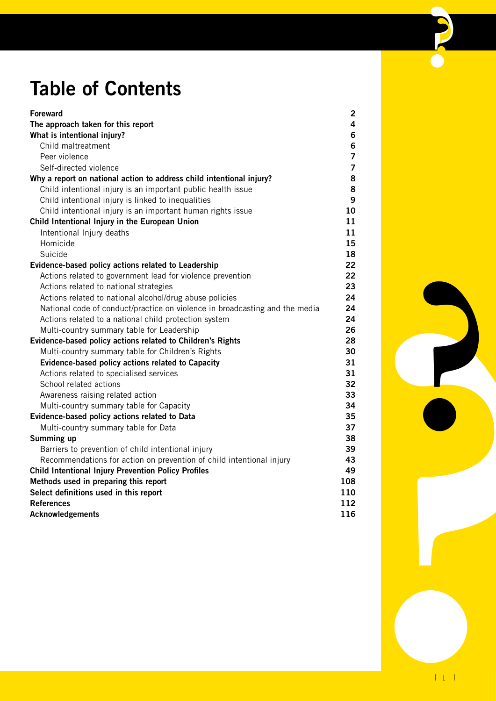## **Table of Contents**

| <b>Foreward</b>                                                             | $\mathbf{2}$   |
|-----------------------------------------------------------------------------|----------------|
| The approach taken for this report                                          | 4              |
| What is intentional injury?                                                 | 6              |
| Child maltreatment                                                          | 6              |
| Peer violence                                                               | $\overline{7}$ |
| Self-directed violence                                                      | $\overline{7}$ |
| Why a report on national action to address child intentional injury?        | 8              |
| Child intentional injury is an important public health issue                | 8              |
| Child intentional injury is linked to inequalities                          | 9              |
| Child intentional injury is an important human rights issue                 | 10             |
| Child Intentional Injury in the European Union                              | 11             |
| Intentional Injury deaths                                                   | 11             |
| Homicide                                                                    | 15             |
| Suicide                                                                     | 18             |
| Evidence-based policy actions related to Leadership                         | 22             |
| Actions related to government lead for violence prevention                  | 22             |
| Actions related to national strategies                                      | 23             |
| Actions related to national alcohol/drug abuse policies                     | 24             |
| National code of conduct/practice on violence in broadcasting and the media | 24             |
| Actions related to a national child protection system                       | 24             |
| Multi-country summary table for Leadership                                  | 26             |
| Evidence-based policy actions related to Children's Rights                  | 28             |
| Multi-country summary table for Children's Rights                           | 30             |
| Evidence-based policy actions related to Capacity                           | 31             |
| Actions related to specialised services                                     | 31             |
| School related actions                                                      | 32             |
| Awareness raising related action                                            | 33             |
| Multi-country summary table for Capacity                                    | 34             |
| Evidence-based policy actions related to Data                               | 35             |
| Multi-country summary table for Data                                        | 37             |
| Summing up                                                                  | 38             |
| Barriers to prevention of child intentional injury                          | 39             |
| Recommendations for action on prevention of child intentional injury        | 43             |
| <b>Child Intentional Injury Prevention Policy Profiles</b>                  | 49             |
| Methods used in preparing this report                                       | 108            |
| Select definitions used in this report                                      | 110            |
| <b>References</b>                                                           | 112            |
| <b>Acknowledgements</b>                                                     | 116            |

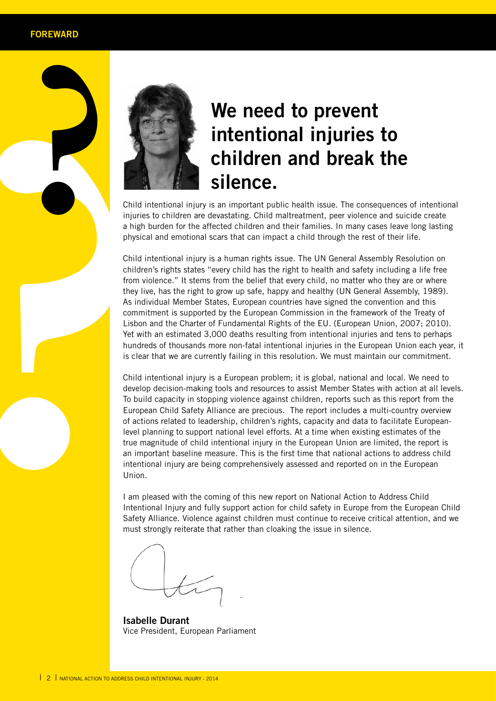

# **Properties and School intentional injuries to child intentional injury is an important public health issue. The consequences of intentional injuries to child intentional injury is an important public health issue. The con We need to prevent intentional injuries to children and break the silence.**

injuries to children are devastating. Child maltreatment, peer violence and suicide create a high burden for the affected children and their families. In many cases leave long lasting physical and emotional scars that can impact a child through the rest of their life.

Child intentional injury is a human rights issue. The UN General Assembly Resolution on children's rights states "every child has the right to health and safety including a life free from violence." It stems from the belief that every child, no matter who they are or where they live, has the right to grow up safe, happy and healthy (UN General Assembly, 1989). As individual Member States, European countries have signed the convention and this commitment is supported by the European Commission in the framework of the Treaty of Lisbon and the Charter of Fundamental Rights of the EU. (European Union, 2007; 2010). Yet with an estimated 3,000 deaths resulting from intentional injuries and tens to perhaps hundreds of thousands more non-fatal intentional injuries in the European Union each year, it is clear that we are currently failing in this resolution. We must maintain our commitment.

Child intentional injury is a European problem; it is global, national and local. We need to develop decision-making tools and resources to assist Member States with action at all levels. To build capacity in stopping violence against children, reports such as this report from the European Child Safety Alliance are precious. The report includes a multi-country overview of actions related to leadership, children's rights, capacity and data to facilitate Europeanlevel planning to support national level efforts. At a time when existing estimates of the true magnitude of child intentional injury in the European Union are limited, the report is an important baseline measure. This is the first time that national actions to address child intentional injury are being comprehensively assessed and reported on in the European Union.

I am pleased with the coming of this new report on National Action to Address Child Intentional Injury and fully support action for child safety in Europe from the European Child Safety Alliance. Violence against children must continue to receive critical attention, and we must strongly reiterate that rather than cloaking the issue in silence.

**Isabelle Durant** Vice President, European Parliament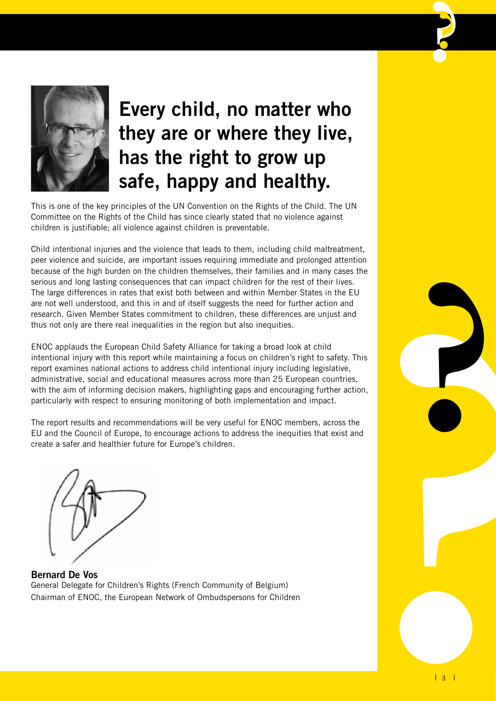

## **Every child, no matter who they are or where they live, has the right to grow up safe, happy and healthy.**

This is one of the key principles of the UN Convention on the Rights of the Child. The UN Committee on the Rights of the Child has since clearly stated that no violence against children is justifiable; all violence against children is preventable.

Child intentional injuries and the violence that leads to them, including child maltreatment, peer violence and suicide, are important issues requiring immediate and prolonged attention because of the high burden on the children themselves, their families and in many cases the serious and long lasting consequences that can impact children for the rest of their lives. The large differences in rates that exist both between and within Member States in the EU are not well understood, and this in and of itself suggests the need for further action and research. Given Member States commitment to children, these differences are unjust and thus not only are there real inequalities in the region but also inequities.

ENOC applauds the European Child Safety Alliance for taking a broad look at child intentional injury with this report while maintaining a focus on children's right to safety. This report examines national actions to address child intentional injury including legislative, administrative, social and educational measures across more than 25 European countries, with the aim of informing decision makers, highlighting gaps and encouraging further action, particularly with respect to ensuring monitoring of both implementation and impact.

The report results and recommendations will be very useful for ENOC members, across the EU and the Council of Europe, to encourage actions to address the inequities that exist and create a safer and healthier future for Europe's children.



**Bernard De Vos** General Delegate for Children's Rights (French Community of Belgium) Chairman of ENOC, the European Network of Ombudspersons for Children

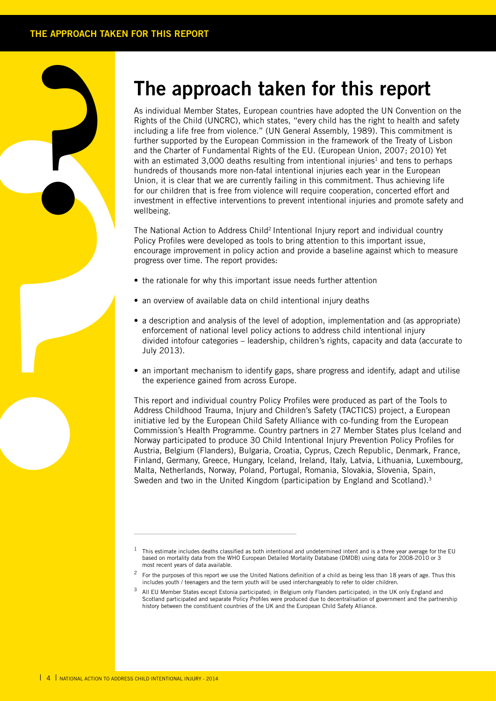## **The approach taken for this report**

a signal and the property of the policies of the policies of the policies of the policies of the policies of the policies of the policies of the policies of the policies of the policies of the policies of the policies of t As individual Member States, European countries have adopted the UN Convention on the Rights of the Child (UNCRC), which states, "every child has the right to health and safety including a life free from violence." (UN General Assembly, 1989). This commitment is further supported by the European Commission in the framework of the Treaty of Lisbon and the Charter of Fundamental Rights of the EU. (European Union, 2007; 2010) Yet with an estimated 3,000 deaths resulting from intentional injuries<sup>1</sup> and tens to perhaps hundreds of thousands more non-fatal intentional injuries each year in the European Union, it is clear that we are currently failing in this commitment. Thus achieving life for our children that is free from violence will require cooperation, concerted effort and investment in effective interventions to prevent intentional injuries and promote safety and wellbeing.

The National Action to Address Child<sup>2</sup> Intentional Injury report and individual country Policy Profiles were developed as tools to bring attention to this important issue, encourage improvement in policy action and provide a baseline against which to measure progress over time. The report provides:

- the rationale for why this important issue needs further attention
- an overview of available data on child intentional injury deaths

\_\_\_\_\_\_\_\_\_\_\_\_\_\_\_\_\_\_\_\_\_\_\_\_\_\_\_\_\_\_\_\_\_\_\_\_\_\_\_

- a description and analysis of the level of adoption, implementation and (as appropriate) enforcement of national level policy actions to address child intentional injury divided intofour categories – leadership, children's rights, capacity and data (accurate to July 2013).
- an important mechanism to identify gaps, share progress and identify, adapt and utilise the experience gained from across Europe.

This report and individual country Policy Profiles were produced as part of the Tools to Address Childhood Trauma, Injury and Children's Safety (TACTICS) project, a European initiative led by the European Child Safety Alliance with co-funding from the European Commission's Health Programme. Country partners in 27 Member States plus Iceland and Norway participated to produce 30 Child Intentional Injury Prevention Policy Profiles for Austria, Belgium (Flanders), Bulgaria, Croatia, Cyprus, Czech Republic, Denmark, France, Finland, Germany, Greece, Hungary, Iceland, Ireland, Italy, Latvia, Lithuania, Luxembourg, Malta, Netherlands, Norway, Poland, Portugal, Romania, Slovakia, Slovenia, Spain, Sweden and two in the United Kingdom (participation by England and Scotland).<sup>3</sup>

<sup>1</sup> This estimate includes deaths classified as both intentional and undetermined intent and is a three year average for the EU based on mortality data from the WHO European Detailed Mortality Database (DMDB) using data for 2008-2010 or 3 most recent years of data available.

<sup>2</sup> For the purposes of this report we use the United Nations definition of a child as being less than 18 years of age. Thus this includes youth / teenagers and the term youth will be used interchangeably to refer to older children.

<sup>&</sup>lt;sup>3</sup> All EU Member States except Estonia participated; in Belgium only Flanders participated; in the UK only England and Scotland participated and separate Policy Profiles were produced due to decentralisation of government and the partnership history between the constituent countries of the UK and the European Child Safety Alliance.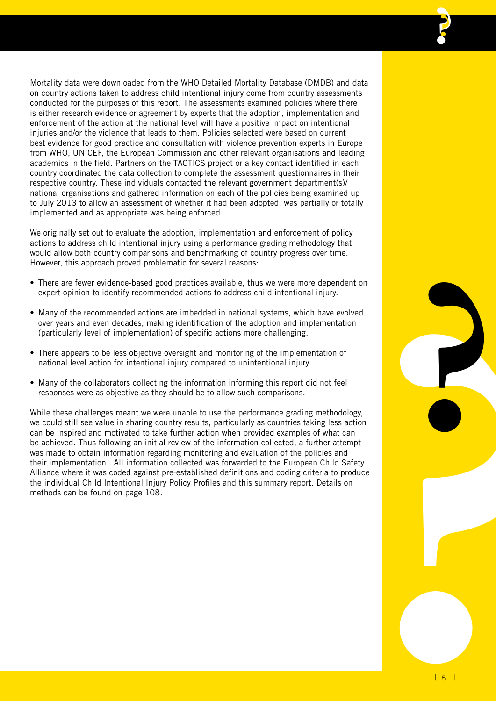Mortality data were downloaded from the WHO Detailed Mortality Database (DMDB) and data on country actions taken to address child intentional injury come from country assessments conducted for the purposes of this report. The assessments examined policies where there is either research evidence or agreement by experts that the adoption, implementation and enforcement of the action at the national level will have a positive impact on intentional injuries and/or the violence that leads to them. Policies selected were based on current best evidence for good practice and consultation with violence prevention experts in Europe from WHO, UNICEF, the European Commission and other relevant organisations and leading academics in the field. Partners on the TACTICS project or a key contact identified in each country coordinated the data collection to complete the assessment questionnaires in their respective country. These individuals contacted the relevant government department(s)/ national organisations and gathered information on each of the policies being examined up to July 2013 to allow an assessment of whether it had been adopted, was partially or totally implemented and as appropriate was being enforced.

We originally set out to evaluate the adoption, implementation and enforcement of policy actions to address child intentional injury using a performance grading methodology that would allow both country comparisons and benchmarking of country progress over time. However, this approach proved problematic for several reasons:

- There are fewer evidence-based good practices available, thus we were more dependent on expert opinion to identify recommended actions to address child intentional injury.
- Many of the recommended actions are imbedded in national systems, which have evolved over years and even decades, making identification of the adoption and implementation (particularly level of implementation) of specific actions more challenging.
- There appears to be less objective oversight and monitoring of the implementation of national level action for intentional injury compared to unintentional injury.
- Many of the collaborators collecting the information informing this report did not feel responses were as objective as they should be to allow such comparisons.

While these challenges meant we were unable to use the performance grading methodology, we could still see value in sharing country results, particularly as countries taking less action can be inspired and motivated to take further action when provided examples of what can be achieved. Thus following an initial review of the information collected, a further attempt was made to obtain information regarding monitoring and evaluation of the policies and their implementation. All information collected was forwarded to the European Child Safety Alliance where it was coded against pre-established definitions and coding criteria to produce the individual Child Intentional Injury Policy Profiles and this summary report. Details on methods can be found on page 108.

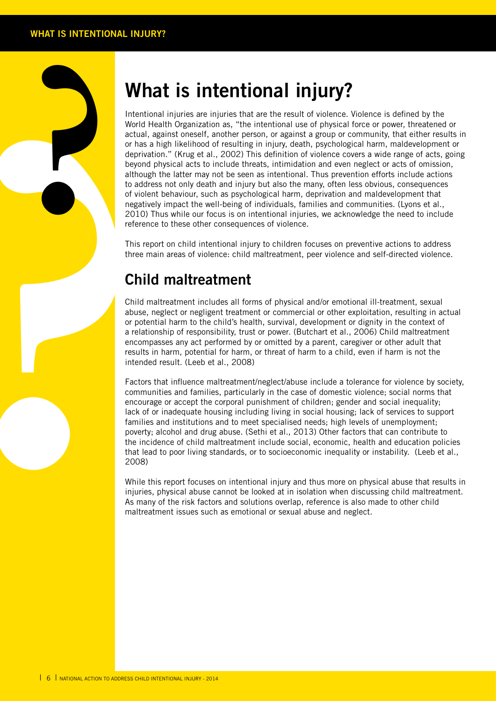## **What is intentional injury?**

**Example 19**<br>
Intentitive World architectic scription and deriver and deriver although to address deriver and deriver and though to address and the mean **Chil**<br>
This reference the mean **Chill** Child nabuse, or potention re Intentional injuries are injuries that are the result of violence. Violence is defined by the World Health Organization as, "the intentional use of physical force or power, threatened or actual, against oneself, another person, or against a group or community, that either results in or has a high likelihood of resulting in injury, death, psychological harm, maldevelopment or deprivation." (Krug et al., 2002) This definition of violence covers a wide range of acts, going beyond physical acts to include threats, intimidation and even neglect or acts of omission, although the latter may not be seen as intentional. Thus prevention efforts include actions to address not only death and injury but also the many, often less obvious, consequences of violent behaviour, such as psychological harm, deprivation and maldevelopment that negatively impact the well-being of individuals, families and communities. (Lyons et al., 2010) Thus while our focus is on intentional injuries, we acknowledge the need to include reference to these other consequences of violence.

This report on child intentional injury to children focuses on preventive actions to address three main areas of violence: child maltreatment, peer violence and self-directed violence.

### **Child maltreatment**

Child maltreatment includes all forms of physical and/or emotional ill-treatment, sexual abuse, neglect or negligent treatment or commercial or other exploitation, resulting in actual or potential harm to the child's health, survival, development or dignity in the context of a relationship of responsibility, trust or power. (Butchart et al., 2006) Child maltreatment encompasses any act performed by or omitted by a parent, caregiver or other adult that results in harm, potential for harm, or threat of harm to a child, even if harm is not the intended result. (Leeb et al., 2008)

Factors that influence maltreatment/neglect/abuse include a tolerance for violence by society, communities and families, particularly in the case of domestic violence; social norms that encourage or accept the corporal punishment of children; gender and social inequality; lack of or inadequate housing including living in social housing; lack of services to support families and institutions and to meet specialised needs; high levels of unemployment; poverty; alcohol and drug abuse. (Sethi et al., 2013) Other factors that can contribute to the incidence of child maltreatment include social, economic, health and education policies that lead to poor living standards, or to socioeconomic inequality or instability. (Leeb et al., 2008)

While this report focuses on intentional injury and thus more on physical abuse that results in injuries, physical abuse cannot be looked at in isolation when discussing child maltreatment. As many of the risk factors and solutions overlap, reference is also made to other child maltreatment issues such as emotional or sexual abuse and neglect.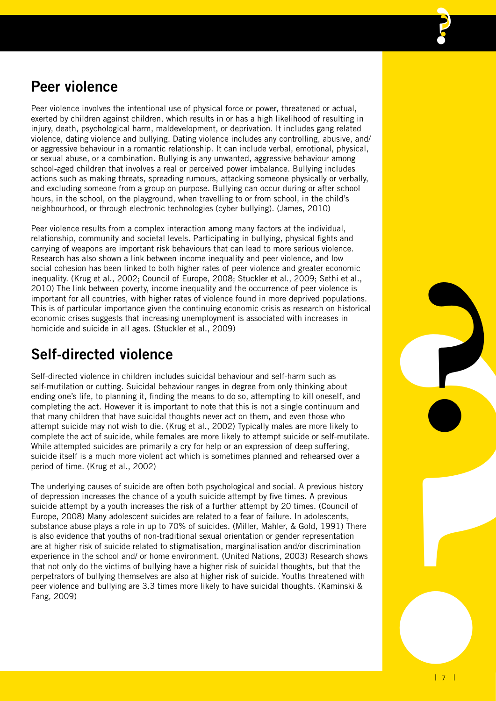### **Peer violence**

Peer violence involves the intentional use of physical force or power, threatened or actual, exerted by children against children, which results in or has a high likelihood of resulting in injury, death, psychological harm, maldevelopment, or deprivation. It includes gang related violence, dating violence and bullying. Dating violence includes any controlling, abusive, and/ or aggressive behaviour in a romantic relationship. It can include verbal, emotional, physical, or sexual abuse, or a combination. Bullying is any unwanted, aggressive behaviour among school-aged children that involves a real or perceived power imbalance. Bullying includes actions such as making threats, spreading rumours, attacking someone physically or verbally, and excluding someone from a group on purpose. Bullying can occur during or after school hours, in the school, on the playground, when travelling to or from school, in the child's neighbourhood, or through electronic technologies (cyber bullying). (James, 2010)

Peer violence results from a complex interaction among many factors at the individual, relationship, community and societal levels. Participating in bullying, physical fights and carrying of weapons are important risk behaviours that can lead to more serious violence. Research has also shown a link between income inequality and peer violence, and low social cohesion has been linked to both higher rates of peer violence and greater economic inequality. (Krug et al., 2002; Council of Europe, 2008; Stuckler et al., 2009; Sethi et al., 2010) The link between poverty, income inequality and the occurrence of peer violence is important for all countries, with higher rates of violence found in more deprived populations. This is of particular importance given the continuing economic crisis as research on historical economic crises suggests that increasing unemployment is associated with increases in homicide and suicide in all ages. (Stuckler et al., 2009)

### **Self-directed violence**

Self-directed violence in children includes suicidal behaviour and self-harm such as self-mutilation or cutting. Suicidal behaviour ranges in degree from only thinking about ending one's life, to planning it, finding the means to do so, attempting to kill oneself, and completing the act. However it is important to note that this is not a single continuum and that many children that have suicidal thoughts never act on them, and even those who attempt suicide may not wish to die. (Krug et al., 2002) Typically males are more likely to complete the act of suicide, while females are more likely to attempt suicide or self-mutilate. While attempted suicides are primarily a cry for help or an expression of deep suffering, suicide itself is a much more violent act which is sometimes planned and rehearsed over a period of time. (Krug et al., 2002)

Islones.<br>
Interioral<br>
the trial<br>
and<br>
the trial<br>
and<br>
the space of the control of the space of the space of the space of the space of the space of the space of the space of the space of the space of the space of the space The underlying causes of suicide are often both psychological and social. A previous history of depression increases the chance of a youth suicide attempt by five times. A previous suicide attempt by a youth increases the risk of a further attempt by 20 times. (Council of Europe, 2008) Many adolescent suicides are related to a fear of failure. In adolescents, substance abuse plays a role in up to 70% of suicides. (Miller, Mahler, & Gold, 1991) There is also evidence that youths of non-traditional sexual orientation or gender representation are at higher risk of suicide related to stigmatisation, marginalisation and/or discrimination experience in the school and/ or home environment. (United Nations, 2003) Research shows that not only do the victims of bullying have a higher risk of suicidal thoughts, but that the perpetrators of bullying themselves are also at higher risk of suicide. Youths threatened with peer violence and bullying are 3.3 times more likely to have suicidal thoughts. (Kaminski & Fang, 2009)

**?**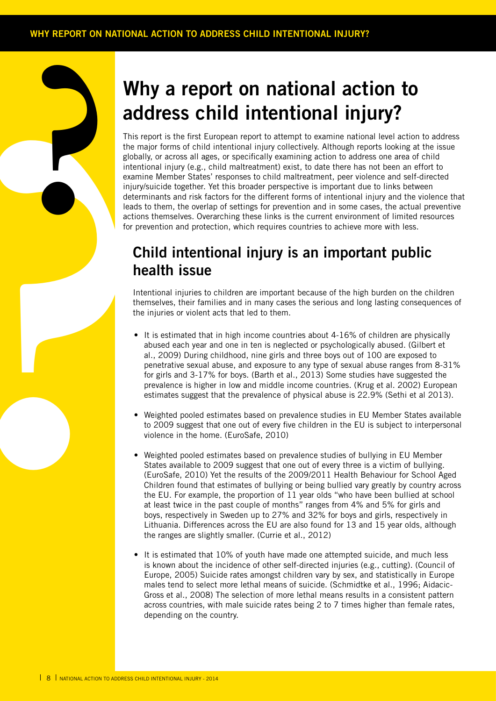## **Why a report on national action to address child intentional injury?**

adcompany and the main globally interior the main globally interior the main globally interior experiments of the main sections attention determining interior sections and the latter the interior term that all properties o This report is the first European report to attempt to examine national level action to address the major forms of child intentional injury collectively. Although reports looking at the issue globally, or across all ages, or specifically examining action to address one area of child intentional injury (e.g., child maltreatment) exist, to date there has not been an effort to examine Member States' responses to child maltreatment, peer violence and self-directed injury/suicide together. Yet this broader perspective is important due to links between determinants and risk factors for the different forms of intentional injury and the violence that leads to them, the overlap of settings for prevention and in some cases, the actual preventive actions themselves. Overarching these links is the current environment of limited resources for prevention and protection, which requires countries to achieve more with less.

### **Child intentional injury is an important public health issue**

Intentional injuries to children are important because of the high burden on the children themselves, their families and in many cases the serious and long lasting consequences of the injuries or violent acts that led to them.

- It is estimated that in high income countries about  $4-16\%$  of children are physically abused each year and one in ten is neglected or psychologically abused. (Gilbert et al., 2009) During childhood, nine girls and three boys out of 100 are exposed to penetrative sexual abuse, and exposure to any type of sexual abuse ranges from 8-31% for girls and 3-17% for boys. (Barth et al., 2013) Some studies have suggested the prevalence is higher in low and middle income countries. (Krug et al. 2002) European estimates suggest that the prevalence of physical abuse is 22.9% (Sethi et al 2013).
- Weighted pooled estimates based on prevalence studies in EU Member States available to 2009 suggest that one out of every five children in the EU is subject to interpersonal violence in the home. (EuroSafe, 2010)
- Weighted pooled estimates based on prevalence studies of bullying in EU Member States available to 2009 suggest that one out of every three is a victim of bullying. (EuroSafe, 2010) Yet the results of the 2009/2011 Health Behaviour for School Aged Children found that estimates of bullying or being bullied vary greatly by country across the EU. For example, the proportion of 11 year olds "who have been bullied at school at least twice in the past couple of months" ranges from 4% and 5% for girls and boys, respectively in Sweden up to 27% and 32% for boys and girls, respectively in Lithuania. Differences across the EU are also found for 13 and 15 year olds, although the ranges are slightly smaller. (Currie et al., 2012)
- It is estimated that 10% of youth have made one attempted suicide, and much less is known about the incidence of other self-directed injuries (e.g., cutting). (Council of Europe, 2005) Suicide rates amongst children vary by sex, and statistically in Europe males tend to select more lethal means of suicide. (Schmidtke et al., 1996; Aidacic-Gross et al., 2008) The selection of more lethal means results in a consistent pattern across countries, with male suicide rates being 2 to 7 times higher than female rates, depending on the country.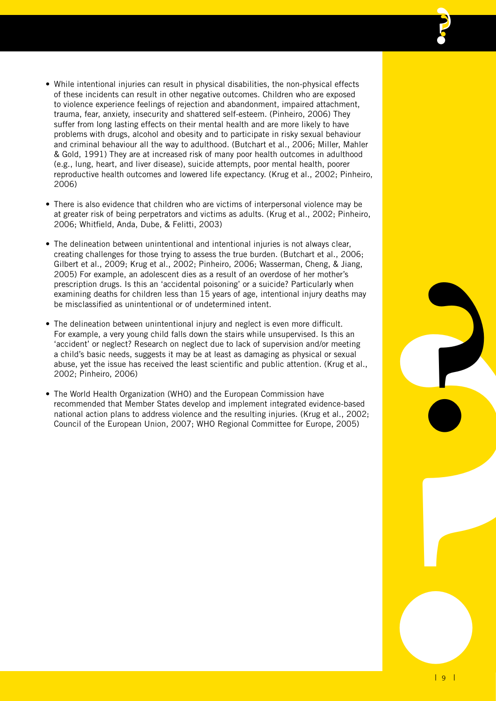- • While intentional injuries can result in physical disabilities, the non-physical effects of these incidents can result in other negative outcomes. Children who are exposed to violence experience feelings of rejection and abandonment, impaired attachment, trauma, fear, anxiety, insecurity and shattered self-esteem. (Pinheiro, 2006) They suffer from long lasting effects on their mental health and are more likely to have problems with drugs, alcohol and obesity and to participate in risky sexual behaviour and criminal behaviour all the way to adulthood. (Butchart et al., 2006; Miller, Mahler & Gold, 1991) They are at increased risk of many poor health outcomes in adulthood (e.g., lung, heart, and liver disease), suicide attempts, poor mental health, poorer reproductive health outcomes and lowered life expectancy. (Krug et al., 2002; Pinheiro, 2006)
- There is also evidence that children who are victims of interpersonal violence may be at greater risk of being perpetrators and victims as adults. (Krug et al., 2002; Pinheiro, 2006; Whitfield, Anda, Dube, & Felitti, 2003)
- The delineation between unintentional and intentional injuries is not always clear, creating challenges for those trying to assess the true burden. (Butchart et al., 2006; Gilbert et al., 2009; Krug et al., 2002; Pinheiro, 2006; Wasserman, Cheng, & Jiang, 2005) For example, an adolescent dies as a result of an overdose of her mother's prescription drugs. Is this an 'accidental poisoning' or a suicide? Particularly when examining deaths for children less than 15 years of age, intentional injury deaths may be misclassified as unintentional or of undetermined intent.
- may<br> **n**<br> **arged**<br>
2002;<br>
2002;<br>
25)<br>
9<br>
9 • The delineation between unintentional injury and neglect is even more difficult. For example, a very young child falls down the stairs while unsupervised. Is this an 'accident' or neglect? Research on neglect due to lack of supervision and/or meeting a child's basic needs, suggests it may be at least as damaging as physical or sexual abuse, yet the issue has received the least scientific and public attention. (Krug et al., 2002; Pinheiro, 2006)
- The World Health Organization (WHO) and the European Commission have recommended that Member States develop and implement integrated evidence-based national action plans to address violence and the resulting injuries. (Krug et al., 2002; Council of the European Union, 2007; WHO Regional Committee for Europe, 2005)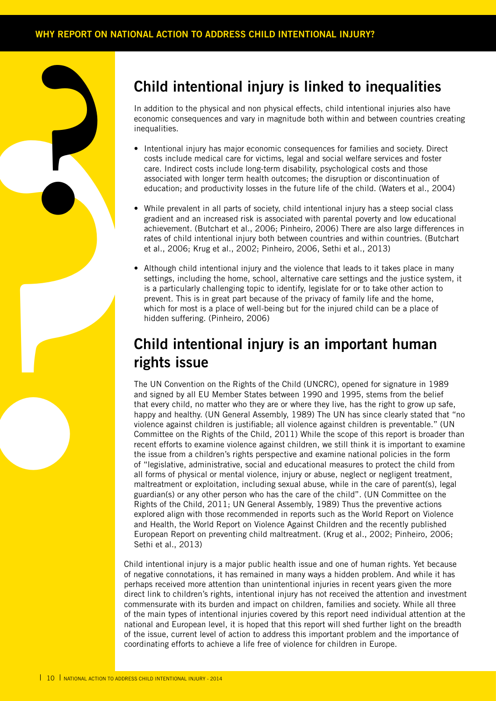### **Child intentional injury is linked to inequalities**

In addition to the physical and non physical effects, child intentional injuries also have economic consequences and vary in magnitude both within and between countries creating inequalities.

- Intentional injury has major economic consequences for families and society. Direct costs include medical care for victims, legal and social welfare services and foster care. Indirect costs include long-term disability, psychological costs and those associated with longer term health outcomes; the disruption or discontinuation of education; and productivity losses in the future life of the child. (Waters et al., 2004)
- While prevalent in all parts of society, child intentional injury has a steep social class gradient and an increased risk is associated with parental poverty and low educational achievement. (Butchart et al., 2006; Pinheiro, 2006) There are also large differences in rates of child intentional injury both between countries and within countries. (Butchart et al., 2006; Krug et al., 2002; Pinheiro, 2006, Sethi et al., 2013)
- Although child intentional injury and the violence that leads to it takes place in many settings, including the home, school, alternative care settings and the justice system, it is a particularly challenging topic to identify, legislate for or to take other action to prevent. This is in great part because of the privacy of family life and the home, which for most is a place of well-being but for the injured child can be a place of hidden suffering. (Pinheiro, 2006)

### **Child intentional injury is an important human rights issue**

Friend and the second technique of the internet and that happens of the internet and that happens of the internet and that happens of the internet second the second the second that happens of the second the second that gua The UN Convention on the Rights of the Child (UNCRC), opened for signature in 1989 and signed by all EU Member States between 1990 and 1995, stems from the belief that every child, no matter who they are or where they live, has the right to grow up safe, happy and healthy. (UN General Assembly, 1989) The UN has since clearly stated that "no violence against children is justifiable; all violence against children is preventable." (UN Committee on the Rights of the Child, 2011) While the scope of this report is broader than recent efforts to examine violence against children, we still think it is important to examine the issue from a children's rights perspective and examine national policies in the form of "legislative, administrative, social and educational measures to protect the child from all forms of physical or mental violence, injury or abuse, neglect or negligent treatment, maltreatment or exploitation, including sexual abuse, while in the care of parent(s), legal guardian(s) or any other person who has the care of the child". (UN Committee on the Rights of the Child, 2011; UN General Assembly, 1989) Thus the preventive actions explored align with those recommended in reports such as the World Report on Violence and Health, the World Report on Violence Against Children and the recently published European Report on preventing child maltreatment. (Krug et al., 2002; Pinheiro, 2006; Sethi et al., 2013)

> Child intentional injury is a major public health issue and one of human rights. Yet because of negative connotations, it has remained in many ways a hidden problem. And while it has perhaps received more attention than unintentional injuries in recent years given the more direct link to children's rights, intentional injury has not received the attention and investment commensurate with its burden and impact on children, families and society. While all three of the main types of intentional injuries covered by this report need individual attention at the national and European level, it is hoped that this report will shed further light on the breadth of the issue, current level of action to address this important problem and the importance of coordinating efforts to achieve a life free of violence for children in Europe.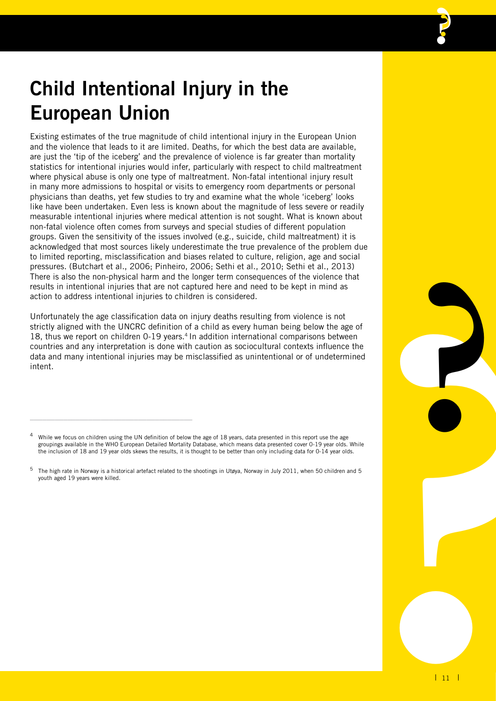## **Child Intentional Injury in the European Union**

Existing estimates of the true magnitude of child intentional injury in the European Union and the violence that leads to it are limited. Deaths, for which the best data are available, are just the 'tip of the iceberg' and the prevalence of violence is far greater than mortality statistics for intentional injuries would infer, particularly with respect to child maltreatment where physical abuse is only one type of maltreatment. Non-fatal intentional injury result in many more admissions to hospital or visits to emergency room departments or personal physicians than deaths, yet few studies to try and examine what the whole 'iceberg' looks like have been undertaken. Even less is known about the magnitude of less severe or readily measurable intentional injuries where medical attention is not sought. What is known about non-fatal violence often comes from surveys and special studies of different population groups. Given the sensitivity of the issues involved (e.g., suicide, child maltreatment) it is acknowledged that most sources likely underestimate the true prevalence of the problem due to limited reporting, misclassification and biases related to culture, religion, age and social pressures. (Butchart et al., 2006; Pinheiro, 2006; Sethi et al., 2010; Sethi et al., 2013) There is also the non-physical harm and the longer term consequences of the violence that results in intentional injuries that are not captured here and need to be kept in mind as action to address intentional injuries to children is considered.

e of<br>the the lined<br>ined<br>s. s.<br>and 5<br>**1 11 1** Unfortunately the age classification data on injury deaths resulting from violence is not strictly aligned with the UNCRC definition of a child as every human being below the age of 18, thus we report on children 0-19 years.<sup>4</sup> In addition international comparisons between countries and any interpretation is done with caution as sociocultural contexts influence the data and many intentional injuries may be misclassified as unintentional or of undetermined intent.

\_\_\_\_\_\_\_\_\_\_\_\_\_\_\_\_\_\_\_\_\_\_\_\_\_\_\_\_\_\_\_\_\_\_\_\_\_\_\_

**?**

<sup>4</sup> While we focus on children using the UN definition of below the age of 18 years, data presented in this report use the age groupings available in the WHO European Detailed Mortality Database, which means data presented cover 0-19 year olds. While the inclusion of 18 and 19 year olds skews the results, it is thought to be better than only including data for 0-14 year olds.

<sup>5</sup> The high rate in Norway is a historical artefact related to the shootings in Utøya, Norway in July 2011, when 50 children and 5 youth aged 19 years were killed.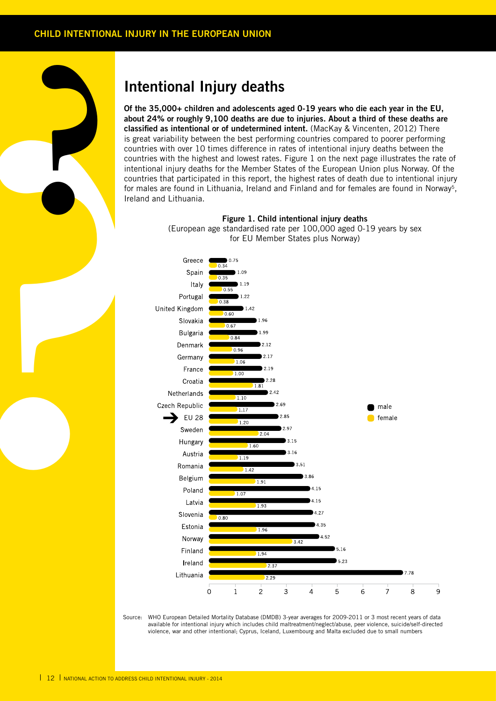

of the about 2<br>about 2<br>classific<br>is great<br>countrivir intertition<br>countrivir for mal<br>freland<br>freland **Of the 35,000+ children and adolescents aged 0-19 years who die each year in the EU, about 24% or roughly 9,100 deaths are due to injuries. About a third of these deaths are classified as intentional or of undetermined intent.** (MacKay & Vincenten, 2012) There is great variability between the best performing countries compared to poorer performing countries with over 10 times difference in rates of intentional injury deaths between the countries with the highest and lowest rates. Figure 1 on the next page illustrates the rate of intentional injury deaths for the Member States of the European Union plus Norway. Of the countries that participated in this report, the highest rates of death due to intentional injury for males are found in Lithuania, Ireland and Finland and for females are found in Norway5, Ireland and Lithuania.



**Figure 1. Child intentional injury deaths** (European age standardised rate per 100,000 aged 0-19 years by sex for EU Member States plus Norway)

Source: WHO European Detailed Mortality Database (DMDB) 3-year averages for 2009-2011 or 3 most recent years of data available for intentional injury which includes child maltreatment/neglect/abuse, peer violence, suicide/self-directed violence, war and other intentional; Cyprus, Iceland, Luxembourg and Malta excluded due to small numbers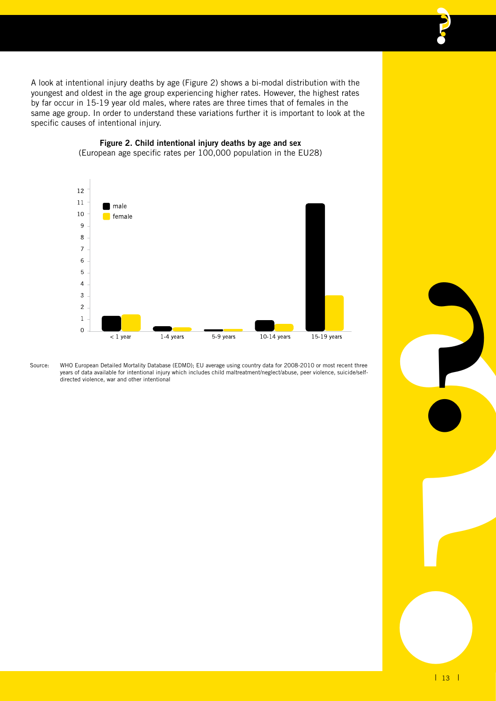A look at intentional injury deaths by age (Figure 2) shows a bi-modal distribution with the youngest and oldest in the age group experiencing higher rates. However, the highest rates by far occur in 15-19 year old males, where rates are three times that of females in the same age group. In order to understand these variations further it is important to look at the specific causes of intentional injury.



#### **Figure 2. Child intentional injury deaths by age and sex** (European age specific rates per 100,000 population in the EU28)

Source: WHO European Detailed Mortality Database (EDMD); EU average using country data for 2008-2010 or most recent three years of data available for intentional injury which includes child maltreatment/neglect/abuse, peer violence, suicide/selfdirected violence, war and other intentional

**?**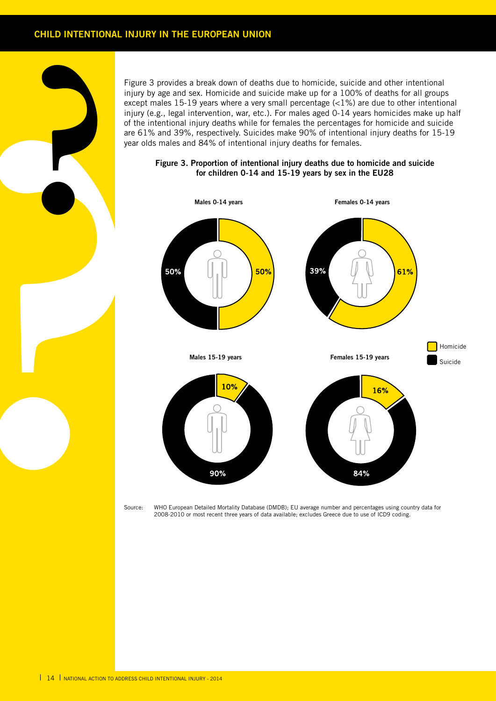### **CHILD INTENTIONAL INJURY IN THE EUROPEAN UNION**

**?**

except<br>
except<br>
migury (<br>
of the influry version of the space)<br>
year old<br>
source:<br>
Source: Figure 3 provides a break down of deaths due to homicide, suicide and other intentional injury by age and sex. Homicide and suicide make up for a 100% of deaths for all groups except males 15-19 years where a very small percentage (<1%) are due to other intentional injury (e.g., legal intervention, war, etc.). For males aged 0-14 years homicides make up half of the intentional injury deaths while for females the percentages for homicide and suicide are 61% and 39%, respectively. Suicides make 90% of intentional injury deaths for 15-19 year olds males and 84% of intentional injury deaths for females.

#### **Figure 3. Proportion of intentional injury deaths due to homicide and suicide for children 0-14 and 15-19 years by sex in the EU28**



Source: WHO European Detailed Mortality Database (DMDB); EU average number and percentages using country data for 2008-2010 or most recent three years of data available; excludes Greece due to use of ICD9 coding.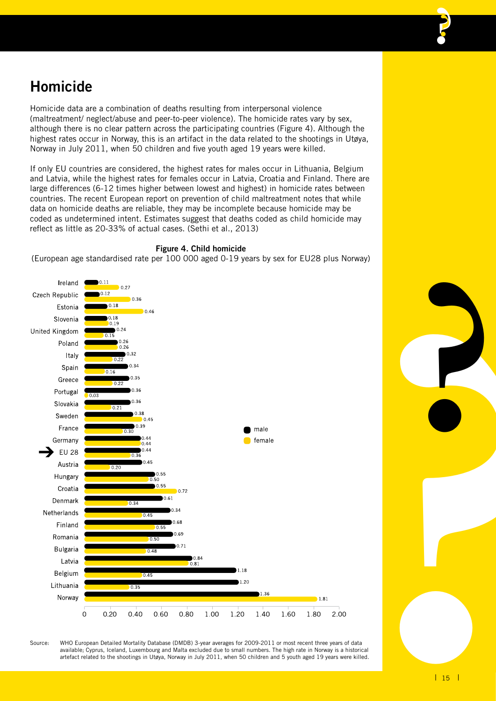### **Homicide**

Homicide data are a combination of deaths resulting from interpersonal violence (maltreatment/ neglect/abuse and peer-to-peer violence). The homicide rates vary by sex, although there is no clear pattern across the participating countries (Figure 4). Although the highest rates occur in Norway, this is an artifact in the data related to the shootings in Utøya, Norway in July 2011, when 50 children and five youth aged 19 years were killed.

If only EU countries are considered, the highest rates for males occur in Lithuania, Belgium and Latvia, while the highest rates for females occur in Latvia, Croatia and Finland. There are large differences (6-12 times higher between lowest and highest) in homicide rates between countries. The recent European report on prevention of child maltreatment notes that while data on homicide deaths are reliable, they may be incomplete because homicide may be coded as undetermined intent. Estimates suggest that deaths coded as child homicide may reflect as little as 20-33% of actual cases. (Sethi et al., 2013)



**Figure 4. Child homicide**

(European age standardised rate per 100 000 aged 0-19 years by sex for EU28 plus Norway)

**Property**<br> **Property**<br> **Property**<br> **Property**<br> **Property**<br> **Property**<br> **Property**<br> **Property**<br> **Property**<br> **Property**<br> **Property** Source: WHO European Detailed Mortality Database (DMDB) 3-year averages for 2009-2011 or most recent three years of data available; Cyprus, Iceland, Luxembourg and Malta excluded due to small numbers. The high rate in Norway is a historical artefact related to the shootings in Utøya, Norway in July 2011, when 50 children and 5 youth aged 19 years were killed.

**?**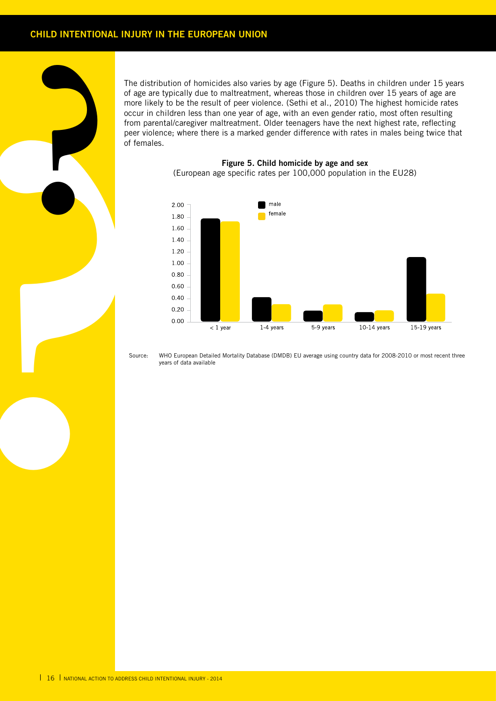source:<br> **Proprietably**<br> **Proprietably**<br> **Proprietably**<br> **Proprietably**<br> **Proprietably**<br> **Proprietably**<br> **Proprietably**<br> **Proprietably**<br> **Proprietably** The distribution of homicides also varies by age (Figure 5). Deaths in children under 15 years of age are typically due to maltreatment, whereas those in children over 15 years of age are more likely to be the result of peer violence. (Sethi et al., 2010) The highest homicide rates occur in children less than one year of age, with an even gender ratio, most often resulting from parental/caregiver maltreatment. Older teenagers have the next highest rate, reflecting peer violence; where there is a marked gender difference with rates in males being twice that of females.

**Figure 5. Child homicide by age and sex** (European age specific rates per 100,000 population in the EU28)



Source: WHO European Detailed Mortality Database (DMDB) EU average using country data for 2008-2010 or most recent three years of data available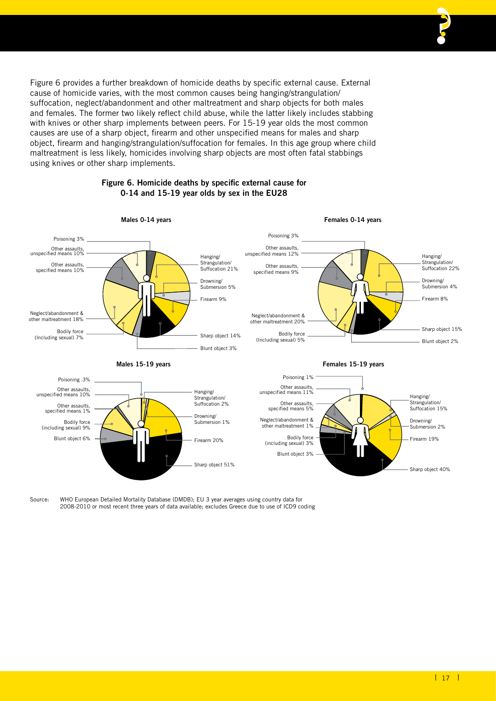Figure 6 provides a further breakdown of homicide deaths by specific external cause. External cause of homicide varies, with the most common causes being hanging/strangulation/ suffocation, neglect/abandonment and other maltreatment and sharp objects for both males and females. The former two likely reflect child abuse, while the latter likely includes stabbing with knives or other sharp implements between peers. For 15-19 year olds the most common causes are use of a sharp object, firearm and other unspecified means for males and sharp object, firearm and hanging/strangulation/suffocation for females. In this age group where child maltreatment is less likely, homicides involving sharp objects are most often fatal stabbings using knives or other sharp implements.

#### **Males 0-14 years Males 15-19 years Females 0-14 years Females 15-19 years** Hanging/ Strangulation/ Suffocation 21% Drowning/ Submersion 5% Firearm 9% Sharp object 14% Blunt object 3% Neglect/abandonment & other maltreatment 18% Bodily force (Including sexual) 7% Poisoning 3% Other assaults, unspecified means 10% Other assaults, specified means 10% Hanging/ Strangulation/ Suffocation 22% Drowning/ Submersion 4% Firearm 8% Sharp object 15% Blunt object 2% Poisoning 3% Other assaults, unspecified means 12% Other assaults, specified means 9% Neglect/abandonment & other maltreatment 20% Bodily force (Including sexual) 5% Hanging/ Strangulation/ Suffocation 15% Drowning/ Submersion 2% Firearm 19% Sharp object 40% Hanging/ Strangulation/ Suffocation 2% Drowning/ Submersion 1% Firearm 20% Sharp object 51% Poisoning .3% Other assaults, unspecified means 10% Other assaults, specified means 1% Bodily force (including sexual) 9% Blunt object 6% Poisoning 1% Other assaults, unspecified means 11% Other assaults, specified means 5% Neglect/abandonment & other maltreatment 1% Bodily force (including sexual) 3% Blunt object 3%

### **Figure 6. Homicide deaths by specific external cause for 0-14 and 15-19 year olds by sex in the EU28**

Source: WHO European Detailed Mortality Database (DMDB); EU 3 year averages using country data for 2008-2010 or most recent three years of data available; excludes Greece due to use of ICD9 coding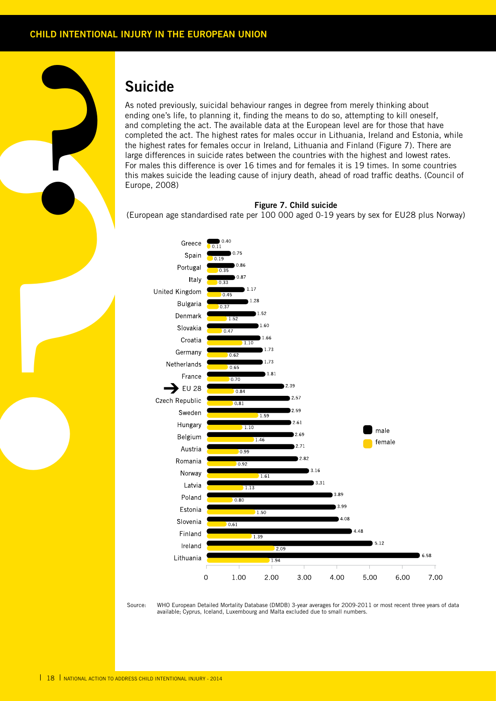### **Suicide**

**?**

As noted previously, suicidal behaviour ranges in degree from merely thinking about ending one's life, to planning it, finding the means to do so, attempting to kill oneself, and completing the act. The available data at the European level are for those that have completed the act. The highest rates for males occur in Lithuania, Ireland and Estonia, while the highest rates for females occur in Ireland, Lithuania and Finland (Figure 7). There are large differences in suicide rates between the countries with the highest and lowest rates. For males this difference is over 16 times and for females it is 19 times. In some countries this makes suicide the leading cause of injury death, ahead of road traffic deaths. (Council of Europe, 2008)

#### **Figure 7. Child suicide**

(European age standardised rate per 100 000 aged 0-19 years by sex for EU28 plus Norway)



Source: WHO European Detailed Mortality Database (DMDB) 3-year averages for 2009-2011 or most recent three years of data available; Cyprus, Iceland, Luxembourg and Malta excluded due to small numbers.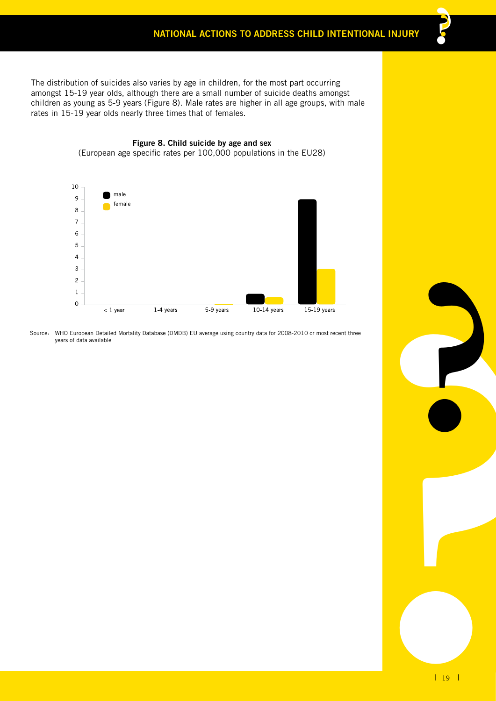The distribution of suicides also varies by age in children, for the most part occurring amongst 15-19 year olds, although there are a small number of suicide deaths amongst children as young as 5-9 years (Figure 8). Male rates are higher in all age groups, with male rates in 15-19 year olds nearly three times that of females.

**Figure 8. Child suicide by age and sex**



Source: WHO European Detailed Mortality Database (DMDB) EU average using country data for 2008-2010 or most recent three years of data available

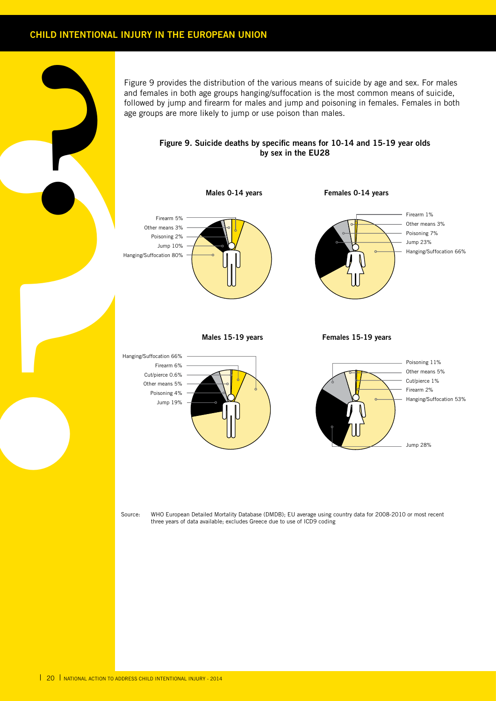### **CHILD INTENTIONAL INJURY IN THE EUROPEAN UNION**

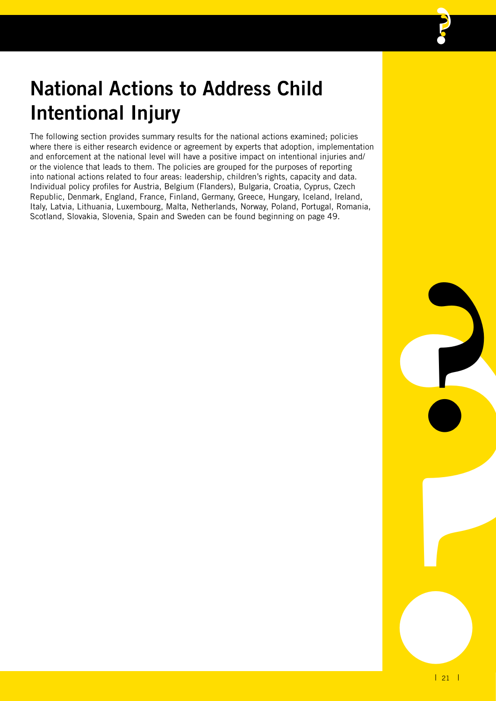## **National Actions to Address Child Intentional Injury**

The following section provides summary results for the national actions examined; policies where there is either research evidence or agreement by experts that adoption, implementation and enforcement at the national level will have a positive impact on intentional injuries and/ or the violence that leads to them. The policies are grouped for the purposes of reporting into national actions related to four areas: leadership, children's rights, capacity and data. Individual policy profiles for Austria, Belgium (Flanders), Bulgaria, Croatia, Cyprus, Czech Republic, Denmark, England, France, Finland, Germany, Greece, Hungary, Iceland, Ireland, Italy, Latvia, Lithuania, Luxembourg, Malta, Netherlands, Norway, Poland, Portugal, Romania, Scotland, Slovakia, Slovenia, Spain and Sweden can be found beginning on page 49.

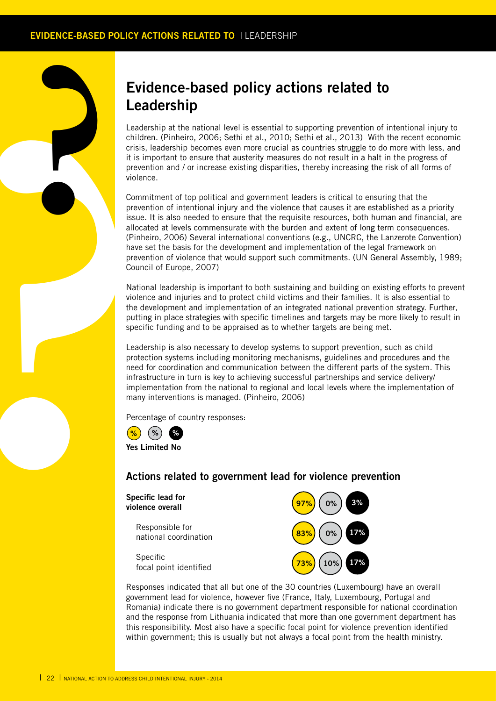### **Evidence-based policy actions related to Leadership**

Leadership at the national level is essential to supporting prevention of intentional injury to children. (Pinheiro, 2006; Sethi et al., 2010; Sethi et al., 2013) With the recent economic crisis, leadership becomes even more crucial as countries struggle to do more with less, and it is important to ensure that austerity measures do not result in a halt in the progress of prevention and / or increase existing disparities, thereby increasing the risk of all forms of violence.

**Lead**<br>
Leading<br>
crisis, it is improvement<br>
crisis, it is improvement<br>
violence<br>
comming preven<br>
susue.<br>
allocat (Pinhe de Mare Syreven<br>
Council Mation<br>
putting specific<br>
protect med at implement many i<br>
Precent<br> **Protect** Commitment of top political and government leaders is critical to ensuring that the prevention of intentional injury and the violence that causes it are established as a priority issue. It is also needed to ensure that the requisite resources, both human and financial, are allocated at levels commensurate with the burden and extent of long term consequences. (Pinheiro, 2006) Several international conventions (e.g., UNCRC, the Lanzerote Convention) have set the basis for the development and implementation of the legal framework on prevention of violence that would support such commitments. (UN General Assembly, 1989; Council of Europe, 2007)

National leadership is important to both sustaining and building on existing efforts to prevent violence and injuries and to protect child victims and their families. It is also essential to the development and implementation of an integrated national prevention strategy. Further, putting in place strategies with specific timelines and targets may be more likely to result in specific funding and to be appraised as to whether targets are being met.

Leadership is also necessary to develop systems to support prevention, such as child protection systems including monitoring mechanisms, guidelines and procedures and the need for coordination and communication between the different parts of the system. This infrastructure in turn is key to achieving successful partnerships and service delivery/ implementation from the national to regional and local levels where the implementation of many interventions is managed. (Pinheiro, 2006)

Percentage of country responses:



**Yes Limited No**

### **Actions related to government lead for violence prevention**

**Specific lead for violence overall** 

> Responsible for national coordination

> Specific focal point identified



Responses indicated that all but one of the 30 countries (Luxembourg) have an overall government lead for violence, however five (France, Italy, Luxembourg, Portugal and Romania) indicate there is no government department responsible for national coordination and the response from Lithuania indicated that more than one government department has this responsibility. Most also have a specific focal point for violence prevention identified within government; this is usually but not always a focal point from the health ministry.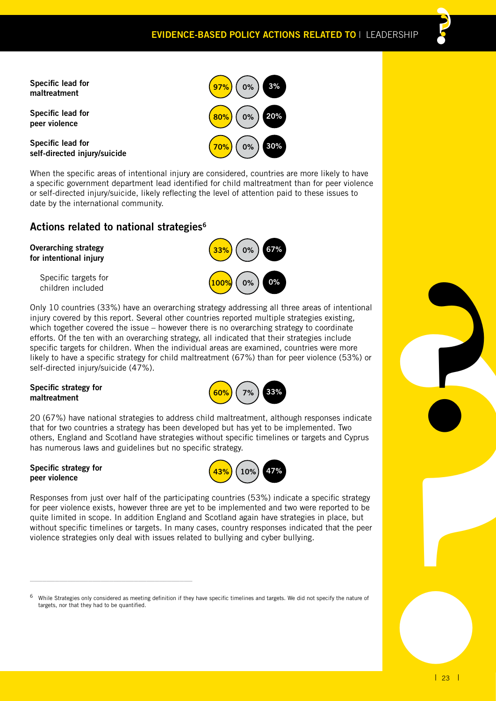**Specific lead for maltreatment** 

**Specific lead for peer violence**

**Specific lead for self-directed injury/suicide**



When the specific areas of intentional injury are considered, countries are more likely to have a specific government department lead identified for child maltreatment than for peer violence or self-directed injury/suicide, likely reflecting the level of attention paid to these issues to date by the international community.

### **Actions related to national strategies6**

### **Overarching strategy for intentional injury**

Specific targets for children included



Only 10 countries (33%) have an overarching strategy addressing all three areas of intentional injury covered by this report. Several other countries reported multiple strategies existing, which together covered the issue – however there is no overarching strategy to coordinate efforts. Of the ten with an overarching strategy, all indicated that their strategies include specific targets for children. When the individual areas are examined, countries were more likely to have a specific strategy for child maltreatment (67%) than for peer violence (53%) or self-directed injury/suicide (47%).

### **Specific strategy for maltreatment**



20 (67%) have national strategies to address child maltreatment, although responses indicate that for two countries a strategy has been developed but has yet to be implemented. Two others, England and Scotland have strategies without specific timelines or targets and Cyprus has numerous laws and guidelines but no specific strategy.

### **Specific strategy for peer violence**

\_\_\_\_\_\_\_\_\_\_\_\_\_\_\_\_\_\_\_\_\_\_\_\_\_\_\_\_\_\_\_\_\_\_\_\_\_\_\_



Responses from just over half of the participating countries (53%) indicate a specific strategy for peer violence exists, however three are yet to be implemented and two were reported to be quite limited in scope. In addition England and Scotland again have strategies in place, but without specific timelines or targets. In many cases, country responses indicated that the peer violence strategies only deal with issues related to bullying and cyber bullying.

While Strategies only considered as meeting definition if they have specific timelines and targets. We did not specify the nature of targets, nor that they had to be quantified.

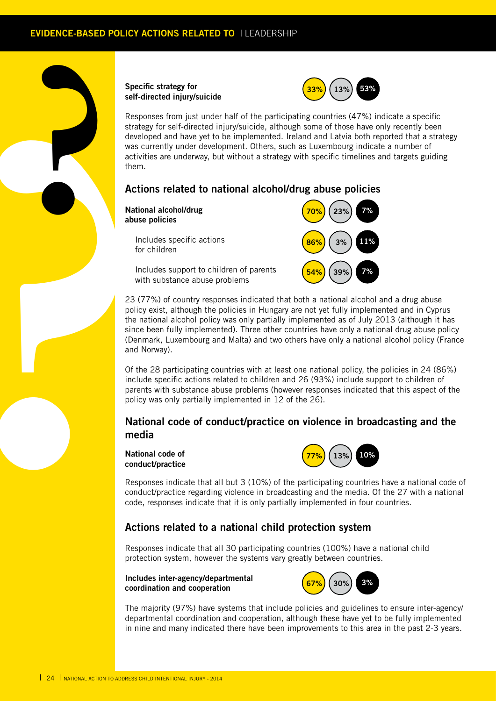### **Specific strategy for self-directed injury/suicide**



Responses from just under half of the participating countries (47%) indicate a specific strategy for self-directed injury/suicide, although some of those have only recently been developed and have yet to be implemented. Ireland and Latvia both reported that a strategy was currently under development. Others, such as Luxembourg indicate a number of activities are underway, but without a strategy with specific timelines and targets guiding them.

### **Actions related to national alcohol/drug abuse policies**

**National alcohol/drug abuse policies**

**?**

Includes specific actions for children



Includes support to children of parents with substance abuse problems

self-dir<br>
Resport<br>
strategy<br>
was cu<br>
was cu<br>
was cu<br>
activitie<br>
men.<br>
Action<br>
Action<br>
abuse |<br>
Control of the<br>
lincit with<br>
and Nc<br>
(Denmin and Nc<br>
of the and Nc<br>
of the includid function<br>
23 (77<br>
philopsing includid<br>
func 23 (77%) of country responses indicated that both a national alcohol and a drug abuse policy exist, although the policies in Hungary are not yet fully implemented and in Cyprus the national alcohol policy was only partially implemented as of July 2013 (although it has since been fully implemented). Three other countries have only a national drug abuse policy (Denmark, Luxembourg and Malta) and two others have only a national alcohol policy (France and Norway).

Of the 28 participating countries with at least one national policy, the policies in 24 (86%) include specific actions related to children and 26 (93%) include support to children of parents with substance abuse problems (however responses indicated that this aspect of the policy was only partially implemented in 12 of the 26).

### **National code of conduct/practice on violence in broadcasting and the media**

**National code of conduct/practice** 



Responses indicate that all but 3 (10%) of the participating countries have a national code of conduct/practice regarding violence in broadcasting and the media. Of the 27 with a national code, responses indicate that it is only partially implemented in four countries.

### **Actions related to a national child protection system**

Responses indicate that all 30 participating countries (100%) have a national child protection system, however the systems vary greatly between countries.

**Includes inter-agency/departmental coordination and cooperation** 



The majority (97%) have systems that include policies and guidelines to ensure inter-agency/ departmental coordination and cooperation, although these have yet to be fully implemented in nine and many indicated there have been improvements to this area in the past 2-3 years.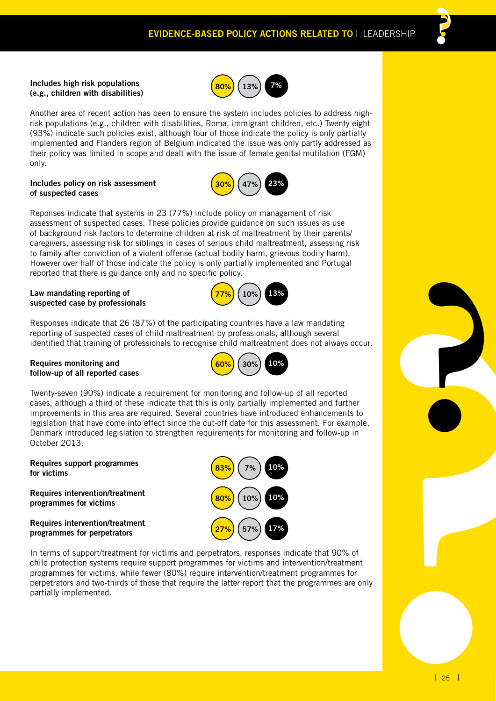#### **Includes high risk populations (e.g., children with disabilities)**



Another area of recent action has been to ensure the system includes policies to address highrisk populations (e.g., children with disabilities, Roma, immigrant children, etc.) Twenty eight (93%) indicate such policies exist, although four of those indicate the policy is only partially implemented and Flanders region of Belgium indicated the issue was only partly addressed as their policy was limited in scope and dealt with the issue of female genital mutilation (FGM) only.

### **Includes policy on risk assessment of suspected cases**



Reponses indicate that systems in 23 (77%) include policy on management of risk assessment of suspected cases. These policies provide guidance on such issues as use of background risk factors to determine children at risk of maltreatment by their parents/ caregivers, assessing risk for siblings in cases of serious child maltreatment, assessing risk to family after conviction of a violent offense (actual bodily harm, grievous bodily harm). However over half of those indicate the policy is only partially implemented and Portugal reported that there is guidance only and no specific policy.

### **Law mandating reporting of suspected case by professionals**



Responses indicate that 26 (87%) of the participating countries have a law mandating reporting of suspected cases of child maltreatment by professionals, although several identified that training of professionals to recognise child maltreatment does not always occur.

### **Requires monitoring and follow-up of all reported cases**



**27% 57% 17%**

**80% 10% 10%**

**83% 7% 10%**

occur.<br> **Particular Contract Section**<br> **Particular Contract Section**<br> **Particular Contract Section**<br> **Particular Contract Section** Twenty-seven (90%) indicate a requirement for monitoring and follow-up of all reported cases, although a third of these indicate that this is only partially implemented and further improvements in this area are required. Several countries have introduced enhancements to legislation that have come into effect since the cut-off date for this assessment. For example, Denmark introduced legislation to strengthen requirements for monitoring and follow-up in October 2013.

### **Requires support programmes for victims**

**Requires intervention/treatment programmes for victims**

**Requires intervention/treatment programmes for perpetrators**



**?**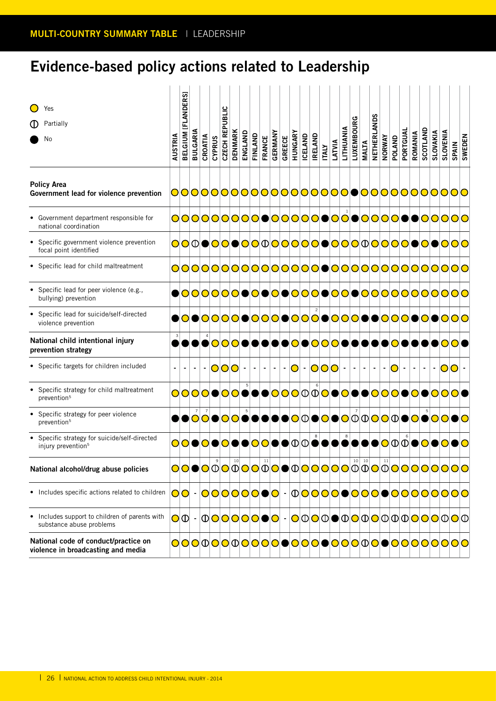### **Evidence-based policy actions related to Leadership**

| Yes<br>ጠ<br>Partially<br>No                                                           | AUSTRIA | BELGIUM [FLANDERS] | <b>BULGARIA</b> | CROATIA | CZECH REPUBLIC<br>CYPRUS | <b>DENMARK</b> | ENGLAND       | FINLAND        | <b>FRANCE</b> | GERMANY        | HUNGARY<br>GREECE | ICELAND | <b>RELAND</b> | <b>ITALY</b> | LITHUANIA<br>LATVIA | LUXEMBOURG | <b>MALTA</b>   | ğqN<br><b>NETHERLA</b> | NORWAY | POLAND  | PORTGUAL<br>ROMANIA | SCOTLAND | SLOVAKIA | SLOVENIA<br><b>SPAIN</b>                                                                 | <b>SWEDEN</b> |
|---------------------------------------------------------------------------------------|---------|--------------------|-----------------|---------|--------------------------|----------------|---------------|----------------|---------------|----------------|-------------------|---------|---------------|--------------|---------------------|------------|----------------|------------------------|--------|---------|---------------------|----------|----------|------------------------------------------------------------------------------------------|---------------|
| <b>Policy Area</b><br>Government lead for violence prevention                         |         |                    |                 |         |                          |                |               |                |               |                |                   |         |               |              |                     |            |                |                        |        |         |                     |          |          | 0000000000000000000000000000000                                                          |               |
| • Government department responsible for<br>national coordination                      |         |                    |                 |         |                          |                |               |                |               |                |                   |         |               |              |                     |            |                |                        |        |         |                     |          |          | <b>○○○○○○○○○●○○○○○●○○●○○○○●●○○○○</b> ○                                                   |               |
| Specific government violence prevention<br>focal point identified                     |         |                    |                 |         |                          |                |               |                |               |                |                   |         |               |              |                     |            |                |                        |        |         |                     |          |          | <b>○○①●○○●○○</b> ①○○○○○●○○○①○○○○●○●○○○                                                   |               |
| • Specific lead for child maltreatment                                                |         |                    |                 |         |                          |                |               |                |               |                |                   |         |               |              |                     |            |                |                        |        |         |                     |          |          | 0000000000000000000000000000000                                                          |               |
| Specific lead for peer violence (e.g.,<br>bullying) prevention                        |         |                    |                 |         |                          |                |               |                |               |                |                   |         |               |              |                     |            |                |                        |        |         |                     |          |          | ●○○○○○○●○●○●○○○●○○●○○○○○○○○○○○○                                                          |               |
| Specific lead for suicide/self-directed<br>violence prevention                        |         |                    |                 |         |                          |                |               |                |               |                |                   |         |               |              |                     |            |                |                        |        |         |                     |          |          | ●○●○○○○●○○○●○○○●○○○●●○○○○●○○●○○○                                                         |               |
| National child intentional injury<br>prevention strategy                              |         |                    |                 |         |                          |                |               |                |               |                |                   |         |               |              |                     |            |                |                        |        |         |                     |          |          | ●●●●○○○●●●●●○●○○○●●●●●●○●●●● <mark>○●</mark>                                             |               |
| • Specific targets for children included                                              |         |                    |                 |         | 000                      |                | $\sim$        | $\blacksquare$ |               | $\blacksquare$ | $- O - O O O  -$  |         |               |              |                     | $\sim$     | $\blacksquare$ | $\sim$                 | $\sim$ | $ O - $ | $\blacksquare$      | $\sim$ . | $\sim$   | <b>00</b>                                                                                |               |
| Specific strategy for child maltreatment<br>prevention <sup>5</sup>                   |         |                    |                 |         |                          |                |               |                |               |                |                   |         |               |              |                     |            |                |                        |        |         |                     |          |          | <b>○○○○●○○●●●○○○</b> ①○○● <mark>○●○○○○●○○●</mark> ○● <mark>○○○</mark>                    |               |
| Specific strategy for peer violence<br>prevention <sup>5</sup>                        |         |                    |                 |         |                          |                |               |                |               |                |                   |         |               |              |                     |            |                |                        |        |         |                     |          |          | ●●○○●○○●●●●●○○ <b>○●○</b> ○○○○○○○○ <mark>○○●○●○○●○</mark>                                |               |
| Specific strategy for suicide/self-directed<br>injury prevention <sup>5</sup>         |         |                    |                 |         |                          |                |               |                |               |                |                   |         |               |              |                     |            |                |                        |        |         |                     |          |          | <b>OO●O●O●●OO●●</b> OO●● <mark>①</mark> ©●●●●●●●●● <mark>○</mark> ① <mark>①●○●○●○</mark> |               |
| National alcohol/drug abuse policies                                                  |         |                    |                 |         |                          |                |               |                |               |                |                   |         |               |              |                     |            |                |                        |        |         |                     |          |          | <b>OO●O</b> ØOØOOØO●①OOOOØØ@O <u>Ø</u> OOOOOOO                                           |               |
| • Includes specific actions related to children                                       |         |                    |                 |         |                          |                | 00 - 00000000 |                |               |                |                   |         |               |              |                     |            |                |                        |        |         |                     |          |          | 000000000000000000                                                                       |               |
| Includes support to children of parents with<br>$\bullet$<br>substance abuse problems |         |                    |                 |         |                          |                |               |                |               |                |                   |         |               |              |                     |            |                |                        |        |         |                     |          |          |                                                                                          |               |
| National code of conduct/practice on<br>violence in broadcasting and media            |         |                    |                 |         |                          |                |               |                |               |                |                   |         |               |              |                     |            |                |                        |        |         |                     |          |          | OOOOOOOOOOOOOOOOOOOOOOOOOOOOOOOO                                                         |               |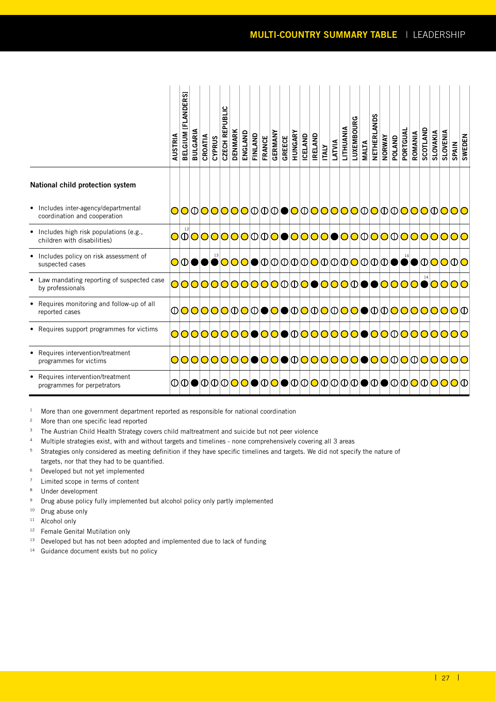|                                                                        | AUSTRIA | 5<br>BELGIUM [FLANDER | <b>BULGARIA</b> | CROATIA | <b>CYPRUS</b> | CZECH REPUBLIC | <b>DENMARK</b> | ENGLAND                                    | FINLAND | FRANCE | <b>GERMANY</b> | GREECE | HUNGARY | ICELAND | <b>IRELAND</b> | <b>ITALY</b> | LATVIA | LITHUANIA | LUXEMBOURG | <b>MALTA</b> | NETHERLANDS | NORWAY | POLAND | PORTGUA | ROMANIA | <b>SCOTLAND</b> | <b>SLOVAKIA</b> | SLOVENIA | <b>SPAIN</b>                               | SWEDEN |
|------------------------------------------------------------------------|---------|-----------------------|-----------------|---------|---------------|----------------|----------------|--------------------------------------------|---------|--------|----------------|--------|---------|---------|----------------|--------------|--------|-----------|------------|--------------|-------------|--------|--------|---------|---------|-----------------|-----------------|----------|--------------------------------------------|--------|
| National child protection system                                       |         |                       |                 |         |               |                |                |                                            |         |        |                |        |         |         |                |              |        |           |            |              |             |        |        |         |         |                 |                 |          |                                            |        |
| • Includes inter-agency/departmental<br>coordination and cooperation   |         |                       |                 |         |               |                |                |                                            |         |        |                |        |         |         |                |              |        |           |            |              |             |        |        |         |         |                 |                 |          | <b>OOOOOOOOOOOOOOOOOOOOOOOOOOOOOO</b>      |        |
| • Includes high risk populations (e.g.,<br>children with disabilities) |         |                       |                 |         |               |                |                |                                            |         |        |                |        |         |         |                |              |        |           |            |              |             |        |        |         |         |                 |                 |          | <b>○○○○○○○○</b> ①○●○○○○●○○○○○○○○○○○○○○     |        |
| • Includes policy on risk assessment of<br>suspected cases             |         |                       |                 |         |               |                |                |                                            |         |        |                |        |         |         |                |              |        |           |            |              |             |        |        |         |         |                 |                 |          |                                            |        |
| Law mandating reporting of suspected case<br>by professionals          |         |                       |                 |         |               |                |                |                                            |         |        |                |        |         |         |                |              |        |           |            |              |             |        |        |         |         |                 |                 |          | ○○○○○○○○○○○①①○●○○○○○●●○○○○●○○○○            |        |
| • Requires monitoring and follow-up of all<br>reported cases           |         |                       |                 |         |               |                |                |                                            |         |        |                |        |         |         |                |              |        |           |            |              |             |        |        |         |         |                 |                 |          | <b>000000000000000000000000000000</b>      |        |
| • Requires support programmes for victims                              |         |                       |                 |         |               |                |                |                                            |         |        |                |        |         |         |                |              |        |           |            |              |             |        |        |         |         |                 |                 |          | <u> ○○○○○○○○●○○● ①○○○○○○●○○○ ①○○○○○○</u> ○ |        |
| • Requires intervention/treatment<br>programmes for victims            |         |                       |                 |         |               |                |                | <u> ○○○○○○○○●○○● ①○○○○○○●●○○ ① ① ① ① 0</u> |         |        |                |        |         |         |                |              |        |           |            |              |             |        |        |         |         |                 |                 |          |                                            |        |
| • Requires intervention/treatment<br>programmes for perpetrators       |         |                       |                 |         |               |                |                |                                            |         |        |                |        |         |         |                |              |        |           |            |              |             |        |        |         |         |                 |                 |          | <b>00000000000000000000000000000</b>       |        |

<sup>1</sup> More than one government department reported as responsible for national coordination

- <sup>2</sup> More than one specific lead reported
- <sup>3</sup> The Austrian Child Health Strategy covers child maltreatment and suicide but not peer violence
- <sup>4</sup> Multiple strategies exist, with and without targets and timelines none comprehensively covering all 3 areas
- <sup>5</sup> Strategies only considered as meeting definition if they have specific timelines and targets. We did not specify the nature of targets, nor that they had to be quantified.
- <sup>6</sup> Developed but not yet implemented
- <sup>7</sup> Limited scope in terms of content
- <sup>8</sup> Under development
- <sup>9</sup> Drug abuse policy fully implemented but alcohol policy only partly implemented
- <sup>10</sup> Drug abuse only
- <sup>11</sup> Alcohol only
- <sup>12</sup> Female Genital Mutilation only
- <sup>13</sup> Developed but has not been adopted and implemented due to lack of funding
- <sup>14</sup> Guidance document exists but no policy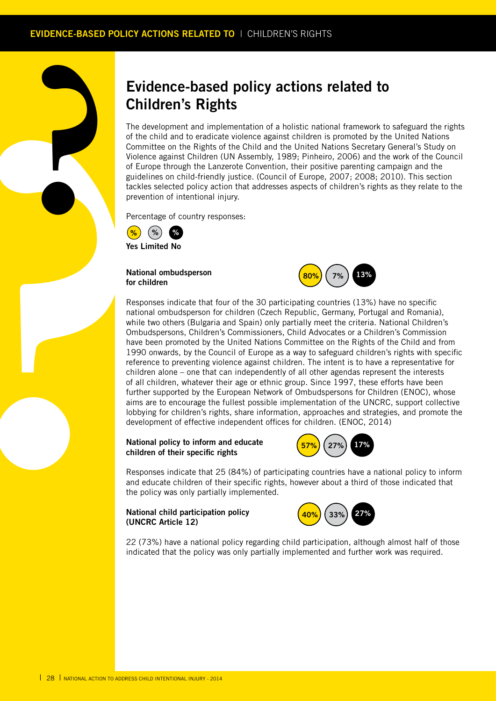### **Evidence-based policy actions related to Children's Rights**

The development and implementation of a holistic national framework to safeguard the rights of the child and to eradicate violence against children is promoted by the United Nations Committee on the Rights of the Child and the United Nations Secretary General's Study on Violence against Children (UN Assembly, 1989; Pinheiro, 2006) and the work of the Council of Europe through the Lanzerote Convention, their positive parenting campaign and the guidelines on child-friendly justice. (Council of Europe, 2007; 2008; 2010). This section tackles selected policy action that addresses aspects of children's rights as they relate to the prevention of intentional injury.

Percentage of country responses:



**?**

**National ombudsperson for children** 



**Chil**<br>The defence<br>of the discussion<br>of European Violence<br>gideline and the gideline of European<br>Percene (a)<br>Percene (a)<br>Percene (a)<br>Percene (a)<br>Percention<br>of the plane of all c<br>music in the perfection<br>of the perfection<br>of Responses indicate that four of the 30 participating countries (13%) have no specific national ombudsperson for children (Czech Republic, Germany, Portugal and Romania), while two others (Bulgaria and Spain) only partially meet the criteria. National Children's Ombudspersons, Children's Commissioners, Child Advocates or a Children's Commission have been promoted by the United Nations Committee on the Rights of the Child and from 1990 onwards, by the Council of Europe as a way to safeguard children's rights with specific reference to preventing violence against children. The intent is to have a representative for children alone – one that can independently of all other agendas represent the interests of all children, whatever their age or ethnic group. Since 1997, these efforts have been further supported by the European Network of Ombudspersons for Children (ENOC), whose aims are to encourage the fullest possible implementation of the UNCRC, support collective lobbying for children's rights, share information, approaches and strategies, and promote the development of effective independent offices for children. (ENOC, 2014)

### **National policy to inform and educate children of their specific rights**



Responses indicate that 25 (84%) of participating countries have a national policy to inform and educate children of their specific rights, however about a third of those indicated that the policy was only partially implemented.

### **National child participation policy (UNCRC Article 12)**



22 (73%) have a national policy regarding child participation, although almost half of those indicated that the policy was only partially implemented and further work was required.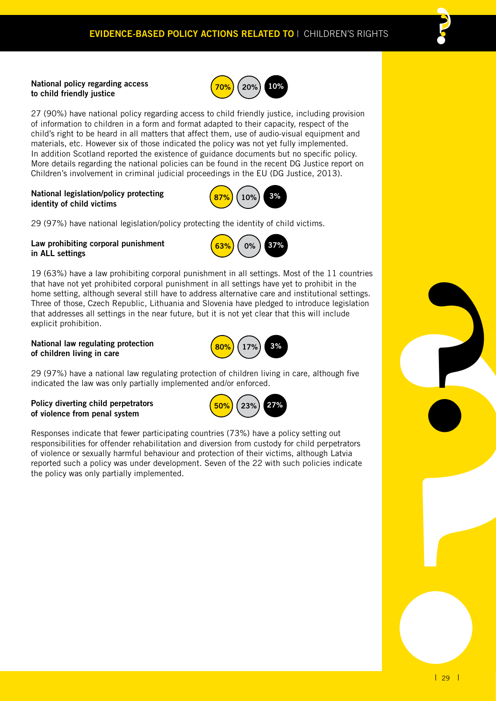

27 (90%) have national policy regarding access to child friendly justice, including provision of information to children in a form and format adapted to their capacity, respect of the child's right to be heard in all matters that affect them, use of audio-visual equipment and materials, etc. However six of those indicated the policy was not yet fully implemented. In addition Scotland reported the existence of guidance documents but no specific policy. More details regarding the national policies can be found in the recent DG Justice report on Children's involvement in criminal judicial proceedings in the EU (DG Justice, 2013).

### **National legislation/policy protecting identity of child victims**



29 (97%) have national legislation/policy protecting the identity of child victims.

### **Law prohibiting corporal punishment in ALL settings**



19 (63%) have a law prohibiting corporal punishment in all settings. Most of the 11 countries that have not yet prohibited corporal punishment in all settings have yet to prohibit in the home setting, although several still have to address alternative care and institutional settings. Three of those, Czech Republic, Lithuania and Slovenia have pledged to introduce legislation that addresses all settings in the near future, but it is not yet clear that this will include explicit prohibition.

### **National law regulating protection of children living in care**



29 (97%) have a national law regulating protection of children living in care, although five indicated the law was only partially implemented and/or enforced.

### **Policy diverting child perpetrators of violence from penal system**



Responses indicate that fewer participating countries (73%) have a policy setting out responsibilities for offender rehabilitation and diversion from custody for child perpetrators of violence or sexually harmful behaviour and protection of their victims, although Latvia reported such a policy was under development. Seven of the 22 with such policies indicate the policy was only partially implemented.

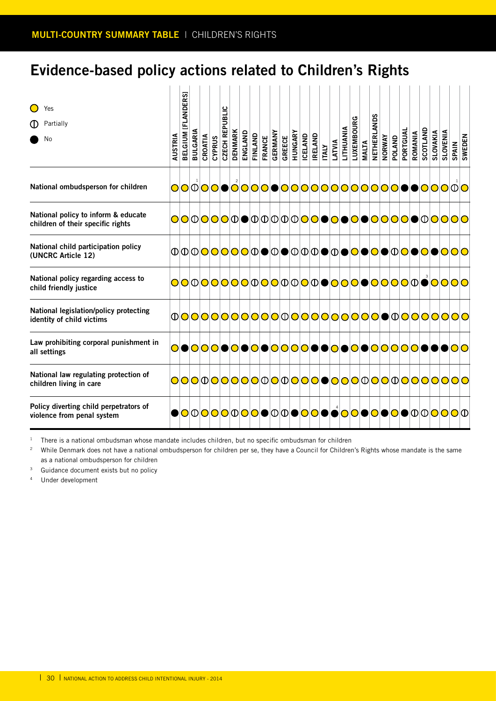### **Evidence-based policy actions related to Children's Rights**

| Yes<br>Partially<br>O<br>No                                              | AUSTRIA | ິ<br><b>[FLANDER</b><br><b>BELGIUM</b> | <b>BULGARIA</b>                             | CROATIA | <b>CYPRUS</b> | CZECH REPUBLIC | <b>DENMARK</b> | ENGLAND<br>FINLAND | <b>FRANCE</b> | GERMANY | GREECE | HUNGARY | <b>ICELAND</b> | <b>IRELAND</b> | <b>ITALY</b> | LATVIA | LITHUANIA | LUXEMBOURG | <b>MALTA</b> | NETHERLANDS | <b>NORWAY</b> | <b>POLAND</b> | PORTGUAL | ROMANIA | <b>SCOTLAND</b> | SLOVAKIA | <b>SLOVENIA</b> | <b>SPAIN</b>                                      | <b>SWEDEN</b> |
|--------------------------------------------------------------------------|---------|----------------------------------------|---------------------------------------------|---------|---------------|----------------|----------------|--------------------|---------------|---------|--------|---------|----------------|----------------|--------------|--------|-----------|------------|--------------|-------------|---------------|---------------|----------|---------|-----------------|----------|-----------------|---------------------------------------------------|---------------|
| National ombudsperson for children                                       |         |                                        |                                             |         |               |                |                |                    |               |         |        |         |                |                |              |        |           |            |              |             |               |               |          |         |                 |          |                 | OOOOOOOOOOOOOOOOOOOOOOOOOOOOOOOO                  |               |
| National policy to inform & educate<br>children of their specific rights |         |                                        |                                             |         |               |                |                |                    |               |         |        |         |                |                |              |        |           |            |              |             |               |               |          |         |                 |          |                 | <b>○○①○○○</b> ①●①①①①① <mark>○○●○●○●○○○○</mark> ○● |               |
| National child participation policy<br>(UNCRC Article 12)                |         |                                        |                                             |         |               |                |                |                    |               |         |        |         |                |                |              |        |           |            |              |             |               |               |          |         |                 |          |                 | <b>◑◑◑◙◙◙◙◙◙◙◙◙◙◙</b> ।◑◙◙।                       |               |
| National policy regarding access to<br>child friendly justice            |         |                                        |                                             |         |               |                |                |                    |               |         |        |         |                |                |              |        |           |            |              |             |               |               |          |         |                 |          |                 | <b>OOOOOOOOOOOOOOOOOOOOOOOOOOOOOO</b>             |               |
| National legislation/policy protecting<br>identity of child victims      |         |                                        |                                             |         |               |                |                |                    |               |         |        |         |                |                |              |        |           |            |              |             |               |               |          |         |                 |          |                 |                                                   |               |
| Law prohibiting corporal punishment in<br>all settings                   |         |                                        | ● <mark>○○○●○●○●○○○○○●●○●○●○○○○○○</mark> ○● |         |               |                |                |                    |               |         |        |         |                |                |              |        |           |            |              |             |               |               |          |         |                 |          |                 | DIOIO                                             |               |
| National law regulating protection of<br>children living in care         |         |                                        |                                             |         |               |                |                |                    |               |         |        |         |                |                |              |        |           |            |              |             |               |               |          |         |                 |          |                 | OOOOOOOOOOOOOOOOOOOOOOOOOOOOOOOO                  |               |
| Policy diverting child perpetrators of<br>violence from penal system     |         |                                        |                                             |         |               |                |                |                    |               |         |        |         |                |                |              |        |           |            |              |             |               |               |          |         |                 |          |                 |                                                   |               |

<sup>1</sup> There is a national ombudsman whose mandate includes children, but no specific ombudsman for children

<sup>2</sup> While Denmark does not have a national ombudsperson for children per se, they have a Council for Children's Rights whose mandate is the same as a national ombudsperson for children

<sup>3</sup> Guidance document exists but no policy

<sup>4</sup> Under development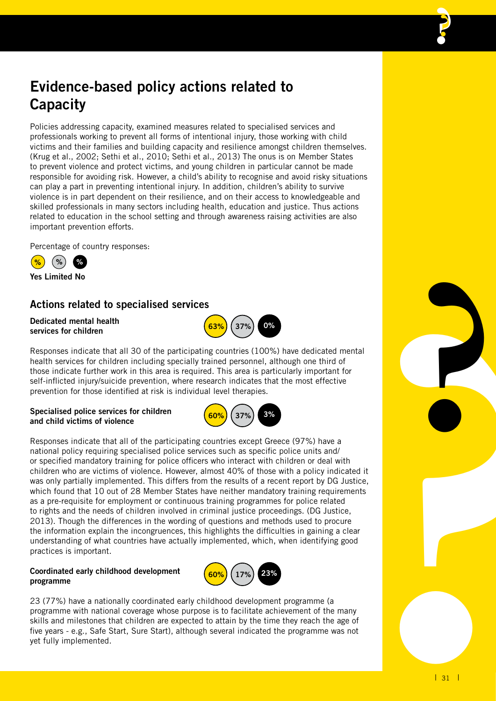### **Evidence-based policy actions related to Capacity**

Policies addressing capacity, examined measures related to specialised services and professionals working to prevent all forms of intentional injury, those working with child victims and their families and building capacity and resilience amongst children themselves. (Krug et al., 2002; Sethi et al., 2010; Sethi et al., 2013) The onus is on Member States to prevent violence and protect victims, and young children in particular cannot be made responsible for avoiding risk. However, a child's ability to recognise and avoid risky situations can play a part in preventing intentional injury. In addition, children's ability to survive violence is in part dependent on their resilience, and on their access to knowledgeable and skilled professionals in many sectors including health, education and justice. Thus actions related to education in the school setting and through awareness raising activities are also important prevention efforts.

Percentage of country responses:



**Yes Limited No**

### **Actions related to specialised services**

#### **Dedicated mental health services for children**



### **Specialised police services for children and child victims of violence**



**63% 37% 0%**

Responses indicate that all of the participating countries except Greece (97%) have a national policy requiring specialised police services such as specific police units and/ or specified mandatory training for police officers who interact with children or deal with children who are victims of violence. However, almost 40% of those with a policy indicated it was only partially implemented. This differs from the results of a recent report by DG Justice, which found that 10 out of 28 Member States have neither mandatory training requirements as a pre-requisite for employment or continuous training programmes for police related to rights and the needs of children involved in criminal justice proceedings. (DG Justice, 2013). Though the differences in the wording of questions and methods used to procure the information explain the incongruences, this highlights the difficulties in gaining a clear understanding of what countries have actually implemented, which, when identifying good practices is important.

### **Coordinated early childhood development programme**



23 (77%) have a nationally coordinated early childhood development programme (a programme with national coverage whose purpose is to facilitate achievement of the many skills and milestones that children are expected to attain by the time they reach the age of five years - e.g., Safe Start, Sure Start), although several indicated the programme was not yet fully implemented.

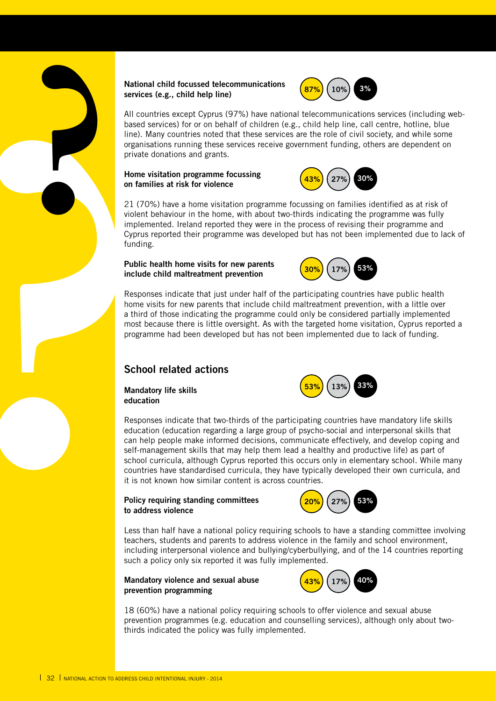#### **National child focussed telecommunications services (e.g., child help line)**



All countries except Cyprus (97%) have national telecommunications services (including webbased services) for or on behalf of children (e.g., child help line, call centre, hotline, blue line). Many countries noted that these services are the role of civil society, and while some organisations running these services receive government funding, others are dependent on private donations and grants.

#### **Home visitation programme focussing on families at risk for violence**

**?**



21 (70%) have a home visitation programme focussing on families identified as at risk of violent behaviour in the home, with about two-thirds indicating the programme was fully implemented. Ireland reported they were in the process of revising their programme and Cyprus reported their programme was developed but has not been implemented due to lack of funding.

### **Public health home visits for new parents include child maltreatment prevention**



Responses indicate that just under half of the participating countries have public health home visits for new parents that include child maltreatment prevention, with a little over a third of those indicating the programme could only be considered partially implemented most because there is little oversight. As with the targeted home visitation, Cyprus reported a programme had been developed but has not been implemented due to lack of funding.

### **School related actions**

**Mandatory life skills education**



Responses indicate that two-thirds of the participating countries have mandatory life skills education (education regarding a large group of psycho-social and interpersonal skills that can help people make informed decisions, communicate effectively, and develop coping and self-management skills that may help them lead a healthy and productive life) as part of school curricula, although Cyprus reported this occurs only in elementary school. While many countries have standardised curricula, they have typically developed their own curricula, and it is not known how similar content is across countries. service:<br>
All cours<br>
based time). N<br>
organis<br>
private<br>
on family<br>
21 (70<br>
violent implement<br>
on family<br>
21 (70<br>
violent implement<br>
on family<br>
21 (70<br>
violent implement<br>
program<br>
home v<br>
a third most by<br>
mone v<br>
a third<br>
mo

### **Policy requiring standing committees to address violence**



Less than half have a national policy requiring schools to have a standing committee involving teachers, students and parents to address violence in the family and school environment, including interpersonal violence and bullying/cyberbullying, and of the 14 countries reporting such a policy only six reported it was fully implemented.

### **Mandatory violence and sexual abuse prevention programming**



18 (60%) have a national policy requiring schools to offer violence and sexual abuse prevention programmes (e.g. education and counselling services), although only about twothirds indicated the policy was fully implemented.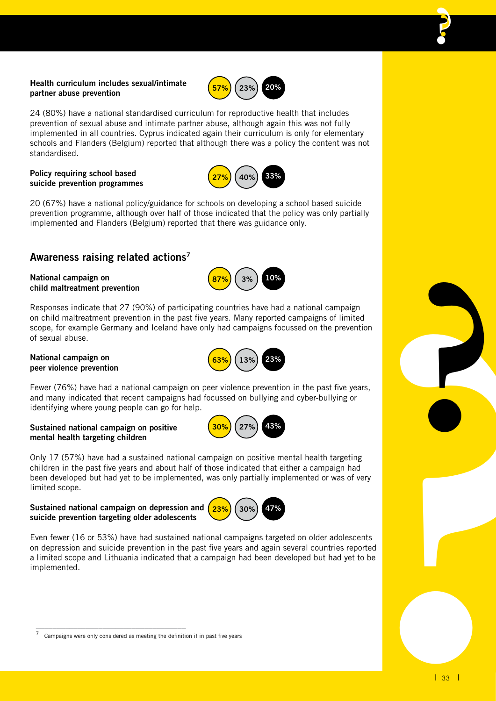### **Health curriculum includes sexual/intimate partner abuse prevention**

24 (80%) have a national standardised curriculum for reproductive health that includes prevention of sexual abuse and intimate partner abuse, although again this was not fully implemented in all countries. Cyprus indicated again their curriculum is only for elementary schools and Flanders (Belgium) reported that although there was a policy the content was not standardised.

### **Policy requiring school based suicide prevention programmes**



**57% 23% 20%**

20 (67%) have a national policy/guidance for schools on developing a school based suicide prevention programme, although over half of those indicated that the policy was only partially implemented and Flanders (Belgium) reported that there was guidance only.

### **Awareness raising related actions7**

### **National campaign on child maltreatment prevention**

Responses indicate that 27 (90%) of participating countries have had a national campaign on child maltreatment prevention in the past five years. Many reported campaigns of limited scope, for example Germany and Iceland have only had campaigns focussed on the prevention of sexual abuse.

#### **National campaign on peer violence prevention**



**30% 27% 43%**

**87% 3% 10%**

Fewer (76%) have had a national campaign on peer violence prevention in the past five years, and many indicated that recent campaigns had focussed on bullying and cyber-bullying or identifying where young people can go for help.

### **Sustained national campaign on positive mental health targeting children**

Only 17 (57%) have had a sustained national campaign on positive mental health targeting children in the past five years and about half of those indicated that either a campaign had been developed but had yet to be implemented, was only partially implemented or was of very limited scope.

### **Sustained national campaign on depression and suicide prevention targeting older adolescents**

\_\_\_\_\_\_\_\_\_\_\_\_\_\_\_\_\_\_\_\_\_\_\_\_\_\_\_\_\_\_\_\_\_\_\_\_



Even fewer (16 or 53%) have had sustained national campaigns targeted on older adolescents on depression and suicide prevention in the past five years and again several countries reported a limited scope and Lithuania indicated that a campaign had been developed but had yet to be implemented.

Campaigns were only considered as meeting the definition if in past five years

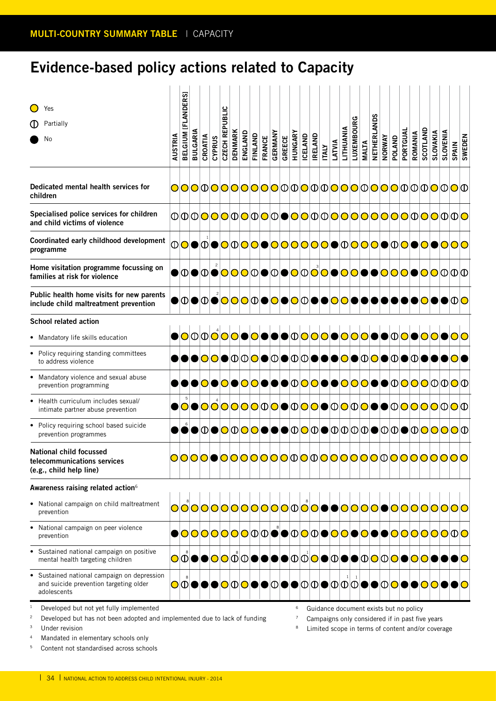### **Evidence-based policy actions related to Capacity**

| Yes<br>Partially<br>No                                                                                               | AUSTRIA | BELGIUM [FLANDERS] | <b>BULGARIA</b> | CROATIA | <b>CYPRUS</b> | CZECH REPUBLIC | <b>DENMARK</b> | ENGLAND                   | FINLAND<br>FRANCE | GERMANY | <b>GREECE</b> | HUNGARY | ICELAND | <b>IRELAND</b>                                                                            | <b>ITALY</b> | LATVIA | LITHUANIA | LUXEMBOURG | <b>MALTA</b> | NETHERLANDS | <b>NORWAY</b> | <b>POLAND</b> | PORTGUA | <b>ROMANIA</b> | SCOTLAND | <b>SLOVAKIA</b> | <b>SLOVENIA</b> | SPAIN                                                                                 | <b>SWEDEN</b> |
|----------------------------------------------------------------------------------------------------------------------|---------|--------------------|-----------------|---------|---------------|----------------|----------------|---------------------------|-------------------|---------|---------------|---------|---------|-------------------------------------------------------------------------------------------|--------------|--------|-----------|------------|--------------|-------------|---------------|---------------|---------|----------------|----------|-----------------|-----------------|---------------------------------------------------------------------------------------|---------------|
| Dedicated mental health services for<br>children                                                                     |         |                    |                 |         |               |                |                |                           |                   |         |               |         |         |                                                                                           |              |        |           |            |              |             |               |               |         |                |          |                 |                 | OOO000000000000000000000000000                                                        |               |
| Specialised police services for children<br>and child victims of violence                                            |         |                    |                 |         |               |                |                |                           |                   |         |               |         |         |                                                                                           |              |        |           |            |              |             |               |               |         |                |          |                 |                 | <b>00000000000000000000000000000</b>                                                  |               |
| Coordinated early childhood development<br>programme                                                                 |         |                    |                 |         |               |                |                |                           |                   |         |               |         |         |                                                                                           |              |        |           |            |              |             |               |               |         |                |          |                 |                 | <b>00●000000000000000000000000000</b>                                                 |               |
| Home visitation programme focussing on<br>families at risk for violence                                              |         |                    |                 |         |               |                |                |                           |                   |         |               |         |         |                                                                                           |              |        |           |            |              |             |               |               |         |                |          |                 |                 | ● <b>①●①●<mark>○○</mark>○</b> ①◎● <mark>○○○○</mark> ○ <mark>○○○○○●●○○○○●○○</mark> ①①① |               |
| Public health home visits for new parents<br>include child maltreatment prevention                                   |         |                    |                 |         |               |                |                | <b>OOOOOOOOOOOOOOOOOO</b> |                   |         |               |         |         |                                                                                           |              |        |           |            |              |             |               |               |         | DOOC           |          |                 |                 | DOOO                                                                                  |               |
| <b>School related action</b>                                                                                         |         |                    |                 |         |               |                |                |                           |                   |         |               |         |         |                                                                                           |              |        |           |            |              |             |               |               |         |                |          |                 |                 |                                                                                       |               |
| • Mandatory life skills education                                                                                    |         |                    |                 |         |               |                |                |                           |                   |         |               |         |         |                                                                                           |              |        |           |            |              |             |               |               |         |                |          |                 |                 | ●○◎◎ <mark>⊙</mark> ○○●○●●●◎○○○○●○○○●●○○●                                             |               |
| • Policy requiring standing committees<br>to address violence                                                        |         |                    |                 |         |               |                |                |                           |                   |         |               |         |         |                                                                                           |              |        |           |            |              |             |               |               |         |                |          |                 |                 | ◗◙◙◙◙◙◙◙◙®®®®®®®®®®®®®®®®                                                             |               |
| Mandatory violence and sexual abuse<br>prevention programming                                                        |         |                    |                 |         |               |                |                |                           |                   |         |               |         |         |                                                                                           |              |        |           |            |              |             |               |               |         |                |          |                 |                 | ∙●◎●◎●◎◎●●●●◎◎◎●●◎◎◎●●◎●●                                                             |               |
| Health curriculum includes sexual/<br>intimate partner abuse prevention                                              |         |                    |                 |         |               |                |                |                           |                   |         |               |         |         |                                                                                           |              |        |           |            |              |             |               |               |         |                |          |                 |                 | <b>O●○○○○○○○</b> ①●①○●○○○○○●●○○○○○○○                                                  |               |
| · Policy requiring school based suicide<br>prevention programmes                                                     |         |                    |                 |         |               |                |                |                           |                   |         |               |         |         |                                                                                           |              |        |           |            |              |             |               |               |         |                |          |                 |                 | ∙●①●○○○○●●●①○○●①①①①①●①D● <u>O</u> OOOO                                                |               |
| <b>National child focussed</b><br>telecommunications services<br>(e.g., child help line)                             |         |                    | 000             |         |               |                |                |                           |                   |         |               |         |         |                                                                                           |              |        |           |            |              |             |               |               |         |                |          |                 |                 | ●○○○○○○○○ <b>○</b> ○○○○○○○○○○○○○○○○○                                                  |               |
| Awareness raising related action <sup>6</sup>                                                                        |         |                    |                 |         |               |                |                |                           |                   |         |               |         |         |                                                                                           |              |        |           |            |              |             |               |               |         |                |          |                 |                 |                                                                                       |               |
| • National campaign on child maltreatment<br>prevention                                                              |         |                    |                 |         |               |                |                |                           |                   |         |               |         |         |                                                                                           |              |        |           |            |              |             |               |               |         |                |          |                 |                 | <b>000000000000000000000000000000</b>                                                 |               |
| • National campaign on peer violence<br>prevention                                                                   |         |                    |                 |         |               |                |                |                           |                   |         |               |         |         |                                                                                           |              |        |           |            |              |             |               |               |         |                |          |                 |                 | ●◎◎◎◎◎◎◎◎◎◎◎●●◎◎◎◎●◎◎●◎●●●◎◎◎◎◎◎◎◎                                                    |               |
| • Sustained national campaign on positive<br>mental health targeting children                                        |         |                    |                 |         |               |                |                |                           |                   |         |               |         |         |                                                                                           |              |        |           |            |              |             |               |               |         |                |          |                 |                 | <b>OOOOOOOOOOOOOOOOOOOOOOOOOOOOOO</b> O                                               |               |
| • Sustained national campaign on depression<br>and suicide prevention targeting older<br>adolescents                 |         |                    |                 |         |               |                |                |                           |                   |         |               |         |         |                                                                                           |              |        |           |            |              |             |               |               |         |                |          |                 |                 | ◙ ◙ ●●●●◎ ® ●●●●●●●●●●◎ ® ® ® ® ●● ® ® <mark>◎ ●● ◎ ◎ ● ● ◎ ● ● ◎</mark>              |               |
| Developed but not yet fully implemented<br>Developed but has not been adopted and implemented due to lack of funding |         |                    |                 |         |               |                |                |                           |                   |         |               | 6       |         | Guidance document exists but no policy<br>Campaigns only considered if in past five years |              |        |           |            |              |             |               |               |         |                |          |                 |                 |                                                                                       |               |

Developed but has not been adopted and implemented due to lack of funding

<sup>3</sup> Under revision

<sup>4</sup> Mandated in elementary schools only

<sup>5</sup> Content not standardised across schools

Campaigns only considered if in past five years

<sup>8</sup> Limited scope in terms of content and/or coverage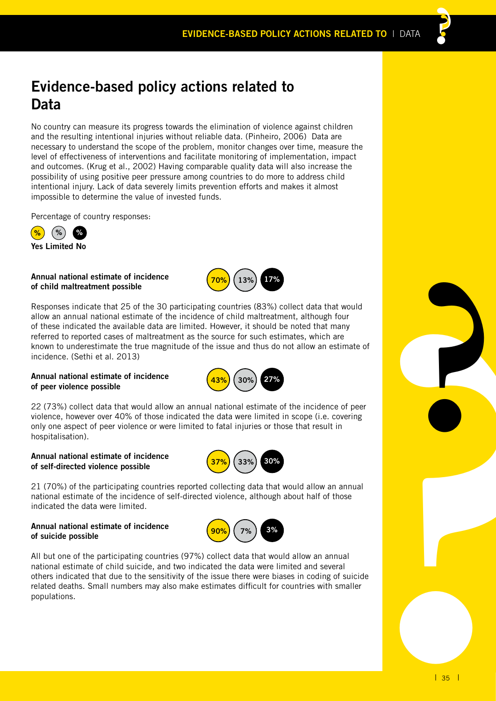### **Evidence-based policy actions related to Data**

No country can measure its progress towards the elimination of violence against children and the resulting intentional injuries without reliable data. (Pinheiro, 2006) Data are necessary to understand the scope of the problem, monitor changes over time, measure the level of effectiveness of interventions and facilitate monitoring of implementation, impact and outcomes. (Krug et al., 2002) Having comparable quality data will also increase the possibility of using positive peer pressure among countries to do more to address child intentional injury. Lack of data severely limits prevention efforts and makes it almost impossible to determine the value of invested funds.

Percentage of country responses:



**Annual national estimate of incidence of child maltreatment possible**



per<br>
ate of<br>
peer<br>
ring<br>
<sup>9</sup><br>
<sup>9</sup><br>
<sup>1</sup><br>
<sup>35</sup><br>
<sup>1</sup><br>
<sup>1</sup><br>
<sup>35</sup> Responses indicate that 25 of the 30 participating countries (83%) collect data that would allow an annual national estimate of the incidence of child maltreatment, although four of these indicated the available data are limited. However, it should be noted that many referred to reported cases of maltreatment as the source for such estimates, which are known to underestimate the true magnitude of the issue and thus do not allow an estimate of incidence. (Sethi et al. 2013)

### **Annual national estimate of incidence of peer violence possible**



22 (73%) collect data that would allow an annual national estimate of the incidence of peer violence, however over 40% of those indicated the data were limited in scope (i.e. covering only one aspect of peer violence or were limited to fatal injuries or those that result in hospitalisation).

### **Annual national estimate of incidence of self-directed violence possible**



21 (70%) of the participating countries reported collecting data that would allow an annual national estimate of the incidence of self-directed violence, although about half of those indicated the data were limited.

### **Annual national estimate of incidence of suicide possible**



All but one of the participating countries (97%) collect data that would allow an annual national estimate of child suicide, and two indicated the data were limited and several others indicated that due to the sensitivity of the issue there were biases in coding of suicide related deaths. Small numbers may also make estimates difficult for countries with smaller populations.

**?**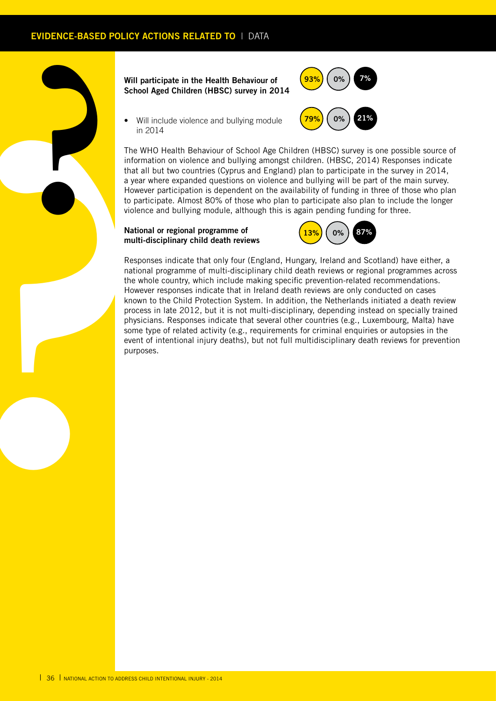

### **Will participate in the Health Behaviour of School Aged Children (HBSC) survey in 2014**



Will include violence and bullying module in 2014

The WHO Health Behaviour of School Age Children (HBSC) survey is one possible source of information on violence and bullying amongst children. (HBSC, 2014) Responses indicate that all but two countries (Cyprus and England) plan to participate in the survey in 2014, a year where expanded questions on violence and bullying will be part of the main survey. However participation is dependent on the availability of funding in three of those who plan to participate. Almost 80% of those who plan to participate also plan to include the longer violence and bullying module, although this is again pending funding for three.

### **National or regional programme of multi-disciplinary child death reviews**



Responses indicate that only four (England, Hungary, Ireland and Scotland) have either, a national programme of multi-disciplinary child death reviews or regional programmes across the whole country, which include making specific prevention-related recommendations. However responses indicate that in Ireland death reviews are only conducted on cases known to the Child Protection System. In addition, the Netherlands initiated a death review process in late 2012, but it is not multi-disciplinary, depending instead on specially trained physicians. Responses indicate that several other countries (e.g., Luxembourg, Malta) have some type of related activity (e.g., requirements for criminal enquiries or autopsies in the event of intentional injury deaths), but not full multidisciplinary death reviews for prevention purposes.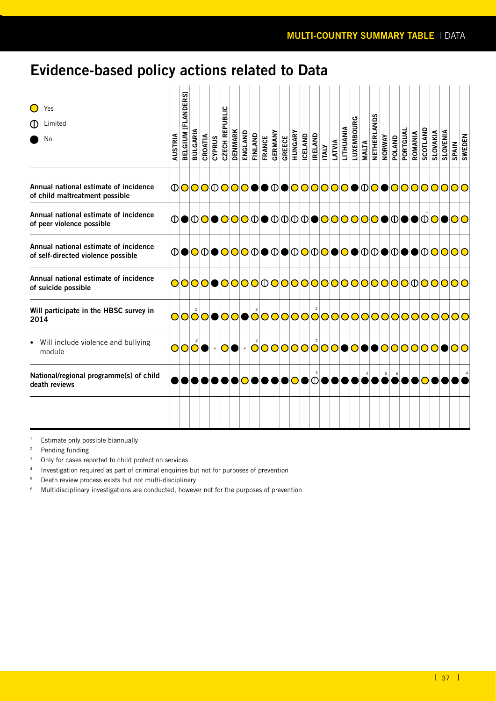## **Evidence-based policy actions related to Data**

| Yes<br>Limited<br>No                                                        | AUSTRIA | BELGIUM [FLANDERS] | BULGARIA    | CROATIA | CYPRUS | <b>CZECH REPUBLIC</b> | <b>DENMARK</b> | ENGLAND | FINLAND | <b>FRANCE</b> | GERMANY | GREECE | HUNGARY | <b>ICELAND</b> | <b>IRELAND</b> | <b>ITALY</b> | LATVIA | LITHUANIA | رح<br>LUXEMBOUR | <b>MALTA</b> | NETHERLANDS | <b>NORWAY</b> | POLAND | PORTGUAI | ROMANIA | SCOTLAND | <b>SLOVAKIA</b> | <b>SLOVENIA</b> | <b>SPAIN</b>                          | <b>SWEDEN</b> |
|-----------------------------------------------------------------------------|---------|--------------------|-------------|---------|--------|-----------------------|----------------|---------|---------|---------------|---------|--------|---------|----------------|----------------|--------------|--------|-----------|-----------------|--------------|-------------|---------------|--------|----------|---------|----------|-----------------|-----------------|---------------------------------------|---------------|
| Annual national estimate of incidence<br>of child maltreatment possible     |         |                    |             |         |        |                       |                |         |         |               |         |        |         |                |                |              |        |           |                 |              |             |               |        |          |         |          |                 |                 | <b>000000000000000000000000000000</b> |               |
| Annual national estimate of incidence<br>of peer violence possible          |         |                    |             |         |        |                       |                |         |         |               |         |        |         |                |                |              |        |           |                 |              |             |               |        |          |         |          |                 |                 | <b>◑◉◑◙◉◙◙◙◑◙◑◙◑◙◙◙◙</b> ।◑◙◙         |               |
| Annual national estimate of incidence<br>of self-directed violence possible |         |                    |             |         |        |                       |                |         |         |               |         |        |         |                |                |              |        |           |                 |              |             |               |        |          |         |          |                 |                 |                                       |               |
| Annual national estimate of incidence<br>of suicide possible                |         |                    |             |         |        |                       |                |         |         |               |         |        |         |                |                |              |        |           |                 |              |             |               |        |          |         |          |                 |                 |                                       |               |
| Will participate in the HBSC survey in<br>2014                              |         |                    |             |         |        |                       |                |         |         |               |         |        |         |                |                |              |        |           |                 |              |             |               |        |          |         |          |                 |                 | OOOOOOOOOOOOOOOOOOOOOOOOOOOOOOOOOO    |               |
| Will include violence and bullying<br>module                                |         |                    | <b>OOOO</b> |         |        | - 01                  | DI             |         |         |               |         |        |         |                |                |              |        |           |                 |              |             |               |        |          |         |          |                 |                 | - 00000000000000000000000             |               |
| National/regional programme(s) of child<br>death reviews                    |         |                    |             |         |        |                       |                |         |         |               |         |        |         | DIOIOIOI       | 3              |              |        |           |                 |              |             | $\,$ 5        |        |          |         |          |                 |                 |                                       |               |
|                                                                             |         |                    |             |         |        |                       |                |         |         |               |         |        |         |                |                |              |        |           |                 |              |             |               |        |          |         |          |                 |                 |                                       |               |

<sup>1</sup> Estimate only possible biannually

<sup>2</sup> Pending funding

<sup>3</sup> Only for cases reported to child protection services

<sup>4</sup> Investigation required as part of criminal enquiries but not for purposes of prevention

<sup>5</sup> Death review process exists but not multi-disciplinary

<sup>6</sup> Multidisciplinary investigations are conducted, however not for the purposes of prevention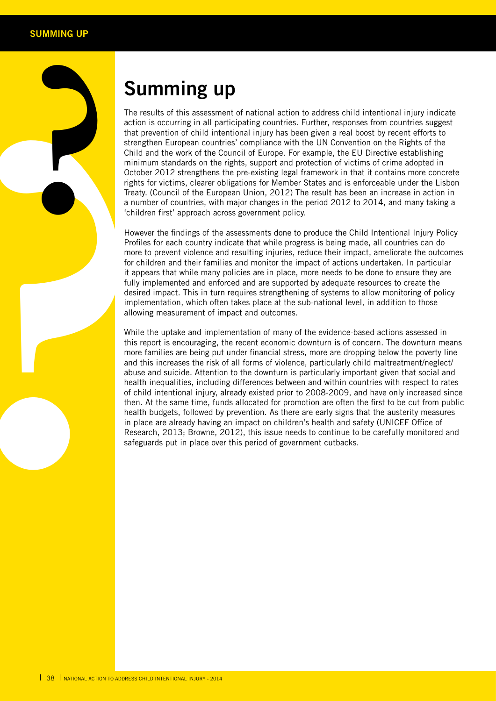**?**

# **Summing up**

The results of this assessment of national action to address child intentional injury indicate action is occurring in all participating countries. Further, responses from countries suggest that prevention of child intentional injury has been given a real boost by recent efforts to strengthen European countries' compliance with the UN Convention on the Rights of the Child and the work of the Council of Europe. For example, the EU Directive establishing minimum standards on the rights, support and protection of victims of crime adopted in October 2012 strengthens the pre-existing legal framework in that it contains more concrete rights for victims, clearer obligations for Member States and is enforceable under the Lisbon Treaty. (Council of the European Union, 2012) The result has been an increase in action in a number of countries, with major changes in the period 2012 to 2014, and many taking a 'children first' approach across government policy.

However the findings of the assessments done to produce the Child Intentional Injury Policy Profiles for each country indicate that while progress is being made, all countries can do more to prevent violence and resulting injuries, reduce their impact, ameliorate the outcomes for children and their families and monitor the impact of actions undertaken. In particular it appears that while many policies are in place, more needs to be done to ensure they are fully implemented and enforced and are supported by adequate resources to create the desired impact. This in turn requires strengthening of systems to allow monitoring of policy implementation, which often takes place at the sub-national level, in addition to those allowing measurement of impact and outcomes.

The rest action the stering that per strengt that per strengt child a minimize of child a minimize of child a minimization of child a mummor to the a nummor continue of child the started and this increase that is a more fo While the uptake and implementation of many of the evidence-based actions assessed in this report is encouraging, the recent economic downturn is of concern. The downturn means more families are being put under financial stress, more are dropping below the poverty line and this increases the risk of all forms of violence, particularly child maltreatment/neglect/ abuse and suicide. Attention to the downturn is particularly important given that social and health inequalities, including differences between and within countries with respect to rates of child intentional injury, already existed prior to 2008-2009, and have only increased since then. At the same time, funds allocated for promotion are often the first to be cut from public health budgets, followed by prevention. As there are early signs that the austerity measures in place are already having an impact on children's health and safety (UNICEF Office of Research, 2013; Browne, 2012), this issue needs to continue to be carefully monitored and safeguards put in place over this period of government cutbacks.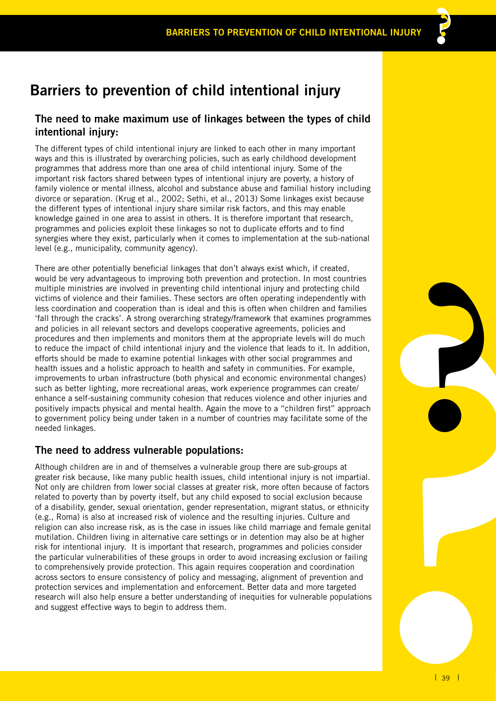## **Barriers to prevention of child intentional injury**

### **The need to make maximum use of linkages between the types of child intentional injury:**

The different types of child intentional injury are linked to each other in many important ways and this is illustrated by overarching policies, such as early childhood development programmes that address more than one area of child intentional injury. Some of the important risk factors shared between types of intentional injury are poverty, a history of family violence or mental illness, alcohol and substance abuse and familial history including divorce or separation. (Krug et al., 2002; Sethi, et al., 2013) Some linkages exist because the different types of intentional injury share similar risk factors, and this may enable knowledge gained in one area to assist in others. It is therefore important that research, programmes and policies exploit these linkages so not to duplicate efforts and to find synergies where they exist, particularly when it comes to implementation at the sub-national level (e.g., municipality, community agency).

nd<br>with<br>viling<br>illies<br>mmes<br>with<br>this mannes<br>the sand<br>property<br>fitted and<br>property<br>pential<br>gher<br>dider<br>and additions<br>and additions<br>and additions<br>and additions<br>and additions<br>and additions<br>and additions<br>and additions<br>and addit There are other potentially beneficial linkages that don't always exist which, if created, would be very advantageous to improving both prevention and protection. In most countries multiple ministries are involved in preventing child intentional injury and protecting child victims of violence and their families. These sectors are often operating independently with less coordination and cooperation than is ideal and this is often when children and families 'fall through the cracks'. A strong overarching strategy/framework that examines programmes and policies in all relevant sectors and develops cooperative agreements, policies and procedures and then implements and monitors them at the appropriate levels will do much to reduce the impact of child intentional injury and the violence that leads to it. In addition, efforts should be made to examine potential linkages with other social programmes and health issues and a holistic approach to health and safety in communities. For example, improvements to urban infrastructure (both physical and economic environmental changes) such as better lighting, more recreational areas, work experience programmes can create/ enhance a self-sustaining community cohesion that reduces violence and other injuries and positively impacts physical and mental health. Again the move to a "children first" approach to government policy being under taken in a number of countries may facilitate some of the needed linkages.

### **The need to address vulnerable populations:**

Although children are in and of themselves a vulnerable group there are sub-groups at greater risk because, like many public health issues, child intentional injury is not impartial. Not only are children from lower social classes at greater risk, more often because of factors related to poverty than by poverty itself, but any child exposed to social exclusion because of a disability, gender, sexual orientation, gender representation, migrant status, or ethnicity (e.g., Roma) is also at increased risk of violence and the resulting injuries. Culture and religion can also increase risk, as is the case in issues like child marriage and female genital mutilation. Children living in alternative care settings or in detention may also be at higher risk for intentional injury. It is important that research, programmes and policies consider the particular vulnerabilities of these groups in order to avoid increasing exclusion or failing to comprehensively provide protection. This again requires cooperation and coordination across sectors to ensure consistency of policy and messaging, alignment of prevention and protection services and implementation and enforcement. Better data and more targeted research will also help ensure a better understanding of inequities for vulnerable populations and suggest effective ways to begin to address them.

**?**

**??**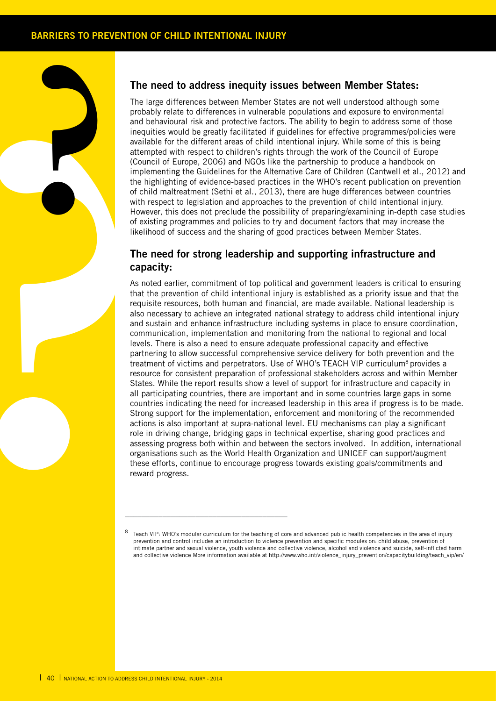**?**

### **The need to address inequity issues between Member States:**

The large differences between Member States are not well understood although some probably relate to differences in vulnerable populations and exposure to environmental and behavioural risk and protective factors. The ability to begin to address some of those inequities would be greatly facilitated if guidelines for effective programmes/policies were available for the different areas of child intentional injury. While some of this is being attempted with respect to children's rights through the work of the Council of Europe (Council of Europe, 2006) and NGOs like the partnership to produce a handbook on implementing the Guidelines for the Alternative Care of Children (Cantwell et al., 2012) and the highlighting of evidence-based practices in the WHO's recent publication on prevention of child maltreatment (Sethi et al., 2013), there are huge differences between countries with respect to legislation and approaches to the prevention of child intentional injury. However, this does not preclude the possibility of preparing/examining in-depth case studies of existing programmes and policies to try and document factors that may increase the likelihood of success and the sharing of good practices between Member States.

### **The need for strong leadership and supporting infrastructure and capacity:**

The layer of a single and b included a single and b included a single and b included a single the historic court in the of existing of the line of existing and the sequence of existing and so required the single part of ex As noted earlier, commitment of top political and government leaders is critical to ensuring that the prevention of child intentional injury is established as a priority issue and that the requisite resources, both human and financial, are made available. National leadership is also necessary to achieve an integrated national strategy to address child intentional injury and sustain and enhance infrastructure including systems in place to ensure coordination, communication, implementation and monitoring from the national to regional and local levels. There is also a need to ensure adequate professional capacity and effective partnering to allow successful comprehensive service delivery for both prevention and the treatment of victims and perpetrators. Use of WHO's TEACH VIP curriculum<sup>8</sup> provides a resource for consistent preparation of professional stakeholders across and within Member States. While the report results show a level of support for infrastructure and capacity in all participating countries, there are important and in some countries large gaps in some countries indicating the need for increased leadership in this area if progress is to be made. Strong support for the implementation, enforcement and monitoring of the recommended actions is also important at supra-national level. EU mechanisms can play a significant role in driving change, bridging gaps in technical expertise, sharing good practices and assessing progress both within and between the sectors involved. In addition, international organisations such as the World Health Organization and UNICEF can support/augment these efforts, continue to encourage progress towards existing goals/commitments and reward progress.

\_\_\_\_\_\_\_\_\_\_\_\_\_\_\_\_\_\_\_\_\_\_\_\_\_\_\_\_\_\_\_\_\_\_\_\_\_\_\_

Teach VIP: WHO's modular curriculum for the teaching of core and advanced public health competencies in the area of injury prevention and control includes an introduction to violence prevention and specific modules on: child abuse, prevention of intimate partner and sexual violence, youth violence and collective violence, alcohol and violence and suicide, self-inflicted harm and collective violence More information available at http://www.who.int/violence\_injury\_prevention/capacitybuilding/teach\_vip/en/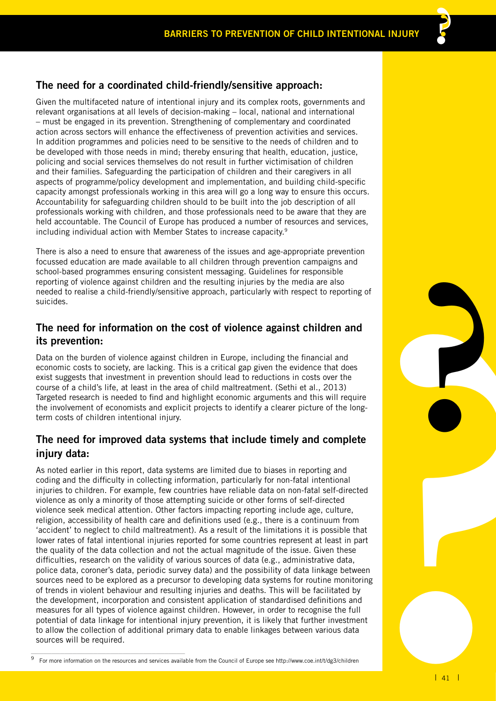### **The need for a coordinated child-friendly/sensitive approach:**

Given the multifaceted nature of intentional injury and its complex roots, governments and relevant organisations at all levels of decision-making – local, national and international – must be engaged in its prevention. Strengthening of complementary and coordinated action across sectors will enhance the effectiveness of prevention activities and services. In addition programmes and policies need to be sensitive to the needs of children and to be developed with those needs in mind; thereby ensuring that health, education, justice, policing and social services themselves do not result in further victimisation of children and their families. Safeguarding the participation of children and their caregivers in all aspects of programme/policy development and implementation, and building child-specific capacity amongst professionals working in this area will go a long way to ensure this occurs. Accountability for safeguarding children should to be built into the job description of all professionals working with children, and those professionals need to be aware that they are held accountable. The Council of Europe has produced a number of resources and services, including individual action with Member States to increase capacity.9

There is also a need to ensure that awareness of the issues and age-appropriate prevention focussed education are made available to all children through prevention campaigns and school-based programmes ensuring consistent messaging. Guidelines for responsible reporting of violence against children and the resulting injuries by the media are also needed to realise a child-friendly/sensitive approach, particularly with respect to reporting of suicides.

### **The need for information on the cost of violence against children and its prevention:**

Data on the burden of violence against children in Europe, including the financial and economic costs to society, are lacking. This is a critical gap given the evidence that does exist suggests that investment in prevention should lead to reductions in costs over the course of a child's life, at least in the area of child maltreatment. (Sethi et al., 2013) Targeted research is needed to find and highlight economic arguments and this will require the involvement of economists and explicit projects to identify a clearer picture of the longterm costs of children intentional injury.

## **The need for improved data systems that include timely and complete injury data:**

**?** As noted earlier in this report, data systems are limited due to biases in reporting and coding and the difficulty in collecting information, particularly for non-fatal intentional injuries to children. For example, few countries have reliable data on non-fatal self-directed violence as only a minority of those attempting suicide or other forms of self-directed violence seek medical attention. Other factors impacting reporting include age, culture, religion, accessibility of health care and definitions used (e.g., there is a continuum from 'accident' to neglect to child maltreatment). As a result of the limitations it is possible that lower rates of fatal intentional injuries reported for some countries represent at least in part the quality of the data collection and not the actual magnitude of the issue. Given these difficulties, research on the validity of various sources of data (e.g., administrative data, police data, coroner's data, periodic survey data) and the possibility of data linkage between sources need to be explored as a precursor to developing data systems for routine monitoring of trends in violent behaviour and resulting injuries and deaths. This will be facilitated by the development, incorporation and consistent application of standardised definitions and measures for all types of violence against children. However, in order to recognise the full potential of data linkage for intentional injury prevention, it is likely that further investment to allow the collection of additional primary data to enable linkages between various data sources will be required.

9 For more information on the resources and services available from the Council of Europe see http://www.coe.int/t/dg3/children

\_\_\_\_\_\_\_\_\_\_\_\_\_\_\_\_\_\_\_\_\_\_\_\_\_\_\_\_\_\_\_\_\_\_\_\_\_

**?**

**??**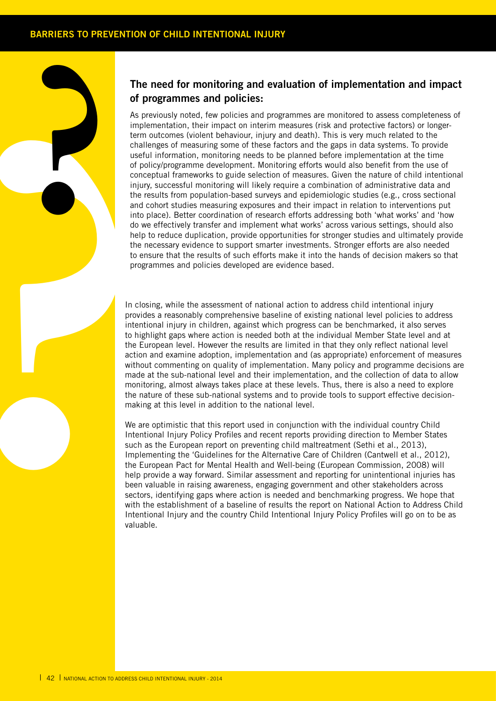**?**

### **The need for monitoring and evaluation of implementation and impact of programmes and policies:**

of properties and contract the European of the contract to the properties of properties and contract interior of properties and contract interior to energy and contract to the function of the European of the European of th As previously noted, few policies and programmes are monitored to assess completeness of implementation, their impact on interim measures (risk and protective factors) or longerterm outcomes (violent behaviour, injury and death). This is very much related to the challenges of measuring some of these factors and the gaps in data systems. To provide useful information, monitoring needs to be planned before implementation at the time of policy/programme development. Monitoring efforts would also benefit from the use of conceptual frameworks to guide selection of measures. Given the nature of child intentional injury, successful monitoring will likely require a combination of administrative data and the results from population-based surveys and epidemiologic studies (e.g., cross sectional and cohort studies measuring exposures and their impact in relation to interventions put into place). Better coordination of research efforts addressing both 'what works' and 'how do we effectively transfer and implement what works' across various settings, should also help to reduce duplication, provide opportunities for stronger studies and ultimately provide the necessary evidence to support smarter investments. Stronger efforts are also needed to ensure that the results of such efforts make it into the hands of decision makers so that programmes and policies developed are evidence based.

In closing, while the assessment of national action to address child intentional injury provides a reasonably comprehensive baseline of existing national level policies to address intentional injury in children, against which progress can be benchmarked, it also serves to highlight gaps where action is needed both at the individual Member State level and at the European level. However the results are limited in that they only reflect national level action and examine adoption, implementation and (as appropriate) enforcement of measures without commenting on quality of implementation. Many policy and programme decisions are made at the sub-national level and their implementation, and the collection of data to allow monitoring, almost always takes place at these levels. Thus, there is also a need to explore the nature of these sub-national systems and to provide tools to support effective decisionmaking at this level in addition to the national level.

We are optimistic that this report used in conjunction with the individual country Child Intentional Injury Policy Profiles and recent reports providing direction to Member States such as the European report on preventing child maltreatment (Sethi et al., 2013), Implementing the 'Guidelines for the Alternative Care of Children (Cantwell et al., 2012), the European Pact for Mental Health and Well-being (European Commission, 2008) will help provide a way forward. Similar assessment and reporting for unintentional injuries has been valuable in raising awareness, engaging government and other stakeholders across sectors, identifying gaps where action is needed and benchmarking progress. We hope that with the establishment of a baseline of results the report on National Action to Address Child Intentional Injury and the country Child Intentional Injury Policy Profiles will go on to be as valuable.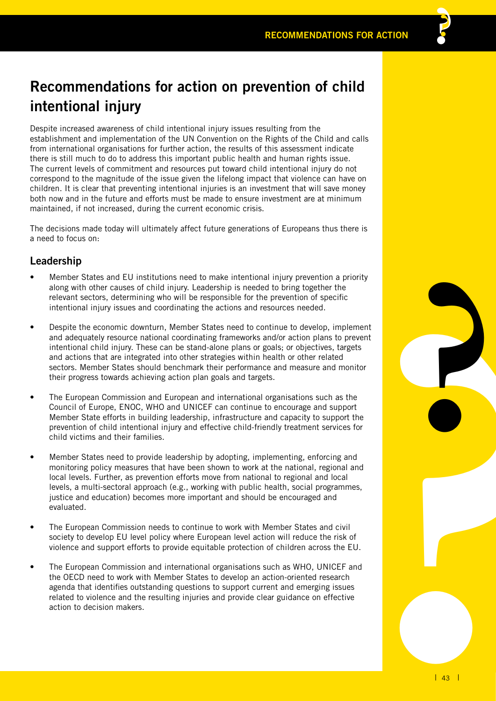## **Recommendations for action on prevention of child intentional injury**

Despite increased awareness of child intentional injury issues resulting from the establishment and implementation of the UN Convention on the Rights of the Child and calls from international organisations for further action, the results of this assessment indicate there is still much to do to address this important public health and human rights issue. The current levels of commitment and resources put toward child intentional injury do not correspond to the magnitude of the issue given the lifelong impact that violence can have on children. It is clear that preventing intentional injuries is an investment that will save money both now and in the future and efforts must be made to ensure investment are at minimum maintained, if not increased, during the current economic crisis.

The decisions made today will ultimately affect future generations of Europeans thus there is a need to focus on:

### **Leadership**

- Member States and EU institutions need to make intentional injury prevention a priority along with other causes of child injury. Leadership is needed to bring together the relevant sectors, determining who will be responsible for the prevention of specific intentional injury issues and coordinating the actions and resources needed.
- ement<br>**revent**<br>the stor<br>the stor<br>of stor<br>and<br>le.<br>EU.<br>and<br>le.<br>ss ee Despite the economic downturn, Member States need to continue to develop, implement and adequately resource national coordinating frameworks and/or action plans to prevent intentional child injury. These can be stand-alone plans or goals; or objectives, targets and actions that are integrated into other strategies within health or other related sectors. Member States should benchmark their performance and measure and monitor their progress towards achieving action plan goals and targets.
- The European Commission and European and international organisations such as the Council of Europe, ENOC, WHO and UNICEF can continue to encourage and support Member State efforts in building leadership, infrastructure and capacity to support the prevention of child intentional injury and effective child-friendly treatment services for child victims and their families.
- Member States need to provide leadership by adopting, implementing, enforcing and monitoring policy measures that have been shown to work at the national, regional and local levels. Further, as prevention efforts move from national to regional and local levels, a multi-sectoral approach (e.g., working with public health, social programmes, justice and education) becomes more important and should be encouraged and evaluated.
- The European Commission needs to continue to work with Member States and civil society to develop EU level policy where European level action will reduce the risk of violence and support efforts to provide equitable protection of children across the EU.
- The European Commission and international organisations such as WHO, UNICEF and the OECD need to work with Member States to develop an action-oriented research agenda that identifies outstanding questions to support current and emerging issues related to violence and the resulting injuries and provide clear guidance on effective action to decision makers.

**?**

**??**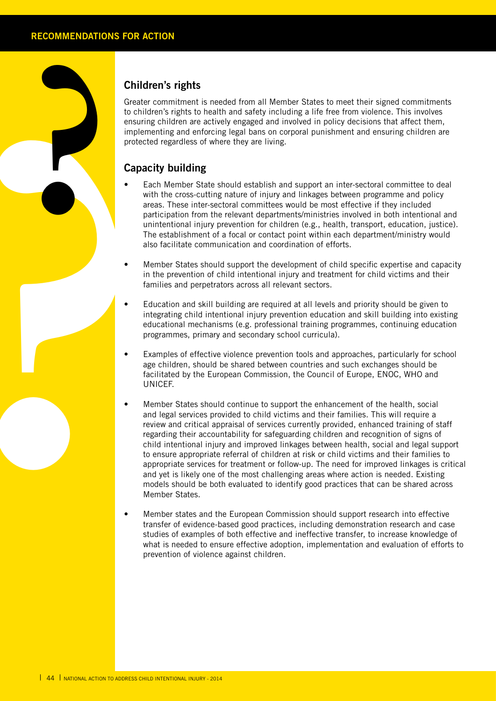**?**

### **Children's rights**

Greater commitment is needed from all Member States to meet their signed commitments to children's rights to health and safety including a life free from violence. This involves ensuring children are actively engaged and involved in policy decisions that affect them, implementing and enforcing legal bans on corporal punishment and ensuring children are protected regardless of where they are living.

## **Capacity building**

- Each Member State should establish and support an inter-sectoral committee to deal with the cross-cutting nature of injury and linkages between programme and policy areas. These inter-sectoral committees would be most effective if they included participation from the relevant departments/ministries involved in both intentional and unintentional injury prevention for children (e.g., health, transport, education, justice). The establishment of a focal or contact point within each department/ministry would also facilitate communication and coordination of efforts.
- Member States should support the development of child specific expertise and capacity in the prevention of child intentional injury and treatment for child victims and their families and perpetrators across all relevant sectors.
- Education and skill building are required at all levels and priority should be given to integrating child intentional injury prevention education and skill building into existing educational mechanisms (e.g. professional training programmes, continuing education programmes, primary and secondary school curricula).
- Examples of effective violence prevention tools and approaches, particularly for school age children, should be shared between countries and such exchanges should be facilitated by the European Commission, the Council of Europe, ENOC, WHO and UNICEF.
- Greater<br>
to child<br>
ensuring<br>
meter<br>
capac<br>
capac<br> **Parameter<br>
Capac<br>
Capac<br>
Capac<br>
Capac<br>
Capac<br>
Capac<br>
Capac<br>
Capac<br>
Capac<br>
Capac<br>
Capac<br>
Capac<br>
Capac<br>
Capac<br>
Capac<br>
Thi fa<br>
ensuring<br>
in fa<br>
ensuring<br>
in fa<br>
in fa<br>
ensuri** Member States should continue to support the enhancement of the health, social and legal services provided to child victims and their families. This will require a review and critical appraisal of services currently provided, enhanced training of staff regarding their accountability for safeguarding children and recognition of signs of child intentional injury and improved linkages between health, social and legal support to ensure appropriate referral of children at risk or child victims and their families to appropriate services for treatment or follow-up. The need for improved linkages is critical and yet is likely one of the most challenging areas where action is needed. Existing models should be both evaluated to identify good practices that can be shared across Member States.
	- Member states and the European Commission should support research into effective transfer of evidence-based good practices, including demonstration research and case studies of examples of both effective and ineffective transfer, to increase knowledge of what is needed to ensure effective adoption, implementation and evaluation of efforts to prevention of violence against children.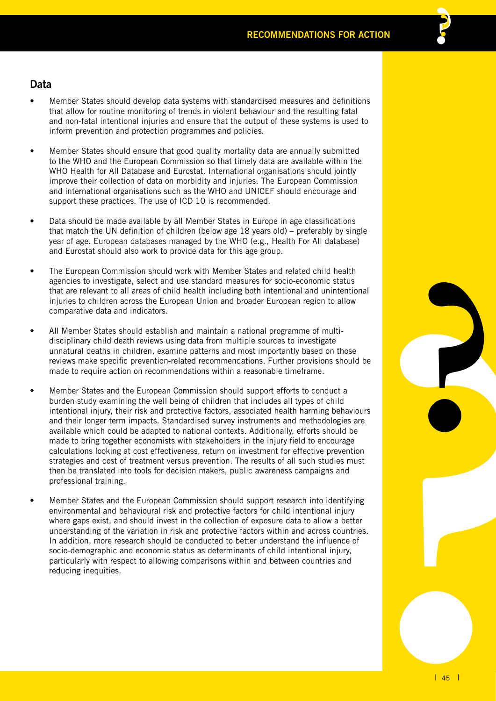- Member States should develop data systems with standardised measures and definitions that allow for routine monitoring of trends in violent behaviour and the resulting fatal and non-fatal intentional injuries and ensure that the output of these systems is used to inform prevention and protection programmes and policies.
- Member States should ensure that good quality mortality data are annually submitted to the WHO and the European Commission so that timely data are available within the WHO Health for All Database and Eurostat. International organisations should jointly improve their collection of data on morbidity and injuries. The European Commission and international organisations such as the WHO and UNICEF should encourage and support these practices. The use of ICD 10 is recommended.
- Data should be made available by all Member States in Europe in age classifications that match the UN definition of children (below age 18 years old) – preferably by single year of age. European databases managed by the WHO (e.g., Health For All database) and Eurostat should also work to provide data for this age group.
- The European Commission should work with Member States and related child health agencies to investigate, select and use standard measures for socio-economic status that are relevant to all areas of child health including both intentional and unintentional injuries to children across the European Union and broader European region to allow comparative data and indicators.
- All Member States should establish and maintain a national programme of multidisciplinary child death reviews using data from multiple sources to investigate unnatural deaths in children, examine patterns and most importantly based on those reviews make specific prevention-related recommendations. Further provisions should be made to require action on recommendations within a reasonable timeframe.
- Member States and the European Commission should support efforts to conduct a burden study examining the well being of children that includes all types of child intentional injury, their risk and protective factors, associated health harming behaviours and their longer term impacts. Standardised survey instruments and methodologies are available which could be adapted to national contexts. Additionally, efforts should be made to bring together economists with stakeholders in the injury field to encourage calculations looking at cost effectiveness, return on investment for effective prevention strategies and cost of treatment versus prevention. The results of all such studies must then be translated into tools for decision makers, public awareness campaigns and professional training.
- Member States and the European Commission should support research into identifying environmental and behavioural risk and protective factors for child intentional injury where gaps exist, and should invest in the collection of exposure data to allow a better understanding of the variation in risk and protective factors within and across countries. In addition, more research should be conducted to better understand the influence of socio-demographic and economic status as determinants of child intentional injury, particularly with respect to allowing comparisons within and between countries and reducing inequities.

**?**

**??**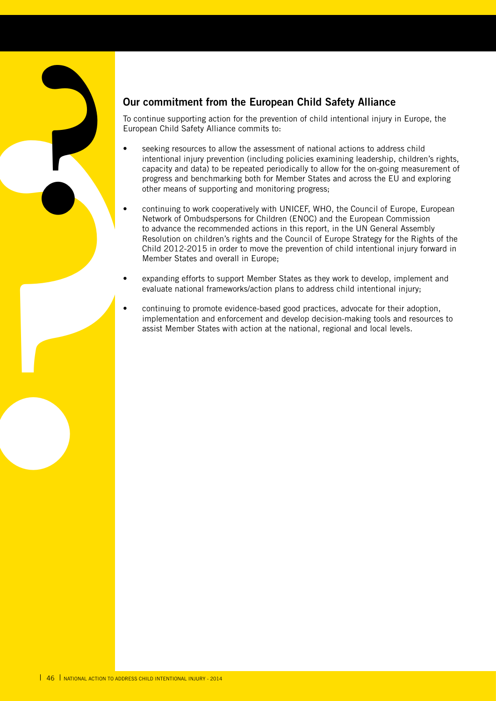## **Our commitment from the European Child Safety Alliance**

To continue supporting action for the prevention of child intentional injury in Europe, the European Child Safety Alliance commits to:

- seeking resources to allow the assessment of national actions to address child intentional injury prevention (including policies examining leadership, children's rights, capacity and data) to be repeated periodically to allow for the on-going measurement of progress and benchmarking both for Member States and across the EU and exploring other means of supporting and monitoring progress;
- Dur cries and To contract Europes **.**<br>
Europes **.**<br> **8.**<br> **8.**<br> **8.**<br> **8.**<br> **8.**<br> **8.**<br> **8.**<br> **8.**<br> **8.**<br> **8.**<br> **8.**<br> **8.**<br> **8.**<br> **8.**<br> **8.**<br> **8.**<br> **8.**<br> **8.**<br> **8.**<br> **8.**<br> **8.**<br> **8.**<br> **8.**<br> **8.**<br> **8.**<br> **8.**<br> **8.**<br> **8.**<br> **8** continuing to work cooperatively with UNICEF, WHO, the Council of Europe, European Network of Ombudspersons for Children (ENOC) and the European Commission to advance the recommended actions in this report, in the UN General Assembly Resolution on children's rights and the Council of Europe Strategy for the Rights of the Child 2012-2015 in order to move the prevention of child intentional injury forward in Member States and overall in Europe;
	- expanding efforts to support Member States as they work to develop, implement and evaluate national frameworks/action plans to address child intentional injury;
	- continuing to promote evidence-based good practices, advocate for their adoption, implementation and enforcement and develop decision-making tools and resources to assist Member States with action at the national, regional and local levels.

**?**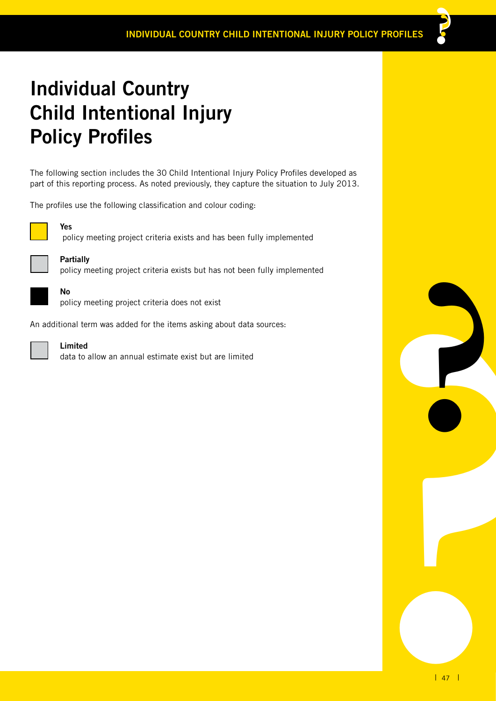# **Individual Country Child Intentional Injury Policy Profiles**

The following section includes the 30 Child Intentional Injury Policy Profiles developed as part of this reporting process. As noted previously, they capture the situation to July 2013.

The profiles use the following classification and colour coding:



policy meeting project criteria exists and has been fully implemented

policy meeting project criteria exists but has not been fully implemented



**No**

**Partially**

**Yes**

policy meeting project criteria does not exist

An additional term was added for the items asking about data sources:



#### **Limited**

data to allow an annual estimate exist but are limited



**??**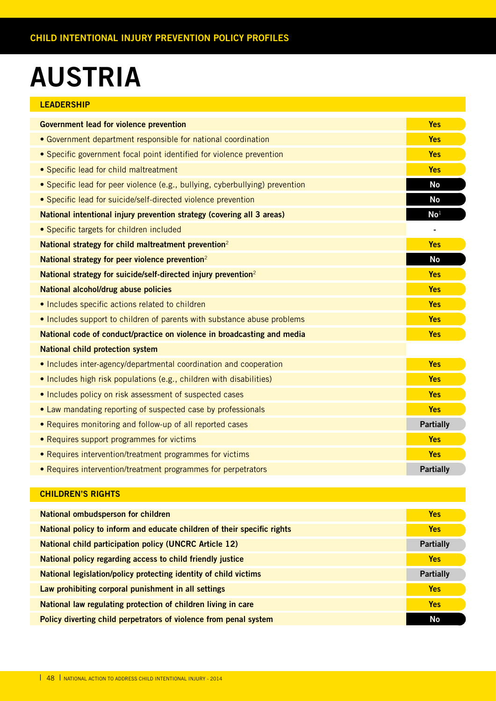# **AUSTRIA**

| <b>LEADERSHIP</b>                                                            |                  |
|------------------------------------------------------------------------------|------------------|
| <b>Government lead for violence prevention</b>                               | <b>Yes</b>       |
| • Government department responsible for national coordination                | <b>Yes</b>       |
| • Specific government focal point identified for violence prevention         | <b>Yes</b>       |
| • Specific lead for child maltreatment                                       | <b>Yes</b>       |
| • Specific lead for peer violence (e.g., bullying, cyberbullying) prevention | <b>No</b>        |
| • Specific lead for suicide/self-directed violence prevention                | <b>No</b>        |
| National intentional injury prevention strategy (covering all 3 areas)       | No <sup>1</sup>  |
| • Specific targets for children included                                     |                  |
| National strategy for child maltreatment prevention <sup>2</sup>             | <b>Yes</b>       |
| National strategy for peer violence prevention <sup>2</sup>                  | <b>No</b>        |
| National strategy for suicide/self-directed injury prevention <sup>2</sup>   | <b>Yes</b>       |
| National alcohol/drug abuse policies                                         | <b>Yes</b>       |
| • Includes specific actions related to children                              | <b>Yes</b>       |
| . Includes support to children of parents with substance abuse problems      | <b>Yes</b>       |
| National code of conduct/practice on violence in broadcasting and media      | <b>Yes</b>       |
| <b>National child protection system</b>                                      |                  |
| • Includes inter-agency/departmental coordination and cooperation            | <b>Yes</b>       |
| • Includes high risk populations (e.g., children with disabilities)          | <b>Yes</b>       |
| • Includes policy on risk assessment of suspected cases                      | <b>Yes</b>       |
| • Law mandating reporting of suspected case by professionals                 | <b>Yes</b>       |
| • Requires monitoring and follow-up of all reported cases                    | <b>Partially</b> |
| • Requires support programmes for victims                                    | <b>Yes</b>       |
| • Requires intervention/treatment programmes for victims                     | <b>Yes</b>       |
| • Requires intervention/treatment programmes for perpetrators                | <b>Partially</b> |

| National ombudsperson for children                                      | <b>Yes</b>       |
|-------------------------------------------------------------------------|------------------|
| National policy to inform and educate children of their specific rights | <b>Yes</b>       |
| <b>National child participation policy (UNCRC Article 12)</b>           | <b>Partially</b> |
| National policy regarding access to child friendly justice              | <b>Yes</b>       |
| National legislation/policy protecting identity of child victims        | <b>Partially</b> |
| Law prohibiting corporal punishment in all settings                     | <b>Yes</b>       |
| National law regulating protection of children living in care           | <b>Yes</b>       |
| Policy diverting child perpetrators of violence from penal system       | No               |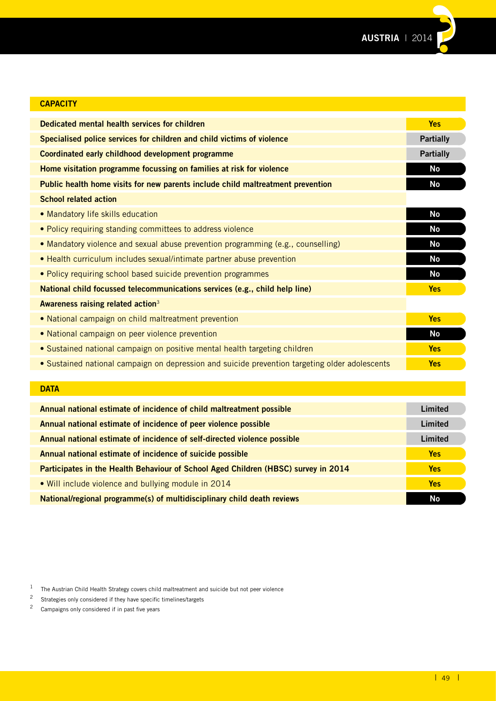

| <b>CAPACITY</b>                                                                                |                  |
|------------------------------------------------------------------------------------------------|------------------|
| Dedicated mental health services for children                                                  | <b>Yes</b>       |
| Specialised police services for children and child victims of violence                         | <b>Partially</b> |
| Coordinated early childhood development programme                                              | <b>Partially</b> |
| Home visitation programme focussing on families at risk for violence                           | <b>No</b>        |
| Public health home visits for new parents include child maltreatment prevention                | <b>No</b>        |
| <b>School related action</b>                                                                   |                  |
| • Mandatory life skills education                                                              | <b>No</b>        |
| • Policy requiring standing committees to address violence                                     | <b>No</b>        |
| • Mandatory violence and sexual abuse prevention programming (e.g., counselling)               | <b>No</b>        |
| • Health curriculum includes sexual/intimate partner abuse prevention                          | <b>No</b>        |
| • Policy requiring school based suicide prevention programmes                                  | No               |
| National child focussed telecommunications services (e.g., child help line)                    | <b>Yes</b>       |
| Awareness raising related action <sup>3</sup>                                                  |                  |
| • National campaign on child maltreatment prevention                                           | <b>Yes</b>       |
| • National campaign on peer violence prevention                                                | <b>No</b>        |
| • Sustained national campaign on positive mental health targeting children                     | <b>Yes</b>       |
| • Sustained national campaign on depression and suicide prevention targeting older adolescents | <b>Yes</b>       |
|                                                                                                |                  |
| <b>DATA</b>                                                                                    |                  |

| Annual national estimate of incidence of child maltreatment possible               | Limited    |
|------------------------------------------------------------------------------------|------------|
| Annual national estimate of incidence of peer violence possible                    | Limited    |
| Annual national estimate of incidence of self-directed violence possible           | Limited    |
| Annual national estimate of incidence of suicide possible                          | <b>Yes</b> |
| Participates in the Health Behaviour of School Aged Children (HBSC) survey in 2014 | Yes        |
| • Will include violence and bullying module in 2014                                | <b>Yes</b> |
| National/regional programme(s) of multidisciplinary child death reviews            | <b>No</b>  |

<sup>1</sup> The Austrian Child Health Strategy covers child maltreatment and suicide but not peer violence<br><sup>2</sup> Strategies only considered if they have specific timelines/targets

- <sup>2</sup> Strategies only considered if they have specific timelines/targets<br><sup>2</sup> Campaigns only considered if in past five years
- Campaigns only considered if in past five years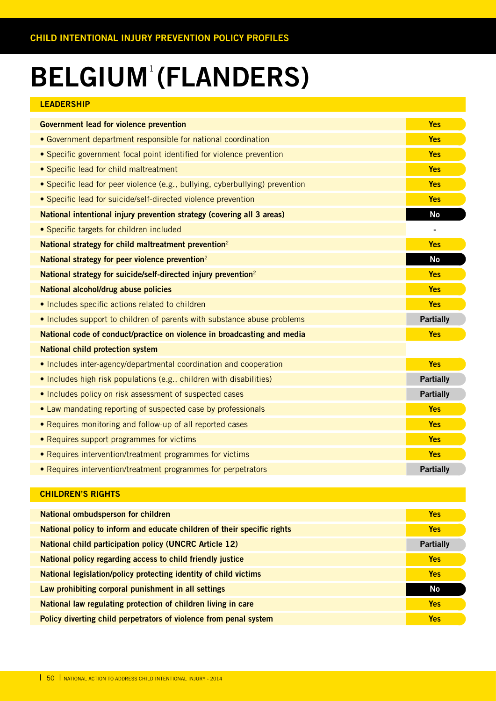# **BELGIUM (FLANDERS)** 1

| <b>LEADERSHIP</b>                                                            |                  |
|------------------------------------------------------------------------------|------------------|
| <b>Government lead for violence prevention</b>                               | <b>Yes</b>       |
| • Government department responsible for national coordination                | <b>Yes</b>       |
| • Specific government focal point identified for violence prevention         | <b>Yes</b>       |
| • Specific lead for child maltreatment                                       | <b>Yes</b>       |
| • Specific lead for peer violence (e.g., bullying, cyberbullying) prevention | <b>Yes</b>       |
| • Specific lead for suicide/self-directed violence prevention                | <b>Yes</b>       |
| National intentional injury prevention strategy (covering all 3 areas)       | <b>No</b>        |
| • Specific targets for children included                                     |                  |
| National strategy for child maltreatment prevention <sup>2</sup>             | <b>Yes</b>       |
| National strategy for peer violence prevention <sup>2</sup>                  | <b>No</b>        |
| National strategy for suicide/self-directed injury prevention <sup>2</sup>   | <b>Yes</b>       |
| National alcohol/drug abuse policies                                         | <b>Yes</b>       |
| • Includes specific actions related to children                              | <b>Yes</b>       |
| . Includes support to children of parents with substance abuse problems      | <b>Partially</b> |
| National code of conduct/practice on violence in broadcasting and media      | <b>Yes</b>       |
| <b>National child protection system</b>                                      |                  |
| • Includes inter-agency/departmental coordination and cooperation            | <b>Yes</b>       |
| • Includes high risk populations (e.g., children with disabilities)          | <b>Partially</b> |
| • Includes policy on risk assessment of suspected cases                      | <b>Partially</b> |
| • Law mandating reporting of suspected case by professionals                 | <b>Yes</b>       |
| • Requires monitoring and follow-up of all reported cases                    | <b>Yes</b>       |
| • Requires support programmes for victims                                    | <b>Yes</b>       |
| • Requires intervention/treatment programmes for victims                     | <b>Yes</b>       |
| • Requires intervention/treatment programmes for perpetrators                | <b>Partially</b> |

| <b>National ombudsperson for children</b>                               | <b>Yes</b>       |
|-------------------------------------------------------------------------|------------------|
| National policy to inform and educate children of their specific rights | <b>Yes</b>       |
| <b>National child participation policy (UNCRC Article 12)</b>           | <b>Partially</b> |
| National policy regarding access to child friendly justice              | <b>Yes</b>       |
| National legislation/policy protecting identity of child victims        | <b>Yes</b>       |
| Law prohibiting corporal punishment in all settings                     | No               |
| National law regulating protection of children living in care           | <b>Yes</b>       |
| Policy diverting child perpetrators of violence from penal system       | <b>Yes</b>       |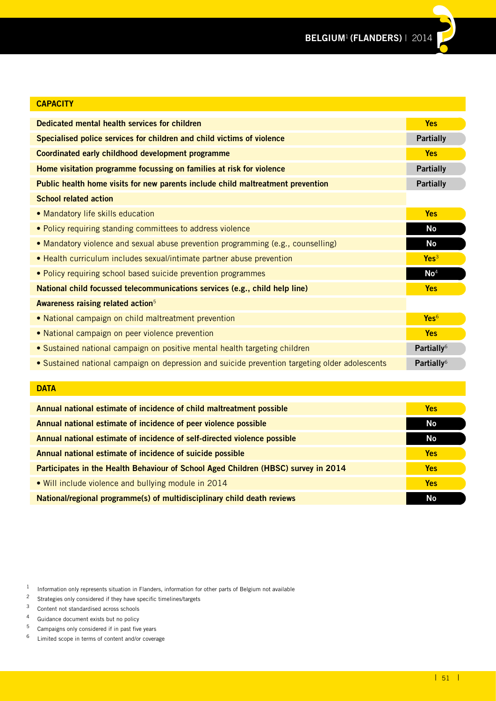| <b>CAPACITY</b>                                                                                |                        |
|------------------------------------------------------------------------------------------------|------------------------|
| Dedicated mental health services for children                                                  | <b>Yes</b>             |
| Specialised police services for children and child victims of violence                         | <b>Partially</b>       |
| Coordinated early childhood development programme                                              | <b>Yes</b>             |
| Home visitation programme focussing on families at risk for violence                           | <b>Partially</b>       |
| Public health home visits for new parents include child maltreatment prevention                | <b>Partially</b>       |
| <b>School related action</b>                                                                   |                        |
| • Mandatory life skills education                                                              | <b>Yes</b>             |
| • Policy requiring standing committees to address violence                                     | No                     |
| • Mandatory violence and sexual abuse prevention programming (e.g., counselling)               | <b>No</b>              |
| • Health curriculum includes sexual/intimate partner abuse prevention                          | Yes <sup>3</sup>       |
| • Policy requiring school based suicide prevention programmes                                  | $\mathsf{No}^4$        |
| National child focussed telecommunications services (e.g., child help line)                    | <b>Yes</b>             |
| Awareness raising related action <sup>5</sup>                                                  |                        |
| • National campaign on child maltreatment prevention                                           | Yes <sup>6</sup>       |
| • National campaign on peer violence prevention                                                | <b>Yes</b>             |
| • Sustained national campaign on positive mental health targeting children                     | Partially <sup>6</sup> |
| · Sustained national campaign on depression and suicide prevention targeting older adolescents | Partially <sup>6</sup> |
|                                                                                                |                        |
| <b>DATA</b>                                                                                    |                        |

| Annual national estimate of incidence of child maltreatment possible               | <b>Yes</b> |
|------------------------------------------------------------------------------------|------------|
| Annual national estimate of incidence of peer violence possible                    | No         |
| Annual national estimate of incidence of self-directed violence possible           | No         |
| Annual national estimate of incidence of suicide possible                          | <b>Yes</b> |
| Participates in the Health Behaviour of School Aged Children (HBSC) survey in 2014 | <b>Yes</b> |
| . Will include violence and bullying module in 2014                                | <b>Yes</b> |
| National/regional programme(s) of multidisciplinary child death reviews            | No         |

- Campaigns only considered if in past five years
- 6 Limited scope in terms of content and/or coverage

<sup>1</sup> Information only represents situation in Flanders, information for other parts of Belgium not available<br>2 Strategies only considered if they have specific timelines/targets

Strategies only considered if they have specific timelines/targets

<sup>3</sup> Content not standardised across schools

<sup>4</sup> Guidance document exists but no policy<br> $\frac{5}{2}$  Campaigns only considered if in past five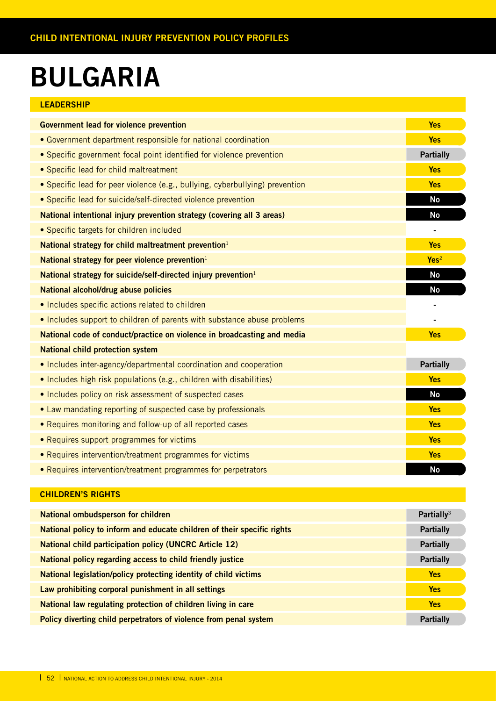# **BULGARIA**

| DULUANIA                                                                     |                          |
|------------------------------------------------------------------------------|--------------------------|
| <b>LEADERSHIP</b>                                                            |                          |
| <b>Government lead for violence prevention</b>                               | <b>Yes</b>               |
| • Government department responsible for national coordination                | <b>Yes</b>               |
| • Specific government focal point identified for violence prevention         | <b>Partially</b>         |
| • Specific lead for child maltreatment                                       | <b>Yes</b>               |
| • Specific lead for peer violence (e.g., bullying, cyberbullying) prevention | <b>Yes</b>               |
| • Specific lead for suicide/self-directed violence prevention                | <b>No</b>                |
| National intentional injury prevention strategy (covering all 3 areas)       | <b>No</b>                |
| • Specific targets for children included                                     |                          |
| National strategy for child maltreatment prevention <sup>1</sup>             | <b>Yes</b>               |
| National strategy for peer violence prevention $1$                           | Yes <sup>2</sup>         |
| National strategy for suicide/self-directed injury prevention <sup>1</sup>   | <b>No</b>                |
| National alcohol/drug abuse policies                                         | <b>No</b>                |
| · Includes specific actions related to children                              |                          |
| . Includes support to children of parents with substance abuse problems      | $\overline{\phantom{a}}$ |
| National code of conduct/practice on violence in broadcasting and media      | <b>Yes</b>               |
| <b>National child protection system</b>                                      |                          |
| • Includes inter-agency/departmental coordination and cooperation            | <b>Partially</b>         |
| • Includes high risk populations (e.g., children with disabilities)          | <b>Yes</b>               |
| • Includes policy on risk assessment of suspected cases                      | <b>No</b>                |
| • Law mandating reporting of suspected case by professionals                 | <b>Yes</b>               |
| • Requires monitoring and follow-up of all reported cases                    | <b>Yes</b>               |

- Requires support programmes for victims **Yes**
- Requires intervention/treatment programmes for victims **Yes**
- Requires intervention/treatment programmes for perpetrators **No**

| <b>National ombudsperson for children</b>                               | Partially <sup>3</sup> |
|-------------------------------------------------------------------------|------------------------|
| National policy to inform and educate children of their specific rights | <b>Partially</b>       |
| <b>National child participation policy (UNCRC Article 12)</b>           | <b>Partially</b>       |
| National policy regarding access to child friendly justice              | <b>Partially</b>       |
| National legislation/policy protecting identity of child victims        | <b>Yes</b>             |
| Law prohibiting corporal punishment in all settings                     | <b>Yes</b>             |
| National law regulating protection of children living in care           | <b>Yes</b>             |
| Policy diverting child perpetrators of violence from penal system       | <b>Partially</b>       |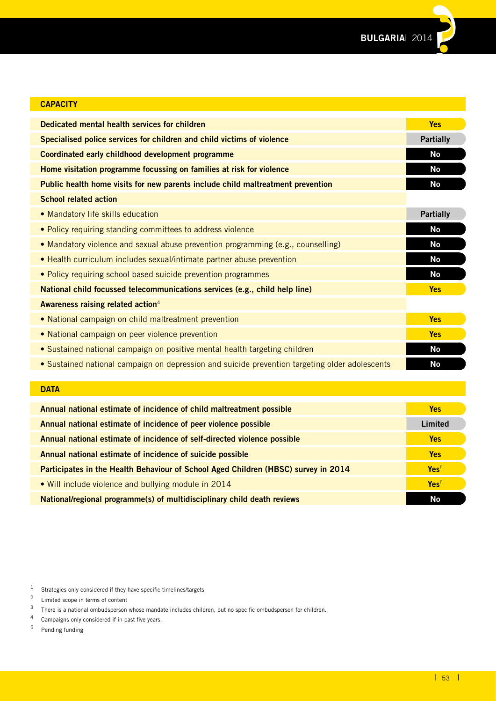

| <b>CAPACITY</b>                                                                                |                  |
|------------------------------------------------------------------------------------------------|------------------|
| Dedicated mental health services for children                                                  | <b>Yes</b>       |
| Specialised police services for children and child victims of violence                         | <b>Partially</b> |
| Coordinated early childhood development programme                                              | <b>No</b>        |
| Home visitation programme focussing on families at risk for violence                           | <b>No</b>        |
| Public health home visits for new parents include child maltreatment prevention                | <b>No</b>        |
| <b>School related action</b>                                                                   |                  |
| • Mandatory life skills education                                                              | <b>Partially</b> |
| • Policy requiring standing committees to address violence                                     | <b>No</b>        |
| • Mandatory violence and sexual abuse prevention programming (e.g., counselling)               | <b>No</b>        |
| • Health curriculum includes sexual/intimate partner abuse prevention                          | <b>No</b>        |
| • Policy requiring school based suicide prevention programmes                                  | <b>No</b>        |
| National child focussed telecommunications services (e.g., child help line)                    | <b>Yes</b>       |
| Awareness raising related action <sup>4</sup>                                                  |                  |
| • National campaign on child maltreatment prevention                                           | <b>Yes</b>       |
| • National campaign on peer violence prevention                                                | <b>Yes</b>       |
| • Sustained national campaign on positive mental health targeting children                     | <b>No</b>        |
| • Sustained national campaign on depression and suicide prevention targeting older adolescents | <b>No</b>        |
|                                                                                                |                  |

| <b>Service Service</b> |     | <b>Service Service</b> | . .                    |  |
|------------------------|-----|------------------------|------------------------|--|
|                        | . . |                        | <b>Service Service</b> |  |
|                        |     |                        |                        |  |
|                        |     |                        |                        |  |

| Annual national estimate of incidence of child maltreatment possible               | <b>Yes</b>       |
|------------------------------------------------------------------------------------|------------------|
| Annual national estimate of incidence of peer violence possible                    | Limited          |
| Annual national estimate of incidence of self-directed violence possible           | <b>Yes</b>       |
| Annual national estimate of incidence of suicide possible                          | <b>Yes</b>       |
| Participates in the Health Behaviour of School Aged Children (HBSC) survey in 2014 | Yes <sup>5</sup> |
| . Will include violence and bullying module in 2014                                | Yes <sup>5</sup> |
| National/regional programme(s) of multidisciplinary child death reviews            | <b>No</b>        |

- <sup>4</sup> Campaigns only considered if in past five years.<br> $\frac{5}{2}$  Pending funding
- Pending funding

<sup>1</sup> Strategies only considered if they have specific timelines/targets<br> $\frac{2}{\pi}$  Limited scope in terms of content

<sup>&</sup>lt;sup>2</sup> Limited scope in terms of content<br> $\frac{3}{2}$  There is a national embudsperson

<sup>3</sup> There is a national ombudsperson whose mandate includes children, but no specific ombudsperson for children.<br>4 Campaigns only considered if in past five years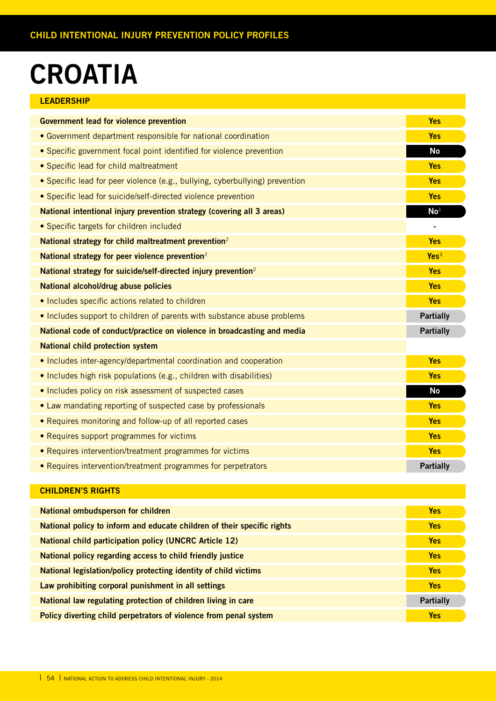# **CROATIA**

#### **LEADERSHIP**

| <b>Government lead for violence prevention</b>                               | <b>Yes</b>       |
|------------------------------------------------------------------------------|------------------|
| • Government department responsible for national coordination                | <b>Yes</b>       |
| • Specific government focal point identified for violence prevention         | <b>No</b>        |
| • Specific lead for child maltreatment                                       | <b>Yes</b>       |
| • Specific lead for peer violence (e.g., bullying, cyberbullying) prevention | <b>Yes</b>       |
| · Specific lead for suicide/self-directed violence prevention                | <b>Yes</b>       |
| National intentional injury prevention strategy (covering all 3 areas)       | $\mathbf{No}^1$  |
| • Specific targets for children included                                     |                  |
| National strategy for child maltreatment prevention <sup>2</sup>             | <b>Yes</b>       |
| National strategy for peer violence prevention <sup>2</sup>                  | Yes <sup>3</sup> |
| National strategy for suicide/self-directed injury prevention <sup>2</sup>   | <b>Yes</b>       |
| National alcohol/drug abuse policies                                         | <b>Yes</b>       |
| • Includes specific actions related to children                              | <b>Yes</b>       |
| . Includes support to children of parents with substance abuse problems      | <b>Partially</b> |
| National code of conduct/practice on violence in broadcasting and media      | <b>Partially</b> |
| <b>National child protection system</b>                                      |                  |
| • Includes inter-agency/departmental coordination and cooperation            | <b>Yes</b>       |
| • Includes high risk populations (e.g., children with disabilities)          | <b>Yes</b>       |
| . Includes policy on risk assessment of suspected cases                      | <b>No</b>        |
| • Law mandating reporting of suspected case by professionals                 | <b>Yes</b>       |
| • Requires monitoring and follow-up of all reported cases                    | <b>Yes</b>       |
| • Requires support programmes for victims                                    | <b>Yes</b>       |
| • Requires intervention/treatment programmes for victims                     | <b>Yes</b>       |
| • Requires intervention/treatment programmes for perpetrators                | <b>Partially</b> |

| National ombudsperson for children                                      | <b>Yes</b>       |
|-------------------------------------------------------------------------|------------------|
| National policy to inform and educate children of their specific rights | <b>Yes</b>       |
| <b>National child participation policy (UNCRC Article 12)</b>           | <b>Yes</b>       |
| National policy regarding access to child friendly justice              | <b>Yes</b>       |
| National legislation/policy protecting identity of child victims        | <b>Yes</b>       |
| Law prohibiting corporal punishment in all settings                     | <b>Yes</b>       |
| National law regulating protection of children living in care           | <b>Partially</b> |
| Policy diverting child perpetrators of violence from penal system       | <b>Yes</b>       |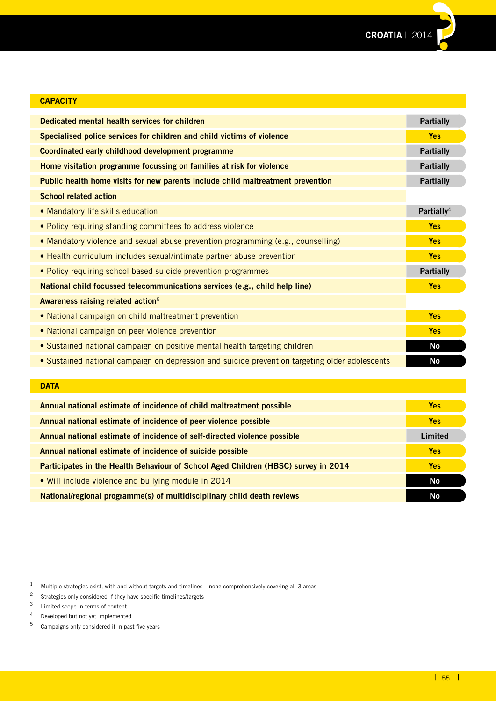#### **CAPACITY**

| Dedicated mental health services for children                                                  | <b>Partially</b>       |
|------------------------------------------------------------------------------------------------|------------------------|
| Specialised police services for children and child victims of violence                         | <b>Yes</b>             |
| Coordinated early childhood development programme                                              | <b>Partially</b>       |
| Home visitation programme focussing on families at risk for violence                           | <b>Partially</b>       |
| Public health home visits for new parents include child maltreatment prevention                | <b>Partially</b>       |
| <b>School related action</b>                                                                   |                        |
| • Mandatory life skills education                                                              | Partially <sup>4</sup> |
| . Policy requiring standing committees to address violence                                     | <b>Yes</b>             |
| • Mandatory violence and sexual abuse prevention programming (e.g., counselling)               | <b>Yes</b>             |
| • Health curriculum includes sexual/intimate partner abuse prevention                          | <b>Yes</b>             |
| • Policy requiring school based suicide prevention programmes                                  | <b>Partially</b>       |
| National child focussed telecommunications services (e.g., child help line)                    | <b>Yes</b>             |
| Awareness raising related action <sup>5</sup>                                                  |                        |
| • National campaign on child maltreatment prevention                                           | <b>Yes</b>             |
| • National campaign on peer violence prevention                                                | <b>Yes</b>             |
| • Sustained national campaign on positive mental health targeting children                     | No                     |
| • Sustained national campaign on depression and suicide prevention targeting older adolescents | No                     |
| <b>DATA</b>                                                                                    |                        |

| Annual national estimate of incidence of child maltreatment possible               | <b>Yes</b> |
|------------------------------------------------------------------------------------|------------|
| Annual national estimate of incidence of peer violence possible                    | <b>Yes</b> |
| Annual national estimate of incidence of self-directed violence possible           | Limited    |
| Annual national estimate of incidence of suicide possible                          | <b>Yes</b> |
| Participates in the Health Behaviour of School Aged Children (HBSC) survey in 2014 | Yes        |
| • Will include violence and bullying module in 2014                                | No         |
| National/regional programme(s) of multidisciplinary child death reviews            | No         |

<sup>2</sup> Strategies only considered if they have specific timelines/targets

Campaigns only considered if in past five years

 $1$  Multiple strategies exist, with and without targets and timelines – none comprehensively covering all 3 areas

<sup>&</sup>lt;sup>3</sup> Limited scope in terms of content<br><sup>4</sup> Developed but not yet implemente

<sup>&</sup>lt;sup>4</sup> Developed but not yet implemented<br> $\frac{5}{2}$  Campaigns only considered if in pas-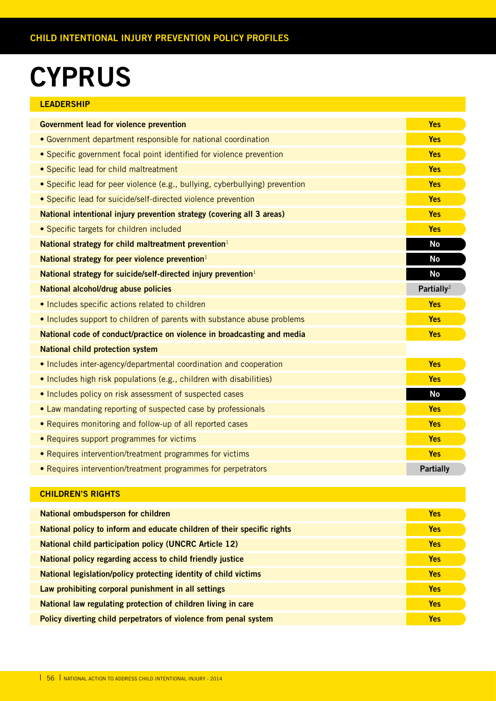# **CYPRUS**

| <b>LEADERSHIP</b>                                                            |                        |
|------------------------------------------------------------------------------|------------------------|
| <b>Government lead for violence prevention</b>                               | <b>Yes</b>             |
| • Government department responsible for national coordination                | <b>Yes</b>             |
| • Specific government focal point identified for violence prevention         | <b>Yes</b>             |
| • Specific lead for child maltreatment                                       | <b>Yes</b>             |
| • Specific lead for peer violence (e.g., bullying, cyberbullying) prevention | <b>Yes</b>             |
| • Specific lead for suicide/self-directed violence prevention                | <b>Yes</b>             |
| National intentional injury prevention strategy (covering all 3 areas)       | <b>Yes</b>             |
| • Specific targets for children included                                     | <b>Yes</b>             |
| National strategy for child maltreatment prevention <sup>1</sup>             | <b>No</b>              |
| National strategy for peer violence prevention <sup>1</sup>                  | No                     |
| National strategy for suicide/self-directed injury prevention <sup>1</sup>   | No                     |
| National alcohol/drug abuse policies                                         | Partially <sup>2</sup> |
| . Includes specific actions related to children                              | <b>Yes</b>             |
| . Includes support to children of parents with substance abuse problems      | <b>Yes</b>             |
| National code of conduct/practice on violence in broadcasting and media      | <b>Yes</b>             |
| <b>National child protection system</b>                                      |                        |
| • Includes inter-agency/departmental coordination and cooperation            | <b>Yes</b>             |
| • Includes high risk populations (e.g., children with disabilities)          | <b>Yes</b>             |
| . Includes policy on risk assessment of suspected cases                      | <b>No</b>              |
| • Law mandating reporting of suspected case by professionals                 | <b>Yes</b>             |
| • Requires monitoring and follow-up of all reported cases                    | <b>Yes</b>             |
| • Requires support programmes for victims                                    | <b>Yes</b>             |
| • Requires intervention/treatment programmes for victims                     | <b>Yes</b>             |
| • Requires intervention/treatment programmes for perpetrators                | <b>Partially</b>       |

| National ombudsperson for children                                      | <b>Yes</b> |
|-------------------------------------------------------------------------|------------|
| National policy to inform and educate children of their specific rights | <b>Yes</b> |
| <b>National child participation policy (UNCRC Article 12)</b>           | Yes        |
| National policy regarding access to child friendly justice              | <b>Yes</b> |
| National legislation/policy protecting identity of child victims        | <b>Yes</b> |
| Law prohibiting corporal punishment in all settings                     | <b>Yes</b> |
| National law regulating protection of children living in care           | <b>Yes</b> |
| Policy diverting child perpetrators of violence from penal system       | <b>Yes</b> |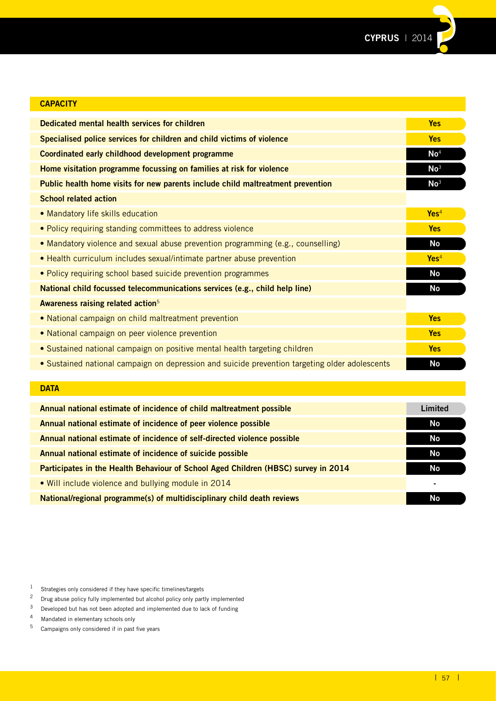

| <b>CAPACITY</b>                                                                                |                  |
|------------------------------------------------------------------------------------------------|------------------|
| Dedicated mental health services for children                                                  | <b>Yes</b>       |
| Specialised police services for children and child victims of violence                         | <b>Yes</b>       |
| Coordinated early childhood development programme                                              | $\mathsf{No}^4$  |
| Home visitation programme focussing on families at risk for violence                           | No <sup>3</sup>  |
| Public health home visits for new parents include child maltreatment prevention                | No <sup>3</sup>  |
| <b>School related action</b>                                                                   |                  |
| • Mandatory life skills education                                                              | Yes <sup>4</sup> |
| • Policy requiring standing committees to address violence                                     | <b>Yes</b>       |
| • Mandatory violence and sexual abuse prevention programming (e.g., counselling)               | <b>No</b>        |
| • Health curriculum includes sexual/intimate partner abuse prevention                          | Yes <sup>4</sup> |
| • Policy requiring school based suicide prevention programmes                                  | <b>No</b>        |
| National child focussed telecommunications services (e.g., child help line)                    | <b>No</b>        |
| Awareness raising related action <sup>5</sup>                                                  |                  |
| • National campaign on child maltreatment prevention                                           | <b>Yes</b>       |
| • National campaign on peer violence prevention                                                | <b>Yes</b>       |
| • Sustained national campaign on positive mental health targeting children                     | <b>Yes</b>       |
| • Sustained national campaign on depression and suicide prevention targeting older adolescents | <b>No</b>        |
|                                                                                                |                  |

### **DATA**

| Annual national estimate of incidence of child maltreatment possible               | Limited   |
|------------------------------------------------------------------------------------|-----------|
| Annual national estimate of incidence of peer violence possible                    | No.       |
| Annual national estimate of incidence of self-directed violence possible           | <b>No</b> |
| Annual national estimate of incidence of suicide possible                          | No.       |
| Participates in the Health Behaviour of School Aged Children (HBSC) survey in 2014 | <b>No</b> |
| • Will include violence and bullying module in 2014                                |           |
| National/regional programme(s) of multidisciplinary child death reviews            | No        |

4 Mandated in elementary schools only<br> $\frac{5}{2}$  Campaigns only considered if in past

Campaigns only considered if in past five years

<sup>1</sup> Strategies only considered if they have specific timelines/targets<br> $\frac{2}{\pi}$  Drug abuse policy fully implemented but alcohol policy only part

<sup>&</sup>lt;sup>2</sup> Drug abuse policy fully implemented but alcohol policy only partly implemented  $\frac{3}{2}$  Developed but has not been adopted and implemented due to lack of funding

<sup>&</sup>lt;sup>3</sup> Developed but has not been adopted and implemented due to lack of funding<br><sup>4</sup> Mandated in elementary schools only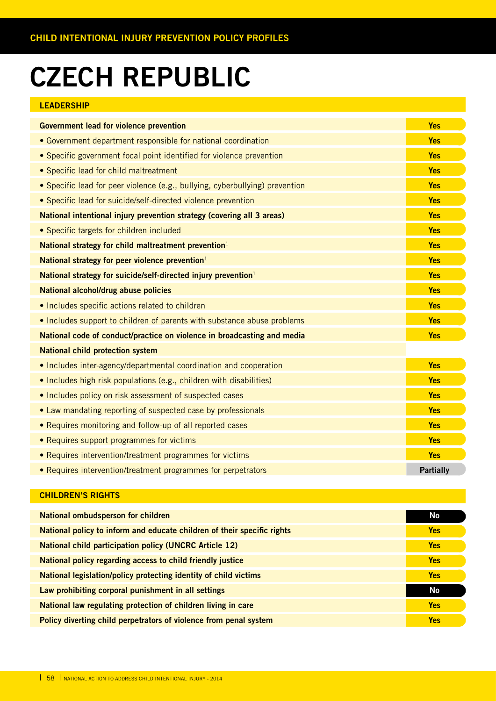# **CZECH REPUBLIC**

#### **LEADERSHIP**

| <b>Government lead for violence prevention</b>                               | <b>Yes</b>       |
|------------------------------------------------------------------------------|------------------|
| • Government department responsible for national coordination                | <b>Yes</b>       |
| • Specific government focal point identified for violence prevention         | <b>Yes</b>       |
| • Specific lead for child maltreatment                                       | <b>Yes</b>       |
| • Specific lead for peer violence (e.g., bullying, cyberbullying) prevention | <b>Yes</b>       |
| • Specific lead for suicide/self-directed violence prevention                | <b>Yes</b>       |
| National intentional injury prevention strategy (covering all 3 areas)       | <b>Yes</b>       |
| • Specific targets for children included                                     | <b>Yes</b>       |
| National strategy for child maltreatment prevention <sup>1</sup>             | <b>Yes</b>       |
| National strategy for peer violence prevention $1$                           | <b>Yes</b>       |
| National strategy for suicide/self-directed injury prevention <sup>1</sup>   | <b>Yes</b>       |
| National alcohol/drug abuse policies                                         | <b>Yes</b>       |
| • Includes specific actions related to children                              | <b>Yes</b>       |
| . Includes support to children of parents with substance abuse problems      | <b>Yes</b>       |
| National code of conduct/practice on violence in broadcasting and media      | <b>Yes</b>       |
| <b>National child protection system</b>                                      |                  |
| • Includes inter-agency/departmental coordination and cooperation            | Yes              |
| • Includes high risk populations (e.g., children with disabilities)          | <b>Yes</b>       |
| • Includes policy on risk assessment of suspected cases                      | <b>Yes</b>       |
| • Law mandating reporting of suspected case by professionals                 | <b>Yes</b>       |
| • Requires monitoring and follow-up of all reported cases                    | <b>Yes</b>       |
| • Requires support programmes for victims                                    | <b>Yes</b>       |
| • Requires intervention/treatment programmes for victims                     | <b>Yes</b>       |
| • Requires intervention/treatment programmes for perpetrators                | <b>Partially</b> |

| National ombudsperson for children                                      | No         |
|-------------------------------------------------------------------------|------------|
| National policy to inform and educate children of their specific rights | <b>Yes</b> |
| <b>National child participation policy (UNCRC Article 12)</b>           | <b>Yes</b> |
| National policy regarding access to child friendly justice              | <b>Yes</b> |
| National legislation/policy protecting identity of child victims        | <b>Yes</b> |
| Law prohibiting corporal punishment in all settings                     | <b>No</b>  |
| National law regulating protection of children living in care           | Yes        |
| Policy diverting child perpetrators of violence from penal system       | <b>Yes</b> |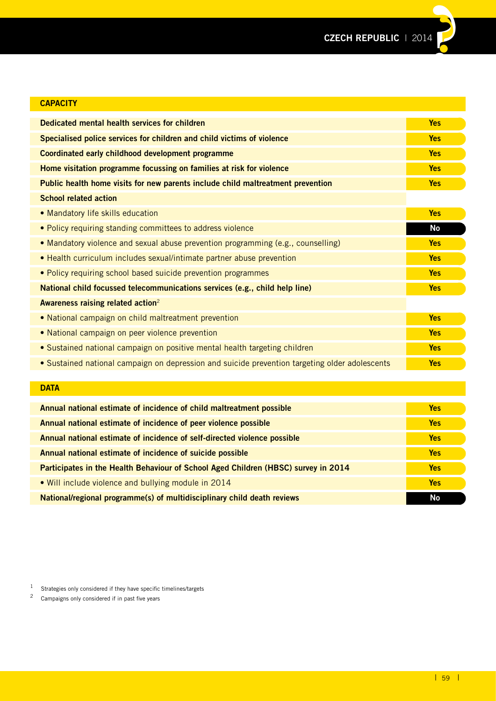| <b>CAPACITY</b>                                                                                |            |
|------------------------------------------------------------------------------------------------|------------|
| Dedicated mental health services for children                                                  | <b>Yes</b> |
| Specialised police services for children and child victims of violence                         | <b>Yes</b> |
| Coordinated early childhood development programme                                              | <b>Yes</b> |
| Home visitation programme focussing on families at risk for violence                           | <b>Yes</b> |
| Public health home visits for new parents include child maltreatment prevention                | <b>Yes</b> |
| <b>School related action</b>                                                                   |            |
| • Mandatory life skills education                                                              | <b>Yes</b> |
| • Policy requiring standing committees to address violence                                     | <b>No</b>  |
| • Mandatory violence and sexual abuse prevention programming (e.g., counselling)               | <b>Yes</b> |
| • Health curriculum includes sexual/intimate partner abuse prevention                          | <b>Yes</b> |
| • Policy requiring school based suicide prevention programmes                                  | <b>Yes</b> |
| National child focussed telecommunications services (e.g., child help line)                    | <b>Yes</b> |
| Awareness raising related action <sup>2</sup>                                                  |            |
| • National campaign on child maltreatment prevention                                           | <b>Yes</b> |
| • National campaign on peer violence prevention                                                | <b>Yes</b> |
| • Sustained national campaign on positive mental health targeting children                     | <b>Yes</b> |
| • Sustained national campaign on depression and suicide prevention targeting older adolescents | <b>Yes</b> |
|                                                                                                |            |
| <b>DATA</b>                                                                                    |            |
| Annual national estimate of incidence of child maltreatment possible                           | <b>Yes</b> |
| Annual national estimate of incidence of peer violence possible                                | <b>Yes</b> |

**Annual national estimate of incidence of self-directed violence possible Yes Annual national estimate of incidence of suicide possible Yes Participates in the Health Behaviour of School Aged Children (HBSC) survey in 2014 Yes** • Will include violence and bullying module in 2014 **Yes National/regional programme(s) of multidisciplinary child death reviews No and Construction Construction No and No** 

1 Strategies only considered if they have specific timelines/targets  $\frac{2}{3}$  Campaigns only considered if in part five years.

<sup>2</sup> Campaigns only considered if in past five years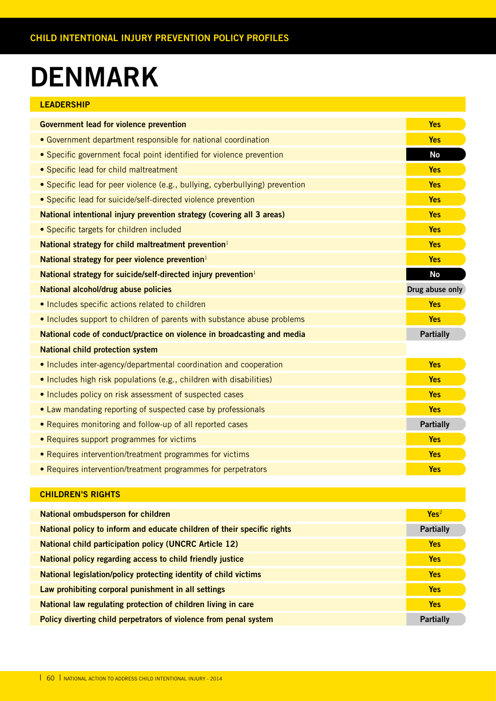# **DENMARK**

| LEADERSHIP |  |  |  |  |
|------------|--|--|--|--|
|            |  |  |  |  |

| <b>Government lead for violence prevention</b>                               | <b>Yes</b>       |
|------------------------------------------------------------------------------|------------------|
| • Government department responsible for national coordination                | <b>Yes</b>       |
| • Specific government focal point identified for violence prevention         | <b>No</b>        |
| • Specific lead for child maltreatment                                       | <b>Yes</b>       |
| • Specific lead for peer violence (e.g., bullying, cyberbullying) prevention | <b>Yes</b>       |
| • Specific lead for suicide/self-directed violence prevention                | <b>Yes</b>       |
| National intentional injury prevention strategy (covering all 3 areas)       | <b>Yes</b>       |
| • Specific targets for children included                                     | <b>Yes</b>       |
| National strategy for child maltreatment prevention <sup>1</sup>             | <b>Yes</b>       |
| National strategy for peer violence prevention $1$                           | <b>Yes</b>       |
| National strategy for suicide/self-directed injury prevention <sup>1</sup>   | <b>No</b>        |
| National alcohol/drug abuse policies                                         | Drug abuse only  |
| • Includes specific actions related to children                              | <b>Yes</b>       |
| . Includes support to children of parents with substance abuse problems      | <b>Yes</b>       |
| National code of conduct/practice on violence in broadcasting and media      | <b>Partially</b> |
| <b>National child protection system</b>                                      |                  |
| • Includes inter-agency/departmental coordination and cooperation            | <b>Yes</b>       |
| • Includes high risk populations (e.g., children with disabilities)          | <b>Yes</b>       |
| • Includes policy on risk assessment of suspected cases                      | <b>Yes</b>       |
| • Law mandating reporting of suspected case by professionals                 | <b>Yes</b>       |
| • Requires monitoring and follow-up of all reported cases                    | <b>Partially</b> |
| • Requires support programmes for victims                                    | <b>Yes</b>       |
| • Requires intervention/treatment programmes for victims                     | <b>Yes</b>       |
| • Requires intervention/treatment programmes for perpetrators                | <b>Yes</b>       |

| National ombudsperson for children                                      | Yes <sup>2</sup> |
|-------------------------------------------------------------------------|------------------|
| National policy to inform and educate children of their specific rights | <b>Partially</b> |
| <b>National child participation policy (UNCRC Article 12)</b>           | <b>Yes</b>       |
| National policy regarding access to child friendly justice              | <b>Yes</b>       |
| National legislation/policy protecting identity of child victims        | <b>Yes</b>       |
| Law prohibiting corporal punishment in all settings                     | <b>Yes</b>       |
| National law regulating protection of children living in care           | <b>Yes</b>       |
| Policy diverting child perpetrators of violence from penal system       | <b>Partially</b> |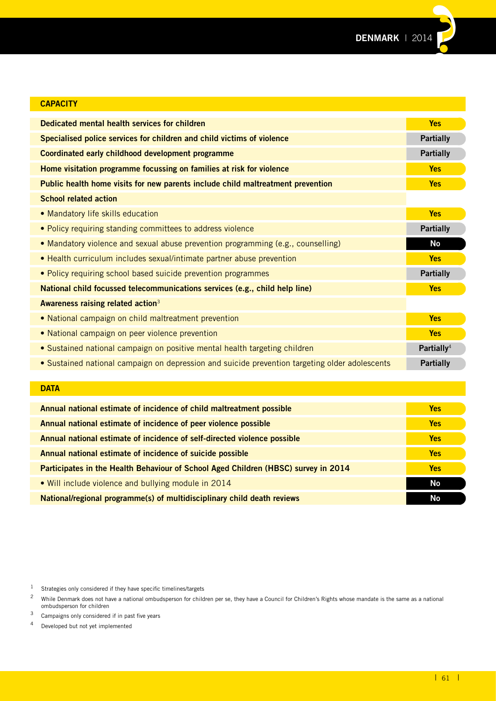

| <b>CAPACITY</b>                                                                                |                        |
|------------------------------------------------------------------------------------------------|------------------------|
| Dedicated mental health services for children                                                  | <b>Yes</b>             |
| Specialised police services for children and child victims of violence                         | <b>Partially</b>       |
| Coordinated early childhood development programme                                              | <b>Partially</b>       |
| Home visitation programme focussing on families at risk for violence                           | <b>Yes</b>             |
| Public health home visits for new parents include child maltreatment prevention                | <b>Yes</b>             |
| <b>School related action</b>                                                                   |                        |
| • Mandatory life skills education                                                              | <b>Yes</b>             |
| • Policy requiring standing committees to address violence                                     | <b>Partially</b>       |
| • Mandatory violence and sexual abuse prevention programming (e.g., counselling)               | <b>No</b>              |
| • Health curriculum includes sexual/intimate partner abuse prevention                          | <b>Yes</b>             |
| • Policy requiring school based suicide prevention programmes                                  | <b>Partially</b>       |
| National child focussed telecommunications services (e.g., child help line)                    | <b>Yes</b>             |
| Awareness raising related action <sup>3</sup>                                                  |                        |
| • National campaign on child maltreatment prevention                                           | <b>Yes</b>             |
| • National campaign on peer violence prevention                                                | <b>Yes</b>             |
| • Sustained national campaign on positive mental health targeting children                     | Partially <sup>4</sup> |
| . Sustained national campaign on depression and suicide prevention targeting older adolescents | <b>Partially</b>       |
|                                                                                                |                        |
| <b>DATA</b>                                                                                    |                        |

| Annual national estimate of incidence of child maltreatment possible               | <b>Yes</b> |
|------------------------------------------------------------------------------------|------------|
| Annual national estimate of incidence of peer violence possible                    | <b>Yes</b> |
| Annual national estimate of incidence of self-directed violence possible           | <b>Yes</b> |
| Annual national estimate of incidence of suicide possible                          | <b>Yes</b> |
| Participates in the Health Behaviour of School Aged Children (HBSC) survey in 2014 | <b>Yes</b> |
| . Will include violence and bullying module in 2014                                | No         |
| National/regional programme(s) of multidisciplinary child death reviews            | <b>No</b>  |

<sup>1</sup> Strategies only considered if they have specific timelines/targets<br> $\frac{2}{\pi}$  While Denmark does not have a national ombudsperson for child

 $^2$  While Denmark does not have a national ombudsperson for children per se, they have a Council for Children's Rights whose mandate is the same as a national ombudsperson for children

 $\frac{3}{4}$  Campaigns only considered if in past five years

Developed but not yet implemented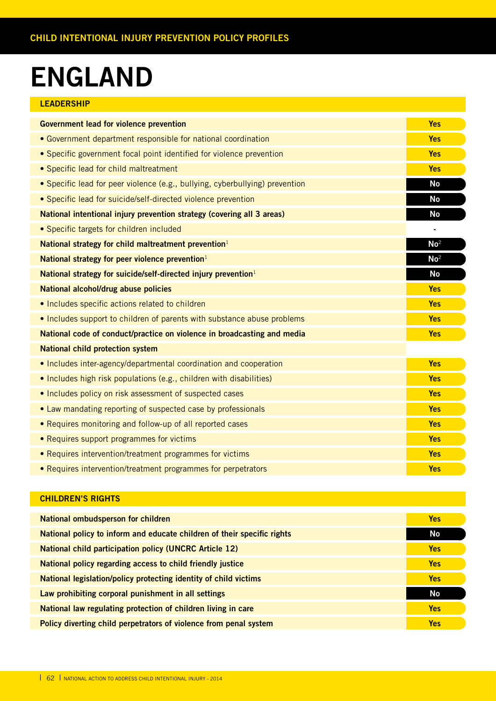# **ENGLAND**

| <b>LEADERSHIP</b> |  |  |
|-------------------|--|--|
|                   |  |  |

| <b>Government lead for violence prevention</b>                               | <b>Yes</b>      |
|------------------------------------------------------------------------------|-----------------|
| • Government department responsible for national coordination                | <b>Yes</b>      |
| • Specific government focal point identified for violence prevention         | <b>Yes</b>      |
| • Specific lead for child maltreatment                                       | <b>Yes</b>      |
| • Specific lead for peer violence (e.g., bullying, cyberbullying) prevention | <b>No</b>       |
| · Specific lead for suicide/self-directed violence prevention                | <b>No</b>       |
| National intentional injury prevention strategy (covering all 3 areas)       | No              |
| • Specific targets for children included                                     |                 |
| National strategy for child maltreatment prevention <sup>1</sup>             | No <sup>2</sup> |
| National strategy for peer violence prevention <sup>1</sup>                  | No <sup>2</sup> |
| National strategy for suicide/self-directed injury prevention <sup>1</sup>   | <b>No</b>       |
| National alcohol/drug abuse policies                                         | <b>Yes</b>      |
| . Includes specific actions related to children                              | <b>Yes</b>      |
| • Includes support to children of parents with substance abuse problems      | <b>Yes</b>      |
| National code of conduct/practice on violence in broadcasting and media      | <b>Yes</b>      |
| <b>National child protection system</b>                                      |                 |
| • Includes inter-agency/departmental coordination and cooperation            | <b>Yes</b>      |
| • Includes high risk populations (e.g., children with disabilities)          | <b>Yes</b>      |
| • Includes policy on risk assessment of suspected cases                      | <b>Yes</b>      |
| • Law mandating reporting of suspected case by professionals                 | <b>Yes</b>      |
| • Requires monitoring and follow-up of all reported cases                    | <b>Yes</b>      |
| • Requires support programmes for victims                                    | <b>Yes</b>      |
| • Requires intervention/treatment programmes for victims                     | <b>Yes</b>      |
| • Requires intervention/treatment programmes for perpetrators                | <b>Yes</b>      |

| <b>National ombudsperson for children</b>                               | <b>Yes</b> |
|-------------------------------------------------------------------------|------------|
| National policy to inform and educate children of their specific rights | No         |
| <b>National child participation policy (UNCRC Article 12)</b>           | <b>Yes</b> |
| National policy regarding access to child friendly justice              | <b>Yes</b> |
| National legislation/policy protecting identity of child victims        | <b>Yes</b> |
| Law prohibiting corporal punishment in all settings                     | <b>No</b>  |
| National law regulating protection of children living in care           | <b>Yes</b> |
| Policy diverting child perpetrators of violence from penal system       | <b>Yes</b> |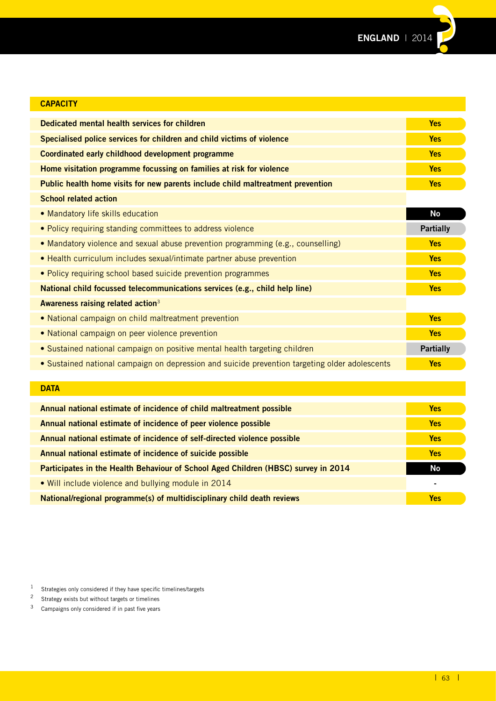

| <b>CAPACITY</b>                                                                                |                  |
|------------------------------------------------------------------------------------------------|------------------|
| Dedicated mental health services for children                                                  | <b>Yes</b>       |
| Specialised police services for children and child victims of violence                         | <b>Yes</b>       |
| Coordinated early childhood development programme                                              | <b>Yes</b>       |
| Home visitation programme focussing on families at risk for violence                           | <b>Yes</b>       |
| Public health home visits for new parents include child maltreatment prevention                | <b>Yes</b>       |
| <b>School related action</b>                                                                   |                  |
| • Mandatory life skills education                                                              | <b>No</b>        |
| . Policy requiring standing committees to address violence                                     | <b>Partially</b> |
| • Mandatory violence and sexual abuse prevention programming (e.g., counselling)               | <b>Yes</b>       |
| • Health curriculum includes sexual/intimate partner abuse prevention                          | <b>Yes</b>       |
| . Policy requiring school based suicide prevention programmes                                  | <b>Yes</b>       |
| National child focussed telecommunications services (e.g., child help line)                    | <b>Yes</b>       |
| Awareness raising related action <sup>3</sup>                                                  |                  |
| . National campaign on child maltreatment prevention                                           | <b>Yes</b>       |
| • National campaign on peer violence prevention                                                | <b>Yes</b>       |
| • Sustained national campaign on positive mental health targeting children                     | <b>Partially</b> |
| • Sustained national campaign on depression and suicide prevention targeting older adolescents | <b>Yes</b>       |
|                                                                                                |                  |
| <b>DATA</b>                                                                                    |                  |
| Annual national estimate of incidence of child maltreatment possible                           | <b>Yes</b>       |
| Annual national estimate of incidence of peer violence possible                                | <b>Yes</b>       |
| Annual national estimate of incidence of self-directed violence possible                       | <b>Yes</b>       |

**Annual national estimate of incidence of suicide possible Yes Participates in the Health Behaviour of School Aged Children (HBSC) survey in 2014 No** • Will include violence and bullying module in 2014 **-**

**National/regional programme(s) of multidisciplinary child death reviews National According to the State of the Yes** 

<sup>1</sup> Strategies only considered if they have specific timelines/targets

<sup>2</sup> Strategy exists but without targets or timelines

3 Campaigns only considered if in past five years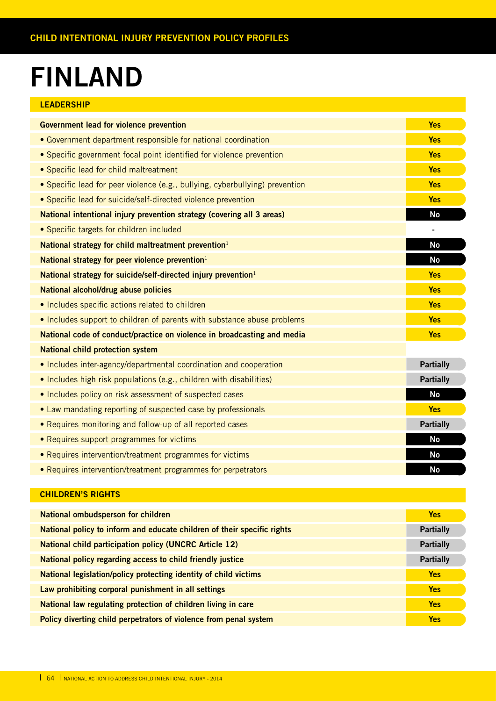# **FINLAND**

| <b>LEADERSHIP</b>                                                            |                  |
|------------------------------------------------------------------------------|------------------|
| <b>Government lead for violence prevention</b>                               | <b>Yes</b>       |
| • Government department responsible for national coordination                | <b>Yes</b>       |
| • Specific government focal point identified for violence prevention         | <b>Yes</b>       |
| • Specific lead for child maltreatment                                       | <b>Yes</b>       |
| • Specific lead for peer violence (e.g., bullying, cyberbullying) prevention | <b>Yes</b>       |
| • Specific lead for suicide/self-directed violence prevention                | <b>Yes</b>       |
| National intentional injury prevention strategy (covering all 3 areas)       | <b>No</b>        |
| • Specific targets for children included                                     |                  |
| National strategy for child maltreatment prevention <sup>1</sup>             | No               |
| National strategy for peer violence prevention <sup>1</sup>                  | <b>No</b>        |
| National strategy for suicide/self-directed injury prevention <sup>1</sup>   | <b>Yes</b>       |
| National alcohol/drug abuse policies                                         | <b>Yes</b>       |
| • Includes specific actions related to children                              | <b>Yes</b>       |
| . Includes support to children of parents with substance abuse problems      | <b>Yes</b>       |
| National code of conduct/practice on violence in broadcasting and media      | <b>Yes</b>       |
| <b>National child protection system</b>                                      |                  |
| • Includes inter-agency/departmental coordination and cooperation            | <b>Partially</b> |
| . Includes high risk populations (e.g., children with disabilities)          | <b>Partially</b> |
| . Includes policy on risk assessment of suspected cases                      | <b>No</b>        |
| • Law mandating reporting of suspected case by professionals                 | <b>Yes</b>       |
| • Requires monitoring and follow-up of all reported cases                    | <b>Partially</b> |
| • Requires support programmes for victims                                    | <b>No</b>        |
| • Requires intervention/treatment programmes for victims                     | <b>No</b>        |
| • Requires intervention/treatment programmes for perpetrators                | <b>No</b>        |

| National ombudsperson for children                                      | <b>Yes</b>       |
|-------------------------------------------------------------------------|------------------|
| National policy to inform and educate children of their specific rights | <b>Partially</b> |
| <b>National child participation policy (UNCRC Article 12)</b>           | <b>Partially</b> |
| National policy regarding access to child friendly justice              | <b>Partially</b> |
| National legislation/policy protecting identity of child victims        | <b>Yes</b>       |
| Law prohibiting corporal punishment in all settings                     | <b>Yes</b>       |
| National law regulating protection of children living in care           | <b>Yes</b>       |
| Policy diverting child perpetrators of violence from penal system       | <b>Yes</b>       |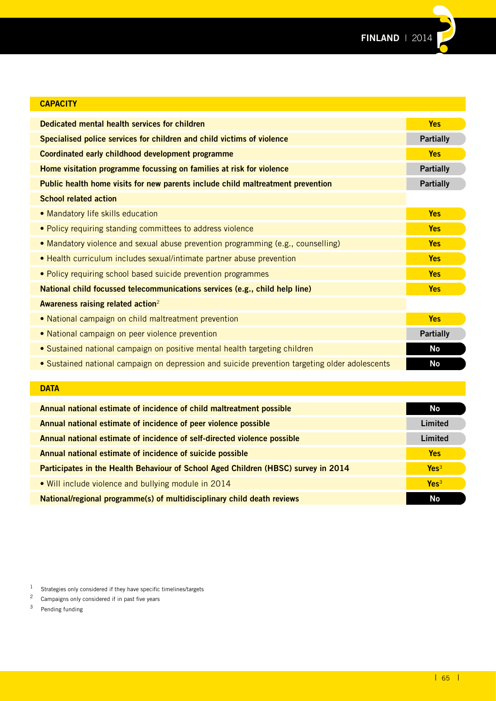

| <b>CAPACITY</b>                                                                                |                  |
|------------------------------------------------------------------------------------------------|------------------|
| Dedicated mental health services for children                                                  | <b>Yes</b>       |
| Specialised police services for children and child victims of violence                         | <b>Partially</b> |
| Coordinated early childhood development programme                                              | <b>Yes</b>       |
| Home visitation programme focussing on families at risk for violence                           | <b>Partially</b> |
| Public health home visits for new parents include child maltreatment prevention                | <b>Partially</b> |
| <b>School related action</b>                                                                   |                  |
| • Mandatory life skills education                                                              | <b>Yes</b>       |
| • Policy requiring standing committees to address violence                                     | <b>Yes</b>       |
| • Mandatory violence and sexual abuse prevention programming (e.g., counselling)               | <b>Yes</b>       |
| • Health curriculum includes sexual/intimate partner abuse prevention                          | <b>Yes</b>       |
| • Policy requiring school based suicide prevention programmes                                  | <b>Yes</b>       |
| National child focussed telecommunications services (e.g., child help line)                    | <b>Yes</b>       |
| Awareness raising related action <sup>2</sup>                                                  |                  |
| • National campaign on child maltreatment prevention                                           | <b>Yes</b>       |
| • National campaign on peer violence prevention                                                | <b>Partially</b> |
| • Sustained national campaign on positive mental health targeting children                     | <b>No</b>        |
| • Sustained national campaign on depression and suicide prevention targeting older adolescents | <b>No</b>        |
|                                                                                                |                  |

### **DATA**

| Annual national estimate of incidence of child maltreatment possible               | No               |
|------------------------------------------------------------------------------------|------------------|
| Annual national estimate of incidence of peer violence possible                    | Limited          |
| Annual national estimate of incidence of self-directed violence possible           | Limited          |
| Annual national estimate of incidence of suicide possible                          | <b>Yes</b>       |
| Participates in the Health Behaviour of School Aged Children (HBSC) survey in 2014 | Yes <sup>3</sup> |
| • Will include violence and bullying module in 2014                                | Yes <sup>3</sup> |
| National/regional programme(s) of multidisciplinary child death reviews            | No               |

1 Strategies only considered if they have specific timelines/targets<br> $\frac{2}{3}$  Campaigns only considered if in past five years

<sup>&</sup>lt;sup>2</sup> Campaigns only considered if in past five years<br><sup>3</sup> Pending funding

Pending funding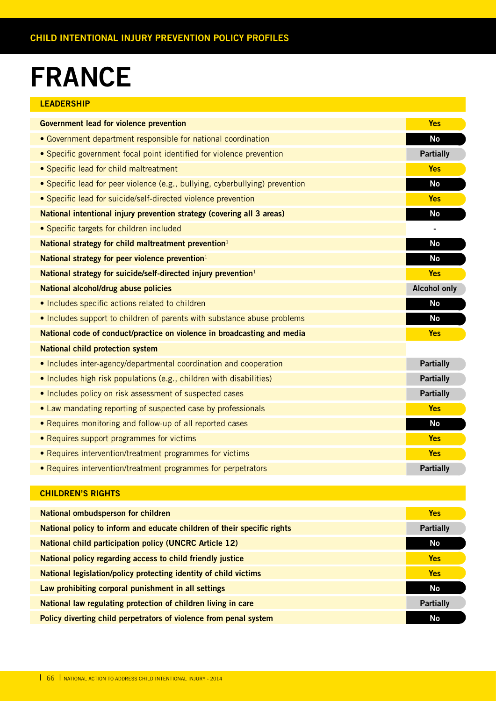# **FRANCE**

### **LEADERSHIP**

| <b>Government lead for violence prevention</b>                               | <b>Yes</b>          |
|------------------------------------------------------------------------------|---------------------|
| • Government department responsible for national coordination                | <b>No</b>           |
| • Specific government focal point identified for violence prevention         | <b>Partially</b>    |
| • Specific lead for child maltreatment                                       | <b>Yes</b>          |
| • Specific lead for peer violence (e.g., bullying, cyberbullying) prevention | <b>No</b>           |
| • Specific lead for suicide/self-directed violence prevention                | <b>Yes</b>          |
| National intentional injury prevention strategy (covering all 3 areas)       | <b>No</b>           |
| • Specific targets for children included                                     |                     |
| National strategy for child maltreatment prevention <sup>1</sup>             | <b>No</b>           |
| National strategy for peer violence prevention $1$                           | <b>No</b>           |
| National strategy for suicide/self-directed injury prevention <sup>1</sup>   | <b>Yes</b>          |
| National alcohol/drug abuse policies                                         | <b>Alcohol only</b> |
| • Includes specific actions related to children                              | <b>No</b>           |
| • Includes support to children of parents with substance abuse problems      | No                  |
| National code of conduct/practice on violence in broadcasting and media      | <b>Yes</b>          |
| <b>National child protection system</b>                                      |                     |
| • Includes inter-agency/departmental coordination and cooperation            | <b>Partially</b>    |
| • Includes high risk populations (e.g., children with disabilities)          | <b>Partially</b>    |
| • Includes policy on risk assessment of suspected cases                      | <b>Partially</b>    |
| • Law mandating reporting of suspected case by professionals                 | <b>Yes</b>          |
| • Requires monitoring and follow-up of all reported cases                    | <b>No</b>           |
| • Requires support programmes for victims                                    | <b>Yes</b>          |
| • Requires intervention/treatment programmes for victims                     | <b>Yes</b>          |
| • Requires intervention/treatment programmes for perpetrators                | <b>Partially</b>    |

| <b>National ombudsperson for children</b>                               | <b>Yes</b>       |
|-------------------------------------------------------------------------|------------------|
| National policy to inform and educate children of their specific rights | <b>Partially</b> |
| <b>National child participation policy (UNCRC Article 12)</b>           | No               |
| National policy regarding access to child friendly justice              | <b>Yes</b>       |
| National legislation/policy protecting identity of child victims        | <b>Yes</b>       |
| Law prohibiting corporal punishment in all settings                     | No               |
| National law regulating protection of children living in care           | <b>Partially</b> |
| Policy diverting child perpetrators of violence from penal system       | <b>No</b>        |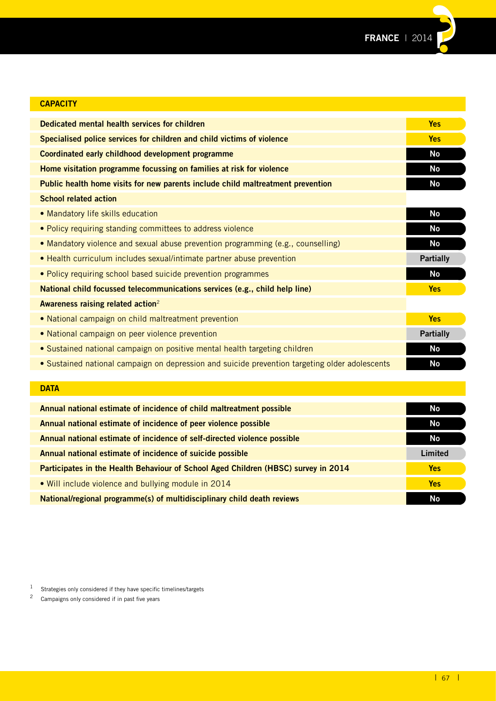

| <b>CAPACITY</b>                                                                                |                  |
|------------------------------------------------------------------------------------------------|------------------|
| Dedicated mental health services for children                                                  | <b>Yes</b>       |
| Specialised police services for children and child victims of violence                         | <b>Yes</b>       |
| Coordinated early childhood development programme                                              | <b>No</b>        |
| Home visitation programme focussing on families at risk for violence                           | <b>No</b>        |
| Public health home visits for new parents include child maltreatment prevention                | <b>No</b>        |
| <b>School related action</b>                                                                   |                  |
| • Mandatory life skills education                                                              | <b>No</b>        |
| • Policy requiring standing committees to address violence                                     | <b>No</b>        |
| • Mandatory violence and sexual abuse prevention programming (e.g., counselling)               | No               |
| • Health curriculum includes sexual/intimate partner abuse prevention                          | <b>Partially</b> |
| . Policy requiring school based suicide prevention programmes                                  | <b>No</b>        |
| National child focussed telecommunications services (e.g., child help line)                    | <b>Yes</b>       |
| Awareness raising related action <sup>2</sup>                                                  |                  |
| • National campaign on child maltreatment prevention                                           | <b>Yes</b>       |
| • National campaign on peer violence prevention                                                | <b>Partially</b> |
| • Sustained national campaign on positive mental health targeting children                     | No               |
| • Sustained national campaign on depression and suicide prevention targeting older adolescents | <b>No</b>        |
|                                                                                                |                  |

| <b>DATA</b>                                                                        |            |
|------------------------------------------------------------------------------------|------------|
|                                                                                    |            |
| Annual national estimate of incidence of child maltreatment possible               | No         |
| Annual national estimate of incidence of peer violence possible                    | No         |
| Annual national estimate of incidence of self-directed violence possible           | No         |
| Annual national estimate of incidence of suicide possible                          | Limited    |
| Participates in the Health Behaviour of School Aged Children (HBSC) survey in 2014 | <b>Yes</b> |
| • Will include violence and bullying module in 2014                                | <b>Yes</b> |
| National/regional programme(s) of multidisciplinary child death reviews            | No         |

1 Strategies only considered if they have specific timelines/targets<br> $\frac{2}{3}$  Campaigns only considered if in past five years

Campaigns only considered if in past five years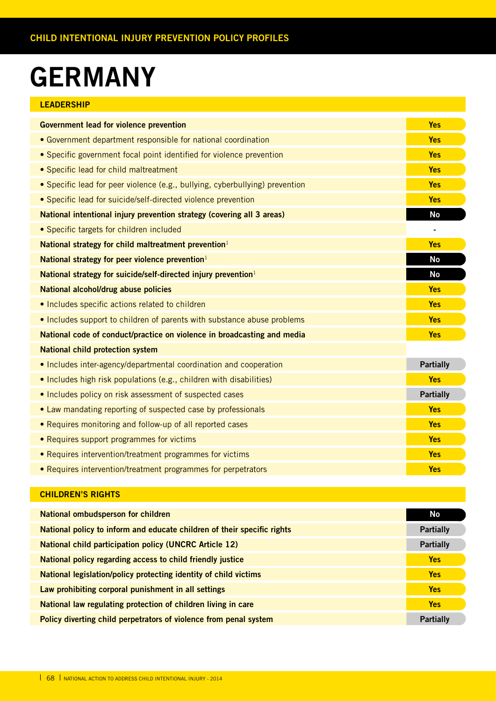# **GERMANY**

| <b>LEADERSHIP</b>                                                            |                  |
|------------------------------------------------------------------------------|------------------|
| <b>Government lead for violence prevention</b>                               | <b>Yes</b>       |
| • Government department responsible for national coordination                | <b>Yes</b>       |
| • Specific government focal point identified for violence prevention         | <b>Yes</b>       |
| • Specific lead for child maltreatment                                       | <b>Yes</b>       |
| • Specific lead for peer violence (e.g., bullying, cyberbullying) prevention | <b>Yes</b>       |
| • Specific lead for suicide/self-directed violence prevention                | <b>Yes</b>       |
| National intentional injury prevention strategy (covering all 3 areas)       | <b>No</b>        |
| • Specific targets for children included                                     |                  |
| National strategy for child maltreatment prevention <sup>1</sup>             | <b>Yes</b>       |
| National strategy for peer violence prevention <sup>1</sup>                  | <b>No</b>        |
| National strategy for suicide/self-directed injury prevention <sup>1</sup>   | <b>No</b>        |
| National alcohol/drug abuse policies                                         | <b>Yes</b>       |
| • Includes specific actions related to children                              | <b>Yes</b>       |
| • Includes support to children of parents with substance abuse problems      | <b>Yes</b>       |
| National code of conduct/practice on violence in broadcasting and media      | <b>Yes</b>       |
| <b>National child protection system</b>                                      |                  |
| • Includes inter-agency/departmental coordination and cooperation            | <b>Partially</b> |
| • Includes high risk populations (e.g., children with disabilities)          | <b>Yes</b>       |
| . Includes policy on risk assessment of suspected cases                      | <b>Partially</b> |
| • Law mandating reporting of suspected case by professionals                 | <b>Yes</b>       |
| • Requires monitoring and follow-up of all reported cases                    | <b>Yes</b>       |
| • Requires support programmes for victims                                    | <b>Yes</b>       |
| • Requires intervention/treatment programmes for victims                     | <b>Yes</b>       |
| • Requires intervention/treatment programmes for perpetrators                | <b>Yes</b>       |

| <b>National ombudsperson for children</b>                               | No               |
|-------------------------------------------------------------------------|------------------|
| National policy to inform and educate children of their specific rights | <b>Partially</b> |
| <b>National child participation policy (UNCRC Article 12)</b>           | <b>Partially</b> |
| National policy regarding access to child friendly justice              | <b>Yes</b>       |
| National legislation/policy protecting identity of child victims        | <b>Yes</b>       |
| Law prohibiting corporal punishment in all settings                     | <b>Yes</b>       |
| National law regulating protection of children living in care           | <b>Yes</b>       |
| Policy diverting child perpetrators of violence from penal system       | <b>Partially</b> |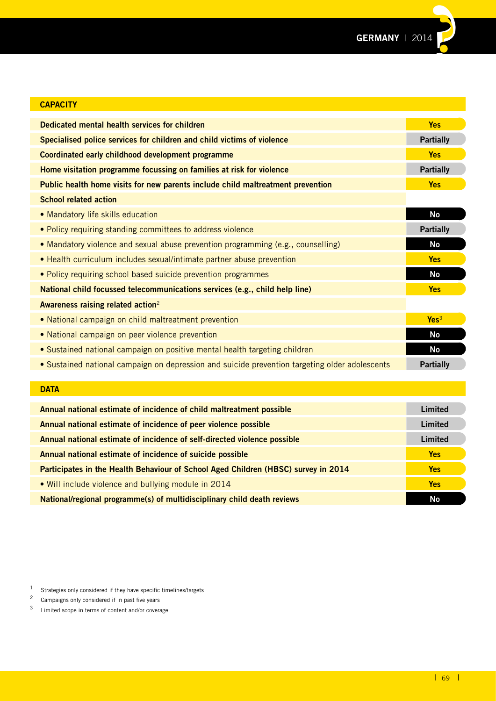

| <b>CAPACITY</b>                                                                                |                  |
|------------------------------------------------------------------------------------------------|------------------|
| Dedicated mental health services for children                                                  | <b>Yes</b>       |
| Specialised police services for children and child victims of violence                         | <b>Partially</b> |
| Coordinated early childhood development programme                                              | <b>Yes</b>       |
| Home visitation programme focussing on families at risk for violence                           | <b>Partially</b> |
| Public health home visits for new parents include child maltreatment prevention                | <b>Yes</b>       |
| <b>School related action</b>                                                                   |                  |
| • Mandatory life skills education                                                              | <b>No</b>        |
| • Policy requiring standing committees to address violence                                     | <b>Partially</b> |
| . Mandatory violence and sexual abuse prevention programming (e.g., counselling)               | <b>No</b>        |
| • Health curriculum includes sexual/intimate partner abuse prevention                          | <b>Yes</b>       |
| • Policy requiring school based suicide prevention programmes                                  | <b>No</b>        |
| National child focussed telecommunications services (e.g., child help line)                    | <b>Yes</b>       |
| Awareness raising related action <sup>2</sup>                                                  |                  |
| • National campaign on child maltreatment prevention                                           | Yes <sup>3</sup> |
| • National campaign on peer violence prevention                                                | No               |
| • Sustained national campaign on positive mental health targeting children                     | <b>No</b>        |
| • Sustained national campaign on depression and suicide prevention targeting older adolescents | <b>Partially</b> |
|                                                                                                |                  |

### **DATA**

| Annual national estimate of incidence of child maltreatment possible               | Limited    |
|------------------------------------------------------------------------------------|------------|
| Annual national estimate of incidence of peer violence possible                    | Limited    |
| Annual national estimate of incidence of self-directed violence possible           | Limited    |
| Annual national estimate of incidence of suicide possible                          | <b>Yes</b> |
| Participates in the Health Behaviour of School Aged Children (HBSC) survey in 2014 | <b>Yes</b> |
| • Will include violence and bullying module in 2014                                | <b>Yes</b> |
| National/regional programme(s) of multidisciplinary child death reviews            | Nο         |

1 Strategies only considered if they have specific timelines/targets<br>2 Campaigns only considered if in past five years

<sup>&</sup>lt;sup>2</sup> Campaigns only considered if in past five years<br> $\frac{3}{2}$  Limited scope in terms of content and/or coveral

Limited scope in terms of content and/or coverage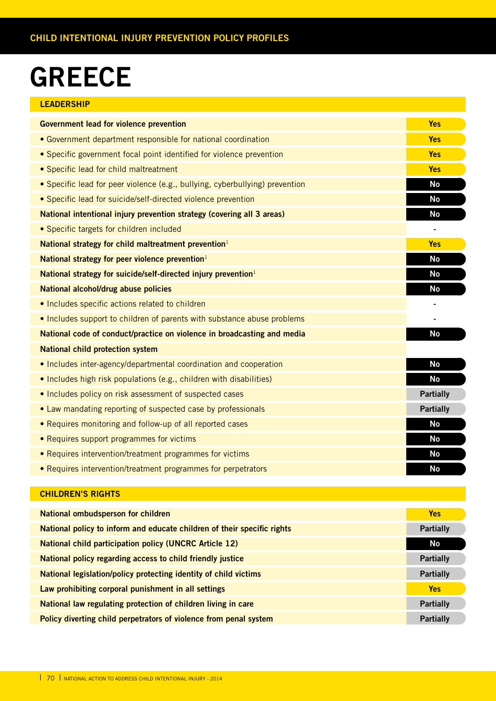# **GREECE**

| <b>LEADERSHIP</b>                                                            |                  |
|------------------------------------------------------------------------------|------------------|
| <b>Government lead for violence prevention</b>                               | <b>Yes</b>       |
| • Government department responsible for national coordination                | <b>Yes</b>       |
| • Specific government focal point identified for violence prevention         | <b>Yes</b>       |
| • Specific lead for child maltreatment                                       | <b>Yes</b>       |
| • Specific lead for peer violence (e.g., bullying, cyberbullying) prevention | <b>No</b>        |
| • Specific lead for suicide/self-directed violence prevention                | <b>No</b>        |
| National intentional injury prevention strategy (covering all 3 areas)       | <b>No</b>        |
| • Specific targets for children included                                     |                  |
| National strategy for child maltreatment prevention <sup>1</sup>             | <b>Yes</b>       |
| National strategy for peer violence prevention $1$                           | <b>No</b>        |
| National strategy for suicide/self-directed injury prevention <sup>1</sup>   | <b>No</b>        |
| National alcohol/drug abuse policies                                         | No               |
| • Includes specific actions related to children                              |                  |
| . Includes support to children of parents with substance abuse problems      |                  |
| National code of conduct/practice on violence in broadcasting and media      | <b>No</b>        |
| <b>National child protection system</b>                                      |                  |
| • Includes inter-agency/departmental coordination and cooperation            | <b>No</b>        |
| • Includes high risk populations (e.g., children with disabilities)          | <b>No</b>        |
| • Includes policy on risk assessment of suspected cases                      | <b>Partially</b> |
| • Law mandating reporting of suspected case by professionals                 | <b>Partially</b> |
| • Requires monitoring and follow-up of all reported cases                    | <b>No</b>        |
| • Requires support programmes for victims                                    | <b>No</b>        |
| • Requires intervention/treatment programmes for victims                     | <b>No</b>        |
| • Requires intervention/treatment programmes for perpetrators                | No               |

| <b>National ombudsperson for children</b>                               | <b>Yes</b>       |
|-------------------------------------------------------------------------|------------------|
| National policy to inform and educate children of their specific rights | <b>Partially</b> |
| <b>National child participation policy (UNCRC Article 12)</b>           | No               |
| National policy regarding access to child friendly justice              | <b>Partially</b> |
| National legislation/policy protecting identity of child victims        | <b>Partially</b> |
| Law prohibiting corporal punishment in all settings                     | <b>Yes</b>       |
| National law regulating protection of children living in care           | <b>Partially</b> |
| Policy diverting child perpetrators of violence from penal system       | <b>Partially</b> |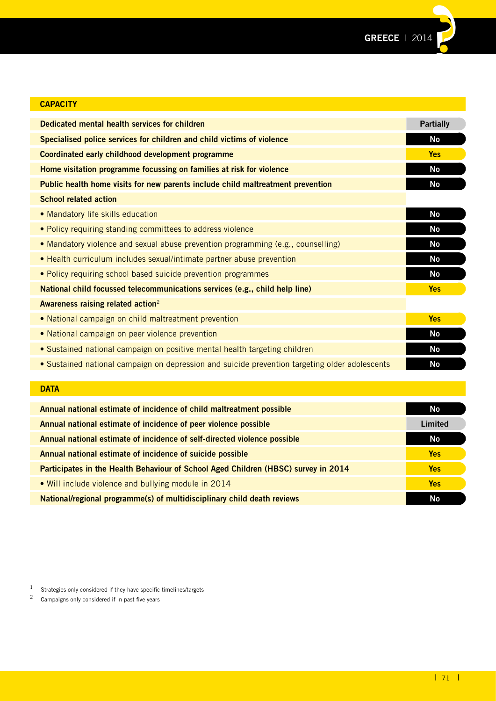

| <b>Partially</b> |
|------------------|
| No               |
| <b>Yes</b>       |
| No               |
| No               |
|                  |
| No               |
| No               |
| No               |
| No               |
| <b>No</b>        |
| <b>Yes</b>       |
|                  |
| <b>Yes</b>       |
| <b>No</b>        |
| No               |
| No               |
|                  |

### **DATA**

| Annual national estimate of incidence of child maltreatment possible               | <b>No</b>  |
|------------------------------------------------------------------------------------|------------|
| Annual national estimate of incidence of peer violence possible                    | Limited    |
| Annual national estimate of incidence of self-directed violence possible           | <b>No</b>  |
| Annual national estimate of incidence of suicide possible                          | <b>Yes</b> |
| Participates in the Health Behaviour of School Aged Children (HBSC) survey in 2014 | <b>Yes</b> |
| • Will include violence and bullying module in 2014                                | <b>Yes</b> |
| National/regional programme(s) of multidisciplinary child death reviews            | No         |

1 Strategies only considered if they have specific timelines/targets<br>2 Campaigns only considered if in past five years

Campaigns only considered if in past five years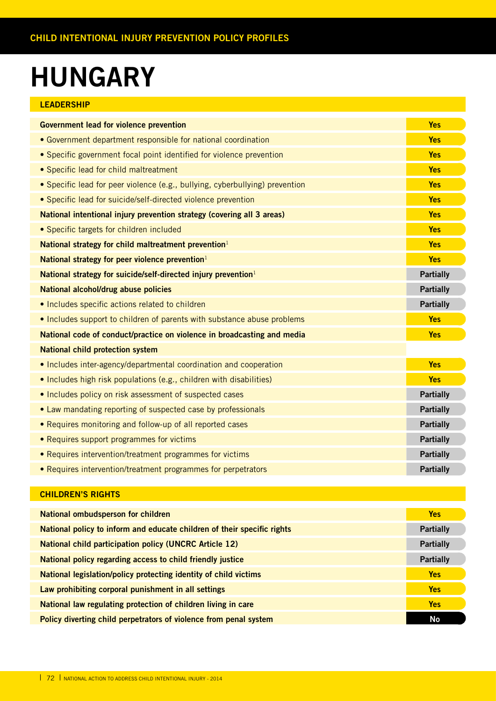# **HUNGARY**

| <b>LEADERSHIP</b>                                                            |                  |
|------------------------------------------------------------------------------|------------------|
| <b>Government lead for violence prevention</b>                               | <b>Yes</b>       |
| • Government department responsible for national coordination                | <b>Yes</b>       |
| • Specific government focal point identified for violence prevention         | <b>Yes</b>       |
| • Specific lead for child maltreatment                                       | <b>Yes</b>       |
| • Specific lead for peer violence (e.g., bullying, cyberbullying) prevention | <b>Yes</b>       |
| • Specific lead for suicide/self-directed violence prevention                | <b>Yes</b>       |
| National intentional injury prevention strategy (covering all 3 areas)       | <b>Yes</b>       |
| • Specific targets for children included                                     | <b>Yes</b>       |
| National strategy for child maltreatment prevention <sup>1</sup>             | <b>Yes</b>       |
| National strategy for peer violence prevention $1$                           | <b>Yes</b>       |
| National strategy for suicide/self-directed injury prevention <sup>1</sup>   | <b>Partially</b> |
| National alcohol/drug abuse policies                                         | <b>Partially</b> |
| . Includes specific actions related to children                              | <b>Partially</b> |
| • Includes support to children of parents with substance abuse problems      | <b>Yes</b>       |
| National code of conduct/practice on violence in broadcasting and media      | <b>Yes</b>       |
| <b>National child protection system</b>                                      |                  |
| • Includes inter-agency/departmental coordination and cooperation            | <b>Yes</b>       |
| • Includes high risk populations (e.g., children with disabilities)          | <b>Yes</b>       |
| . Includes policy on risk assessment of suspected cases                      | <b>Partially</b> |
| • Law mandating reporting of suspected case by professionals                 | <b>Partially</b> |
| • Requires monitoring and follow-up of all reported cases                    | <b>Partially</b> |
| • Requires support programmes for victims                                    | <b>Partially</b> |
| • Requires intervention/treatment programmes for victims                     | <b>Partially</b> |
| • Requires intervention/treatment programmes for perpetrators                | <b>Partially</b> |

| <b>National ombudsperson for children</b>                               | <b>Yes</b>       |
|-------------------------------------------------------------------------|------------------|
| National policy to inform and educate children of their specific rights | <b>Partially</b> |
| <b>National child participation policy (UNCRC Article 12)</b>           | <b>Partially</b> |
| National policy regarding access to child friendly justice              | <b>Partially</b> |
| National legislation/policy protecting identity of child victims        | <b>Yes</b>       |
| Law prohibiting corporal punishment in all settings                     | <b>Yes</b>       |
| National law regulating protection of children living in care           | <b>Yes</b>       |
| Policy diverting child perpetrators of violence from penal system       | No               |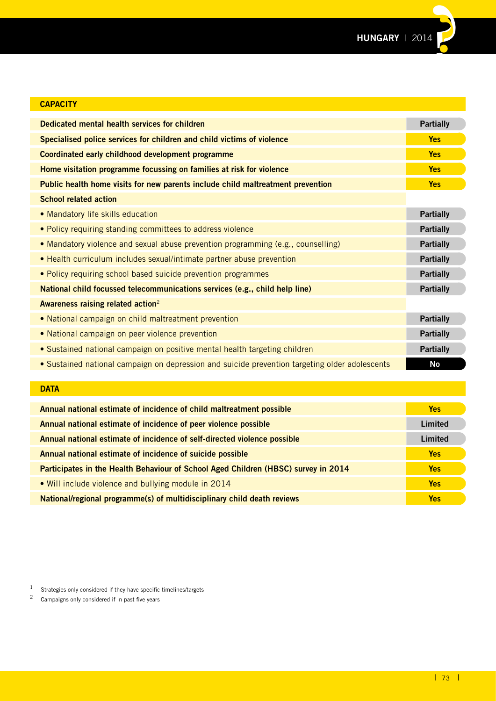

| <b>CAPACITY</b>                                                                                |                  |
|------------------------------------------------------------------------------------------------|------------------|
| Dedicated mental health services for children                                                  | <b>Partially</b> |
| Specialised police services for children and child victims of violence                         | <b>Yes</b>       |
| Coordinated early childhood development programme                                              | <b>Yes</b>       |
| Home visitation programme focussing on families at risk for violence                           | <b>Yes</b>       |
| Public health home visits for new parents include child maltreatment prevention                | <b>Yes</b>       |
| <b>School related action</b>                                                                   |                  |
| • Mandatory life skills education                                                              | <b>Partially</b> |
| • Policy requiring standing committees to address violence                                     | <b>Partially</b> |
| • Mandatory violence and sexual abuse prevention programming (e.g., counselling)               | <b>Partially</b> |
| • Health curriculum includes sexual/intimate partner abuse prevention                          | <b>Partially</b> |
| • Policy requiring school based suicide prevention programmes                                  | <b>Partially</b> |
| National child focussed telecommunications services (e.g., child help line)                    | <b>Partially</b> |
| Awareness raising related action <sup>2</sup>                                                  |                  |
| • National campaign on child maltreatment prevention                                           | <b>Partially</b> |
| • National campaign on peer violence prevention                                                | <b>Partially</b> |
| • Sustained national campaign on positive mental health targeting children                     | <b>Partially</b> |
| • Sustained national campaign on depression and suicide prevention targeting older adolescents | <b>No</b>        |
|                                                                                                |                  |
| <b>DATA</b>                                                                                    |                  |
|                                                                                                |                  |

| <b>DATA</b>                                                                        |            |
|------------------------------------------------------------------------------------|------------|
| Annual national estimate of incidence of child maltreatment possible               | <b>Yes</b> |
| Annual national estimate of incidence of peer violence possible                    | Limited    |
| Annual national estimate of incidence of self-directed violence possible           | Limited    |
| Annual national estimate of incidence of suicide possible                          | <b>Yes</b> |
| Participates in the Health Behaviour of School Aged Children (HBSC) survey in 2014 | <b>Yes</b> |
| • Will include violence and bullying module in 2014                                | <b>Yes</b> |
| National/regional programme(s) of multidisciplinary child death reviews            | <b>Yes</b> |

1 Strategies only considered if they have specific timelines/targets<br>2 Campaigns only considered if in past five years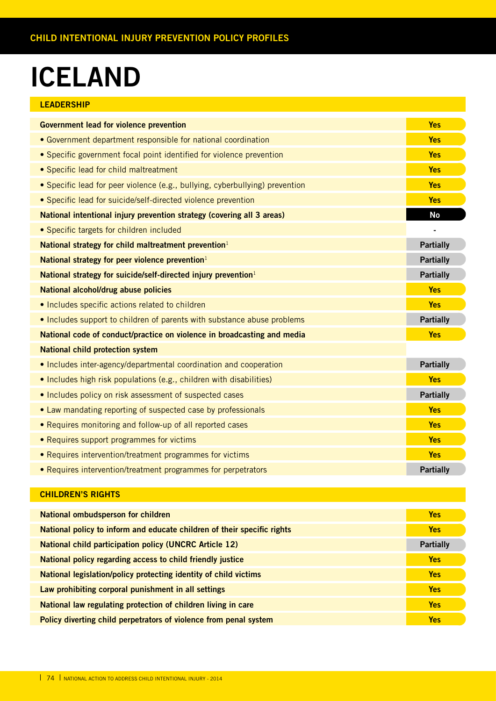### **ICELAND**

| LEADERSHIP |  |
|------------|--|
|            |  |

| <b>Government lead for violence prevention</b>                               | <b>Yes</b>       |
|------------------------------------------------------------------------------|------------------|
| • Government department responsible for national coordination                | <b>Yes</b>       |
| • Specific government focal point identified for violence prevention         | <b>Yes</b>       |
| • Specific lead for child maltreatment                                       | <b>Yes</b>       |
| • Specific lead for peer violence (e.g., bullying, cyberbullying) prevention | <b>Yes</b>       |
| · Specific lead for suicide/self-directed violence prevention                | <b>Yes</b>       |
| National intentional injury prevention strategy (covering all 3 areas)       | <b>No</b>        |
| • Specific targets for children included                                     |                  |
| National strategy for child maltreatment prevention <sup>1</sup>             | <b>Partially</b> |
| National strategy for peer violence prevention $1$                           | <b>Partially</b> |
| National strategy for suicide/self-directed injury prevention <sup>1</sup>   | <b>Partially</b> |
| National alcohol/drug abuse policies                                         | <b>Yes</b>       |
| · Includes specific actions related to children                              | <b>Yes</b>       |
| . Includes support to children of parents with substance abuse problems      | <b>Partially</b> |
| National code of conduct/practice on violence in broadcasting and media      | <b>Yes</b>       |
| <b>National child protection system</b>                                      |                  |
| • Includes inter-agency/departmental coordination and cooperation            | <b>Partially</b> |
| • Includes high risk populations (e.g., children with disabilities)          | <b>Yes</b>       |
| . Includes policy on risk assessment of suspected cases                      | <b>Partially</b> |
| • Law mandating reporting of suspected case by professionals                 | <b>Yes</b>       |
| • Requires monitoring and follow-up of all reported cases                    | <b>Yes</b>       |
| • Requires support programmes for victims                                    | <b>Yes</b>       |
| • Requires intervention/treatment programmes for victims                     | <b>Yes</b>       |
| • Requires intervention/treatment programmes for perpetrators                | <b>Partially</b> |

| National ombudsperson for children                                      | <b>Yes</b>       |
|-------------------------------------------------------------------------|------------------|
| National policy to inform and educate children of their specific rights | <b>Yes</b>       |
| <b>National child participation policy (UNCRC Article 12)</b>           | <b>Partially</b> |
| National policy regarding access to child friendly justice              | <b>Yes</b>       |
| National legislation/policy protecting identity of child victims        | <b>Yes</b>       |
| Law prohibiting corporal punishment in all settings                     | <b>Yes</b>       |
| National law regulating protection of children living in care           | <b>Yes</b>       |
| Policy diverting child perpetrators of violence from penal system       | <b>Yes</b>       |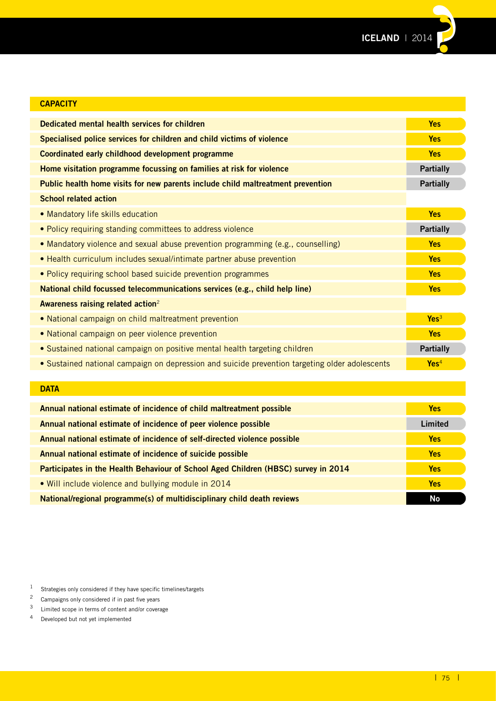**ICELAND** | 2014**??**

| <b>CAPACITY</b>                                                                                |                  |
|------------------------------------------------------------------------------------------------|------------------|
| Dedicated mental health services for children                                                  | <b>Yes</b>       |
| Specialised police services for children and child victims of violence                         | <b>Yes</b>       |
| Coordinated early childhood development programme                                              | <b>Yes</b>       |
| Home visitation programme focussing on families at risk for violence                           | <b>Partially</b> |
| Public health home visits for new parents include child maltreatment prevention                | <b>Partially</b> |
| <b>School related action</b>                                                                   |                  |
| • Mandatory life skills education                                                              | <b>Yes</b>       |
| . Policy requiring standing committees to address violence                                     | <b>Partially</b> |
| • Mandatory violence and sexual abuse prevention programming (e.g., counselling)               | <b>Yes</b>       |
| • Health curriculum includes sexual/intimate partner abuse prevention                          | <b>Yes</b>       |
| • Policy requiring school based suicide prevention programmes                                  | <b>Yes</b>       |
| National child focussed telecommunications services (e.g., child help line)                    | <b>Yes</b>       |
| Awareness raising related action <sup>2</sup>                                                  |                  |
| • National campaign on child maltreatment prevention                                           | Yes <sup>3</sup> |
| • National campaign on peer violence prevention                                                | <b>Yes</b>       |
| • Sustained national campaign on positive mental health targeting children                     | <b>Partially</b> |
| . Sustained national campaign on depression and suicide prevention targeting older adolescents | Yes <sup>4</sup> |
|                                                                                                |                  |
| <b>DATA</b>                                                                                    |                  |
| Annual national estimate of incidence of child maltreatment possible                           | <b>Yes</b>       |

| Annual national estimate of incidence of peer violence possible                    | Limited    |
|------------------------------------------------------------------------------------|------------|
| Annual national estimate of incidence of self-directed violence possible           | <b>Yes</b> |
| Annual national estimate of incidence of suicide possible                          | <b>Yes</b> |
| Participates in the Health Behaviour of School Aged Children (HBSC) survey in 2014 | <b>Yes</b> |
| • Will include violence and bullying module in 2014                                | Yes        |
| National/regional programme(s) of multidisciplinary child death reviews            | <b>No</b>  |

<sup>1</sup> Strategies only considered if they have specific timelines/targets<br> $\frac{2}{3}$  Campaigns only considered if in past five years

<sup>&</sup>lt;sup>2</sup> Campaigns only considered if in past five years<br><sup>3</sup> Limited scope in terms of content and/or covera

 $\frac{3}{4}$  Limited scope in terms of content and/or coverage<br>4 Developed but not vet implemented

Developed but not yet implemented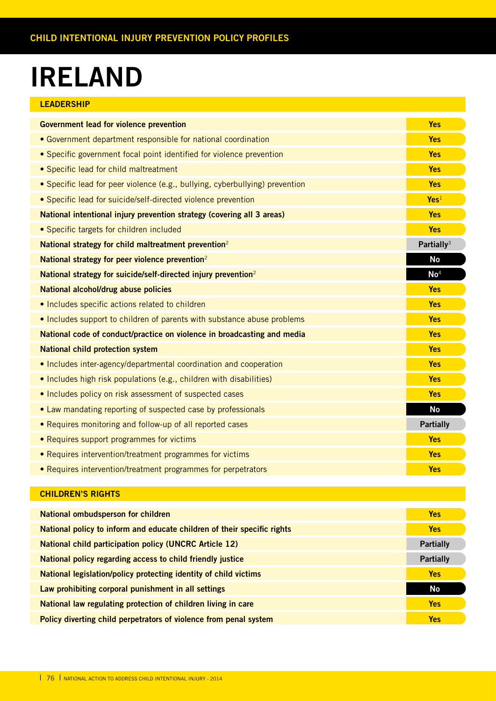### **IRELAND**

| LEADERSHIP |  |  |  |
|------------|--|--|--|
|            |  |  |  |

| <b>Government lead for violence prevention</b>                               | <b>Yes</b>             |
|------------------------------------------------------------------------------|------------------------|
| • Government department responsible for national coordination                | <b>Yes</b>             |
| • Specific government focal point identified for violence prevention         | <b>Yes</b>             |
| • Specific lead for child maltreatment                                       | <b>Yes</b>             |
| • Specific lead for peer violence (e.g., bullying, cyberbullying) prevention | <b>Yes</b>             |
| • Specific lead for suicide/self-directed violence prevention                | Yes <sup>1</sup>       |
| National intentional injury prevention strategy (covering all 3 areas)       | <b>Yes</b>             |
| • Specific targets for children included                                     | <b>Yes</b>             |
| National strategy for child maltreatment prevention <sup>2</sup>             | Partially <sup>3</sup> |
| National strategy for peer violence prevention <sup>2</sup>                  | <b>No</b>              |
| National strategy for suicide/self-directed injury prevention <sup>2</sup>   | No <sup>4</sup>        |
| National alcohol/drug abuse policies                                         | <b>Yes</b>             |
| · Includes specific actions related to children                              | <b>Yes</b>             |
| • Includes support to children of parents with substance abuse problems      | <b>Yes</b>             |
| National code of conduct/practice on violence in broadcasting and media      | <b>Yes</b>             |
| <b>National child protection system</b>                                      | <b>Yes</b>             |
| • Includes inter-agency/departmental coordination and cooperation            | <b>Yes</b>             |
| . Includes high risk populations (e.g., children with disabilities)          | <b>Yes</b>             |
| . Includes policy on risk assessment of suspected cases                      | <b>Yes</b>             |
| • Law mandating reporting of suspected case by professionals                 | <b>No</b>              |
| • Requires monitoring and follow-up of all reported cases                    | <b>Partially</b>       |
| • Requires support programmes for victims                                    | <b>Yes</b>             |
| • Requires intervention/treatment programmes for victims                     | <b>Yes</b>             |
| • Requires intervention/treatment programmes for perpetrators                | <b>Yes</b>             |

| National ombudsperson for children                                      | <b>Yes</b>       |
|-------------------------------------------------------------------------|------------------|
| National policy to inform and educate children of their specific rights | <b>Yes</b>       |
| <b>National child participation policy (UNCRC Article 12)</b>           | <b>Partially</b> |
| National policy regarding access to child friendly justice              | <b>Partially</b> |
| National legislation/policy protecting identity of child victims        | <b>Yes</b>       |
| Law prohibiting corporal punishment in all settings                     | <b>No</b>        |
| National law regulating protection of children living in care           | <b>Yes</b>       |
| Policy diverting child perpetrators of violence from penal system       | <b>Yes</b>       |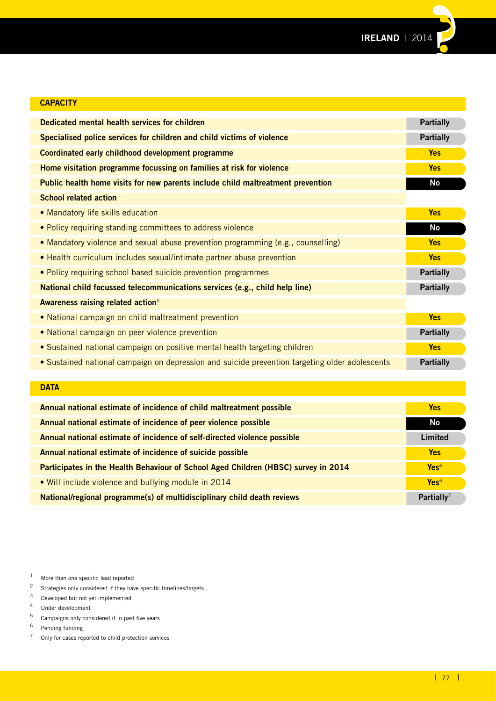**IRELAND** | 2014**??**

| <b>CAPACITY</b>                                                                                |                  |
|------------------------------------------------------------------------------------------------|------------------|
| Dedicated mental health services for children                                                  | <b>Partially</b> |
| Specialised police services for children and child victims of violence                         | <b>Partially</b> |
| Coordinated early childhood development programme                                              | <b>Yes</b>       |
| Home visitation programme focussing on families at risk for violence                           | <b>Yes</b>       |
| Public health home visits for new parents include child maltreatment prevention                | No               |
| <b>School related action</b>                                                                   |                  |
| • Mandatory life skills education                                                              | <b>Yes</b>       |
| • Policy requiring standing committees to address violence                                     | No               |
| • Mandatory violence and sexual abuse prevention programming (e.g., counselling)               | <b>Yes</b>       |
| • Health curriculum includes sexual/intimate partner abuse prevention                          | <b>Yes</b>       |
| • Policy requiring school based suicide prevention programmes                                  | <b>Partially</b> |
| National child focussed telecommunications services (e.g., child help line)                    | <b>Partially</b> |
| Awareness raising related action <sup>5</sup>                                                  |                  |
| • National campaign on child maltreatment prevention                                           | <b>Yes</b>       |
| • National campaign on peer violence prevention                                                | <b>Partially</b> |
| • Sustained national campaign on positive mental health targeting children                     | <b>Yes</b>       |
| • Sustained national campaign on depression and suicide prevention targeting older adolescents | <b>Partially</b> |
|                                                                                                |                  |
| <b>DATA</b>                                                                                    |                  |

| Annual national estimate of incidence of child maltreatment possible               | <b>Yes</b>             |
|------------------------------------------------------------------------------------|------------------------|
| Annual national estimate of incidence of peer violence possible                    | No                     |
| Annual national estimate of incidence of self-directed violence possible           | Limited                |
| Annual national estimate of incidence of suicide possible                          | <b>Yes</b>             |
| Participates in the Health Behaviour of School Aged Children (HBSC) survey in 2014 | Yes <sup>6</sup>       |
| • Will include violence and bullying module in 2014                                | Yes <sup>6</sup>       |
| National/regional programme(s) of multidisciplinary child death reviews            | Partially <sup>7</sup> |

<sup>1</sup> More than one specific lead reported

- <sup>2</sup> Strategies only considered if they have specific timelines/targets<br><sup>3</sup> Developed but not vet implemented
- $\frac{3}{4}$  Developed but not yet implemented<br> $\frac{4}{4}$  Under development
- $4$  Under development<br> $5$  Campaigns only con-
- <sup>5</sup> Campaigns only considered if in past five years<br><sup>6</sup> Pending funding
- $\frac{6}{7}$  Pending funding<br> $\frac{7}{7}$  Only for cases rep
- Only for cases reported to child protection services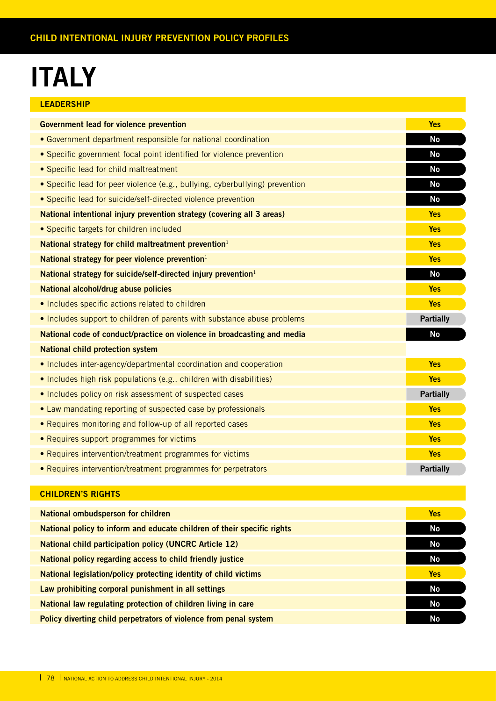### **ITALY**

| <b>LEADERSHIP</b>                                                            |                  |
|------------------------------------------------------------------------------|------------------|
| <b>Government lead for violence prevention</b>                               | <b>Yes</b>       |
| • Government department responsible for national coordination                | <b>No</b>        |
| • Specific government focal point identified for violence prevention         | <b>No</b>        |
| • Specific lead for child maltreatment                                       | <b>No</b>        |
| • Specific lead for peer violence (e.g., bullying, cyberbullying) prevention | <b>No</b>        |
| • Specific lead for suicide/self-directed violence prevention                | <b>No</b>        |
| National intentional injury prevention strategy (covering all 3 areas)       | <b>Yes</b>       |
| • Specific targets for children included                                     | <b>Yes</b>       |
| National strategy for child maltreatment prevention <sup>1</sup>             | <b>Yes</b>       |
| National strategy for peer violence prevention <sup>1</sup>                  | <b>Yes</b>       |
| National strategy for suicide/self-directed injury prevention <sup>1</sup>   | <b>No</b>        |
| National alcohol/drug abuse policies                                         | <b>Yes</b>       |
| • Includes specific actions related to children                              | <b>Yes</b>       |
| • Includes support to children of parents with substance abuse problems      | <b>Partially</b> |
| National code of conduct/practice on violence in broadcasting and media      | <b>No</b>        |
| <b>National child protection system</b>                                      |                  |
| • Includes inter-agency/departmental coordination and cooperation            | <b>Yes</b>       |
| • Includes high risk populations (e.g., children with disabilities)          | <b>Yes</b>       |
| • Includes policy on risk assessment of suspected cases                      | <b>Partially</b> |
| • Law mandating reporting of suspected case by professionals                 | <b>Yes</b>       |
| • Requires monitoring and follow-up of all reported cases                    | <b>Yes</b>       |
| • Requires support programmes for victims                                    | <b>Yes</b>       |
| • Requires intervention/treatment programmes for victims                     | <b>Yes</b>       |
| • Requires intervention/treatment programmes for perpetrators                | <b>Partially</b> |

| National ombudsperson for children                                      | <b>Yes</b> |
|-------------------------------------------------------------------------|------------|
| National policy to inform and educate children of their specific rights | No         |
| <b>National child participation policy (UNCRC Article 12)</b>           | No         |
| National policy regarding access to child friendly justice              | No         |
| National legislation/policy protecting identity of child victims        | <b>Yes</b> |
| Law prohibiting corporal punishment in all settings                     | No         |
| National law regulating protection of children living in care           | No         |
| Policy diverting child perpetrators of violence from penal system       | No         |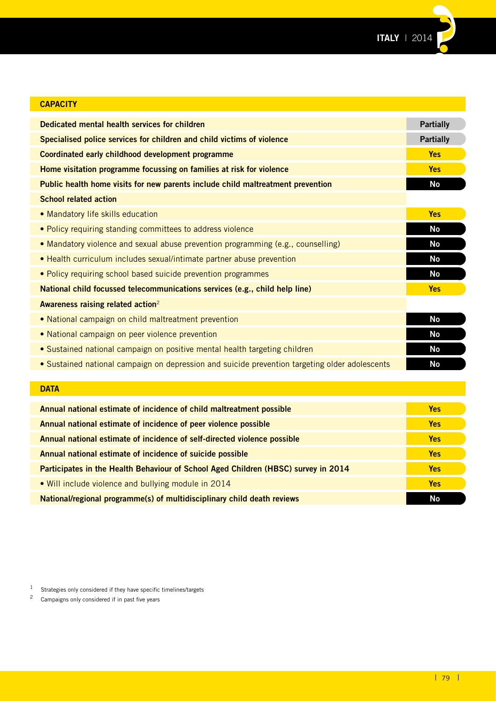

| <b>CAPACITY</b>                                                                                |                  |
|------------------------------------------------------------------------------------------------|------------------|
| Dedicated mental health services for children                                                  | <b>Partially</b> |
| Specialised police services for children and child victims of violence                         | <b>Partially</b> |
| Coordinated early childhood development programme                                              | <b>Yes</b>       |
| Home visitation programme focussing on families at risk for violence                           | <b>Yes</b>       |
| Public health home visits for new parents include child maltreatment prevention                | <b>No</b>        |
| <b>School related action</b>                                                                   |                  |
| • Mandatory life skills education                                                              | <b>Yes</b>       |
| • Policy requiring standing committees to address violence                                     | <b>No</b>        |
| • Mandatory violence and sexual abuse prevention programming (e.g., counselling)               | <b>No</b>        |
| • Health curriculum includes sexual/intimate partner abuse prevention                          | <b>No</b>        |
| • Policy requiring school based suicide prevention programmes                                  | <b>No</b>        |
| National child focussed telecommunications services (e.g., child help line)                    | <b>Yes</b>       |
| Awareness raising related action <sup>2</sup>                                                  |                  |
| • National campaign on child maltreatment prevention                                           | <b>No</b>        |
| . National campaign on peer violence prevention                                                | <b>No</b>        |
| • Sustained national campaign on positive mental health targeting children                     | <b>No</b>        |
| • Sustained national campaign on depression and suicide prevention targeting older adolescents | <b>No</b>        |
|                                                                                                |                  |
| <b>DATA</b>                                                                                    |                  |
| Annual national estimate of incidence of child maltreatment possible                           | <b>Yes</b>       |

| Annual national estimate of incidence of peer violence possible                    | <b>Yes</b> |
|------------------------------------------------------------------------------------|------------|
| Annual national estimate of incidence of self-directed violence possible           |            |
| Annual national estimate of incidence of suicide possible                          | <b>Yes</b> |
| Participates in the Health Behaviour of School Aged Children (HBSC) survey in 2014 | <b>Yes</b> |
| • Will include violence and bullying module in 2014                                | <b>Yes</b> |
| National/regional programme(s) of multidisciplinary child death reviews            | No         |

 $1$  Strategies only considered if they have specific timelines/targets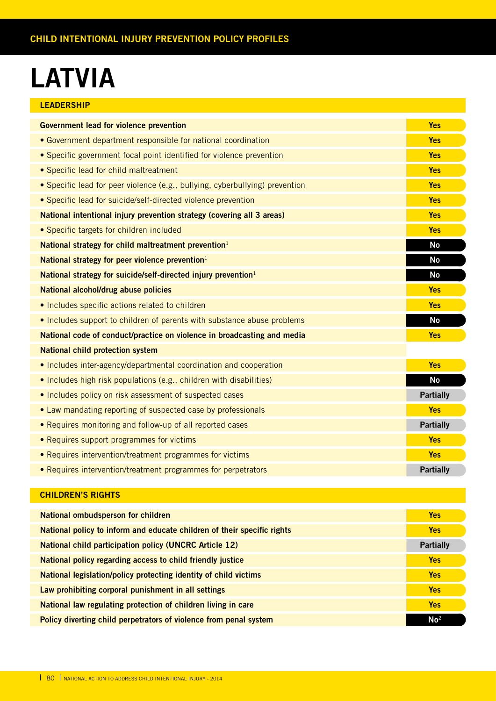# **LATVIA**

| <b>LEADERSHIP</b> |
|-------------------|
|-------------------|

| <b>Government lead for violence prevention</b>                               | <b>Yes</b>       |
|------------------------------------------------------------------------------|------------------|
| • Government department responsible for national coordination                | <b>Yes</b>       |
| • Specific government focal point identified for violence prevention         | <b>Yes</b>       |
| • Specific lead for child maltreatment                                       | <b>Yes</b>       |
| • Specific lead for peer violence (e.g., bullying, cyberbullying) prevention | <b>Yes</b>       |
| • Specific lead for suicide/self-directed violence prevention                | <b>Yes</b>       |
| National intentional injury prevention strategy (covering all 3 areas)       | <b>Yes</b>       |
| • Specific targets for children included                                     | <b>Yes</b>       |
| National strategy for child maltreatment prevention <sup>1</sup>             | <b>No</b>        |
| National strategy for peer violence prevention $1$                           | <b>No</b>        |
| National strategy for suicide/self-directed injury prevention <sup>1</sup>   | No               |
| National alcohol/drug abuse policies                                         | <b>Yes</b>       |
| • Includes specific actions related to children                              | <b>Yes</b>       |
| • Includes support to children of parents with substance abuse problems      | No               |
| National code of conduct/practice on violence in broadcasting and media      | <b>Yes</b>       |
| <b>National child protection system</b>                                      |                  |
| • Includes inter-agency/departmental coordination and cooperation            | <b>Yes</b>       |
| • Includes high risk populations (e.g., children with disabilities)          | <b>No</b>        |
| . Includes policy on risk assessment of suspected cases                      | <b>Partially</b> |
| • Law mandating reporting of suspected case by professionals                 | <b>Yes</b>       |
| • Requires monitoring and follow-up of all reported cases                    | <b>Partially</b> |
| • Requires support programmes for victims                                    | <b>Yes</b>       |
| • Requires intervention/treatment programmes for victims                     | <b>Yes</b>       |
| • Requires intervention/treatment programmes for perpetrators                | <b>Partially</b> |

| National ombudsperson for children                                      | <b>Yes</b>       |
|-------------------------------------------------------------------------|------------------|
| National policy to inform and educate children of their specific rights | <b>Yes</b>       |
| <b>National child participation policy (UNCRC Article 12)</b>           | <b>Partially</b> |
| National policy regarding access to child friendly justice              | <b>Yes</b>       |
| National legislation/policy protecting identity of child victims        | <b>Yes</b>       |
| Law prohibiting corporal punishment in all settings                     | <b>Yes</b>       |
| National law regulating protection of children living in care           | <b>Yes</b>       |
| Policy diverting child perpetrators of violence from penal system       | No <sup>2</sup>  |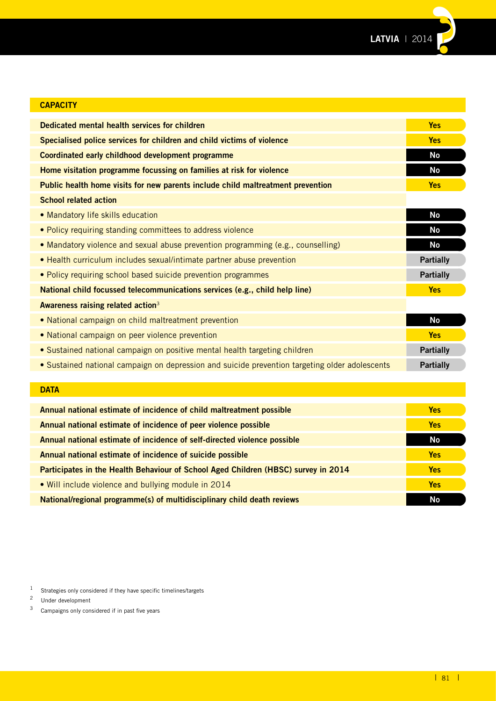**LATVIA** | 2014**??**

| <b>CAPACITY</b>                                                                                |                  |
|------------------------------------------------------------------------------------------------|------------------|
| Dedicated mental health services for children                                                  | <b>Yes</b>       |
| Specialised police services for children and child victims of violence                         | <b>Yes</b>       |
| Coordinated early childhood development programme                                              | <b>No</b>        |
| Home visitation programme focussing on families at risk for violence                           | <b>No</b>        |
| Public health home visits for new parents include child maltreatment prevention                | <b>Yes</b>       |
| <b>School related action</b>                                                                   |                  |
| • Mandatory life skills education                                                              | <b>No</b>        |
| • Policy requiring standing committees to address violence                                     | <b>No</b>        |
| • Mandatory violence and sexual abuse prevention programming (e.g., counselling)               | <b>No</b>        |
| • Health curriculum includes sexual/intimate partner abuse prevention                          | <b>Partially</b> |
| • Policy requiring school based suicide prevention programmes                                  | <b>Partially</b> |
| National child focussed telecommunications services (e.g., child help line)                    | <b>Yes</b>       |
| Awareness raising related action <sup>3</sup>                                                  |                  |
| • National campaign on child maltreatment prevention                                           | <b>No</b>        |
| • National campaign on peer violence prevention                                                | <b>Yes</b>       |
| • Sustained national campaign on positive mental health targeting children                     | <b>Partially</b> |
| • Sustained national campaign on depression and suicide prevention targeting older adolescents | <b>Partially</b> |
|                                                                                                |                  |
| <b>DATA</b>                                                                                    |                  |
| Annual national estimate of incidence of child maltreatment possible                           | <b>Yes</b>       |
| Annual national estimate of incidence of peer violence possible                                | <b>Yes</b>       |
| Annual national estimate of incidence of self-directed violence possible                       | <b>No</b>        |
|                                                                                                |                  |

**Annual national estimate of incidence of suicide possible Yes Participates in the Health Behaviour of School Aged Children (HBSC) survey in 2014 Yes** • Will include violence and bullying module in 2014 **Yes**

**National/regional programme(s) of multidisciplinary child death reviews No and Constantine Constantine Constantine Constantine Constantine Constantine Constantine Constantine Constantine Constantine Constantine Constantin** 

<sup>1</sup> Strategies only considered if they have specific timelines/targets<sup>2</sup> Hader development

 $\frac{2}{3}$  Under development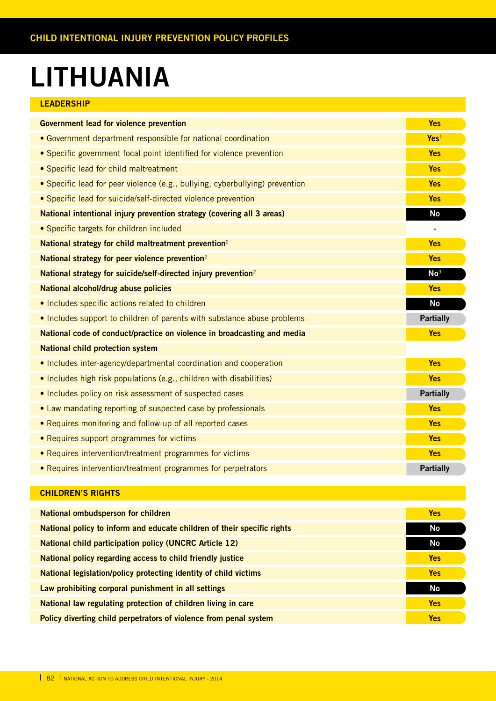### **LITHUANIA**

|  |  |  | <b>LEADERSHIP</b> |  |
|--|--|--|-------------------|--|
|  |  |  |                   |  |

| <b>Government lead for violence prevention</b>                               | <b>Yes</b>       |
|------------------------------------------------------------------------------|------------------|
|                                                                              |                  |
| • Government department responsible for national coordination                | Yes <sup>1</sup> |
| • Specific government focal point identified for violence prevention         | <b>Yes</b>       |
| • Specific lead for child maltreatment                                       | <b>Yes</b>       |
| • Specific lead for peer violence (e.g., bullying, cyberbullying) prevention | <b>Yes</b>       |
| • Specific lead for suicide/self-directed violence prevention                | <b>Yes</b>       |
| National intentional injury prevention strategy (covering all 3 areas)       | <b>No</b>        |
| • Specific targets for children included                                     | $\blacksquare$   |
| National strategy for child maltreatment prevention <sup>2</sup>             | <b>Yes</b>       |
| National strategy for peer violence prevention <sup>2</sup>                  | <b>Yes</b>       |
| National strategy for suicide/self-directed injury prevention <sup>2</sup>   | No <sup>3</sup>  |
| National alcohol/drug abuse policies                                         | <b>Yes</b>       |
| • Includes specific actions related to children                              | <b>No</b>        |
| • Includes support to children of parents with substance abuse problems      | <b>Partially</b> |
| National code of conduct/practice on violence in broadcasting and media      | <b>Yes</b>       |
| <b>National child protection system</b>                                      |                  |
| • Includes inter-agency/departmental coordination and cooperation            | <b>Yes</b>       |
| • Includes high risk populations (e.g., children with disabilities)          | <b>Yes</b>       |
| . Includes policy on risk assessment of suspected cases                      | <b>Partially</b> |
| • Law mandating reporting of suspected case by professionals                 | <b>Yes</b>       |
| • Requires monitoring and follow-up of all reported cases                    | <b>Yes</b>       |
| • Requires support programmes for victims                                    | <b>Yes</b>       |
| • Requires intervention/treatment programmes for victims                     | <b>Yes</b>       |
| • Requires intervention/treatment programmes for perpetrators                | <b>Partially</b> |

| National ombudsperson for children                                      | <b>Yes</b> |
|-------------------------------------------------------------------------|------------|
| National policy to inform and educate children of their specific rights |            |
| <b>National child participation policy (UNCRC Article 12)</b>           | No         |
| National policy regarding access to child friendly justice              | <b>Yes</b> |
| National legislation/policy protecting identity of child victims        | <b>Yes</b> |
| Law prohibiting corporal punishment in all settings                     | No         |
| National law regulating protection of children living in care           | <b>Yes</b> |
| Policy diverting child perpetrators of violence from penal system       | <b>Yes</b> |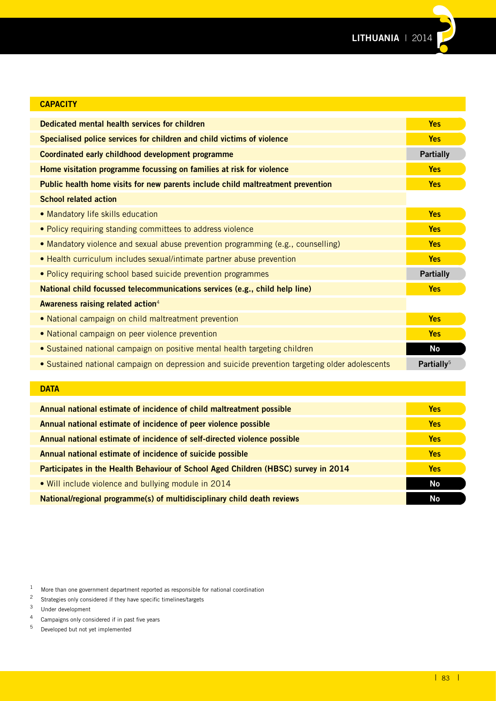

| <b>CAPACITY</b>                                                                                |                        |
|------------------------------------------------------------------------------------------------|------------------------|
| Dedicated mental health services for children                                                  | <b>Yes</b>             |
| Specialised police services for children and child victims of violence                         | <b>Yes</b>             |
| Coordinated early childhood development programme                                              | <b>Partially</b>       |
| Home visitation programme focussing on families at risk for violence                           | <b>Yes</b>             |
| Public health home visits for new parents include child maltreatment prevention                | <b>Yes</b>             |
| <b>School related action</b>                                                                   |                        |
| • Mandatory life skills education                                                              | <b>Yes</b>             |
| • Policy requiring standing committees to address violence                                     | <b>Yes</b>             |
| • Mandatory violence and sexual abuse prevention programming (e.g., counselling)               | <b>Yes</b>             |
| • Health curriculum includes sexual/intimate partner abuse prevention                          | <b>Yes</b>             |
| . Policy requiring school based suicide prevention programmes                                  | <b>Partially</b>       |
| National child focussed telecommunications services (e.g., child help line)                    | <b>Yes</b>             |
| Awareness raising related action <sup>4</sup>                                                  |                        |
| • National campaign on child maltreatment prevention                                           | <b>Yes</b>             |
| • National campaign on peer violence prevention                                                | <b>Yes</b>             |
| • Sustained national campaign on positive mental health targeting children                     | <b>No</b>              |
| • Sustained national campaign on depression and suicide prevention targeting older adolescents | Partially <sup>5</sup> |
|                                                                                                |                        |
| <b>DATA</b>                                                                                    |                        |

| Annual national estimate of incidence of child maltreatment possible               | <b>Yes</b> |
|------------------------------------------------------------------------------------|------------|
| Annual national estimate of incidence of peer violence possible                    | <b>Yes</b> |
| Annual national estimate of incidence of self-directed violence possible           | <b>Yes</b> |
| Annual national estimate of incidence of suicide possible                          | <b>Yes</b> |
| Participates in the Health Behaviour of School Aged Children (HBSC) survey in 2014 | Yes        |
| • Will include violence and bullying module in 2014                                | <b>No</b>  |
| National/regional programme(s) of multidisciplinary child death reviews            | No         |

<sup>1</sup> More than one government department reported as responsible for national coordination<br><sup>2</sup> Strategies only considered if they have specific timelines/targets

- <sup>4</sup> Campaigns only considered if in past five years<br> $\frac{5}{2}$  Developed but not yet implemented
- <sup>5</sup> Developed but not yet implemented

<sup>&</sup>lt;sup>2</sup> Strategies only considered if they have specific timelines/targets  $\frac{3}{2}$  Under development

 $3$  Under development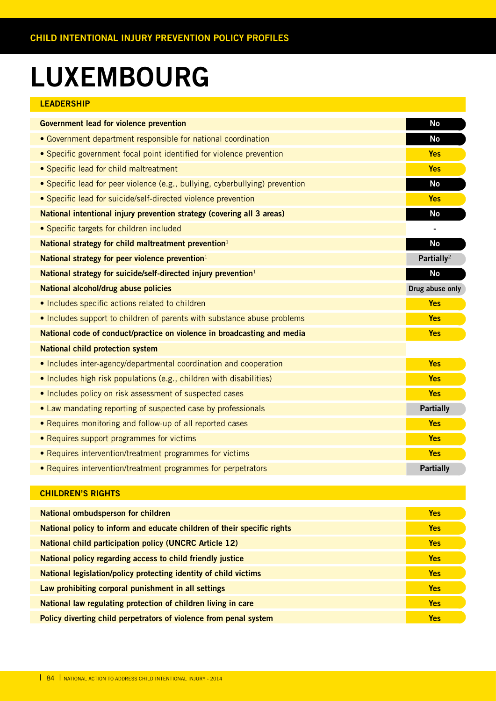### **LUXEMBOURG**

### **LEADERSHIP**

| <b>Government lead for violence prevention</b>                               | No                     |
|------------------------------------------------------------------------------|------------------------|
| • Government department responsible for national coordination                | <b>No</b>              |
| • Specific government focal point identified for violence prevention         | <b>Yes</b>             |
| • Specific lead for child maltreatment                                       | <b>Yes</b>             |
| • Specific lead for peer violence (e.g., bullying, cyberbullying) prevention | <b>No</b>              |
| • Specific lead for suicide/self-directed violence prevention                | <b>Yes</b>             |
| National intentional injury prevention strategy (covering all 3 areas)       | No                     |
| • Specific targets for children included                                     |                        |
| National strategy for child maltreatment prevention $1$                      | No                     |
| National strategy for peer violence prevention $1$                           | Partially <sup>2</sup> |
| National strategy for suicide/self-directed injury prevention <sup>1</sup>   | <b>No</b>              |
| National alcohol/drug abuse policies                                         | Drug abuse only        |
| . Includes specific actions related to children                              | <b>Yes</b>             |
| • Includes support to children of parents with substance abuse problems      | <b>Yes</b>             |
| National code of conduct/practice on violence in broadcasting and media      | <b>Yes</b>             |
| <b>National child protection system</b>                                      |                        |
| • Includes inter-agency/departmental coordination and cooperation            | <b>Yes</b>             |
| • Includes high risk populations (e.g., children with disabilities)          | <b>Yes</b>             |
| . Includes policy on risk assessment of suspected cases                      | <b>Yes</b>             |
| • Law mandating reporting of suspected case by professionals                 | <b>Partially</b>       |
| • Requires monitoring and follow-up of all reported cases                    | <b>Yes</b>             |
| • Requires support programmes for victims                                    | <b>Yes</b>             |
| • Requires intervention/treatment programmes for victims                     | <b>Yes</b>             |
| • Requires intervention/treatment programmes for perpetrators                | <b>Partially</b>       |

| <b>National ombudsperson for children</b>                               | <b>Yes</b> |
|-------------------------------------------------------------------------|------------|
| National policy to inform and educate children of their specific rights | <b>Yes</b> |
| <b>National child participation policy (UNCRC Article 12)</b>           | <b>Yes</b> |
| National policy regarding access to child friendly justice              | <b>Yes</b> |
| National legislation/policy protecting identity of child victims        | <b>Yes</b> |
| Law prohibiting corporal punishment in all settings                     | <b>Yes</b> |
| National law regulating protection of children living in care           | <b>Yes</b> |
| Policy diverting child perpetrators of violence from penal system       | <b>Yes</b> |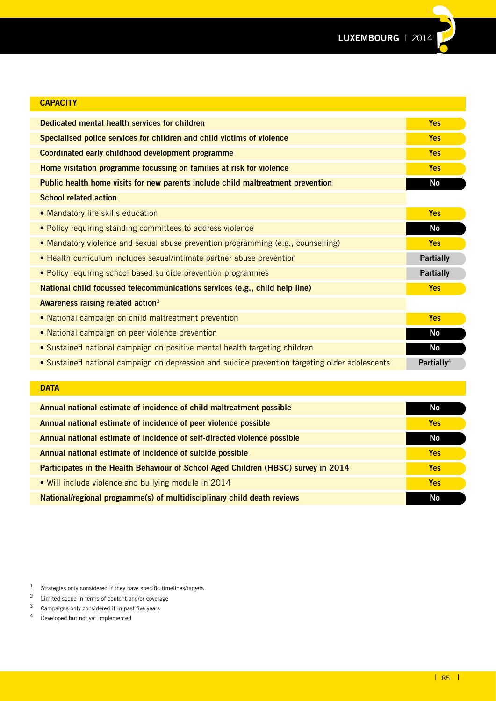| <b>CAPACITY</b>                                                                                |                        |
|------------------------------------------------------------------------------------------------|------------------------|
| Dedicated mental health services for children                                                  | <b>Yes</b>             |
| Specialised police services for children and child victims of violence                         | <b>Yes</b>             |
| Coordinated early childhood development programme                                              | <b>Yes</b>             |
| Home visitation programme focussing on families at risk for violence                           | <b>Yes</b>             |
| Public health home visits for new parents include child maltreatment prevention                | No                     |
| <b>School related action</b>                                                                   |                        |
| • Mandatory life skills education                                                              | <b>Yes</b>             |
| · Policy requiring standing committees to address violence                                     | No                     |
| • Mandatory violence and sexual abuse prevention programming (e.g., counselling)               | <b>Yes</b>             |
| • Health curriculum includes sexual/intimate partner abuse prevention                          | <b>Partially</b>       |
| • Policy requiring school based suicide prevention programmes                                  | <b>Partially</b>       |
| National child focussed telecommunications services (e.g., child help line)                    | <b>Yes</b>             |
| Awareness raising related action <sup>3</sup>                                                  |                        |
| • National campaign on child maltreatment prevention                                           | <b>Yes</b>             |
| • National campaign on peer violence prevention                                                | <b>No</b>              |
| • Sustained national campaign on positive mental health targeting children                     | <b>No</b>              |
| • Sustained national campaign on depression and suicide prevention targeting older adolescents | Partially <sup>4</sup> |
|                                                                                                |                        |

#### **DATA**

| Annual national estimate of incidence of child maltreatment possible               | No         |
|------------------------------------------------------------------------------------|------------|
| Annual national estimate of incidence of peer violence possible                    | <b>Yes</b> |
| Annual national estimate of incidence of self-directed violence possible           | <b>No</b>  |
| Annual national estimate of incidence of suicide possible                          | <b>Yes</b> |
| Participates in the Health Behaviour of School Aged Children (HBSC) survey in 2014 | <b>Yes</b> |
| • Will include violence and bullying module in 2014                                | <b>Yes</b> |
| National/regional programme(s) of multidisciplinary child death reviews            | No         |

4 Developed but not yet implemented

<sup>1</sup> Strategies only considered if they have specific timelines/targets<br> $\frac{2}{\pi}$  Limited scope in terms of content and/or coverage

<sup>&</sup>lt;sup>2</sup> Limited scope in terms of content and/or coverage<br><sup>3</sup> Campaigns only considered if in past five years

Campaigns only considered if in past five years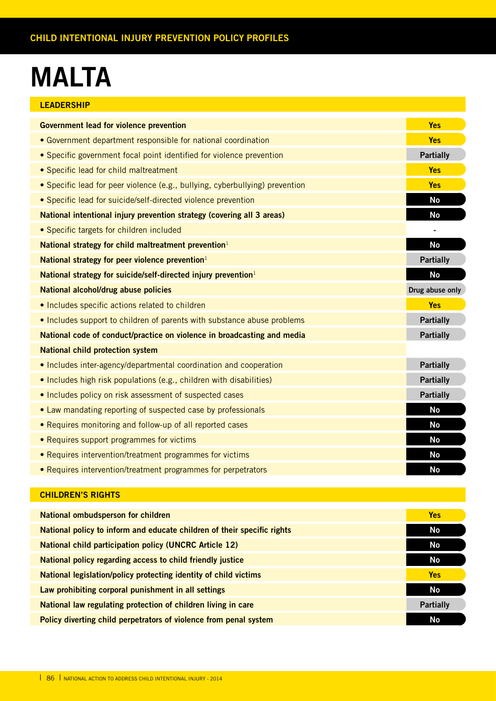### **MALTA**

| <b>LEADERSHIP</b>                                                            |                  |
|------------------------------------------------------------------------------|------------------|
| <b>Government lead for violence prevention</b>                               | <b>Yes</b>       |
| • Government department responsible for national coordination                | <b>Yes</b>       |
| • Specific government focal point identified for violence prevention         | <b>Partially</b> |
| • Specific lead for child maltreatment                                       | <b>Yes</b>       |
| • Specific lead for peer violence (e.g., bullying, cyberbullying) prevention | <b>Yes</b>       |
| · Specific lead for suicide/self-directed violence prevention                | <b>No</b>        |
| National intentional injury prevention strategy (covering all 3 areas)       | <b>No</b>        |
| • Specific targets for children included                                     |                  |
| National strategy for child maltreatment prevention <sup>1</sup>             | <b>No</b>        |
| National strategy for peer violence prevention $1$                           | <b>Partially</b> |
| National strategy for suicide/self-directed injury prevention <sup>1</sup>   | <b>No</b>        |
| National alcohol/drug abuse policies                                         | Drug abuse only  |
| • Includes specific actions related to children                              | <b>Yes</b>       |
| • Includes support to children of parents with substance abuse problems      | <b>Partially</b> |
| National code of conduct/practice on violence in broadcasting and media      | <b>Partially</b> |
| <b>National child protection system</b>                                      |                  |
| • Includes inter-agency/departmental coordination and cooperation            | <b>Partially</b> |
| • Includes high risk populations (e.g., children with disabilities)          | <b>Partially</b> |
| • Includes policy on risk assessment of suspected cases                      | <b>Partially</b> |
| • Law mandating reporting of suspected case by professionals                 | <b>No</b>        |
| • Requires monitoring and follow-up of all reported cases                    | <b>No</b>        |
| • Requires support programmes for victims                                    | <b>No</b>        |
| • Requires intervention/treatment programmes for victims                     | <b>No</b>        |
| • Requires intervention/treatment programmes for perpetrators                | <b>No</b>        |

| National ombudsperson for children                                      | <b>Yes</b>       |
|-------------------------------------------------------------------------|------------------|
| National policy to inform and educate children of their specific rights | No               |
| <b>National child participation policy (UNCRC Article 12)</b>           | No               |
| National policy regarding access to child friendly justice              | No               |
| National legislation/policy protecting identity of child victims        | <b>Yes</b>       |
| Law prohibiting corporal punishment in all settings                     | <b>No</b>        |
| National law regulating protection of children living in care           | <b>Partially</b> |
| Policy diverting child perpetrators of violence from penal system       | No               |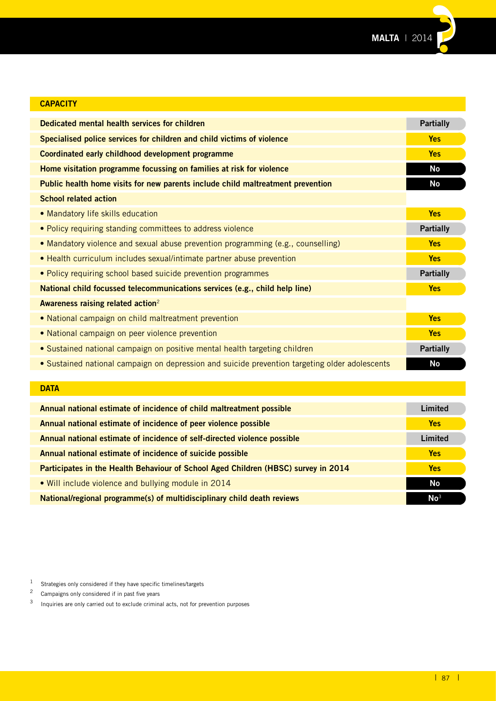

| <b>CAPACITY</b>                                                                                |                  |
|------------------------------------------------------------------------------------------------|------------------|
| Dedicated mental health services for children                                                  | <b>Partially</b> |
| Specialised police services for children and child victims of violence                         | <b>Yes</b>       |
| Coordinated early childhood development programme                                              | <b>Yes</b>       |
| Home visitation programme focussing on families at risk for violence                           | <b>No</b>        |
| Public health home visits for new parents include child maltreatment prevention                | <b>No</b>        |
| <b>School related action</b>                                                                   |                  |
| • Mandatory life skills education                                                              | <b>Yes</b>       |
| • Policy requiring standing committees to address violence                                     | <b>Partially</b> |
| • Mandatory violence and sexual abuse prevention programming (e.g., counselling)               | <b>Yes</b>       |
| • Health curriculum includes sexual/intimate partner abuse prevention                          | <b>Yes</b>       |
| • Policy requiring school based suicide prevention programmes                                  | <b>Partially</b> |
| National child focussed telecommunications services (e.g., child help line)                    | <b>Yes</b>       |
| Awareness raising related action <sup>2</sup>                                                  |                  |
| • National campaign on child maltreatment prevention                                           | <b>Yes</b>       |
| • National campaign on peer violence prevention                                                | <b>Yes</b>       |
| • Sustained national campaign on positive mental health targeting children                     | <b>Partially</b> |
| • Sustained national campaign on depression and suicide prevention targeting older adolescents | <b>No</b>        |
|                                                                                                |                  |

### **DATA**

| Annual national estimate of incidence of child maltreatment possible               | Limited         |
|------------------------------------------------------------------------------------|-----------------|
| Annual national estimate of incidence of peer violence possible                    | <b>Yes</b>      |
| Annual national estimate of incidence of self-directed violence possible           | Limited         |
| Annual national estimate of incidence of suicide possible                          | <b>Yes</b>      |
| Participates in the Health Behaviour of School Aged Children (HBSC) survey in 2014 | <b>Yes</b>      |
| . Will include violence and bullying module in 2014                                | No              |
| National/regional programme(s) of multidisciplinary child death reviews            | No <sup>3</sup> |

<sup>1</sup> Strategies only considered if they have specific timelines/targets<br>  $\frac{2}{3}$  Campaigns only considered if in past five years

Campaigns only considered if in past five years

<sup>3</sup> Inquiries are only carried out to exclude criminal acts, not for prevention purposes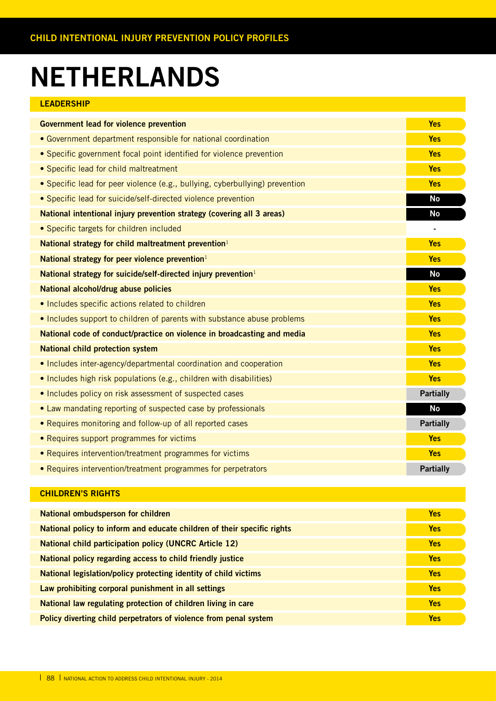### **NETHERLANDS**

#### **LEADERSHIP**

|                                                                              | <b>Yes</b>                   |
|------------------------------------------------------------------------------|------------------------------|
| <b>Government lead for violence prevention</b>                               |                              |
| • Government department responsible for national coordination                | <b>Yes</b>                   |
| • Specific government focal point identified for violence prevention         | <b>Yes</b>                   |
| • Specific lead for child maltreatment                                       | <b>Yes</b>                   |
| • Specific lead for peer violence (e.g., bullying, cyberbullying) prevention | <b>Yes</b>                   |
| • Specific lead for suicide/self-directed violence prevention                | <b>No</b>                    |
| National intentional injury prevention strategy (covering all 3 areas)       | No                           |
| • Specific targets for children included                                     | $\qquad \qquad \blacksquare$ |
| National strategy for child maltreatment prevention <sup>1</sup>             | <b>Yes</b>                   |
| National strategy for peer violence prevention $1$                           | <b>Yes</b>                   |
| National strategy for suicide/self-directed injury prevention <sup>1</sup>   | <b>No</b>                    |
| National alcohol/drug abuse policies                                         | <b>Yes</b>                   |
| • Includes specific actions related to children                              | <b>Yes</b>                   |
| • Includes support to children of parents with substance abuse problems      | <b>Yes</b>                   |
| National code of conduct/practice on violence in broadcasting and media      | <b>Yes</b>                   |
| <b>National child protection system</b>                                      | <b>Yes</b>                   |
| • Includes inter-agency/departmental coordination and cooperation            | <b>Yes</b>                   |
| • Includes high risk populations (e.g., children with disabilities)          | <b>Yes</b>                   |
| • Includes policy on risk assessment of suspected cases                      | <b>Partially</b>             |
| • Law mandating reporting of suspected case by professionals                 | <b>No</b>                    |
| • Requires monitoring and follow-up of all reported cases                    | <b>Partially</b>             |
| • Requires support programmes for victims                                    | <b>Yes</b>                   |
| • Requires intervention/treatment programmes for victims                     | <b>Yes</b>                   |
| • Requires intervention/treatment programmes for perpetrators                | <b>Partially</b>             |

| National ombudsperson for children                                      | <b>Yes</b> |
|-------------------------------------------------------------------------|------------|
| National policy to inform and educate children of their specific rights | <b>Yes</b> |
| <b>National child participation policy (UNCRC Article 12)</b>           | <b>Yes</b> |
| National policy regarding access to child friendly justice              | <b>Yes</b> |
| National legislation/policy protecting identity of child victims        | <b>Yes</b> |
| Law prohibiting corporal punishment in all settings                     | <b>Yes</b> |
| National law regulating protection of children living in care           | <b>Yes</b> |
| Policy diverting child perpetrators of violence from penal system       | <b>Yes</b> |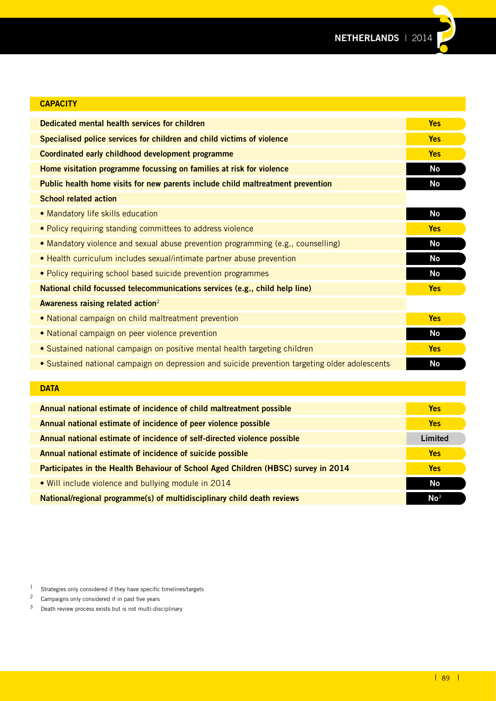| <b>CAPACITY</b>                                                                                |            |
|------------------------------------------------------------------------------------------------|------------|
| Dedicated mental health services for children                                                  | <b>Yes</b> |
| Specialised police services for children and child victims of violence                         | <b>Yes</b> |
| Coordinated early childhood development programme                                              | <b>Yes</b> |
| Home visitation programme focussing on families at risk for violence                           | <b>No</b>  |
| Public health home visits for new parents include child maltreatment prevention                | No         |
| <b>School related action</b>                                                                   |            |
| • Mandatory life skills education                                                              | No         |
| • Policy requiring standing committees to address violence                                     | <b>Yes</b> |
| • Mandatory violence and sexual abuse prevention programming (e.g., counselling)               | No         |
| • Health curriculum includes sexual/intimate partner abuse prevention                          | <b>No</b>  |
| • Policy requiring school based suicide prevention programmes                                  | <b>No</b>  |
| National child focussed telecommunications services (e.g., child help line)                    | <b>Yes</b> |
| Awareness raising related action <sup>2</sup>                                                  |            |
| • National campaign on child maltreatment prevention                                           | <b>Yes</b> |
| • National campaign on peer violence prevention                                                | <b>No</b>  |
| • Sustained national campaign on positive mental health targeting children                     | <b>Yes</b> |
| • Sustained national campaign on depression and suicide prevention targeting older adolescents | <b>No</b>  |
|                                                                                                |            |
| <b>DATA</b>                                                                                    |            |

| Annual national estimate of incidence of child maltreatment possible               |                 |  |  |  |
|------------------------------------------------------------------------------------|-----------------|--|--|--|
| Annual national estimate of incidence of peer violence possible                    |                 |  |  |  |
| Annual national estimate of incidence of self-directed violence possible           | Limited         |  |  |  |
| Annual national estimate of incidence of suicide possible                          | <b>Yes</b>      |  |  |  |
| Participates in the Health Behaviour of School Aged Children (HBSC) survey in 2014 | <b>Yes</b>      |  |  |  |
| • Will include violence and bullying module in 2014                                | <b>No</b>       |  |  |  |
| National/regional programme(s) of multidisciplinary child death reviews            | $\mathsf{No}^3$ |  |  |  |

1 Strategies only considered if they have specific timelines/targets<br>  $\frac{2}{3}$  Campaigns only considered if in past five years

<sup>&</sup>lt;sup>2</sup> Campaigns only considered if in past five years<br><sup>3</sup> Death review process exists but is not multi-dis

Death review process exists but is not multi-disciplinary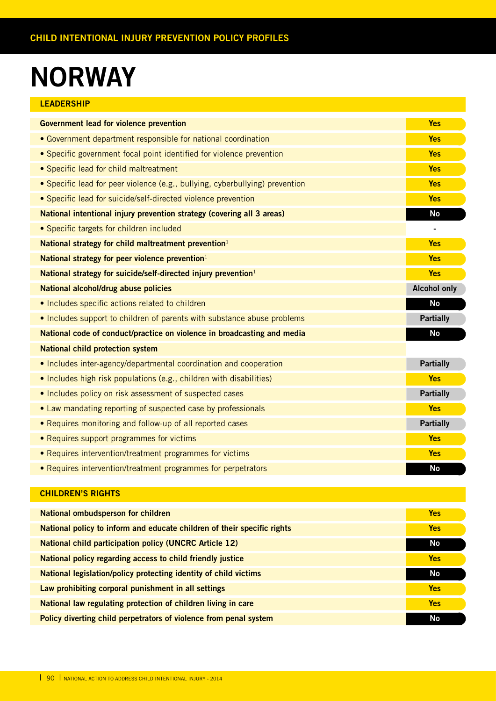### **NORWAY**

| <b>LEADERSHIP</b> |  |  |
|-------------------|--|--|
|                   |  |  |

| <b>Government lead for violence prevention</b>                               | <b>Yes</b>          |
|------------------------------------------------------------------------------|---------------------|
| • Government department responsible for national coordination                | <b>Yes</b>          |
| • Specific government focal point identified for violence prevention         | <b>Yes</b>          |
| • Specific lead for child maltreatment                                       | <b>Yes</b>          |
| • Specific lead for peer violence (e.g., bullying, cyberbullying) prevention | <b>Yes</b>          |
| • Specific lead for suicide/self-directed violence prevention                | <b>Yes</b>          |
| National intentional injury prevention strategy (covering all 3 areas)       | <b>No</b>           |
| • Specific targets for children included                                     |                     |
| National strategy for child maltreatment prevention <sup>1</sup>             | <b>Yes</b>          |
| National strategy for peer violence prevention $1$                           | <b>Yes</b>          |
| National strategy for suicide/self-directed injury prevention <sup>1</sup>   | <b>Yes</b>          |
| <b>National alcohol/drug abuse policies</b>                                  | <b>Alcohol only</b> |
| . Includes specific actions related to children                              | <b>No</b>           |
| . Includes support to children of parents with substance abuse problems      | <b>Partially</b>    |
| National code of conduct/practice on violence in broadcasting and media      | <b>No</b>           |
| <b>National child protection system</b>                                      |                     |
| • Includes inter-agency/departmental coordination and cooperation            | <b>Partially</b>    |
| • Includes high risk populations (e.g., children with disabilities)          | <b>Yes</b>          |
| . Includes policy on risk assessment of suspected cases                      | <b>Partially</b>    |
| • Law mandating reporting of suspected case by professionals                 | <b>Yes</b>          |
| • Requires monitoring and follow-up of all reported cases                    | <b>Partially</b>    |
| • Requires support programmes for victims                                    | <b>Yes</b>          |
| • Requires intervention/treatment programmes for victims                     | <b>Yes</b>          |
| • Requires intervention/treatment programmes for perpetrators                | <b>No</b>           |

| <b>National ombudsperson for children</b>                               | <b>Yes</b> |
|-------------------------------------------------------------------------|------------|
| National policy to inform and educate children of their specific rights | <b>Yes</b> |
| <b>National child participation policy (UNCRC Article 12)</b>           | No         |
| National policy regarding access to child friendly justice              | <b>Yes</b> |
| National legislation/policy protecting identity of child victims        | No         |
| Law prohibiting corporal punishment in all settings                     | <b>Yes</b> |
| National law regulating protection of children living in care           | <b>Yes</b> |
| Policy diverting child perpetrators of violence from penal system       | No         |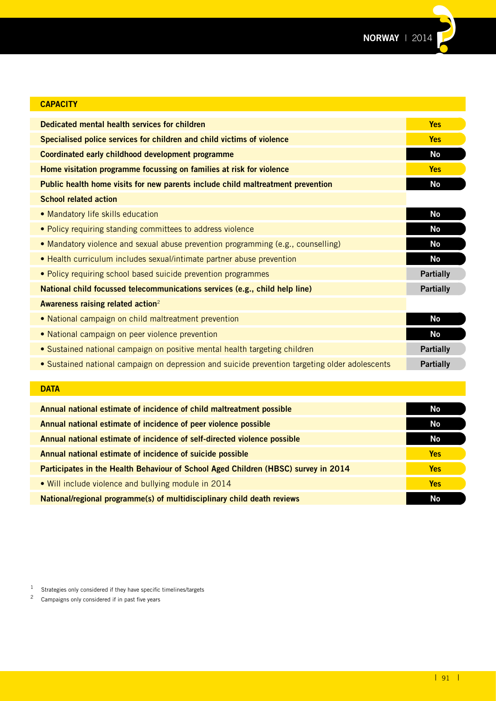

| <b>CAPACITY</b>                                                                                |                  |
|------------------------------------------------------------------------------------------------|------------------|
| Dedicated mental health services for children                                                  | <b>Yes</b>       |
| Specialised police services for children and child victims of violence                         | <b>Yes</b>       |
| Coordinated early childhood development programme                                              | <b>No</b>        |
| Home visitation programme focussing on families at risk for violence                           | <b>Yes</b>       |
| Public health home visits for new parents include child maltreatment prevention                | <b>No</b>        |
| <b>School related action</b>                                                                   |                  |
| • Mandatory life skills education                                                              | <b>No</b>        |
| • Policy requiring standing committees to address violence                                     | <b>No</b>        |
| • Mandatory violence and sexual abuse prevention programming (e.g., counselling)               | <b>No</b>        |
| • Health curriculum includes sexual/intimate partner abuse prevention                          | <b>No</b>        |
| • Policy requiring school based suicide prevention programmes                                  | <b>Partially</b> |
| National child focussed telecommunications services (e.g., child help line)                    | <b>Partially</b> |
| Awareness raising related action <sup>2</sup>                                                  |                  |
| • National campaign on child maltreatment prevention                                           | <b>No</b>        |
| • National campaign on peer violence prevention                                                | <b>No</b>        |
| • Sustained national campaign on positive mental health targeting children                     | <b>Partially</b> |
| • Sustained national campaign on depression and suicide prevention targeting older adolescents | <b>Partially</b> |

#### **DATA**

| Annual national estimate of incidence of child maltreatment possible               | No         |
|------------------------------------------------------------------------------------|------------|
| Annual national estimate of incidence of peer violence possible                    | No         |
| Annual national estimate of incidence of self-directed violence possible           | No.        |
| Annual national estimate of incidence of suicide possible                          | <b>Yes</b> |
| Participates in the Health Behaviour of School Aged Children (HBSC) survey in 2014 | <b>Yes</b> |
| • Will include violence and bullying module in 2014                                | <b>Yes</b> |
| National/regional programme(s) of multidisciplinary child death reviews            | <b>No</b>  |

1 Strategies only considered if they have specific timelines/targets<br> $\frac{2}{3}$  Campaigns only considered if in past five years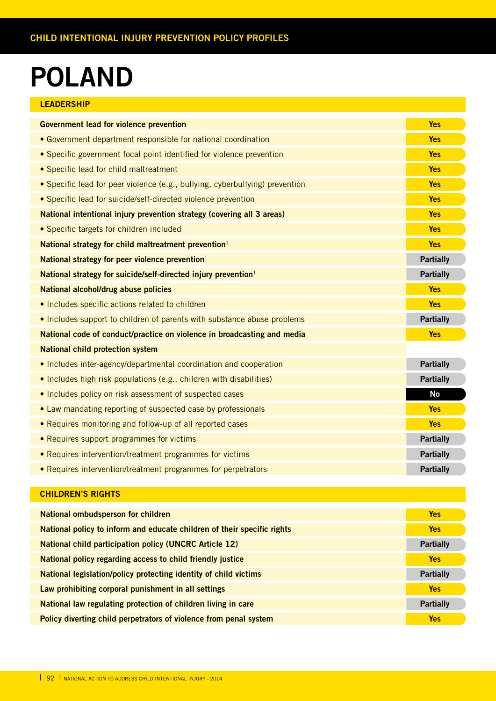### **POLAND**

|  | LEADERSHIP |  |  |
|--|------------|--|--|
|  |            |  |  |

| <b>Government lead for violence prevention</b>                               | <b>Yes</b>       |
|------------------------------------------------------------------------------|------------------|
| • Government department responsible for national coordination                | <b>Yes</b>       |
| • Specific government focal point identified for violence prevention         | <b>Yes</b>       |
| • Specific lead for child maltreatment                                       | <b>Yes</b>       |
| • Specific lead for peer violence (e.g., bullying, cyberbullying) prevention | <b>Yes</b>       |
| • Specific lead for suicide/self-directed violence prevention                | <b>Yes</b>       |
| National intentional injury prevention strategy (covering all 3 areas)       | <b>Yes</b>       |
| • Specific targets for children included                                     | <b>Yes</b>       |
| National strategy for child maltreatment prevention <sup>1</sup>             | <b>Yes</b>       |
| National strategy for peer violence prevention <sup>1</sup>                  | <b>Partially</b> |
| National strategy for suicide/self-directed injury prevention <sup>1</sup>   | <b>Partially</b> |
| National alcohol/drug abuse policies                                         | <b>Yes</b>       |
| • Includes specific actions related to children                              | <b>Yes</b>       |
| . Includes support to children of parents with substance abuse problems      | <b>Partially</b> |
| National code of conduct/practice on violence in broadcasting and media      | <b>Yes</b>       |
| <b>National child protection system</b>                                      |                  |
| • Includes inter-agency/departmental coordination and cooperation            | <b>Partially</b> |
| • Includes high risk populations (e.g., children with disabilities)          | <b>Partially</b> |
| • Includes policy on risk assessment of suspected cases                      | <b>No</b>        |
| • Law mandating reporting of suspected case by professionals                 | <b>Yes</b>       |
| • Requires monitoring and follow-up of all reported cases                    | <b>Yes</b>       |
| • Requires support programmes for victims                                    | <b>Partially</b> |
| • Requires intervention/treatment programmes for victims                     | <b>Partially</b> |
| • Requires intervention/treatment programmes for perpetrators                | <b>Partially</b> |

| National ombudsperson for children                                      | <b>Yes</b>       |
|-------------------------------------------------------------------------|------------------|
| National policy to inform and educate children of their specific rights | <b>Yes</b>       |
| <b>National child participation policy (UNCRC Article 12)</b>           | <b>Partially</b> |
| National policy regarding access to child friendly justice              | Yes              |
| National legislation/policy protecting identity of child victims        | <b>Partially</b> |
| Law prohibiting corporal punishment in all settings                     | <b>Yes</b>       |
| National law regulating protection of children living in care           | <b>Partially</b> |
| Policy diverting child perpetrators of violence from penal system       | <b>Yes</b>       |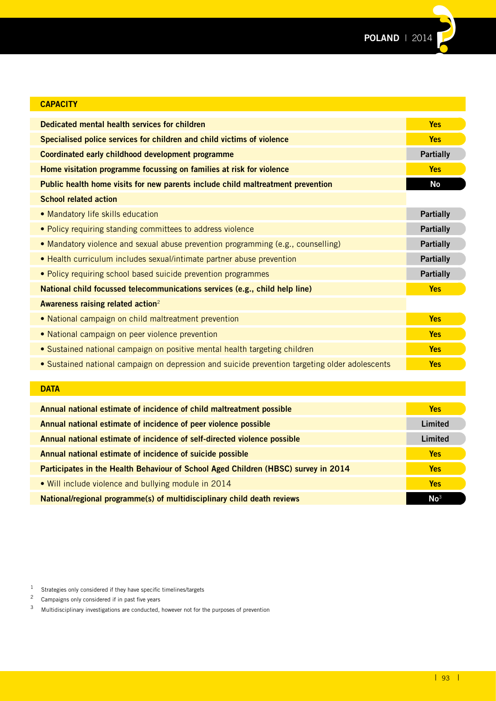**POLAND** | 2014

| <b>CAPACITY</b>                                                                                |                  |
|------------------------------------------------------------------------------------------------|------------------|
| Dedicated mental health services for children                                                  | <b>Yes</b>       |
| Specialised police services for children and child victims of violence                         | <b>Yes</b>       |
| Coordinated early childhood development programme                                              | <b>Partially</b> |
| Home visitation programme focussing on families at risk for violence                           | <b>Yes</b>       |
| Public health home visits for new parents include child maltreatment prevention                | <b>No</b>        |
| <b>School related action</b>                                                                   |                  |
| • Mandatory life skills education                                                              | <b>Partially</b> |
| • Policy requiring standing committees to address violence                                     | <b>Partially</b> |
| • Mandatory violence and sexual abuse prevention programming (e.g., counselling)               | <b>Partially</b> |
| • Health curriculum includes sexual/intimate partner abuse prevention                          | <b>Partially</b> |
| • Policy requiring school based suicide prevention programmes                                  | <b>Partially</b> |
| National child focussed telecommunications services (e.g., child help line)                    | <b>Yes</b>       |
| Awareness raising related action <sup>2</sup>                                                  |                  |
| • National campaign on child maltreatment prevention                                           | <b>Yes</b>       |
| • National campaign on peer violence prevention                                                | <b>Yes</b>       |
| • Sustained national campaign on positive mental health targeting children                     | <b>Yes</b>       |
| . Sustained national campaign on depression and suicide prevention targeting older adolescents | <b>Yes</b>       |
|                                                                                                |                  |
| <b>DATA</b>                                                                                    |                  |
| Annual national estimate of incidence of child maltreatment possible                           | <b>Yes</b>       |

| <b>DATA</b>                                                                        |                 |
|------------------------------------------------------------------------------------|-----------------|
| Annual national estimate of incidence of child maltreatment possible               | <b>Yes</b>      |
| Annual national estimate of incidence of peer violence possible                    | Limited         |
| Annual national estimate of incidence of self-directed violence possible           | Limited         |
| Annual national estimate of incidence of suicide possible                          | <b>Yes</b>      |
| Participates in the Health Behaviour of School Aged Children (HBSC) survey in 2014 | <b>Yes</b>      |
| • Will include violence and bullying module in 2014                                | <b>Yes</b>      |
| National/regional programme(s) of multidisciplinary child death reviews            | No <sup>3</sup> |

 $1$  Strategies only considered if they have specific timelines/targets

<sup>2</sup> Campaigns only considered if in past five years<br> $\frac{3}{2}$  Multidisciplinary investigations are conducted

<sup>3</sup> Multidisciplinary investigations are conducted, however not for the purposes of prevention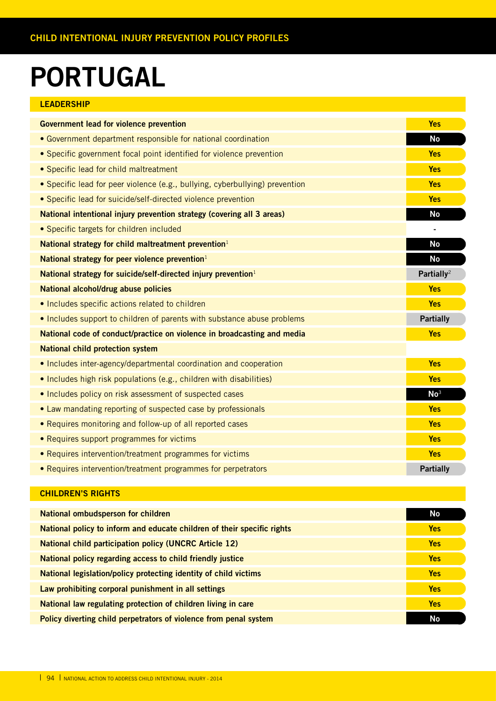### **PORTUGAL**

| LEADERSHIP |  |  |  |  |
|------------|--|--|--|--|
|            |  |  |  |  |

| <b>Government lead for violence prevention</b>                               | <b>Yes</b>             |
|------------------------------------------------------------------------------|------------------------|
| • Government department responsible for national coordination                | <b>No</b>              |
| • Specific government focal point identified for violence prevention         | <b>Yes</b>             |
| • Specific lead for child maltreatment                                       | <b>Yes</b>             |
| • Specific lead for peer violence (e.g., bullying, cyberbullying) prevention | <b>Yes</b>             |
| • Specific lead for suicide/self-directed violence prevention                | <b>Yes</b>             |
| National intentional injury prevention strategy (covering all 3 areas)       | <b>No</b>              |
| • Specific targets for children included                                     |                        |
| National strategy for child maltreatment prevention <sup>1</sup>             | No                     |
| National strategy for peer violence prevention $1$                           | <b>No</b>              |
| National strategy for suicide/self-directed injury prevention <sup>1</sup>   | Partially <sup>2</sup> |
| National alcohol/drug abuse policies                                         | <b>Yes</b>             |
| . Includes specific actions related to children                              | <b>Yes</b>             |
| • Includes support to children of parents with substance abuse problems      | <b>Partially</b>       |
| National code of conduct/practice on violence in broadcasting and media      | <b>Yes</b>             |
| <b>National child protection system</b>                                      |                        |
| • Includes inter-agency/departmental coordination and cooperation            | <b>Yes</b>             |
| • Includes high risk populations (e.g., children with disabilities)          | <b>Yes</b>             |
| . Includes policy on risk assessment of suspected cases                      | No <sup>3</sup>        |
| • Law mandating reporting of suspected case by professionals                 | <b>Yes</b>             |
| • Requires monitoring and follow-up of all reported cases                    | <b>Yes</b>             |
| • Requires support programmes for victims                                    | <b>Yes</b>             |
| • Requires intervention/treatment programmes for victims                     | <b>Yes</b>             |
| • Requires intervention/treatment programmes for perpetrators                | <b>Partially</b>       |

| National ombudsperson for children                                      | No         |
|-------------------------------------------------------------------------|------------|
| National policy to inform and educate children of their specific rights | <b>Yes</b> |
| <b>National child participation policy (UNCRC Article 12)</b>           | <b>Yes</b> |
| National policy regarding access to child friendly justice              | <b>Yes</b> |
| National legislation/policy protecting identity of child victims        | <b>Yes</b> |
| Law prohibiting corporal punishment in all settings                     | <b>Yes</b> |
| National law regulating protection of children living in care           | <b>Yes</b> |
| Policy diverting child perpetrators of violence from penal system       | <b>No</b>  |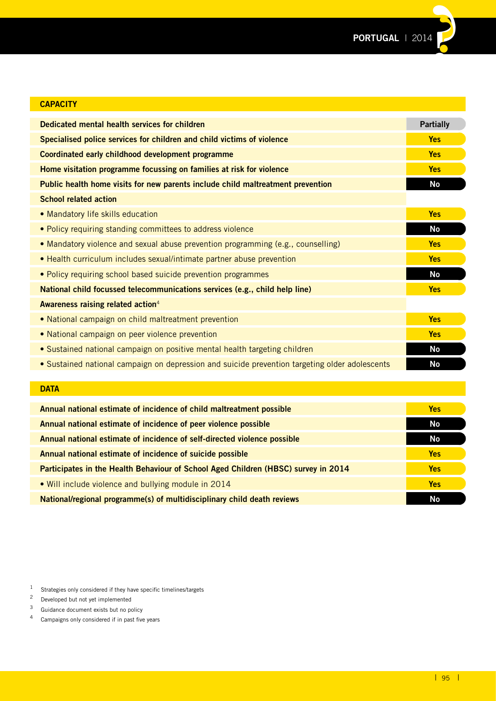

| <b>CAPACITY</b>                                                                                |                  |
|------------------------------------------------------------------------------------------------|------------------|
| Dedicated mental health services for children                                                  | <b>Partially</b> |
| Specialised police services for children and child victims of violence                         | <b>Yes</b>       |
| Coordinated early childhood development programme                                              | <b>Yes</b>       |
| Home visitation programme focussing on families at risk for violence                           | <b>Yes</b>       |
| Public health home visits for new parents include child maltreatment prevention                | No               |
| <b>School related action</b>                                                                   |                  |
| • Mandatory life skills education                                                              | <b>Yes</b>       |
| . Policy requiring standing committees to address violence                                     | No               |
| • Mandatory violence and sexual abuse prevention programming (e.g., counselling)               | <b>Yes</b>       |
| • Health curriculum includes sexual/intimate partner abuse prevention                          | <b>Yes</b>       |
| • Policy requiring school based suicide prevention programmes                                  | <b>No</b>        |
| National child focussed telecommunications services (e.g., child help line)                    | <b>Yes</b>       |
| Awareness raising related action <sup>4</sup>                                                  |                  |
| • National campaign on child maltreatment prevention                                           | <b>Yes</b>       |
| • National campaign on peer violence prevention                                                | <b>Yes</b>       |
| • Sustained national campaign on positive mental health targeting children                     | <b>No</b>        |
| • Sustained national campaign on depression and suicide prevention targeting older adolescents | <b>No</b>        |
|                                                                                                |                  |

#### **DATA**

| Annual national estimate of incidence of child maltreatment possible               | <b>Yes</b> |
|------------------------------------------------------------------------------------|------------|
| Annual national estimate of incidence of peer violence possible                    | No         |
| Annual national estimate of incidence of self-directed violence possible           | No         |
| Annual national estimate of incidence of suicide possible                          | <b>Yes</b> |
| Participates in the Health Behaviour of School Aged Children (HBSC) survey in 2014 | <b>Yes</b> |
| • Will include violence and bullying module in 2014                                | <b>Yes</b> |
| National/regional programme(s) of multidisciplinary child death reviews            | No         |

 $1$  Strategies only considered if they have specific timelines/targets

<sup>2</sup> Developed but not yet implemented

 $3$  Guidance document exists but no policy<br> $4$  Campaigns only considered if in past five

Campaigns only considered if in past five years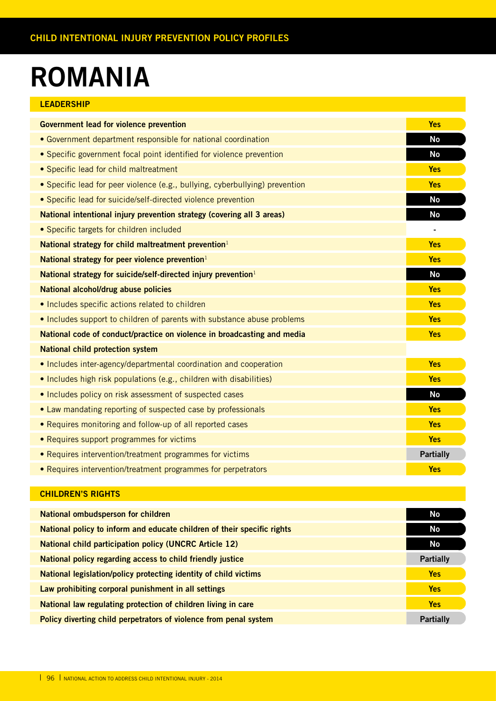### **ROMANIA**

| LEADERSHIP |  |  |  |
|------------|--|--|--|
|            |  |  |  |

| <b>Government lead for violence prevention</b>                               | <b>Yes</b>       |
|------------------------------------------------------------------------------|------------------|
|                                                                              |                  |
| • Government department responsible for national coordination                | <b>No</b>        |
| • Specific government focal point identified for violence prevention         | <b>No</b>        |
| • Specific lead for child maltreatment                                       | <b>Yes</b>       |
| • Specific lead for peer violence (e.g., bullying, cyberbullying) prevention | <b>Yes</b>       |
| • Specific lead for suicide/self-directed violence prevention                | <b>No</b>        |
| National intentional injury prevention strategy (covering all 3 areas)       | <b>No</b>        |
| • Specific targets for children included                                     | ٠                |
| National strategy for child maltreatment prevention <sup>1</sup>             | <b>Yes</b>       |
| National strategy for peer violence prevention $1$                           | <b>Yes</b>       |
| National strategy for suicide/self-directed injury prevention <sup>1</sup>   | <b>No</b>        |
| National alcohol/drug abuse policies                                         | <b>Yes</b>       |
| • Includes specific actions related to children                              | <b>Yes</b>       |
| . Includes support to children of parents with substance abuse problems      | <b>Yes</b>       |
| National code of conduct/practice on violence in broadcasting and media      | <b>Yes</b>       |
| <b>National child protection system</b>                                      |                  |
| • Includes inter-agency/departmental coordination and cooperation            | <b>Yes</b>       |
| • Includes high risk populations (e.g., children with disabilities)          | <b>Yes</b>       |
| . Includes policy on risk assessment of suspected cases                      | <b>No</b>        |
| • Law mandating reporting of suspected case by professionals                 | <b>Yes</b>       |
| • Requires monitoring and follow-up of all reported cases                    | <b>Yes</b>       |
| • Requires support programmes for victims                                    | <b>Yes</b>       |
| • Requires intervention/treatment programmes for victims                     | <b>Partially</b> |
| • Requires intervention/treatment programmes for perpetrators                | <b>Yes</b>       |

| No               |
|------------------|
|                  |
| No.              |
| No               |
|                  |
| <b>Partially</b> |
| <b>Yes</b>       |
|                  |
| <b>Yes</b>       |
|                  |
| <b>Yes</b>       |
| <b>Partially</b> |
|                  |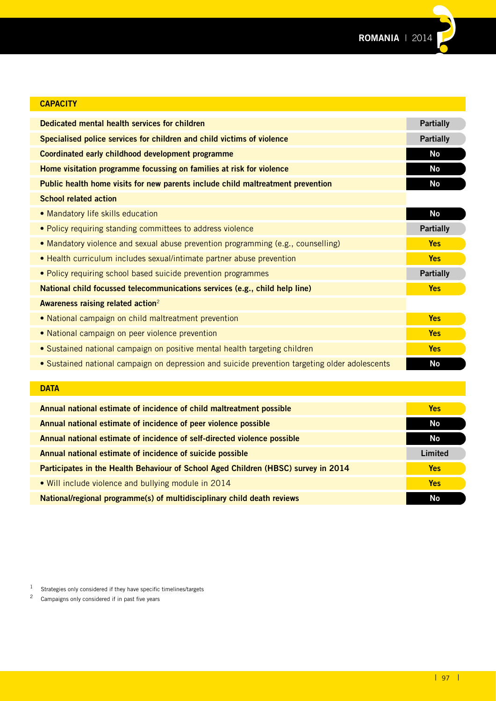

| <b>CAPACITY</b>                                                                                |                  |
|------------------------------------------------------------------------------------------------|------------------|
| Dedicated mental health services for children                                                  | <b>Partially</b> |
| Specialised police services for children and child victims of violence                         | <b>Partially</b> |
| Coordinated early childhood development programme                                              | <b>No</b>        |
| Home visitation programme focussing on families at risk for violence                           | No               |
| Public health home visits for new parents include child maltreatment prevention                | <b>No</b>        |
| <b>School related action</b>                                                                   |                  |
| • Mandatory life skills education                                                              | No               |
| • Policy requiring standing committees to address violence                                     | <b>Partially</b> |
| • Mandatory violence and sexual abuse prevention programming (e.g., counselling)               | <b>Yes</b>       |
| • Health curriculum includes sexual/intimate partner abuse prevention                          | <b>Yes</b>       |
| . Policy requiring school based suicide prevention programmes                                  | <b>Partially</b> |
| National child focussed telecommunications services (e.g., child help line)                    | <b>Yes</b>       |
| Awareness raising related action <sup>2</sup>                                                  |                  |
| • National campaign on child maltreatment prevention                                           | <b>Yes</b>       |
| • National campaign on peer violence prevention                                                | <b>Yes</b>       |
| • Sustained national campaign on positive mental health targeting children                     | <b>Yes</b>       |
| • Sustained national campaign on depression and suicide prevention targeting older adolescents | <b>No</b>        |
|                                                                                                |                  |
| <b>DATA</b>                                                                                    |                  |

| Annual national estimate of incidence of child maltreatment possible               | <b>Yes</b> |
|------------------------------------------------------------------------------------|------------|
| Annual national estimate of incidence of peer violence possible                    | No         |
| Annual national estimate of incidence of self-directed violence possible           | No         |
| Annual national estimate of incidence of suicide possible                          | Limited    |
| Participates in the Health Behaviour of School Aged Children (HBSC) survey in 2014 | <b>Yes</b> |
| • Will include violence and bullying module in 2014                                | <b>Yes</b> |
| National/regional programme(s) of multidisciplinary child death reviews            | <b>No</b>  |

1 Strategies only considered if they have specific timelines/targets<br>  $\frac{2}{3}$  Campaigns only considered if in past five years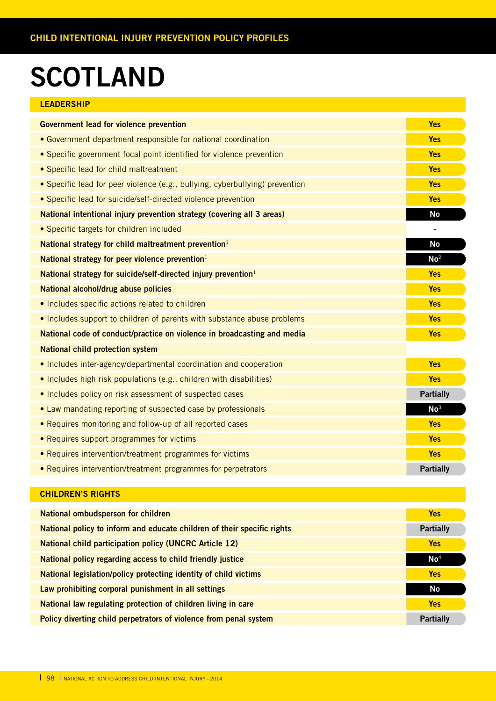# **SCOTLAND**

| <b>LEADERSHIP</b>                                                            |                  |
|------------------------------------------------------------------------------|------------------|
| <b>Government lead for violence prevention</b>                               | <b>Yes</b>       |
| • Government department responsible for national coordination                | <b>Yes</b>       |
| • Specific government focal point identified for violence prevention         | <b>Yes</b>       |
| • Specific lead for child maltreatment                                       | <b>Yes</b>       |
| • Specific lead for peer violence (e.g., bullying, cyberbullying) prevention | <b>Yes</b>       |
| • Specific lead for suicide/self-directed violence prevention                | <b>Yes</b>       |
| National intentional injury prevention strategy (covering all 3 areas)       | <b>No</b>        |
| • Specific targets for children included                                     |                  |
| National strategy for child maltreatment prevention <sup>1</sup>             | <b>No</b>        |
| National strategy for peer violence prevention <sup>1</sup>                  | No <sup>2</sup>  |
| National strategy for suicide/self-directed injury prevention <sup>1</sup>   | <b>Yes</b>       |
| National alcohol/drug abuse policies                                         | <b>Yes</b>       |
| • Includes specific actions related to children                              | <b>Yes</b>       |
| • Includes support to children of parents with substance abuse problems      | <b>Yes</b>       |
| National code of conduct/practice on violence in broadcasting and media      | <b>Yes</b>       |
| <b>National child protection system</b>                                      |                  |
| • Includes inter-agency/departmental coordination and cooperation            | <b>Yes</b>       |
| • Includes high risk populations (e.g., children with disabilities)          | <b>Yes</b>       |
| • Includes policy on risk assessment of suspected cases                      | <b>Partially</b> |
| • Law mandating reporting of suspected case by professionals                 | No <sup>3</sup>  |
| • Requires monitoring and follow-up of all reported cases                    | <b>Yes</b>       |
| • Requires support programmes for victims                                    | <b>Yes</b>       |
| • Requires intervention/treatment programmes for victims                     | <b>Yes</b>       |
| • Requires intervention/treatment programmes for perpetrators                | <b>Partially</b> |

| National ombudsperson for children                                      | <b>Yes</b>       |
|-------------------------------------------------------------------------|------------------|
|                                                                         |                  |
| National policy to inform and educate children of their specific rights | <b>Partially</b> |
|                                                                         |                  |
| <b>National child participation policy (UNCRC Article 12)</b>           | <b>Yes</b>       |
| National policy regarding access to child friendly justice              | $\mathsf{No}^4$  |
|                                                                         |                  |
| National legislation/policy protecting identity of child victims        | <b>Yes</b>       |
|                                                                         |                  |
| Law prohibiting corporal punishment in all settings                     | No.              |
|                                                                         |                  |
| National law regulating protection of children living in care           | <b>Yes</b>       |
|                                                                         |                  |
| Policy diverting child perpetrators of violence from penal system       | <b>Partially</b> |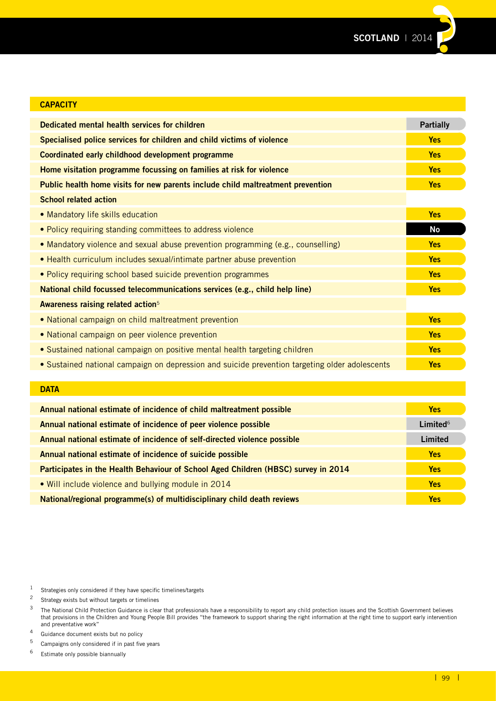

| <b>CAPACITY</b>                                                                                |                  |
|------------------------------------------------------------------------------------------------|------------------|
| Dedicated mental health services for children                                                  | <b>Partially</b> |
| Specialised police services for children and child victims of violence                         | <b>Yes</b>       |
| Coordinated early childhood development programme                                              | <b>Yes</b>       |
| Home visitation programme focussing on families at risk for violence                           | <b>Yes</b>       |
| Public health home visits for new parents include child maltreatment prevention                | <b>Yes</b>       |
| <b>School related action</b>                                                                   |                  |
| • Mandatory life skills education                                                              | <b>Yes</b>       |
| . Policy requiring standing committees to address violence                                     | No               |
| • Mandatory violence and sexual abuse prevention programming (e.g., counselling)               | <b>Yes</b>       |
| • Health curriculum includes sexual/intimate partner abuse prevention                          | <b>Yes</b>       |
| • Policy requiring school based suicide prevention programmes                                  | <b>Yes</b>       |
| National child focussed telecommunications services (e.g., child help line)                    | <b>Yes</b>       |
| Awareness raising related action <sup>5</sup>                                                  |                  |
| • National campaign on child maltreatment prevention                                           | <b>Yes</b>       |
| • National campaign on peer violence prevention                                                | <b>Yes</b>       |
| • Sustained national campaign on positive mental health targeting children                     | <b>Yes</b>       |
| • Sustained national campaign on depression and suicide prevention targeting older adolescents | <b>Yes</b>       |
|                                                                                                |                  |
| <b>DATA</b>                                                                                    |                  |

| Annual national estimate of incidence of child maltreatment possible               | <b>Yes</b>  |
|------------------------------------------------------------------------------------|-------------|
| Annual national estimate of incidence of peer violence possible                    | Limited $6$ |
| Annual national estimate of incidence of self-directed violence possible           | Limited     |
| Annual national estimate of incidence of suicide possible                          | <b>Yes</b>  |
| Participates in the Health Behaviour of School Aged Children (HBSC) survey in 2014 | <b>Yes</b>  |
| . Will include violence and bullying module in 2014                                | <b>Yes</b>  |
| National/regional programme(s) of multidisciplinary child death reviews            | <b>Yes</b>  |

 $1$  Strategies only considered if they have specific timelines/targets

<sup>2</sup> Strategy exists but without targets or timelines<br> $\frac{3}{2}$  The National Child Protection Cuidance is also

 $3$  The National Child Protection Guidance is clear that professionals have a responsibility to report any child protection issues and the Scottish Government believes that provisions in the Children and Young People Bill provides "the framework to support sharing the right information at the right time to support early intervention and preventative work"

<sup>4</sup> Guidance document exists but no policy<br> $\frac{5}{2}$  Campaigns only considered if in past five

<sup>&</sup>lt;sup>5</sup> Campaigns only considered if in past five years<br><sup>6</sup> Estimate only possible biannually

Estimate only possible biannually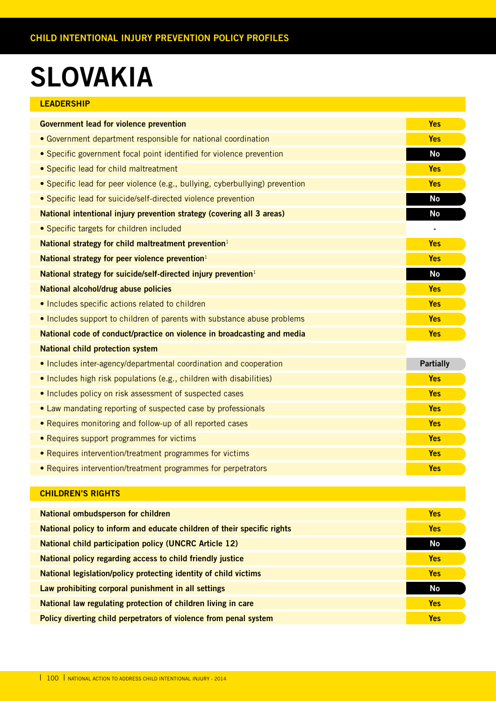### **SLOVAKIA**

| <b>LEADERSHIP</b> |  |  |  |
|-------------------|--|--|--|
|                   |  |  |  |

| <b>Government lead for violence prevention</b>                               | <b>Yes</b>       |
|------------------------------------------------------------------------------|------------------|
| • Government department responsible for national coordination                | <b>Yes</b>       |
| • Specific government focal point identified for violence prevention         | <b>No</b>        |
| • Specific lead for child maltreatment                                       | <b>Yes</b>       |
| • Specific lead for peer violence (e.g., bullying, cyberbullying) prevention | <b>Yes</b>       |
| • Specific lead for suicide/self-directed violence prevention                | <b>No</b>        |
| National intentional injury prevention strategy (covering all 3 areas)       | <b>No</b>        |
| • Specific targets for children included                                     |                  |
| National strategy for child maltreatment prevention <sup>1</sup>             | <b>Yes</b>       |
| National strategy for peer violence prevention $1$                           | <b>Yes</b>       |
| National strategy for suicide/self-directed injury prevention <sup>1</sup>   | <b>No</b>        |
| National alcohol/drug abuse policies                                         | <b>Yes</b>       |
| • Includes specific actions related to children                              | <b>Yes</b>       |
| • Includes support to children of parents with substance abuse problems      | <b>Yes</b>       |
| National code of conduct/practice on violence in broadcasting and media      | <b>Yes</b>       |
| <b>National child protection system</b>                                      |                  |
| • Includes inter-agency/departmental coordination and cooperation            | <b>Partially</b> |
| • Includes high risk populations (e.g., children with disabilities)          | <b>Yes</b>       |
| • Includes policy on risk assessment of suspected cases                      | <b>Yes</b>       |
| • Law mandating reporting of suspected case by professionals                 | <b>Yes</b>       |
| • Requires monitoring and follow-up of all reported cases                    | <b>Yes</b>       |
| • Requires support programmes for victims                                    | <b>Yes</b>       |
| • Requires intervention/treatment programmes for victims                     | <b>Yes</b>       |
| • Requires intervention/treatment programmes for perpetrators                | <b>Yes</b>       |
|                                                                              |                  |

| <b>National ombudsperson for children</b>                               | <b>Yes</b> |
|-------------------------------------------------------------------------|------------|
| National policy to inform and educate children of their specific rights | <b>Yes</b> |
| <b>National child participation policy (UNCRC Article 12)</b>           | <b>No</b>  |
| National policy regarding access to child friendly justice              | <b>Yes</b> |
| National legislation/policy protecting identity of child victims        | <b>Yes</b> |
| Law prohibiting corporal punishment in all settings                     | <b>No</b>  |
| National law regulating protection of children living in care           | <b>Yes</b> |
| Policy diverting child perpetrators of violence from penal system       | <b>Yes</b> |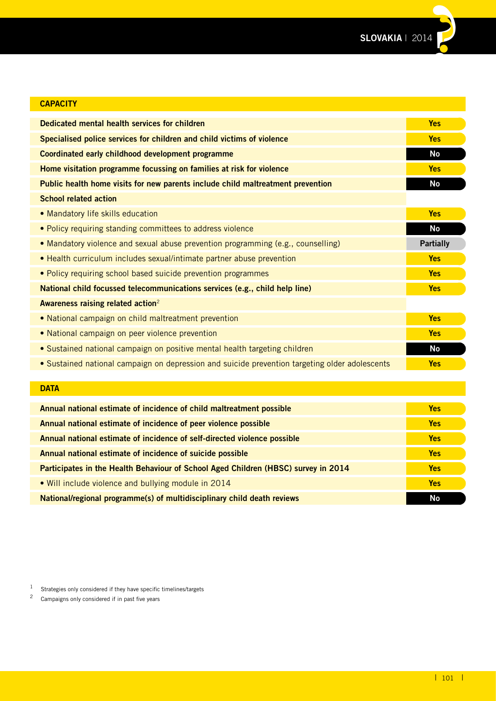

| <b>CAPACITY</b>                                                                                |                  |
|------------------------------------------------------------------------------------------------|------------------|
| Dedicated mental health services for children                                                  | <b>Yes</b>       |
| Specialised police services for children and child victims of violence                         | <b>Yes</b>       |
| Coordinated early childhood development programme                                              | <b>No</b>        |
| Home visitation programme focussing on families at risk for violence                           | <b>Yes</b>       |
| Public health home visits for new parents include child maltreatment prevention                | <b>No</b>        |
| <b>School related action</b>                                                                   |                  |
| • Mandatory life skills education                                                              | <b>Yes</b>       |
| . Policy requiring standing committees to address violence                                     | <b>No</b>        |
| . Mandatory violence and sexual abuse prevention programming (e.g., counselling)               | <b>Partially</b> |
| • Health curriculum includes sexual/intimate partner abuse prevention                          | <b>Yes</b>       |
| • Policy requiring school based suicide prevention programmes                                  | <b>Yes</b>       |
| National child focussed telecommunications services (e.g., child help line)                    | <b>Yes</b>       |
| Awareness raising related action <sup>2</sup>                                                  |                  |
| • National campaign on child maltreatment prevention                                           | <b>Yes</b>       |
| • National campaign on peer violence prevention                                                | <b>Yes</b>       |
| • Sustained national campaign on positive mental health targeting children                     | <b>No</b>        |
| • Sustained national campaign on depression and suicide prevention targeting older adolescents | <b>Yes</b>       |
|                                                                                                |                  |
| <b>DATA</b>                                                                                    |                  |
| Annual national estimate of incidence of child maltreatment possible                           | <b>Yes</b>       |

| <b>DATA</b>                                                                        |            |
|------------------------------------------------------------------------------------|------------|
| Annual national estimate of incidence of child maltreatment possible               | <b>Yes</b> |
| Annual national estimate of incidence of peer violence possible                    | <b>Yes</b> |
| Annual national estimate of incidence of self-directed violence possible           | <b>Yes</b> |
| Annual national estimate of incidence of suicide possible                          | <b>Yes</b> |
| Participates in the Health Behaviour of School Aged Children (HBSC) survey in 2014 | <b>Yes</b> |
| • Will include violence and bullying module in 2014                                | <b>Yes</b> |
| National/regional programme(s) of multidisciplinary child death reviews            | No         |

1 Strategies only considered if they have specific timelines/targets<br>  $\frac{2}{3}$  Campaigns only considered if in past five years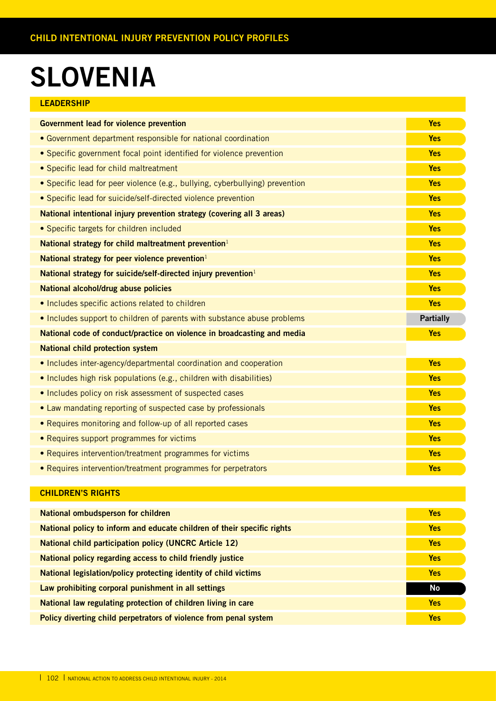### **SLOVENIA**

| <b>LEADERSHIP</b> |  |  |
|-------------------|--|--|
|                   |  |  |

| <b>Government lead for violence prevention</b>                               | <b>Yes</b>       |
|------------------------------------------------------------------------------|------------------|
| • Government department responsible for national coordination                | <b>Yes</b>       |
| • Specific government focal point identified for violence prevention         | <b>Yes</b>       |
| • Specific lead for child maltreatment                                       | <b>Yes</b>       |
| • Specific lead for peer violence (e.g., bullying, cyberbullying) prevention | <b>Yes</b>       |
| • Specific lead for suicide/self-directed violence prevention                | <b>Yes</b>       |
| National intentional injury prevention strategy (covering all 3 areas)       | <b>Yes</b>       |
| • Specific targets for children included                                     | <b>Yes</b>       |
| National strategy for child maltreatment prevention <sup>1</sup>             | <b>Yes</b>       |
| National strategy for peer violence prevention $1$                           | <b>Yes</b>       |
| National strategy for suicide/self-directed injury prevention <sup>1</sup>   | <b>Yes</b>       |
| National alcohol/drug abuse policies                                         | <b>Yes</b>       |
|                                                                              |                  |
| • Includes specific actions related to children                              | <b>Yes</b>       |
| • Includes support to children of parents with substance abuse problems      | <b>Partially</b> |
| National code of conduct/practice on violence in broadcasting and media      | <b>Yes</b>       |
| <b>National child protection system</b>                                      |                  |
| • Includes inter-agency/departmental coordination and cooperation            | <b>Yes</b>       |
| • Includes high risk populations (e.g., children with disabilities)          | <b>Yes</b>       |
| . Includes policy on risk assessment of suspected cases                      | Yes              |
| • Law mandating reporting of suspected case by professionals                 | <b>Yes</b>       |
| • Requires monitoring and follow-up of all reported cases                    | <b>Yes</b>       |
| • Requires support programmes for victims                                    | <b>Yes</b>       |
| • Requires intervention/treatment programmes for victims                     | <b>Yes</b>       |

| National ombudsperson for children                                      | <b>Yes</b> |
|-------------------------------------------------------------------------|------------|
| National policy to inform and educate children of their specific rights | <b>Yes</b> |
| <b>National child participation policy (UNCRC Article 12)</b>           | <b>Yes</b> |
| National policy regarding access to child friendly justice              | <b>Yes</b> |
| National legislation/policy protecting identity of child victims        | <b>Yes</b> |
| Law prohibiting corporal punishment in all settings                     | No         |
| National law regulating protection of children living in care           | <b>Yes</b> |
| Policy diverting child perpetrators of violence from penal system       | <b>Yes</b> |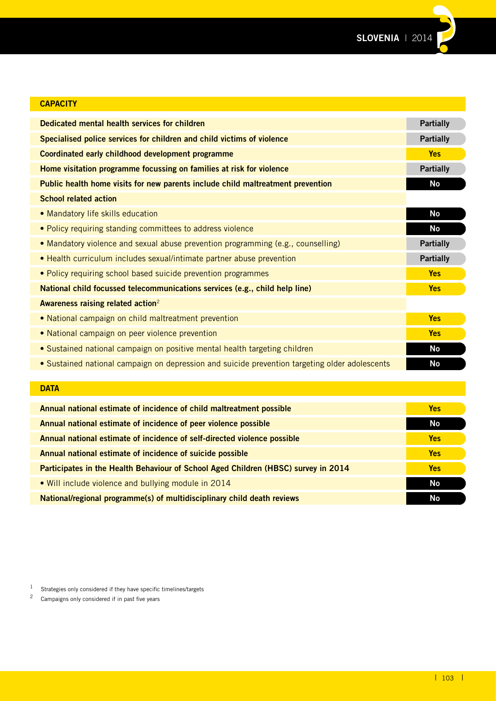**SLOVENIA** | 2014**??**

| <b>CAPACITY</b>                                                                                |                  |
|------------------------------------------------------------------------------------------------|------------------|
| Dedicated mental health services for children                                                  | <b>Partially</b> |
| Specialised police services for children and child victims of violence                         | <b>Partially</b> |
| Coordinated early childhood development programme                                              | <b>Yes</b>       |
| Home visitation programme focussing on families at risk for violence                           | <b>Partially</b> |
| Public health home visits for new parents include child maltreatment prevention                | No               |
| <b>School related action</b>                                                                   |                  |
| • Mandatory life skills education                                                              | <b>No</b>        |
| • Policy requiring standing committees to address violence                                     | <b>No</b>        |
| • Mandatory violence and sexual abuse prevention programming (e.g., counselling)               | <b>Partially</b> |
| • Health curriculum includes sexual/intimate partner abuse prevention                          | <b>Partially</b> |
| • Policy requiring school based suicide prevention programmes                                  | <b>Yes</b>       |
| National child focussed telecommunications services (e.g., child help line)                    | <b>Yes</b>       |
| Awareness raising related action <sup>2</sup>                                                  |                  |
| • National campaign on child maltreatment prevention                                           | <b>Yes</b>       |
| • National campaign on peer violence prevention                                                | <b>Yes</b>       |
| · Sustained national campaign on positive mental health targeting children                     | <b>No</b>        |
| • Sustained national campaign on depression and suicide prevention targeting older adolescents | <b>No</b>        |
|                                                                                                |                  |
| <b>DATA</b>                                                                                    |                  |

| <b>DATA</b>                                                                        |            |
|------------------------------------------------------------------------------------|------------|
| Annual national estimate of incidence of child maltreatment possible               | <b>Yes</b> |
| Annual national estimate of incidence of peer violence possible                    | No         |
| Annual national estimate of incidence of self-directed violence possible           | <b>Yes</b> |
| Annual national estimate of incidence of suicide possible                          | <b>Yes</b> |
| Participates in the Health Behaviour of School Aged Children (HBSC) survey in 2014 | <b>Yes</b> |
| • Will include violence and bullying module in 2014                                | No         |
| National/regional programme(s) of multidisciplinary child death reviews            | No         |

1 Strategies only considered if they have specific timelines/targets<br>  $\frac{2}{3}$  Campaigns only considered if in past five years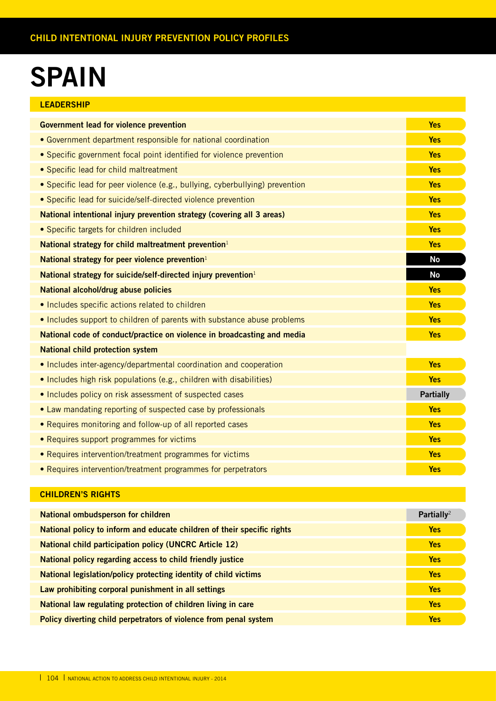### **SPAIN**

| <b>LEADERSHIP</b>                                                            |                  |
|------------------------------------------------------------------------------|------------------|
| <b>Government lead for violence prevention</b>                               | <b>Yes</b>       |
| • Government department responsible for national coordination                | <b>Yes</b>       |
| • Specific government focal point identified for violence prevention         | <b>Yes</b>       |
| • Specific lead for child maltreatment                                       | <b>Yes</b>       |
| • Specific lead for peer violence (e.g., bullying, cyberbullying) prevention | <b>Yes</b>       |
| • Specific lead for suicide/self-directed violence prevention                | <b>Yes</b>       |
| National intentional injury prevention strategy (covering all 3 areas)       | <b>Yes</b>       |
| • Specific targets for children included                                     | <b>Yes</b>       |
| National strategy for child maltreatment prevention <sup>1</sup>             | <b>Yes</b>       |
| National strategy for peer violence prevention <sup>1</sup>                  | <b>No</b>        |
| National strategy for suicide/self-directed injury prevention <sup>1</sup>   | <b>No</b>        |
| National alcohol/drug abuse policies                                         | <b>Yes</b>       |
| • Includes specific actions related to children                              | <b>Yes</b>       |
| • Includes support to children of parents with substance abuse problems      | <b>Yes</b>       |
| National code of conduct/practice on violence in broadcasting and media      | <b>Yes</b>       |
| <b>National child protection system</b>                                      |                  |
| • Includes inter-agency/departmental coordination and cooperation            | <b>Yes</b>       |
| • Includes high risk populations (e.g., children with disabilities)          | <b>Yes</b>       |
| • Includes policy on risk assessment of suspected cases                      | <b>Partially</b> |
| • Law mandating reporting of suspected case by professionals                 | <b>Yes</b>       |
| • Requires monitoring and follow-up of all reported cases                    | <b>Yes</b>       |
| • Requires support programmes for victims                                    | <b>Yes</b>       |
| • Requires intervention/treatment programmes for victims                     | <b>Yes</b>       |
| • Requires intervention/treatment programmes for perpetrators                | <b>Yes</b>       |

| <b>National ombudsperson for children</b>                               | Partially <sup>2</sup> |
|-------------------------------------------------------------------------|------------------------|
| National policy to inform and educate children of their specific rights | <b>Yes</b>             |
| <b>National child participation policy (UNCRC Article 12)</b>           | <b>Yes</b>             |
| National policy regarding access to child friendly justice              | <b>Yes</b>             |
| National legislation/policy protecting identity of child victims        | <b>Yes</b>             |
| Law prohibiting corporal punishment in all settings                     | <b>Yes</b>             |
| National law regulating protection of children living in care           | <b>Yes</b>             |
| Policy diverting child perpetrators of violence from penal system       | <b>Yes</b>             |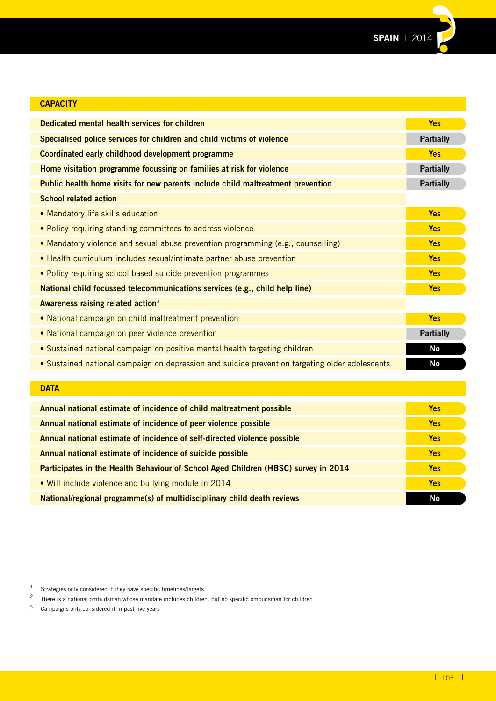

| <b>CAPACITY</b>                                                                                |                  |
|------------------------------------------------------------------------------------------------|------------------|
| Dedicated mental health services for children                                                  | <b>Yes</b>       |
| Specialised police services for children and child victims of violence                         | <b>Partially</b> |
| Coordinated early childhood development programme                                              | <b>Yes</b>       |
| Home visitation programme focussing on families at risk for violence                           | <b>Partially</b> |
| Public health home visits for new parents include child maltreatment prevention                | <b>Partially</b> |
| <b>School related action</b>                                                                   |                  |
| • Mandatory life skills education                                                              | <b>Yes</b>       |
| • Policy requiring standing committees to address violence                                     | <b>Yes</b>       |
| • Mandatory violence and sexual abuse prevention programming (e.g., counselling)               | <b>Yes</b>       |
| • Health curriculum includes sexual/intimate partner abuse prevention                          | <b>Yes</b>       |
| • Policy requiring school based suicide prevention programmes                                  | <b>Yes</b>       |
| National child focussed telecommunications services (e.g., child help line)                    | <b>Yes</b>       |
| Awareness raising related action <sup>3</sup>                                                  |                  |
| • National campaign on child maltreatment prevention                                           | <b>Yes</b>       |
| • National campaign on peer violence prevention                                                | <b>Partially</b> |
| • Sustained national campaign on positive mental health targeting children                     | <b>No</b>        |
| • Sustained national campaign on depression and suicide prevention targeting older adolescents | <b>No</b>        |
|                                                                                                |                  |
| <b>DATA</b>                                                                                    |                  |

| <b>DATA</b>                                                                        |            |
|------------------------------------------------------------------------------------|------------|
| Annual national estimate of incidence of child maltreatment possible               | <b>Yes</b> |
| Annual national estimate of incidence of peer violence possible                    | <b>Yes</b> |
| Annual national estimate of incidence of self-directed violence possible           | <b>Yes</b> |
| Annual national estimate of incidence of suicide possible                          | <b>Yes</b> |
| Participates in the Health Behaviour of School Aged Children (HBSC) survey in 2014 | <b>Yes</b> |
| • Will include violence and bullying module in 2014                                | <b>Yes</b> |
| National/regional programme(s) of multidisciplinary child death reviews            | No         |

<sup>1</sup> Strategies only considered if they have specific timelines/targets<br> $\frac{2}{\pi}$  There is a national ombudsman whose mandate includes children

<sup>&</sup>lt;sup>2</sup> There is a national ombudsman whose mandate includes children, but no specific ombudsman for children  $\frac{3}{2}$  Campaigns only considered if in past five years

Campaigns only considered if in past five years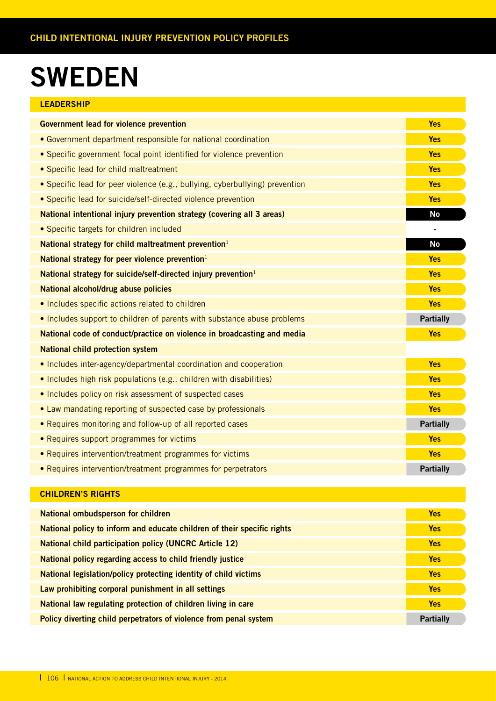### **SWEDEN**

| <b>LEADERSHIP</b>                                                            |                          |
|------------------------------------------------------------------------------|--------------------------|
| <b>Government lead for violence prevention</b>                               | <b>Yes</b>               |
| • Government department responsible for national coordination                | <b>Yes</b>               |
| • Specific government focal point identified for violence prevention         | <b>Yes</b>               |
| • Specific lead for child maltreatment                                       | <b>Yes</b>               |
| • Specific lead for peer violence (e.g., bullying, cyberbullying) prevention | <b>Yes</b>               |
| • Specific lead for suicide/self-directed violence prevention                | <b>Yes</b>               |
| National intentional injury prevention strategy (covering all 3 areas)       | <b>No</b>                |
| • Specific targets for children included                                     | $\overline{\phantom{a}}$ |
| National strategy for child maltreatment prevention <sup>1</sup>             | <b>No</b>                |
| National strategy for peer violence prevention <sup>1</sup>                  | <b>Yes</b>               |
| National strategy for suicide/self-directed injury prevention <sup>1</sup>   | <b>Yes</b>               |
| National alcohol/drug abuse policies                                         | <b>Yes</b>               |
| • Includes specific actions related to children                              | <b>Yes</b>               |
| • Includes support to children of parents with substance abuse problems      | <b>Partially</b>         |
| National code of conduct/practice on violence in broadcasting and media      | <b>Yes</b>               |
| <b>National child protection system</b>                                      |                          |
| • Includes inter-agency/departmental coordination and cooperation            | <b>Yes</b>               |
| • Includes high risk populations (e.g., children with disabilities)          | <b>Yes</b>               |
| . Includes policy on risk assessment of suspected cases                      | <b>Yes</b>               |
| • Law mandating reporting of suspected case by professionals                 | <b>Yes</b>               |

• Requires monitoring and follow-up of all reported cases **Acceleration and Contact Contact Partially** • Requires support programmes for victims **Yes** • Requires intervention/treatment programmes for victims **Yes**

• Requires intervention/treatment programmes for perpetrators **Partially Partially** 

| National ombudsperson for children                                      | <b>Yes</b>       |
|-------------------------------------------------------------------------|------------------|
| National policy to inform and educate children of their specific rights | <b>Yes</b>       |
| <b>National child participation policy (UNCRC Article 12)</b>           | <b>Yes</b>       |
| National policy regarding access to child friendly justice              | <b>Yes</b>       |
| National legislation/policy protecting identity of child victims        | <b>Yes</b>       |
| Law prohibiting corporal punishment in all settings                     | <b>Yes</b>       |
| National law regulating protection of children living in care           | <b>Yes</b>       |
| Policy diverting child perpetrators of violence from penal system       | <b>Partially</b> |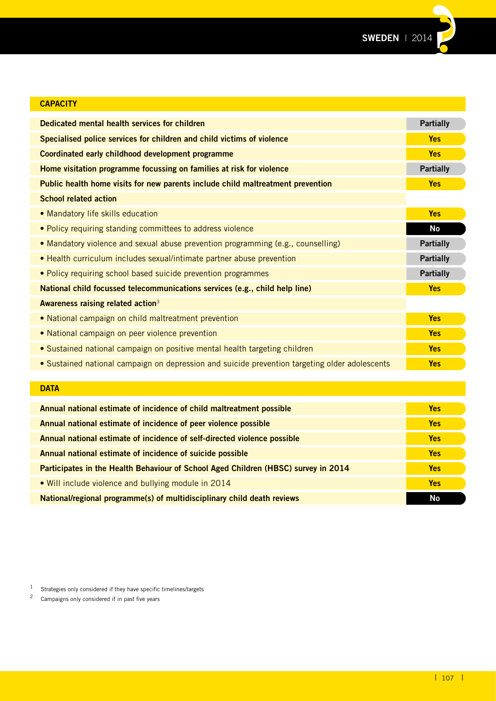

| <b>CAPACITY</b>                                                                                |                  |
|------------------------------------------------------------------------------------------------|------------------|
| Dedicated mental health services for children                                                  | <b>Partially</b> |
| Specialised police services for children and child victims of violence                         | <b>Yes</b>       |
| Coordinated early childhood development programme                                              | <b>Yes</b>       |
| Home visitation programme focussing on families at risk for violence                           | <b>Partially</b> |
| Public health home visits for new parents include child maltreatment prevention                | <b>Yes</b>       |
| <b>School related action</b>                                                                   |                  |
| • Mandatory life skills education                                                              | <b>Yes</b>       |
| • Policy requiring standing committees to address violence                                     | <b>No</b>        |
| . Mandatory violence and sexual abuse prevention programming (e.g., counselling)               | <b>Partially</b> |
| • Health curriculum includes sexual/intimate partner abuse prevention                          | <b>Partially</b> |
| • Policy requiring school based suicide prevention programmes                                  | <b>Partially</b> |
| National child focussed telecommunications services (e.g., child help line)                    | <b>Yes</b>       |
| Awareness raising related action <sup>3</sup>                                                  |                  |
| • National campaign on child maltreatment prevention                                           | <b>Yes</b>       |
| • National campaign on peer violence prevention                                                | <b>Yes</b>       |
| • Sustained national campaign on positive mental health targeting children                     | <b>Yes</b>       |
| • Sustained national campaign on depression and suicide prevention targeting older adolescents | <b>Yes</b>       |
|                                                                                                |                  |
| <b>DATA</b>                                                                                    |                  |
| Annual national estimate of incidence of child maltreatment possible                           | <b>Yes</b>       |
| Annual national estimate of incidence of peer violence possible                                | <b>Yes</b>       |
| Annual national estimate of incidence of self-directed violence possible                       | <b>Yes</b>       |
| Annual national estimate of incidence of suicide possible                                      | <b>Yes</b>       |
| Participates in the Health Behaviour of School Aged Children (HBSC) survey in 2014             | <b>Yes</b>       |

• Will include violence and bullying module in 2014 **Yes**

**National/regional programme(s) of multidisciplinary child death reviews No and Construction Construction Construction No and Construction Construction No and Construction No and Construction No and Construction No and Con** 

 $1$  Strategies only considered if they have specific timelines/targets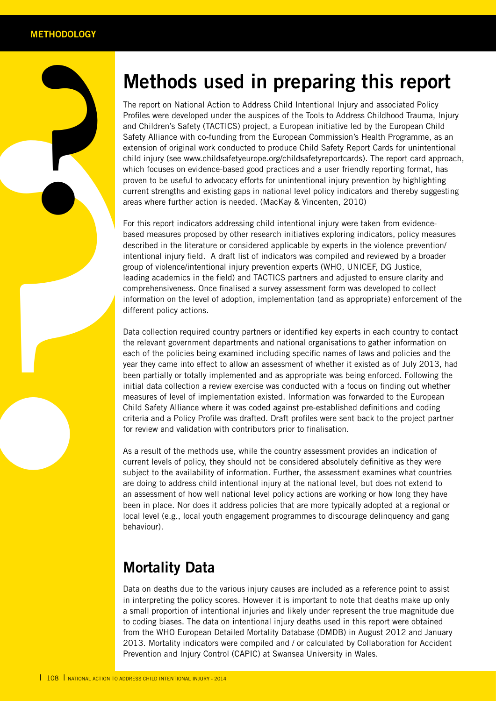**?**

### **Methods used in preparing this report**

The reperties<br>and Chiles<br>and Chiles<br>are the Profiles<br>extension of the stern is<br>child in which from<br>the proven current areas with the process of the based measure<br>intention group to<br>compress intention compression intention The report on National Action to Address Child Intentional Injury and associated Policy Profiles were developed under the auspices of the Tools to Address Childhood Trauma, Injury and Children's Safety (TACTICS) project, a European initiative led by the European Child Safety Alliance with co-funding from the European Commission's Health Programme, as an extension of original work conducted to produce Child Safety Report Cards for unintentional child injury (see www.childsafetyeurope.org/childsafetyreportcards). The report card approach, which focuses on evidence-based good practices and a user friendly reporting format, has proven to be useful to advocacy efforts for unintentional injury prevention by highlighting current strengths and existing gaps in national level policy indicators and thereby suggesting areas where further action is needed. (MacKay & Vincenten, 2010)

For this report indicators addressing child intentional injury were taken from evidencebased measures proposed by other research initiatives exploring indicators, policy measures described in the literature or considered applicable by experts in the violence prevention/ intentional injury field. A draft list of indicators was compiled and reviewed by a broader group of violence/intentional injury prevention experts (WHO, UNICEF, DG Justice, leading academics in the field) and TACTICS partners and adjusted to ensure clarity and comprehensiveness. Once finalised a survey assessment form was developed to collect information on the level of adoption, implementation (and as appropriate) enforcement of the different policy actions.

Data collection required country partners or identified key experts in each country to contact the relevant government departments and national organisations to gather information on each of the policies being examined including specific names of laws and policies and the year they came into effect to allow an assessment of whether it existed as of July 2013, had been partially or totally implemented and as appropriate was being enforced. Following the initial data collection a review exercise was conducted with a focus on finding out whether measures of level of implementation existed. Information was forwarded to the European Child Safety Alliance where it was coded against pre-established definitions and coding criteria and a Policy Profile was drafted. Draft profiles were sent back to the project partner for review and validation with contributors prior to finalisation.

As a result of the methods use, while the country assessment provides an indication of current levels of policy, they should not be considered absolutely definitive as they were subject to the availability of information. Further, the assessment examines what countries are doing to address child intentional injury at the national level, but does not extend to an assessment of how well national level policy actions are working or how long they have been in place. Nor does it address policies that are more typically adopted at a regional or local level (e.g., local youth engagement programmes to discourage delinquency and gang behaviour).

### **Mortality Data**

Data on deaths due to the various injury causes are included as a reference point to assist in interpreting the policy scores. However it is important to note that deaths make up only a small proportion of intentional injuries and likely under represent the true magnitude due to coding biases. The data on intentional injury deaths used in this report were obtained from the WHO European Detailed Mortality Database (DMDB) in August 2012 and January 2013. Mortality indicators were compiled and / or calculated by Collaboration for Accident Prevention and Injury Control (CAPIC) at Swansea University in Wales.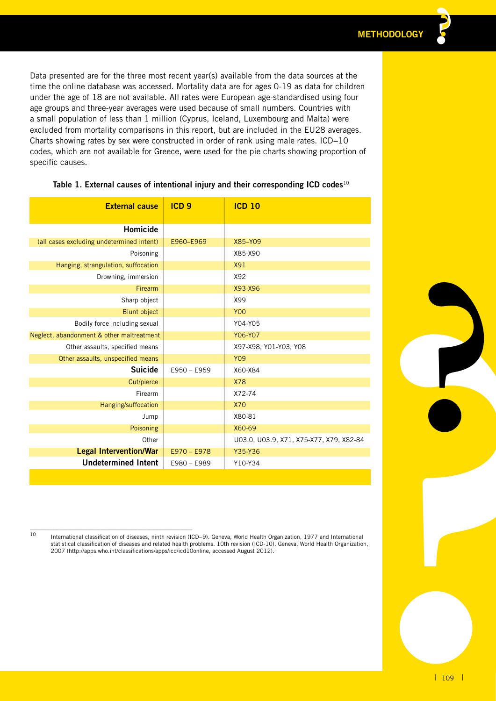Data presented are for the three most recent year(s) available from the data sources at the time the online database was accessed. Mortality data are for ages 0-19 as data for children under the age of 18 are not available. All rates were European age-standardised using four age groups and three-year averages were used because of small numbers. Countries with a small population of less than 1 million (Cyprus, Iceland, Luxembourg and Malta) were excluded from mortality comparisons in this report, but are included in the EU28 averages. Charts showing rates by sex were constructed in order of rank using male rates. ICD−10 codes, which are not available for Greece, were used for the pie charts showing proportion of specific causes.

| Homicide<br>(all cases excluding undetermined intent)<br>E960-E969<br>X85-Y09<br>X85-X90<br>Poisoning<br>Hanging, strangulation, suffocation<br><b>X91</b><br>X92<br>Drowning, immersion<br>Firearm<br>X93-X96<br>Sharp object<br>X99<br><b>Y00</b><br><b>Blunt object</b><br>Bodily force including sexual<br>Y04-Y05<br>Neglect, abandonment & other maltreatment<br>Y06-Y07<br>Other assaults, specified means<br>X97-X98, Y01-Y03, Y08<br><b>Y09</b><br>Other assaults, unspecified means<br><b>Suicide</b><br>E950 - E959<br>X60-X84<br><b>X78</b><br>Cut/pierce<br>Firearm<br>X72-74<br>Hanging/suffocation<br><b>X70</b><br>X80-81<br>Jump<br>X60-69<br>Poisoning<br>Other<br>U03.0, U03.9, X71, X75-X77, X79, X82-84<br><b>Legal Intervention/War</b><br>Y35-Y36<br>$E970 - E978$<br><b>Undetermined Intent</b><br>E980 - E989<br>Y10-Y34<br>$10\,$<br>International classification of diseases, ninth revision (ICD-9). Geneva, World Health Organization, 1977 and International<br>statistical classification of diseases and related health problems. 10th revision (ICD-10). Geneva, World Health Organization,<br>2007 (http://apps.who.int/classifications/apps/icd/icd10online, accessed August 2012).<br>$\vert$ 109 $\vert$ | <b>External cause</b> | ICD <sub>9</sub> | <b>ICD 10</b> |
|-----------------------------------------------------------------------------------------------------------------------------------------------------------------------------------------------------------------------------------------------------------------------------------------------------------------------------------------------------------------------------------------------------------------------------------------------------------------------------------------------------------------------------------------------------------------------------------------------------------------------------------------------------------------------------------------------------------------------------------------------------------------------------------------------------------------------------------------------------------------------------------------------------------------------------------------------------------------------------------------------------------------------------------------------------------------------------------------------------------------------------------------------------------------------------------------------------------------------------------------------|-----------------------|------------------|---------------|
|                                                                                                                                                                                                                                                                                                                                                                                                                                                                                                                                                                                                                                                                                                                                                                                                                                                                                                                                                                                                                                                                                                                                                                                                                                               |                       |                  |               |
|                                                                                                                                                                                                                                                                                                                                                                                                                                                                                                                                                                                                                                                                                                                                                                                                                                                                                                                                                                                                                                                                                                                                                                                                                                               |                       |                  |               |
|                                                                                                                                                                                                                                                                                                                                                                                                                                                                                                                                                                                                                                                                                                                                                                                                                                                                                                                                                                                                                                                                                                                                                                                                                                               |                       |                  |               |
|                                                                                                                                                                                                                                                                                                                                                                                                                                                                                                                                                                                                                                                                                                                                                                                                                                                                                                                                                                                                                                                                                                                                                                                                                                               |                       |                  |               |
|                                                                                                                                                                                                                                                                                                                                                                                                                                                                                                                                                                                                                                                                                                                                                                                                                                                                                                                                                                                                                                                                                                                                                                                                                                               |                       |                  |               |
|                                                                                                                                                                                                                                                                                                                                                                                                                                                                                                                                                                                                                                                                                                                                                                                                                                                                                                                                                                                                                                                                                                                                                                                                                                               |                       |                  |               |
|                                                                                                                                                                                                                                                                                                                                                                                                                                                                                                                                                                                                                                                                                                                                                                                                                                                                                                                                                                                                                                                                                                                                                                                                                                               |                       |                  |               |
|                                                                                                                                                                                                                                                                                                                                                                                                                                                                                                                                                                                                                                                                                                                                                                                                                                                                                                                                                                                                                                                                                                                                                                                                                                               |                       |                  |               |
|                                                                                                                                                                                                                                                                                                                                                                                                                                                                                                                                                                                                                                                                                                                                                                                                                                                                                                                                                                                                                                                                                                                                                                                                                                               |                       |                  |               |
|                                                                                                                                                                                                                                                                                                                                                                                                                                                                                                                                                                                                                                                                                                                                                                                                                                                                                                                                                                                                                                                                                                                                                                                                                                               |                       |                  |               |
|                                                                                                                                                                                                                                                                                                                                                                                                                                                                                                                                                                                                                                                                                                                                                                                                                                                                                                                                                                                                                                                                                                                                                                                                                                               |                       |                  |               |
|                                                                                                                                                                                                                                                                                                                                                                                                                                                                                                                                                                                                                                                                                                                                                                                                                                                                                                                                                                                                                                                                                                                                                                                                                                               |                       |                  |               |
|                                                                                                                                                                                                                                                                                                                                                                                                                                                                                                                                                                                                                                                                                                                                                                                                                                                                                                                                                                                                                                                                                                                                                                                                                                               |                       |                  |               |
|                                                                                                                                                                                                                                                                                                                                                                                                                                                                                                                                                                                                                                                                                                                                                                                                                                                                                                                                                                                                                                                                                                                                                                                                                                               |                       |                  |               |
|                                                                                                                                                                                                                                                                                                                                                                                                                                                                                                                                                                                                                                                                                                                                                                                                                                                                                                                                                                                                                                                                                                                                                                                                                                               |                       |                  |               |
|                                                                                                                                                                                                                                                                                                                                                                                                                                                                                                                                                                                                                                                                                                                                                                                                                                                                                                                                                                                                                                                                                                                                                                                                                                               |                       |                  |               |
|                                                                                                                                                                                                                                                                                                                                                                                                                                                                                                                                                                                                                                                                                                                                                                                                                                                                                                                                                                                                                                                                                                                                                                                                                                               |                       |                  |               |
|                                                                                                                                                                                                                                                                                                                                                                                                                                                                                                                                                                                                                                                                                                                                                                                                                                                                                                                                                                                                                                                                                                                                                                                                                                               |                       |                  |               |
|                                                                                                                                                                                                                                                                                                                                                                                                                                                                                                                                                                                                                                                                                                                                                                                                                                                                                                                                                                                                                                                                                                                                                                                                                                               |                       |                  |               |
|                                                                                                                                                                                                                                                                                                                                                                                                                                                                                                                                                                                                                                                                                                                                                                                                                                                                                                                                                                                                                                                                                                                                                                                                                                               |                       |                  |               |
|                                                                                                                                                                                                                                                                                                                                                                                                                                                                                                                                                                                                                                                                                                                                                                                                                                                                                                                                                                                                                                                                                                                                                                                                                                               |                       |                  |               |
|                                                                                                                                                                                                                                                                                                                                                                                                                                                                                                                                                                                                                                                                                                                                                                                                                                                                                                                                                                                                                                                                                                                                                                                                                                               |                       |                  |               |

## **Table 1. External causes of intentional injury and their corresponding ICD codes**<sup>10</sup>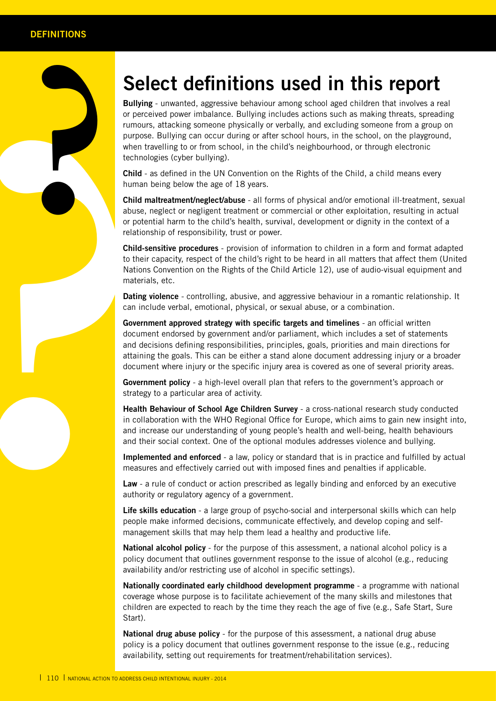## **Select definitions used in this report**

**Exaltying**<br>
or perced<br>
rumours<br>
when the technol<br>
child – human<br>
child mann<br>
child mann<br>
child mann<br>
child s<br>
or potention<br>
child s<br>
or potention<br>
child s<br>
or potention<br>
child s<br>
technol<br>
child s<br>
contention<br>
child s<br>
con **Bullying** - unwanted, aggressive behaviour among school aged children that involves a real or perceived power imbalance. Bullying includes actions such as making threats, spreading rumours, attacking someone physically or verbally, and excluding someone from a group on purpose. Bullying can occur during or after school hours, in the school, on the playground, when travelling to or from school, in the child's neighbourhood, or through electronic technologies (cyber bullying).

**Child** - as defined in the UN Convention on the Rights of the Child, a child means every human being below the age of 18 years.

**Child maltreatment/neglect/abuse** - all forms of physical and/or emotional ill-treatment, sexual abuse, neglect or negligent treatment or commercial or other exploitation, resulting in actual or potential harm to the child's health, survival, development or dignity in the context of a relationship of responsibility, trust or power.

**Child-sensitive procedures** - provision of information to children in a form and format adapted to their capacity, respect of the child's right to be heard in all matters that affect them (United Nations Convention on the Rights of the Child Article 12), use of audio-visual equipment and materials, etc.

**Dating violence** - controlling, abusive, and aggressive behaviour in a romantic relationship. It can include verbal, emotional, physical, or sexual abuse, or a combination.

**Government approved strategy with specific targets and timelines** - an official written document endorsed by government and/or parliament, which includes a set of statements and decisions defining responsibilities, principles, goals, priorities and main directions for attaining the goals. This can be either a stand alone document addressing injury or a broader document where injury or the specific injury area is covered as one of several priority areas.

**Government policy** - a high-level overall plan that refers to the government's approach or strategy to a particular area of activity.

**Health Behaviour of School Age Children Survey** - a cross-national research study conducted in collaboration with the WHO Regional Office for Europe, which aims to gain new insight into, and increase our understanding of young people's health and well-being, health behaviours and their social context. One of the optional modules addresses violence and bullying.

**Implemented and enforced** - a law, policy or standard that is in practice and fulfilled by actual measures and effectively carried out with imposed fines and penalties if applicable.

**Law** - a rule of conduct or action prescribed as legally binding and enforced by an executive authority or regulatory agency of a government.

**Life skills education** - a large group of psycho-social and interpersonal skills which can help people make informed decisions, communicate effectively, and develop coping and selfmanagement skills that may help them lead a healthy and productive life.

**National alcohol policy** - for the purpose of this assessment, a national alcohol policy is a policy document that outlines government response to the issue of alcohol (e.g., reducing availability and/or restricting use of alcohol in specific settings).

**Nationally coordinated early childhood development programme** - a programme with national coverage whose purpose is to facilitate achievement of the many skills and milestones that children are expected to reach by the time they reach the age of five (e.g., Safe Start, Sure Start).

**National drug abuse policy** - for the purpose of this assessment, a national drug abuse policy is a policy document that outlines government response to the issue (e.g., reducing availability, setting out requirements for treatment/rehabilitation services).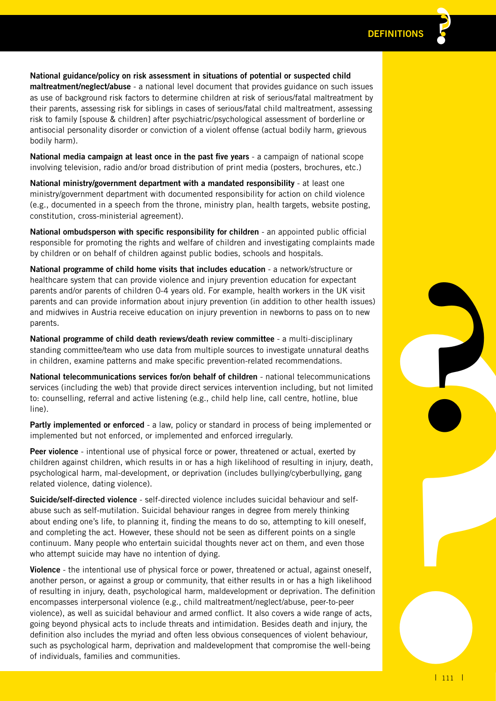**National guidance/policy on risk assessment in situations of potential or suspected child maltreatment/neglect/abuse** - a national level document that provides guidance on such issues as use of background risk factors to determine children at risk of serious/fatal maltreatment by their parents, assessing risk for siblings in cases of serious/fatal child maltreatment, assessing risk to family [spouse & children] after psychiatric/psychological assessment of borderline or antisocial personality disorder or conviction of a violent offense (actual bodily harm, grievous

**National media campaign at least once in the past five years** - a campaign of national scope involving television, radio and/or broad distribution of print media (posters, brochures, etc.)

bodily harm).

**National ministry/government department with a mandated responsibility** - at least one ministry/government department with documented responsibility for action on child violence (e.g., documented in a speech from the throne, ministry plan, health targets, website posting, constitution, cross-ministerial agreement).

**National ombudsperson with specific responsibility for children** - an appointed public official responsible for promoting the rights and welfare of children and investigating complaints made by children or on behalf of children against public bodies, schools and hospitals.

**National programme of child home visits that includes education** - a network/structure or healthcare system that can provide violence and injury prevention education for expectant parents and/or parents of children 0-4 years old. For example, health workers in the UK visit parents and can provide information about injury prevention (in addition to other health issues) and midwives in Austria receive education on injury prevention in newborns to pass on to new parents.

**National programme of child death reviews/death review committee** - a multi-disciplinary standing committee/team who use data from multiple sources to investigate unnatural deaths in children, examine patterns and make specific prevention-related recommendations.

**National telecommunications services for/on behalf of children** - national telecommunications services (including the web) that provide direct services intervention including, but not limited to: counselling, referral and active listening (e.g., child help line, call centre, hotline, blue line).

**Partly implemented or enforced** - a law, policy or standard in process of being implemented or implemented but not enforced, or implemented and enforced irregularly.

**Peer violence** - intentional use of physical force or power, threatened or actual, exerted by children against children, which results in or has a high likelihood of resulting in injury, death, psychological harm, mal-development, or deprivation (includes bullying/cyberbullying, gang related violence, dating violence).

**Suicide/self-directed violence** - self-directed violence includes suicidal behaviour and selfabuse such as self-mutilation. Suicidal behaviour ranges in degree from merely thinking about ending one's life, to planning it, finding the means to do so, attempting to kill oneself, and completing the act. However, these should not be seen as different points on a single continuum. Many people who entertain suicidal thoughts never act on them, and even those who attempt suicide may have no intention of dying.

visit<br>issues)<br>g<br>weaths<br>dions<br>deaths<br>dions<br>ilmited<br>ue<br>ted or<br>y being<br>facts,<br>ang<br>fif-<br>isself,<br>le phose<br>reself,<br> $\ell$  facts,<br> $\ell$ , the photo secure is a set of a secure in the secure is a set of a secure is a secure in the sec **Violence** - the intentional use of physical force or power, threatened or actual, against oneself, another person, or against a group or community, that either results in or has a high likelihood of resulting in injury, death, psychological harm, maldevelopment or deprivation. The definition encompasses interpersonal violence (e.g., child maltreatment/neglect/abuse, peer-to-peer violence), as well as suicidal behaviour and armed conflict. It also covers a wide range of acts, going beyond physical acts to include threats and intimidation. Besides death and injury, the definition also includes the myriad and often less obvious consequences of violent behaviour, such as psychological harm, deprivation and maldevelopment that compromise the well-being of individuals, families and communities.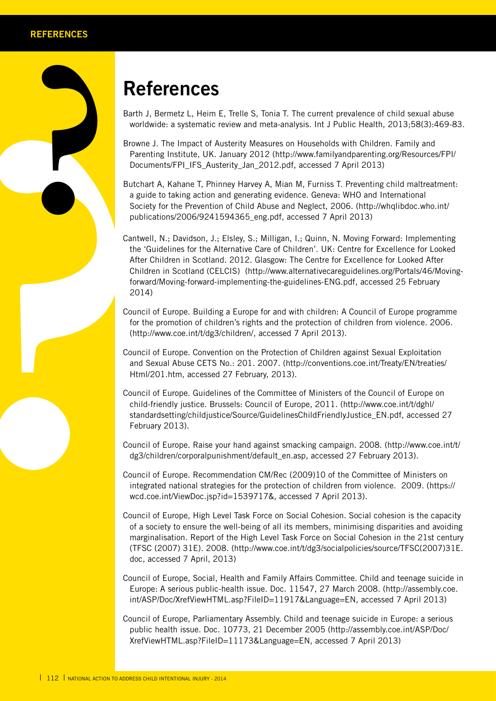## **References**

Barth J, Bermetz L, Heim E, Trelle S, Tonia T. The current prevalence of child sexual abuse worldwide: a systematic review and meta-analysis. Int J Public Health, 2013;58(3):469-83.

- Browne J. The Impact of Austerity Measures on Households with Children. Family and Parenting Institute, UK. January 2012 (http://www.familyandparenting.org/Resources/FPI/ Documents/FPI\_IFS\_Austerity\_Jan\_2012.pdf, accessed 7 April 2013)
- Butchart A, Kahane T, Phinney Harvey A, Mian M, Furniss T. Preventing child maltreatment: a guide to taking action and generating evidence. Geneva: WHO and International Society for the Prevention of Child Abuse and Neglect, 2006. (http://whqlibdoc.who.int/ publications/2006/9241594365\_eng.pdf, accessed 7 April 2013)
- **Parther**<br> **Parther**<br> **Parther**<br> **Parther**<br> **Parther**<br> **Parther**<br> **Parther**<br> **Parther**<br> **Parther**<br> **Parther**<br> **Parther**<br> **Parther**<br> **Contrighter**<br> **Cantwe de CE**<br> **CATANG**<br> **Cantwe the CC**<br> **CATANG**<br> **CATANG**<br> **CATANG**<br> **C** Cantwell, N.; Davidson, J.; Elsley, S.; Milligan, I.; Quinn, N. Moving Forward: Implementing the 'Guidelines for the Alternative Care of Children'. UK: Centre for Excellence for Looked After Children in Scotland. 2012. Glasgow: The Centre for Excellence for Looked After Children in Scotland (CELCIS) (http://www.alternativecareguidelines.org/Portals/46/Movingforward/Moving-forward-implementing-the-guidelines-ENG.pdf, accessed 25 February 2014)
	- Council of Europe. Building a Europe for and with children: A Council of Europe programme for the promotion of children's rights and the protection of children from violence. 2006. (http://www.coe.int/t/dg3/children/, accessed 7 April 2013).
	- Council of Europe. Convention on the Protection of Children against Sexual Exploitation and Sexual Abuse CETS No.: 201. 2007. (http://conventions.coe.int/Treaty/EN/treaties/ Html/201.htm, accessed 27 February, 2013).
	- Council of Europe. Guidelines of the Committee of Ministers of the Council of Europe on child-friendly justice. Brussels: Council of Europe, 2011. (http://www.coe.int/t/dghl/ standardsetting/childjustice/Source/GuidelinesChildFriendlyJustice\_EN.pdf, accessed 27 February 2013).
	- Council of Europe. Raise your hand against smacking campaign. 2008. (http://www.coe.int/t/ dg3/children/corporalpunishment/default\_en.asp, accessed 27 February 2013).
	- Council of Europe. Recommendation CM/Rec (2009)10 of the Committee of Ministers on integrated national strategies for the protection of children from violence. 2009. (https:// wcd.coe.int/ViewDoc.jsp?id=1539717&, accessed 7 April 2013).
	- Council of Europe, High Level Task Force on Social Cohesion. Social cohesion is the capacity of a society to ensure the well-being of all its members, minimising disparities and avoiding marginalisation. Report of the High Level Task Force on Social Cohesion in the 21st century (TFSC (2007) 31E). 2008. (http://www.coe.int/t/dg3/socialpolicies/source/TFSC(2007)31E. doc, accessed 7 April, 2013)
	- Council of Europe, Social, Health and Family Affairs Committee. Child and teenage suicide in Europe: A serious public-health issue. Doc. 11547, 27 March 2008. (http://assembly.coe. int/ASP/Doc/XrefViewHTML.asp?FileID=11917&Language=EN, accessed 7 April 2013)
	- Council of Europe, Parliamentary Assembly. Child and teenage suicide in Europe: a serious public health issue. Doc. 10773, 21 December 2005 (http://assembly.coe.int/ASP/Doc/ XrefViewHTML.asp?FileID=11173&Language=EN, accessed 7 April 2013)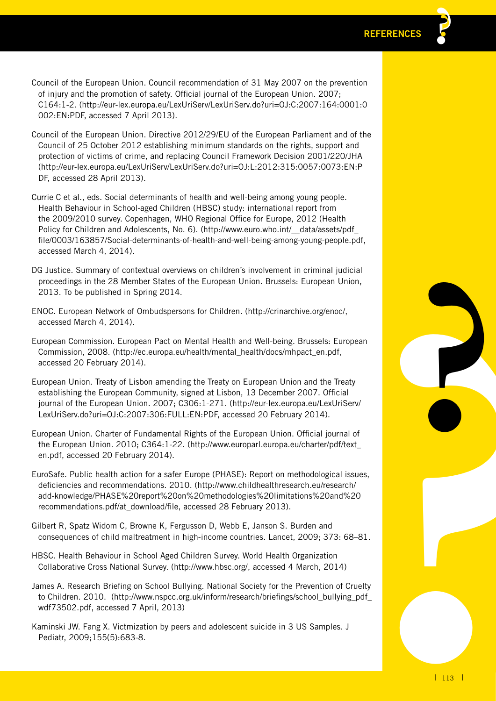- Council of the European Union. Council recommendation of 31 May 2007 on the prevention of injury and the promotion of safety. Official journal of the European Union. 2007; C164:1-2. (http://eur-lex.europa.eu/LexUriServ/LexUriServ.do?uri=OJ:C:2007:164:0001:0 002:EN:PDF, accessed 7 April 2013).
- Council of the European Union. Directive 2012/29/EU of the European Parliament and of the Council of 25 October 2012 establishing minimum standards on the rights, support and protection of victims of crime, and replacing Council Framework Decision 2001/220/JHA (http://eur-lex.europa.eu/LexUriServ/LexUriServ.do?uri=OJ:L:2012:315:0057:0073:EN:P DF, accessed 28 April 2013).
- Currie C et al., eds. Social determinants of health and well-being among young people. Health Behaviour in School-aged Children (HBSC) study: international report from the 2009/2010 survey. Copenhagen, WHO Regional Office for Europe, 2012 (Health Policy for Children and Adolescents, No. 6). (http://www.euro.who.int/\_data/assets/pdf\_ file/0003/163857/Social-determinants-of-health-and-well-being-among-young-people.pdf, accessed March 4, 2014).
- DG Justice. Summary of contextual overviews on children's involvement in criminal judicial proceedings in the 28 Member States of the European Union. Brussels: European Union, 2013. To be published in Spring 2014.
- ENOC. European Network of Ombudspersons for Children. (http://crinarchive.org/enoc/, accessed March 4, 2014).
- European Commission. European Pact on Mental Health and Well-being. Brussels: European Commission, 2008. (http://ec.europa.eu/health/mental\_health/docs/mhpact\_en.pdf, accessed 20 February 2014).
- European Union. Treaty of Lisbon amending the Treaty on European Union and the Treaty establishing the European Community, signed at Lisbon, 13 December 2007. Official journal of the European Union. 2007; C306:1-271. (http://eur-lex.europa.eu/LexUriServ/ LexUriServ.do?uri=OJ:C:2007:306:FULL:EN:PDF, accessed 20 February 2014).
- European Union. Charter of Fundamental Rights of the European Union. Official journal of the European Union. 2010; C364:1-22. (http://www.europarl.europa.eu/charter/pdf/text\_ en.pdf, accessed 20 February 2014).
- pean<br>ty<br>erv/<br>of<br>sues,<br>kxt\_<br>2.20<br>8–81.<br>Pruelty<br>3\_pdf\_<br>1 113 1 EuroSafe. Public health action for a safer Europe (PHASE): Report on methodological issues, deficiencies and recommendations. 2010. (http://www.childhealthresearch.eu/research/ add-knowledge/PHASE%20report%20on%20methodologies%20limitations%20and%20 recommendations.pdf/at\_download/file, accessed 28 February 2013).
- Gilbert R, Spatz Widom C, Browne K, Fergusson D, Webb E, Janson S. Burden and consequences of child maltreatment in high-income countries. Lancet, 2009; 373: 68–81.
- HBSC. Health Behaviour in School Aged Children Survey. World Health Organization Collaborative Cross National Survey. (http://www.hbsc.org/, accessed 4 March, 2014)
- James A. Research Briefing on School Bullying. National Society for the Prevention of Cruelty to Children. 2010. (http://www.nspcc.org.uk/inform/research/briefings/school\_bullying\_pdf wdf73502.pdf, accessed 7 April, 2013)
- Kaminski JW. Fang X. Victmization by peers and adolescent suicide in 3 US Samples. J Pediatr, 2009;155(5):683-8.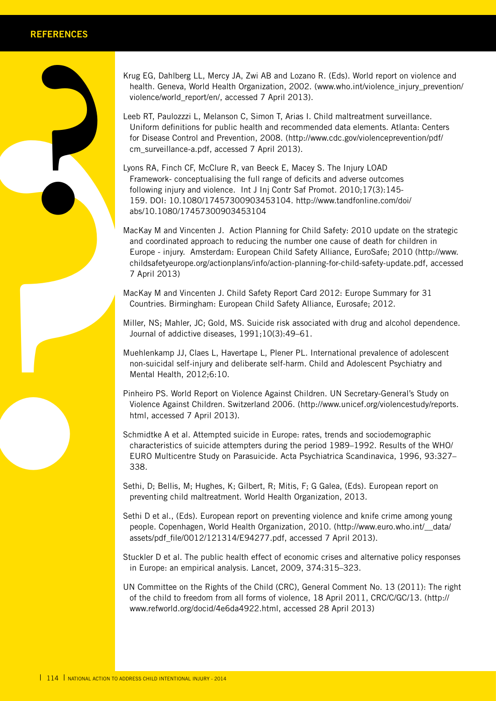Krug EG, Dahlberg LL, Mercy JA, Zwi AB and Lozano R. (Eds). World report on violence and health. Geneva, World Health Organization, 2002. (www.who.int/violence\_injury\_prevention/ violence/world\_report/en/, accessed 7 April 2013).

Leeb RT, Paulozzzi L, Melanson C, Simon T, Arias I. Child maltreatment surveillance. Uniform definitions for public health and recommended data elements. Atlanta: Centers for Disease Control and Prevention, 2008. (http://www.cdc.gov/violenceprevention/pdf/ cm\_surveillance-a.pdf, accessed 7 April 2013).

Lyons RA, Finch CF, McClure R, van Beeck E, Macey S. The Injury LOAD Framework- conceptualising the full range of deficits and adverse outcomes following injury and violence. Int J Inj Contr Saf Promot. 2010;17(3):145- 159. DOI: 10.1080/17457300903453104. http://www.tandfonline.com/doi/ abs/10.1080/17457300903453104

violen<br>
Leeb R<br>
Unifo<br>
for Di<br>
Unifo<br>
for Di<br>
Lyons R<br>
Frame<br>
159.<br>
abs/1<br>
MacKay<br>
and C<br>
Europen<br>
159.<br>
abs/1<br>
MacKay<br>
and C<br>
Europen<br>
7 Apr<br>
MacKay<br>
Count<br>
Miller, I<br>
Journ<br>
Miller, I<br>
Journ<br>
Miller, I<br>
Journ<br>
Miller, I<br> MacKay M and Vincenten J. Action Planning for Child Safety: 2010 update on the strategic and coordinated approach to reducing the number one cause of death for children in Europe - injury. Amsterdam: European Child Safety Alliance, EuroSafe; 2010 (http://www. childsafetyeurope.org/actionplans/info/action-planning-for-child-safety-update.pdf, accessed 7 April 2013)

MacKay M and Vincenten J. Child Safety Report Card 2012: Europe Summary for 31 Countries. Birmingham: European Child Safety Alliance, Eurosafe; 2012.

Miller, NS; Mahler, JC; Gold, MS. Suicide risk associated with drug and alcohol dependence. Journal of addictive diseases, 1991;10(3):49–61.

Muehlenkamp JJ, Claes L, Havertape L, Plener PL. International prevalence of adolescent non-suicidal self-injury and deliberate self-harm. Child and Adolescent Psychiatry and Mental Health, 2012;6:10.

Pinheiro PS. World Report on Violence Against Children. UN Secretary-General's Study on Violence Against Children. Switzerland 2006. (http://www.unicef.org/violencestudy/reports. html, accessed 7 April 2013).

Schmidtke A et al. Attempted suicide in Europe: rates, trends and sociodemographic characteristics of suicide attempters during the period 1989–1992. Results of the WHO/ EURO Multicentre Study on Parasuicide. Acta Psychiatrica Scandinavica, 1996, 93:327– 338.

Sethi, D; Bellis, M; Hughes, K; Gilbert, R; Mitis, F; G Galea, (Eds). European report on preventing child maltreatment. World Health Organization, 2013.

Sethi D et al., (Eds). European report on preventing violence and knife crime among young people. Copenhagen, World Health Organization, 2010. (http://www.euro.who.int/\_\_data/ assets/pdf\_file/0012/121314/E94277.pdf, accessed 7 April 2013).

Stuckler D et al. The public health effect of economic crises and alternative policy responses in Europe: an empirical analysis. Lancet, 2009, 374:315–323.

UN Committee on the Rights of the Child (CRC), General Comment No. 13 (2011): The right of the child to freedom from all forms of violence, 18 April 2011, CRC/C/GC/13. (http:// www.refworld.org/docid/4e6da4922.html, accessed 28 April 2013)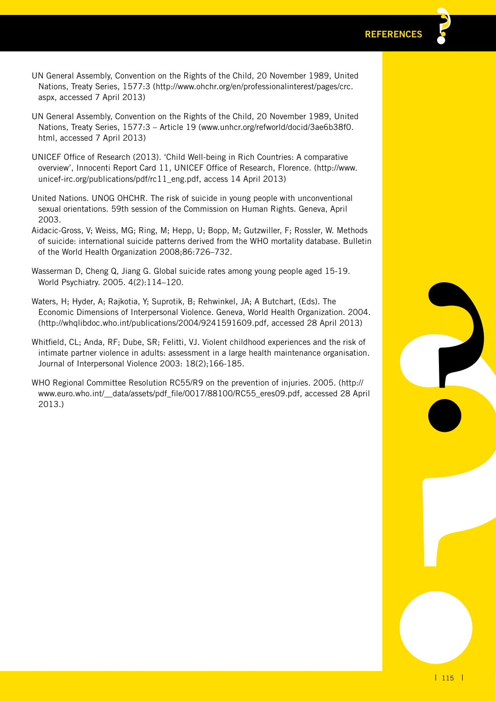- UN General Assembly, Convention on the Rights of the Child, 20 November 1989, United Nations, Treaty Series, 1577:3 (http://www.ohchr.org/en/professionalinterest/pages/crc. aspx, accessed 7 April 2013)
- UN General Assembly, Convention on the Rights of the Child, 20 November 1989, United Nations, Treaty Series, 1577:3 – Article 19 (www.unhcr.org/refworld/docid/3ae6b38f0. html, accessed 7 April 2013)
- UNICEF Office of Research (2013). 'Child Well-being in Rich Countries: A comparative overview', Innocenti Report Card 11, UNICEF Office of Research, Florence. (http://www. unicef-irc.org/publications/pdf/rc11\_eng.pdf, access 14 April 2013)
- United Nations. UNOG OHCHR. The risk of suicide in young people with unconventional sexual orientations. 59th session of the Commission on Human Rights. Geneva, April 2003.
- Aidacic-Gross, V; Weiss, MG; Ring, M; Hepp, U; Bopp, M; Gutzwiller, F; Rossler, W. Methods of suicide: international suicide patterns derived from the WHO mortality database. Bulletin of the World Health Organization 2008;86:726–732.
- Wasserman D, Cheng Q, Jiang G. Global suicide rates among young people aged 15-19. World Psychiatry. 2005. 4(2):114–120.
- 2004.<br> **133**<br>
sk of<br>
tp://<br>
April<br> **Philadel Science (1864)** Waters, H; Hyder, A; Rajkotia, Y; Suprotik, B; Rehwinkel, JA; A Butchart, (Eds). The Economic Dimensions of Interpersonal Violence. Geneva, World Health Organization. 2004. (http://whqlibdoc.who.int/publications/2004/9241591609.pdf, accessed 28 April 2013)
- Whitfield, CL; Anda, RF; Dube, SR; Felitti, VJ. Violent childhood experiences and the risk of intimate partner violence in adults: assessment in a large health maintenance organisation. Journal of Interpersonal Violence 2003: 18(2);166-185.
- WHO Regional Committee Resolution RC55/R9 on the prevention of injuries. 2005. (http:// www.euro.who.int/\_\_data/assets/pdf\_file/0017/88100/RC55\_eres09.pdf, accessed 28 April 2013.)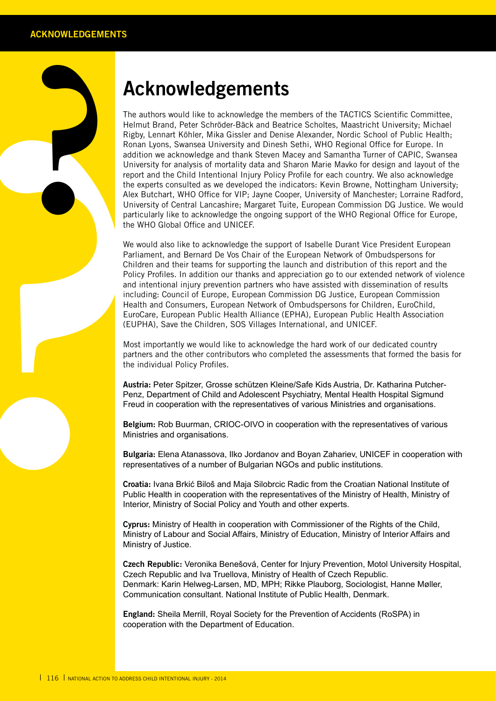## **Acknowledgements**

The aut<br>
Helmut Righty, I<br>
Righty, Roman I<br>
Roman Indiction<br>
Universe<br>
The exp<br>
Report of the exp<br>
Universe<br>
Universe<br>
Universe<br>
Universe<br>
Universe<br>
We would Partiam<br>
We would Partiam<br>
Most important<br>
Perdith<br>
EuroCal<br>
(EU The authors would like to acknowledge the members of the TACTICS Scientific Committee, Helmut Brand, Peter Schröder-Bäck and Beatrice Scholtes, Maastricht University; Michael Rigby, Lennart Köhler, Mika Gissler and Denise Alexander, Nordic School of Public Health; Ronan Lyons, Swansea University and Dinesh Sethi, WHO Regional Office for Europe. In addition we acknowledge and thank Steven Macey and Samantha Turner of CAPIC, Swansea University for analysis of mortality data and Sharon Marie Mavko for design and layout of the report and the Child Intentional Injury Policy Profile for each country. We also acknowledge the experts consulted as we developed the indicators: Kevin Browne, Nottingham University; Alex Butchart, WHO Office for VIP; Jayne Cooper, University of Manchester; Lorraine Radford, University of Central Lancashire; Margaret Tuite, European Commission DG Justice. We would particularly like to acknowledge the ongoing support of the WHO Regional Office for Europe, the WHO Global Office and UNICEF.

We would also like to acknowledge the support of Isabelle Durant Vice President European Parliament, and Bernard De Vos Chair of the European Network of Ombudspersons for Children and their teams for supporting the launch and distribution of this report and the Policy Profiles. In addition our thanks and appreciation go to our extended network of violence and intentional injury prevention partners who have assisted with dissemination of results including: Council of Europe, European Commission DG Justice, European Commission Health and Consumers, European Network of Ombudspersons for Children, EuroChild, EuroCare, European Public Health Alliance (EPHA), European Public Health Association (EUPHA), Save the Children, SOS Villages International, and UNICEF.

Most importantly we would like to acknowledge the hard work of our dedicated country partners and the other contributors who completed the assessments that formed the basis for the individual Policy Profiles.

**Austria:** Peter Spitzer, Grosse schützen Kleine/Safe Kids Austria, Dr. Katharina Putcher-Penz, Department of Child and Adolescent Psychiatry, Mental Health Hospital Sigmund Freud in cooperation with the representatives of various Ministries and organisations.

**Belgium:** Rob Buurman, CRIOC-OIVO in cooperation with the representatives of various Ministries and organisations.

**Bulgaria:** Elena Atanassova, Ilko Jordanov and Boyan Zahariev, UNICEF in cooperation with representatives of a number of Bulgarian NGOs and public institutions.

**Croatia:** Ivana Brkić Biloš and Maja Silobrcic Radic from the Croatian National Institute of Public Health in cooperation with the representatives of the Ministry of Health, Ministry of Interior, Ministry of Social Policy and Youth and other experts.

**Cyprus:** Ministry of Health in cooperation with Commissioner of the Rights of the Child, Ministry of Labour and Social Affairs, Ministry of Education, Ministry of Interior Affairs and Ministry of Justice.

**Czech Republic:** Veronika Benešová, Center for Injury Prevention, Motol University Hospital, Czech Republic and Iva Truellova, Ministry of Health of Czech Republic. Denmark: Karin Helweg-Larsen, MD, MPH; Rikke Plauborg, Sociologist, Hanne Møller, Communication consultant. National Institute of Public Health, Denmark.

**England:** Sheila Merrill, Royal Society for the Prevention of Accidents (RoSPA) in cooperation with the Department of Education.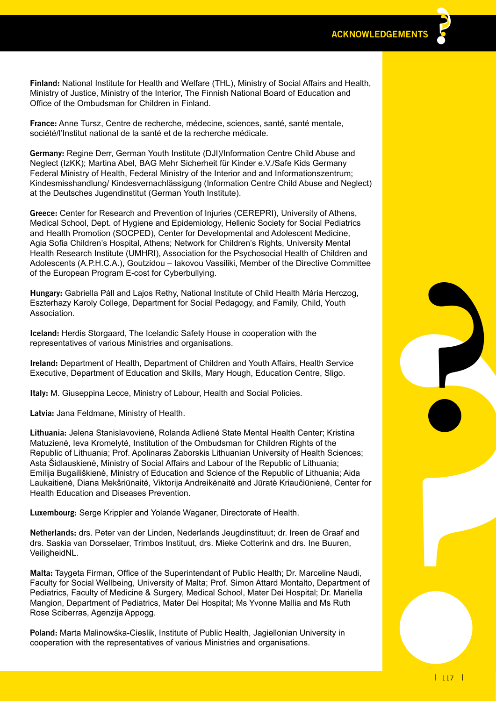**Finland:** National Institute for Health and Welfare (THL), Ministry of Social Affairs and Health, Ministry of Justice, Ministry of the Interior, The Finnish National Board of Education and Office of the Ombudsman for Children in Finland.

**France:** Anne Tursz, Centre de recherche, médecine, sciences, santé, santé mentale, société/l'Institut national de la santé et de la recherche médicale.

**Germany:** Regine Derr, German Youth Institute (DJI)/Information Centre Child Abuse and Neglect (IzKK); Martina Abel, BAG Mehr Sicherheit für Kinder e.V./Safe Kids Germany Federal Ministry of Health, Federal Ministry of the Interior and and Informationszentrum; Kindesmisshandlung/ Kindesvernachlässigung (Information Centre Child Abuse and Neglect) at the Deutsches Jugendinstitut (German Youth Institute).

**Greece:** Center for Research and Prevention of Injuries (CEREPRI), University of Athens, Medical School, Dept. of Hygiene and Epidemiology, Hellenic Society for Social Pediatrics and Health Promotion (SOCPED), Center for Developmental and Adolescent Medicine, Agia Sofia Children's Hospital, Athens; Network for Children's Rights, University Mental Health Research Institute (UMHRI), Association for the Psychosocial Health of Children and Adolescents (A.P.H.C.A.), Goutzidou – Iakovou Vassiliki, Member of the Directive Committee of the European Program E-cost for Cyberbullying.

**Hungary:** Gabriella Páll and Lajos Rethy, National Institute of Child Health Mária Herczog, Eszterhazy Karoly College, Department for Social Pedagogy, and Family, Child, Youth Association.

**Iceland:** Herdis Storgaard, The Icelandic Safety House in cooperation with the representatives of various Ministries and organisations.

**Ireland:** Department of Health, Department of Children and Youth Affairs, Health Service Executive, Department of Education and Skills, Mary Hough, Education Centre, Sligo.

**Italy:** M. Giuseppina Lecce, Ministry of Labour, Health and Social Policies.

**Latvia:** Jana Feldmane, Ministry of Health.

**? Lithuania:** Jelena Stanislavovienė, Rolanda Adlienė State Mental Health Center; Kristina Matuzienė, Ieva Kromelytė, Institution of the Ombudsman for Children Rights of the Republic of Lithuania; Prof. Apolinaras Zaborskis Lithuanian University of Health Sciences; Asta Šidlauskienė, Ministry of Social Affairs and Labour of the Republic of Lithuania; Emilija Bugailiškienė, Ministry of Education and Science of the Republic of Lithuania; Aida Laukaitienė, Diana Mekšriūnaitė, Viktorija Andreikėnaitė and Jūratė Kriaučiūnienė, Center for Health Education and Diseases Prevention.

**Luxembourg:** Serge Krippler and Yolande Waganer, Directorate of Health.

**Netherlands:** drs. Peter van der Linden, Nederlands Jeugdinstituut; dr. Ireen de Graaf and drs. Saskia van Dorsselaer, Trimbos Instituut, drs. Mieke Cotterink and drs. Ine Buuren, VeiligheidNL.

**Malta:** Taygeta Firman, Office of the Superintendant of Public Health; Dr. Marceline Naudi, Faculty for Social Wellbeing, University of Malta; Prof. Simon Attard Montalto, Department of Pediatrics, Faculty of Medicine & Surgery, Medical School, Mater Dei Hospital; Dr. Mariella Mangion, Department of Pediatrics, Mater Dei Hospital; Ms Yvonne Mallia and Ms Ruth Rose Sciberras, Agenzija Appogg.

**Poland:** Marta Malinowśka-Cieslik, Institute of Public Health, Jagiellonian University in cooperation with the representatives of various Ministries and organisations.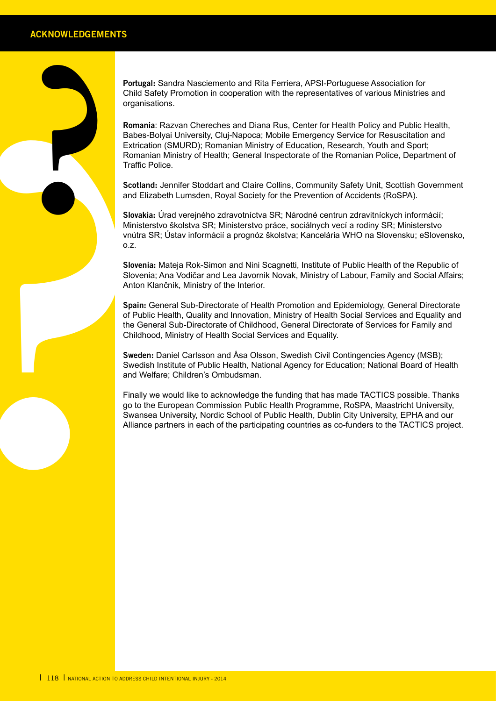**Portugal:** Sandra Nasciemento and Rita Ferriera, APSI-Portuguese Association for Child Safety Promotion in cooperation with the representatives of various Ministries and organisations.

Formation<br>
organis<br>
Remaining<br>
Remaining<br>
Extricted<br>
Remaining Extraction<br>
Scotlan<br>
and Eliz<br>
slowakik<br>
Minister or<br>
Sinversion<br>
Sinversion<br>
Sinversion<br>
Altion P<br>
Spain: of Publi<br>
the Ger<br>
Childhoc<br>
Sweeden<br>
Sweeden<br>
Sweed **Romania**: Razvan Chereches and Diana Rus, Center for Health Policy and Public Health, Babes-Bolyai University, Cluj-Napoca; Mobile Emergency Service for Resuscitation and Extrication (SMURD); Romanian Ministry of Education, Research, Youth and Sport; Romanian Ministry of Health; General Inspectorate of the Romanian Police, Department of Traffic Police.

**Scotland:** Jennifer Stoddart and Claire Collins, Community Safety Unit, Scottish Government and Elizabeth Lumsden, Royal Society for the Prevention of Accidents (RoSPA).

**Slovakia:** Úrad verejného zdravotníctva SR; Národné centrun zdravitníckych informácií; Ministerstvo školstva SR; Ministerstvo práce, sociálnych vecí a rodiny SR; Ministerstvo vnútra SR; Ústav informácií a prognóz školstva; Kancelária WHO na Slovensku; eSlovensko, o.z.

**Slovenia:** Mateja Rok-Simon and Nini Scagnetti, Institute of Public Health of the Republic of Slovenia; Ana Vodičar and Lea Javornik Novak, Ministry of Labour, Family and Social Affairs; Anton Klančnik, Ministry of the Interior.

**Spain:** General Sub-Directorate of Health Promotion and Epidemiology, General Directorate of Public Health, Quality and Innovation, Ministry of Health Social Services and Equality and the General Sub-Directorate of Childhood, General Directorate of Services for Family and Childhood, Ministry of Health Social Services and Equality.

**Sweden:** Daniel Carlsson and Åsa Olsson, Swedish Civil Contingencies Agency (MSB); Swedish Institute of Public Health, National Agency for Education; National Board of Health and Welfare; Children's Ombudsman.

Finally we would like to acknowledge the funding that has made TACTICS possible. Thanks go to the European Commission Public Health Programme, RoSPA, Maastricht University, Swansea University, Nordic School of Public Health, Dublin City University, EPHA and our Alliance partners in each of the participating countries as co-funders to the TACTICS project.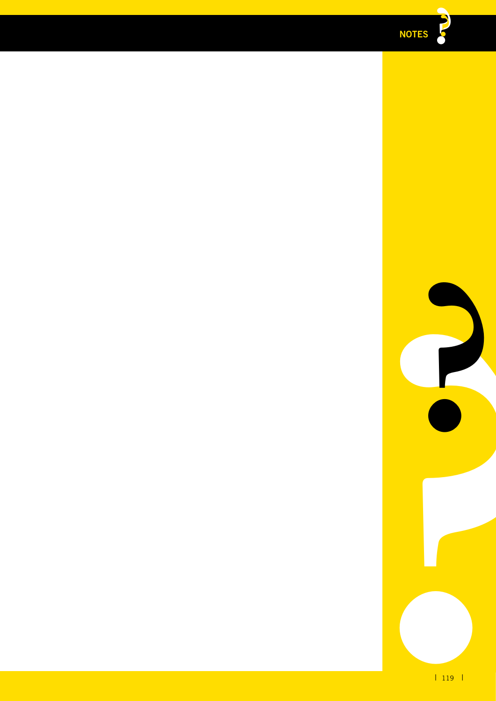